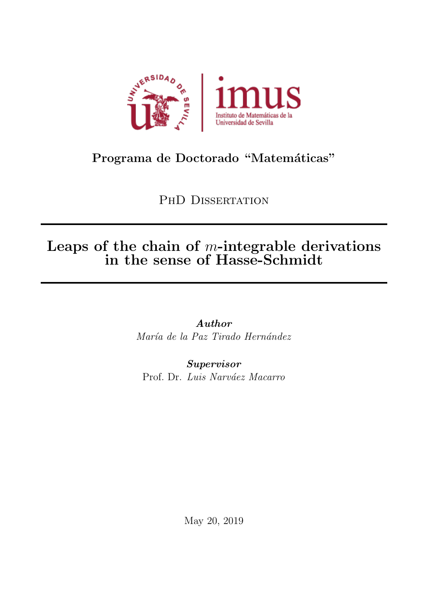

# Programa de Doctorado "Matemáticas"

PHD DISSERTATION

# Leaps of the chain of  $m$ -integrable derivations in the sense of Hasse-Schmidt

Author María de la Paz Tirado Hernández

Supervisor Prof. Dr. Luis Narváez Macarro

May 20, 2019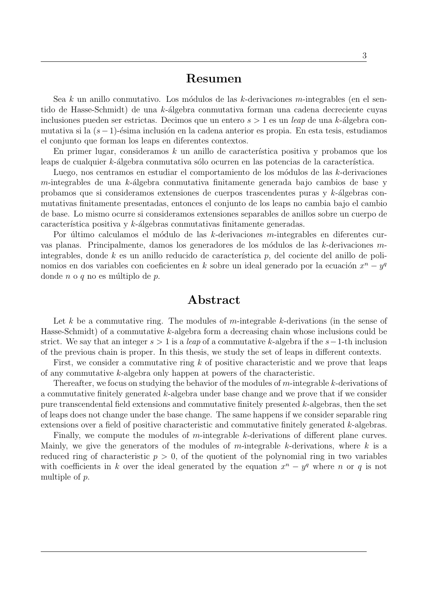## Resumen

Sea k un anillo conmutativo. Los módulos de las k-derivaciones m-integrables (en el sentido de Hasse-Schmidt) de una  $k$ -álgebra conmutativa forman una cadena decreciente cuyas inclusiones pueden ser estrictas. Decimos que un entero  $s > 1$  es un leap de una k-álgebra conmutativa si la (s−1)-ésima inclusión en la cadena anterior es propia. En esta tesis, estudiamos el conjunto que forman los leaps en diferentes contextos.

En primer lugar, consideramos  $k$  un anillo de característica positiva y probamos que los leaps de cualquier  $k$ -álgebra conmutativa sólo ocurren en las potencias de la característica.

Luego, nos centramos en estudiar el comportamiento de los módulos de las k-derivaciones  $m$ -integrables de una k-álgebra conmutativa finitamente generada bajo cambios de base y probamos que si consideramos extensiones de cuerpos trascendentes puras y  $k$ -álgebras conmutativas finitamente presentadas, entonces el conjunto de los leaps no cambia bajo el cambio de base. Lo mismo ocurre si consideramos extensiones separables de anillos sobre un cuerpo de característica positiva y  $k$ -álgebras conmutativas finitamente generadas.

Por último calculamos el módulo de las  $k$ -derivaciones m-integrables en diferentes curvas planas. Principalmente, damos los generadores de los módulos de las k-derivaciones  $m$ integrables, donde  $k$  es un anillo reducido de característica  $p$ , del cociente del anillo de polinomios en dos variables con coeficientes en k sobre un ideal generado por la ecuación  $x^n - y^q$ donde  $n \circ q$  no es múltiplo de  $p$ .

## Abstract

Let k be a commutative ring. The modules of m-integrable k-derivations (in the sense of Hasse-Schmidt) of a commutative k-algebra form a decreasing chain whose inclusions could be strict. We say that an integer  $s > 1$  is a *leap* of a commutative k-algebra if the  $s-1$ -th inclusion of the previous chain is proper. In this thesis, we study the set of leaps in different contexts.

First, we consider a commutative ring  $k$  of positive characteristic and we prove that leaps of any commutative k-algebra only happen at powers of the characteristic.

Thereafter, we focus on studying the behavior of the modules of m-integrable k-derivations of a commutative finitely generated k-algebra under base change and we prove that if we consider pure transcendental field extensions and commutative finitely presented k-algebras, then the set of leaps does not change under the base change. The same happens if we consider separable ring extensions over a field of positive characteristic and commutative finitely generated k-algebras.

Finally, we compute the modules of m-integrable k-derivations of different plane curves. Mainly, we give the generators of the modules of m-integrable k-derivations, where  $k$  is a reduced ring of characteristic  $p > 0$ , of the quotient of the polynomial ring in two variables with coefficients in k over the ideal generated by the equation  $x^n - y^q$  where n or q is not multiple of p.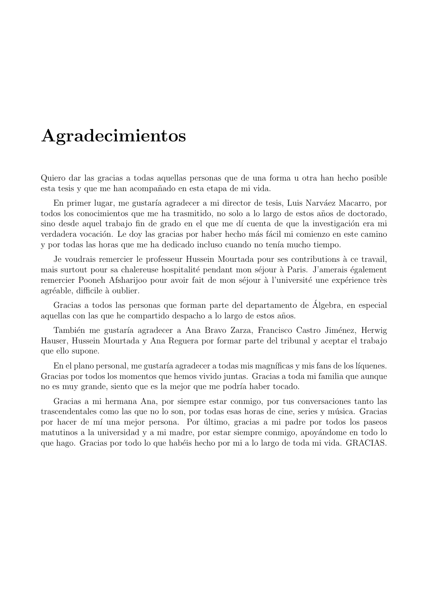# Agradecimientos

Quiero dar las gracias a todas aquellas personas que de una forma u otra han hecho posible esta tesis y que me han acompañado en esta etapa de mi vida.

En primer lugar, me gustaría agradecer a mi director de tesis, Luis Narváez Macarro, por todos los conocimientos que me ha trasmitido, no solo a lo largo de estos a˜nos de doctorado, sino desde aquel trabajo fin de grado en el que me dí cuenta de que la investigación era mi verdadera vocación. Le doy las gracias por haber hecho más fácil mi comienzo en este camino y por todas las horas que me ha dedicado incluso cuando no tenía mucho tiempo.

Je voudrais remercier le professeur Hussein Mourtada pour ses contributions à ce travail, mais surtout pour sa chalereuse hospitalité pendant mon séjour à Paris. J'amerais également remercier Pooneh Afsharijoo pour avoir fait de mon séjour à l'université une expérience très agréable, difficile à oublier.

Gracias a todos las personas que forman parte del departamento de Algebra, en especial ´ aquellas con las que he compartido despacho a lo largo de estos años.

También me gustaría agradecer a Ana Bravo Zarza, Francisco Castro Jiménez, Herwig Hauser, Hussein Mourtada y Ana Reguera por formar parte del tribunal y aceptar el trabajo que ello supone.

En el plano personal, me gustaría agradecer a todas mis magníficas y mis fans de los líquenes. Gracias por todos los momentos que hemos vivido juntas. Gracias a toda mi familia que aunque no es muy grande, siento que es la mejor que me podría haber tocado.

Gracias a mi hermana Ana, por siempre estar conmigo, por tus conversaciones tanto las trascendentales como las que no lo son, por todas esas horas de cine, series y música. Gracias por hacer de m´ı una mejor persona. Por ´ultimo, gracias a mi padre por todos los paseos matutinos a la universidad y a mi madre, por estar siempre conmigo, apoyándome en todo lo que hago. Gracias por todo lo que habéis hecho por mi a lo largo de toda mi vida. GRACIAS.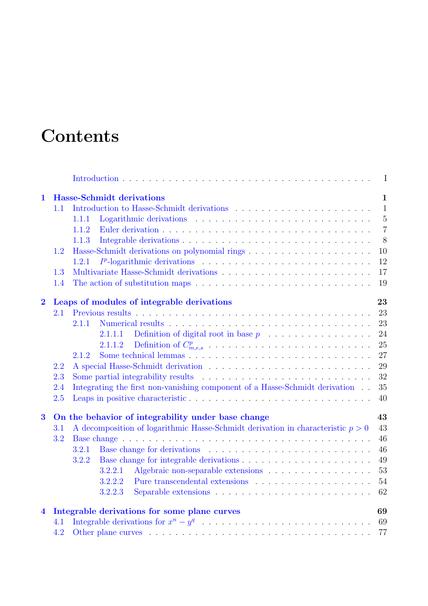# **Contents**

|                         |         | $\mathbf I$                                                                                 |  |
|-------------------------|---------|---------------------------------------------------------------------------------------------|--|
| $\mathbf{1}$            |         | <b>Hasse-Schmidt derivations</b><br>$\mathbf{1}$                                            |  |
|                         | $1.1\,$ | $\mathbf{1}$                                                                                |  |
|                         |         | $\overline{5}$<br>1.1.1                                                                     |  |
|                         |         | $\overline{7}$<br>1.1.2                                                                     |  |
|                         |         | 1.1.3<br>8                                                                                  |  |
|                         | 1.2     | 10                                                                                          |  |
|                         |         | 12<br>1.2.1                                                                                 |  |
|                         | 1.3     | 17                                                                                          |  |
|                         | 1.4     | 19                                                                                          |  |
| $\overline{\mathbf{2}}$ |         | 23<br>Leaps of modules of integrable derivations                                            |  |
|                         | 2.1     | 23                                                                                          |  |
|                         |         | 23<br>2.1.1                                                                                 |  |
|                         |         | 24<br>2.1.1.1                                                                               |  |
|                         |         | 25<br>2.1.1.2                                                                               |  |
|                         |         | 27<br>2.1.2                                                                                 |  |
|                         | 2.2     | 29                                                                                          |  |
|                         | 2.3     | 32                                                                                          |  |
|                         | 2.4     | Integrating the first non-vanishing component of a Hasse-Schmidt derivation<br>35           |  |
|                         | 2.5     | 40                                                                                          |  |
| $\bf{3}$                |         | On the behavior of integrability under base change<br>43                                    |  |
|                         | 3.1     | A decomposition of logarithmic Hasse-Schmidt derivation in characteristic $p > 0$<br>43     |  |
|                         | 3.2     | 46                                                                                          |  |
|                         |         | 46<br>3.2.1                                                                                 |  |
|                         |         | 3.2.2<br>49                                                                                 |  |
|                         |         | 53<br>3.2.2.1<br>Algebraic non-separable extensions                                         |  |
|                         |         | 54<br>3.2.2.2<br>Pure transcendental extensions $\ldots \ldots \ldots \ldots \ldots \ldots$ |  |
|                         |         | 62<br>3.2.2.3                                                                               |  |
| 4                       |         | Integrable derivations for some plane curves<br>69                                          |  |
|                         | 4.1     | 69                                                                                          |  |
|                         | 4.2     | 77                                                                                          |  |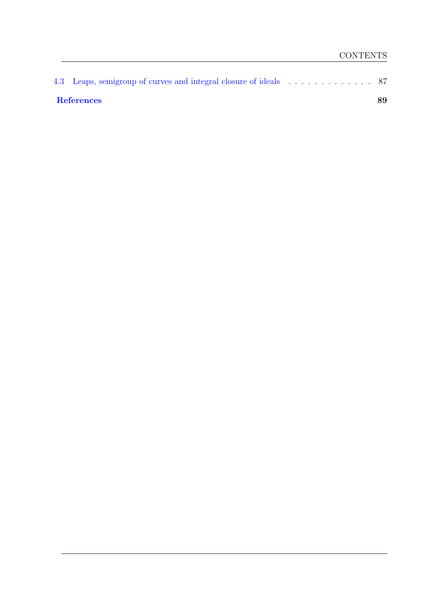| References | 89 |
|------------|----|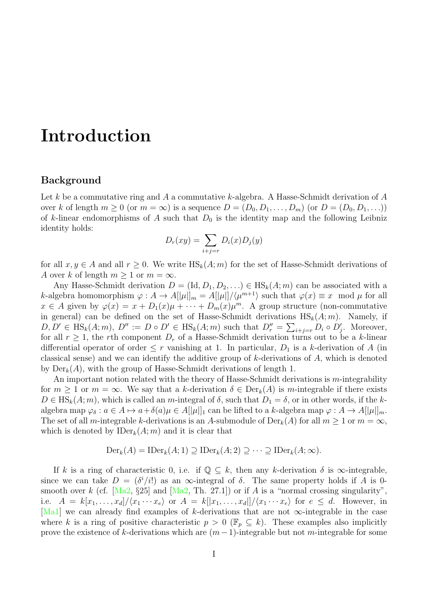# <span id="page-8-0"></span>Introduction

## Background

Let k be a commutative ring and A a commutative k-algebra. A Hasse-Schmidt derivation of A over k of length  $m \geq 0$  (or  $m = \infty$ ) is a sequence  $D = (D_0, D_1, \ldots, D_m)$  (or  $D = (D_0, D_1, \ldots)$ ) of k-linear endomorphisms of A such that  $D_0$  is the identity map and the following Leibniz identity holds:

$$
D_r(xy) = \sum_{i+j=r} D_i(x)D_j(y)
$$

for all  $x, y \in A$  and all  $r > 0$ . We write  $\text{HS}_k(A; m)$  for the set of Hasse-Schmidt derivations of A over k of length  $m \geq 1$  or  $m = \infty$ .

Any Hasse-Schmidt derivation  $D = (\text{Id}, D_1, D_2, ...) \in \text{HS}_k(A; m)$  can be associated with a k-algebra homomorphism  $\varphi: A \to A[[\mu]]_m = A[[\mu]]/\langle \mu^{m+1} \rangle$  such that  $\varphi(x) \equiv x \mod \mu$  for all  $x \in A$  given by  $\varphi(x) = x + D_1(x)\mu + \cdots + D_m(x)\mu^m$ . A group structure (non-commutative in general) can be defined on the set of Hasse-Schmidt derivations  $\text{HS}_k(A; m)$ . Namely, if  $D, D' \in \text{HS}_k(A; m), D'' := D \circ D' \in \text{HS}_k(A; m)$  such that  $D''_r = \sum_{i+j=r} D_i \circ D'_j$ . Moreover, for all  $r \geq 1$ , the rth component  $D_r$  of a Hasse-Schmidt derivation turns out to be a k-linear differential operator of order  $\leq r$  vanishing at 1. In particular,  $D_1$  is a k-derivation of A (in classical sense) and we can identify the additive group of  $k$ -derivations of  $A$ , which is denoted by  $Der_k(A)$ , with the group of Hasse-Schmidt derivations of length 1.

An important notion related with the theory of Hasse-Schmidt derivations is m-integrability for  $m \geq 1$  or  $m = \infty$ . We say that a k-derivation  $\delta \in \text{Der}_k(A)$  is m-integrable if there exists  $D \in HS_k(A; m)$ , which is called an m-integral of  $\delta$ , such that  $D_1 = \delta$ , or in other words, if the kalgebra map  $\varphi_{\delta}: a \in A \mapsto a+\delta(a)\mu \in A[[\mu]]_1$  can be lifted to a k-algebra map  $\varphi: A \to A[[\mu]]_m$ . The set of all m-integrable k-derivations is an A-submodule of  $Der_k(A)$  for all  $m \geq 1$  or  $m = \infty$ , which is denoted by  $\text{IDer}_k(A; m)$  and it is clear that

$$
\mathrm{Der}_k(A) = \mathrm{IDer}_k(A; 1) \supseteq \mathrm{IDer}_k(A; 2) \supseteq \cdots \supseteq \mathrm{IDer}_k(A; \infty).
$$

If k is a ring of characteristic 0, i.e. if  $\mathbb{Q} \subseteq k$ , then any k-derivation  $\delta$  is  $\infty$ -integrable, since we can take  $D = (\delta^i/i!)$  as an  $\infty$ -integral of  $\delta$ . The same property holds if A is 0smooth over k (cf.  $[Ma2, §25]$  and  $[Ma2, Th. 27.1]$ ) or if A is a "normal crossing singularity". i.e.  $A = k[x_1, \ldots, x_d]/\langle x_1 \cdots x_e \rangle$  or  $A = k[[x_1, \ldots, x_d]]/\langle x_1 \cdots x_e \rangle$  for  $e \leq d$ . However, in [\[Ma1\]](#page-102-2) we can already find examples of k-derivations that are not  $\infty$ -integrable in the case where k is a ring of positive characteristic  $p > 0$  ( $\mathbb{F}_p \subseteq k$ ). These examples also implicitly prove the existence of k-derivations which are  $(m-1)$ -integrable but not m-integrable for some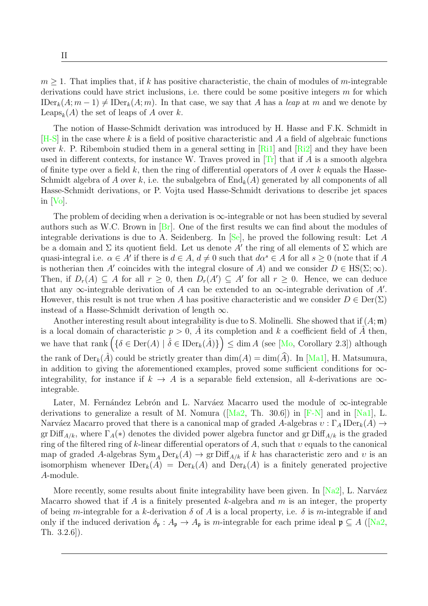$m > 1$ . That implies that, if k has positive characteristic, the chain of modules of m-integrable derivations could have strict inclusions, i.e. there could be some positive integers  $m$  for which  $\text{IDer}_k(A; m-1) \neq \text{IDer}_k(A; m)$ . In that case, we say that A has a leap at m and we denote by Leaps<sub>k</sub> $(A)$  the set of leaps of A over k.

The notion of Hasse-Schmidt derivation was introduced by H. Hasse and F.K. Schmidt in  $[H-S]$  in the case where k is a field of positive characteristic and A a field of algebraic functions over k. P. Ribemboin studied them in a general setting in  $\lbrack$  Ri1 and  $\lbrack$  Ri2 and they have been used in different contexts, for instance W. Traves proved in  $Tr$  that if A is a smooth algebra of finite type over a field  $k$ , then the ring of differential operators of  $A$  over  $k$  equals the Hasse-Schmidt algebra of A over k, i.e. the subalgebra of  $\text{End}_{k}(A)$  generated by all components of all Hasse-Schmidt derivations, or P. Vojta used Hasse-Schmidt derivations to describe jet spaces in [\[Vo\]](#page-103-3).

The problem of deciding when a derivation is  $\infty$ -integrable or not has been studied by several authors such as W.C. Brown in  $[Br]$ . One of the first results we can find about the modules of integrable derivations is due to A. Seidenberg. In  $\text{[Se]}$ , he proved the following result: Let A be a domain and  $\Sigma$  its quotient field. Let us denote A' the ring of all elements of  $\Sigma$  which are quasi-integral i.e.  $\alpha \in A'$  if there is  $d \in A$ ,  $d \neq 0$  such that  $d\alpha^s \in A$  for all  $s \geq 0$  (note that if A is notherian then A' coincides with the integral closure of A) and we consider  $D \in HS(\Sigma; \infty)$ . Then, if  $D_r(A) \subseteq A$  for all  $r \geq 0$ , then  $D_r(A') \subseteq A'$  for all  $r \geq 0$ . Hence, we can deduce that any  $\infty$ -integrable derivation of A can be extended to an  $\infty$ -integrable derivation of A'. However, this result is not true when A has positive characteristic and we consider  $D \in \text{Der}(\Sigma)$ instead of a Hasse-Schmidt derivation of length  $\infty$ .

Another interesting result about integrability is due to S. Molinelli. She showed that if  $(A; \mathfrak{m})$ is a local domain of characteristic  $p > 0$ , A its completion and k a coefficient field of A then, we have that rank  $(\{\delta \in \text{Der}(A) \mid \hat{\delta} \in \text{IDer}_k(\hat{A})\}) \leq \dim A$  (see [\[Mo,](#page-102-5) Corollary 2.3]) although the rank of  $Der_k(\hat{A})$  could be strictly greater than  $\dim(A) = \dim(\hat{A})$ . In [\[Ma1\]](#page-102-2), H. Matsumura, in addition to giving the aforementioned examples, proved some sufficient conditions for  $\infty$ integrability, for instance if  $k \to A$  is a separable field extension, all k-derivations are  $\infty$ integrable.

Later, M. Fernández Lebrón and L. Narváez Macarro used the module of  $\infty$ -integrable derivationsto generalize a result of M. Nomura ( $[Ma2, Th. 30.6]$  $[Ma2, Th. 30.6]$ ) in [\[F-N\]](#page-102-6) and in [\[Na1\]](#page-103-5), L. Narváez Macarro proved that there is a canonical map of graded A-algebras  $v : \Gamma_A \text{IDer}_k(A) \rightarrow$ gr Diff<sub>A/k</sub>, where  $\Gamma_A(*)$  denotes the divided power algebra functor and gr Diff<sub>A/k</sub> is the graded ring of the filtered ring of k-linear differential operators of A, such that  $v$  equals to the canonical map of graded A-algebras  $\text{Sym}_A \text{Der}_k(A) \to \text{gr}\text{Diff}_{A/k}$  if k has characteristic zero and v is an isomorphism whenever  $\text{IDer}_k(A) = \text{Der}_k(A)$  and  $\text{Der}_k(A)$  is a finitely generated projective A-module.

More recently, some results about finite integrability have been given. In  $[Na2]$ , L. Narváez Macarro showed that if A is a finitely presented k-algebra and  $m$  is an integer, the property of being m-integrable for a k-derivation  $\delta$  of A is a local property, i.e.  $\delta$  is m-integrable if and only if the induced derivation  $\delta_{\mathfrak{p}}: A_{\mathfrak{p}} \to A_{\mathfrak{p}}$  is m-integrable for each prime ideal  $\mathfrak{p} \subseteq A$  ([\[Na2,](#page-103-6) Th. 3.2.6]).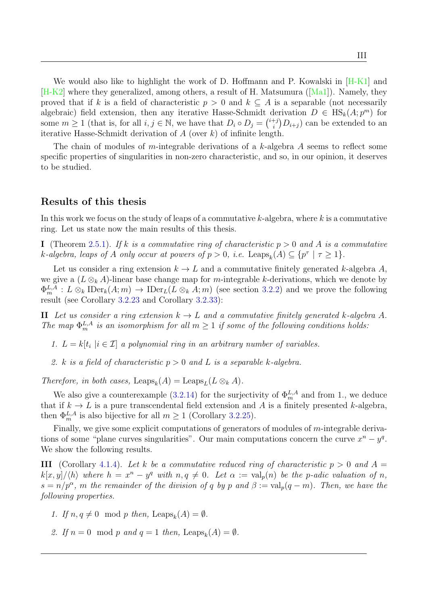We would also like to highlight the work of D. Hoffmann and P. Kowalski in [\[H-K1\]](#page-102-7) and [\[H-K2\]](#page-102-8) where they generalized, among others, a result of H. Matsumura ([\[Ma1\]](#page-102-2)). Namely, they proved that if k is a field of characteristic  $p > 0$  and  $k \subseteq A$  is a separable (not necessarily algebraic) field extension, then any iterative Hasse-Schmidt derivation  $D \in HS_k(A; p^m)$  for some  $m \geq 1$  (that is, for all  $i, j \in \mathbb{N}$ , we have that  $D_i \circ D_j = \binom{i+j}{i}$  $\binom{+j}{i}D_{i+j}$  can be extended to an iterative Hasse-Schmidt derivation of  $A$  (over  $k$ ) of infinite length.

The chain of modules of m-integrable derivations of a k-algebra A seems to reflect some specific properties of singularities in non-zero characteristic, and so, in our opinion, it deserves to be studied.

#### Results of this thesis

In this work we focus on the study of leaps of a commutative  $k$ -algebra, where k is a commutative ring. Let us state now the main results of this thesis.

I (Theorem [2.5.1\)](#page-53-1). If k is a commutative ring of characteristic  $p > 0$  and A is a commutative k-algebra, leaps of A only occur at powers of  $p > 0$ , i.e. Leaps<sub>k</sub> $(A) \subseteq \{p^{\tau} \mid \tau \geq 1\}$ .

Let us consider a ring extension  $k \to L$  and a commutative finitely generated k-algebra A, we give a  $(L \otimes_k A)$ -linear base change map for m-integrable k-derivations, which we denote by  $\Phi_m^{L,A}: L \otimes_k \text{IDer}_k(A;m) \to \text{IDer}_L(L \otimes_k A;m)$  (see section [3.2.2\)](#page-62-0) and we prove the following result (see Corollary [3.2.23](#page-73-0) and Corollary [3.2.33\)](#page-81-0):

II Let us consider a ring extension  $k \to L$  and a commutative finitely generated k-algebra A. The map  $\Phi_m^{L,A}$  is an isomorphism for all  $m \geq 1$  if some of the following conditions holds:

- 1.  $L = k[t_i | i \in \mathcal{I}]$  a polynomial ring in an arbitrary number of variables.
- 2. k is a field of characteristic  $p > 0$  and L is a separable k-algebra.

Therefore, in both cases, Leaps<sub>k</sub> $(A) = \text{Leaps}_L(L \otimes_k A)$ .

We also give a counterexample [\(3.2.14\)](#page-66-1) for the surjectivity of  $\Phi_m^{L,A}$  and from 1., we deduce that if  $k \to L$  is a pure transcendental field extension and A is a finitely presented k-algebra. then  $\Phi_m^{L,A}$  is also bijective for all  $m \geq 1$  (Corollary [3.2.25\)](#page-74-0).

Finally, we give some explicit computations of generators of modules of m-integrable derivations of some "plane curves singularities". Our main computations concern the curve  $x^n - y^q$ . We show the following results.

III (Corollary [4.1.4\)](#page-88-0). Let k be a commutative reduced ring of characteristic  $p > 0$  and  $A =$  $k[x,y]/\langle h \rangle$  where  $h = x^n - y^q$  with  $n, q \neq 0$ . Let  $\alpha := \text{val}_p(n)$  be the p-adic valuation of n,  $s = n/p^{\alpha}$ , m the remainder of the division of q by p and  $\beta := \text{val}_p(q-m)$ . Then, we have the following properties.

- 1. If  $n, q \neq 0 \mod p$  then, Leaps<sub>k</sub>(A) =  $\emptyset$ .
- 2. If  $n = 0 \mod p$  and  $q = 1$  then, Leaps<sub>k</sub>(A) =  $\emptyset$ .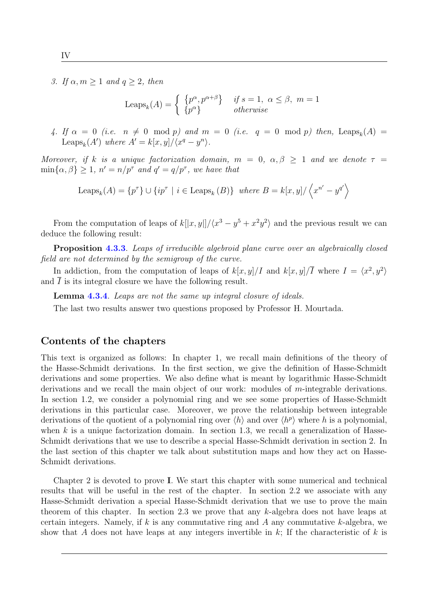3. If  $\alpha, m \geq 1$  and  $q \geq 2$ , then

$$
\text{Leaps}_k(A) = \begin{cases} \{p^{\alpha}, p^{\alpha+\beta}\} & \text{if } s = 1, \ \alpha \le \beta, \ m = 1\\ \{p^{\alpha}\} & \text{otherwise} \end{cases}
$$

4. If  $\alpha = 0$  (i.e.  $n \neq 0 \mod p$ ) and  $m = 0$  (i.e.  $q = 0 \mod p$ ) then, Leaps<sub>k</sub>(A) = Leaps<sub>k</sub>(A') where  $A' = k[x, y]/\langle x^q - y^n \rangle$ .

Moreover, if k is a unique factorization domain,  $m = 0$ ,  $\alpha, \beta \geq 1$  and we denote  $\tau =$  $\min\{\alpha, \beta\} \geq 1, n' = n/p^{\tau}$  and  $q' = q/p^{\tau}$ , we have that

$$
\text{Leaps}_k(A) = \{p^{\tau}\} \cup \{ip^{\tau} \mid i \in \text{Leaps}_k(B)\} \text{ where } B = k[x, y] / \langle x^{n'} - y^{q'} \rangle
$$

From the computation of leaps of  $k[[x,y]]/(x^3 - y^5 + x^2y^2)$  and the previous result we can deduce the following result:

Proposition [4.3.3](#page-100-1). Leaps of irreducible algebroid plane curve over an algebraically closed field are not determined by the semigroup of the curve.

In addiction, from the computation of leaps of  $k[x,y]/I$  and  $k[x,y]/\overline{I}$  where  $I = \langle x^2, y^2 \rangle$ and  $\overline{I}$  is its integral closure we have the following result.

Lemma [4.3.4](#page-100-2). Leaps are not the same up integral closure of ideals.

The last two results answer two questions proposed by Professor H. Mourtada.

#### Contents of the chapters

This text is organized as follows: In chapter 1, we recall main definitions of the theory of the Hasse-Schmidt derivations. In the first section, we give the definition of Hasse-Schmidt derivations and some properties. We also define what is meant by logarithmic Hasse-Schmidt derivations and we recall the main object of our work: modules of  $m$ -integrable derivations. In section 1.2, we consider a polynomial ring and we see some properties of Hasse-Schmidt derivations in this particular case. Moreover, we prove the relationship between integrable derivations of the quotient of a polynomial ring over  $\langle h \rangle$  and over  $\langle h^p \rangle$  where h is a polynomial, when k is a unique factorization domain. In section 1.3, we recall a generalization of Hasse-Schmidt derivations that we use to describe a special Hasse-Schmidt derivation in section 2. In the last section of this chapter we talk about substitution maps and how they act on Hasse-Schmidt derivations.

Chapter 2 is devoted to prove I. We start this chapter with some numerical and technical results that will be useful in the rest of the chapter. In section 2.2 we associate with any Hasse-Schmidt derivation a special Hasse-Schmidt derivation that we use to prove the main theorem of this chapter. In section 2.3 we prove that any k-algebra does not have leaps at certain integers. Namely, if k is any commutative ring and A any commutative k-algebra, we show that A does not have leaps at any integers invertible in  $k$ ; If the characteristic of k is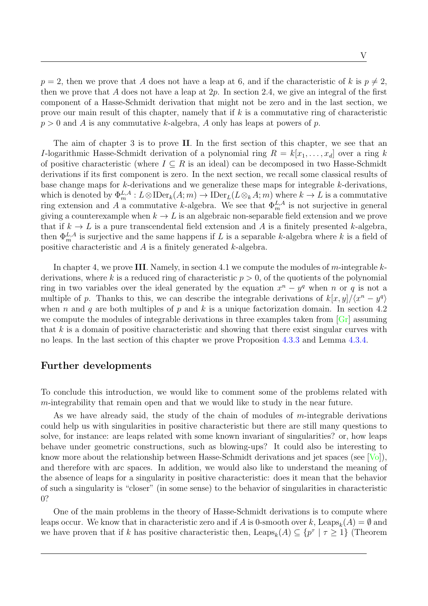$p = 2$ , then we prove that A does not have a leap at 6, and if the characteristic of k is  $p \neq 2$ , then we prove that A does not have a leap at  $2p$ . In section 2.4, we give an integral of the first component of a Hasse-Schmidt derivation that might not be zero and in the last section, we prove our main result of this chapter, namely that if  $k$  is a commutative ring of characteristic  $p > 0$  and A is any commutative k-algebra, A only has leaps at powers of p.

The aim of chapter 3 is to prove II. In the first section of this chapter, we see that an I-logarithmic Hasse-Schmidt derivation of a polynomial ring  $R = k[x_1, \ldots, x_d]$  over a ring k of positive characteristic (where  $I \subseteq R$  is an ideal) can be decomposed in two Hasse-Schmidt derivations if its first component is zero. In the next section, we recall some classical results of base change maps for k-derivations and we generalize these maps for integrable k-derivations, which is denoted by  $\Phi_m^{L,A}: L\otimes \text{IDer}_k(A;m) \to \text{IDer}_L(L\otimes_k A;m)$  where  $k\to L$  is a commutative ring extension and A a commutative k-algebra. We see that  $\Phi_m^{L,A}$  is not surjective in general giving a counterexample when  $k \to L$  is an algebraic non-separable field extension and we prove that if  $k \to L$  is a pure transcendental field extension and A is a finitely presented k-algebra, then  $\Phi_m^{L,A}$  is surjective and the same happens if L is a separable k-algebra where k is a field of positive characteristic and  $A$  is a finitely generated  $k$ -algebra.

In chapter 4, we prove III. Namely, in section 4.1 we compute the modules of m-integrable  $k$ derivations, where k is a reduced ring of characteristic  $p > 0$ , of the quotients of the polynomial ring in two variables over the ideal generated by the equation  $x^n - y^q$  when n or q is not a multiple of p. Thanks to this, we can describe the integrable derivations of  $k[x, y]/\langle x^n - y^q \rangle$ when n and q are both multiples of p and k is a unique factorization domain. In section 4.2 we compute the modules of integrable derivations in three examples taken from  $\lfloor \text{Gr} \rfloor$  assuming that  $k$  is a domain of positive characteristic and showing that there exist singular curves with no leaps. In the last section of this chapter we prove Proposition [4.3.3](#page-100-1) and Lemma [4.3.4.](#page-100-2)

## Further developments

To conclude this introduction, we would like to comment some of the problems related with m-integrability that remain open and that we would like to study in the near future.

As we have already said, the study of the chain of modules of  $m$ -integrable derivations could help us with singularities in positive characteristic but there are still many questions to solve, for instance: are leaps related with some known invariant of singularities? or, how leaps behave under geometric constructions, such as blowing-ups? It could also be interesting to know more about the relationship between Hasse-Schmidt derivations and jet spaces (see [\[Vo\]](#page-103-3)), and therefore with arc spaces. In addition, we would also like to understand the meaning of the absence of leaps for a singularity in positive characteristic: does it mean that the behavior of such a singularity is "closer" (in some sense) to the behavior of singularities in characteristic 0?

One of the main problems in the theory of Hasse-Schmidt derivations is to compute where leaps occur. We know that in characteristic zero and if A is 0-smooth over k,  $\text{Leaps}_k(A) = \emptyset$  and we have proven that if k has positive characteristic then,  $\text{Leaps}_k(A) \subseteq \{p^\tau \mid \tau \geq 1\}$  (Theorem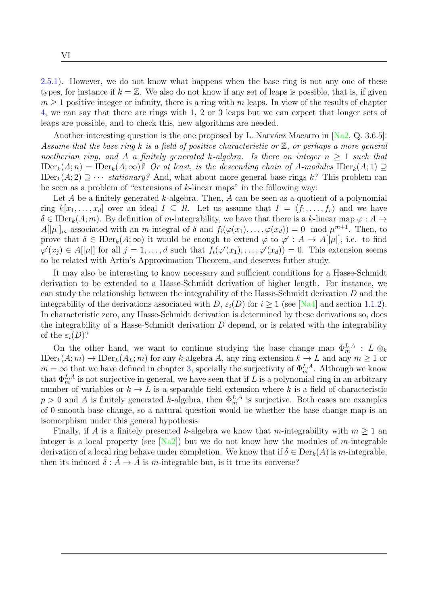[2.5.1\)](#page-53-1). However, we do not know what happens when the base ring is not any one of these types, for instance if  $k = \mathbb{Z}$ . We also do not know if any set of leaps is possible, that is, if given  $m > 1$  positive integer or infinity, there is a ring with m leaps. In view of the results of chapter [4,](#page-82-0) we can say that there are rings with 1, 2 or 3 leaps but we can expect that longer sets of leaps are possible, and to check this, new algorithms are needed.

Another interesting question is the one proposed by L. Narváez Macarro in  $[Na2, Q. 3.6.5]$ : Assume that the base ring k is a field of positive characteristic or  $\mathbb{Z}$ , or perhaps a more general noetherian ring, and A a finitely generated k-algebra. Is there an integer  $n > 1$  such that  $\text{IDer}_k(A; n) = \text{IDer}_k(A; \infty)$ ? Or at least, is the descending chain of A-modules  $\text{IDer}_k(A; 1) \supseteq$ IDer<sub>k</sub> $(A; 2) \supset \cdots$  *stationary?* And, what about more general base rings k? This problem can be seen as a problem of "extensions of  $k$ -linear maps" in the following way:

Let A be a finitely generated  $k$ -algebra. Then, A can be seen as a quotient of a polynomial ring  $k[x_1, \ldots, x_d]$  over an ideal  $I \subseteq R$ . Let us assume that  $I = \langle f_1, \ldots, f_r \rangle$  and we have  $\delta \in \mathrm{IDer}_k(A; m)$ . By definition of m-integrability, we have that there is a k-linear map  $\varphi : A \to$  $A[|\mu|]_m$  associated with an *m*-integral of  $\delta$  and  $f_i(\varphi(x_1), \ldots, \varphi(x_d)) = 0 \mod \mu^{m+1}$ . Then, to prove that  $\delta \in \mathrm{IDer}_k(A; \infty)$  it would be enough to extend  $\varphi$  to  $\varphi' : A \to A[[\mu]],$  i.e. to find  $\varphi'(x_j) \in A[|\mu|]$  for all  $j = 1, \ldots, d$  such that  $f_i(\varphi'(x_1), \ldots, \varphi'(x_d)) = 0$ . This extension seems to be related with Artin's Approximation Theorem, and deserves futher study.

It may also be interesting to know necessary and sufficient conditions for a Hasse-Schmidt derivation to be extended to a Hasse-Schmidt derivation of higher length. For instance, we can study the relationship between the integrability of the Hasse-Schmidt derivation D and the integrability of the derivations associated with D,  $\varepsilon_i(D)$  for  $i \geq 1$  (see [\[Na4\]](#page-103-7) and section [1.1.2\)](#page-20-0). In characteristic zero, any Hasse-Schmidt derivation is determined by these derivations so, does the integrability of a Hasse-Schmidt derivation  $D$  depend, or is related with the integrability of the  $\varepsilon_i(D)$ ?

On the other hand, we want to continue studying the base change map  $\Phi_m^{L,A}$ :  $L \otimes_k$  $\text{IDer}_k(A; m) \to \text{IDer}_L(A_L; m)$  for any k-algebra A, any ring extension  $k \to L$  and any  $m \geq 1$  or  $m = \infty$  that we have defined in chapter [3,](#page-56-0) specially the surjectivity of  $\Phi_m^{L,A}$ . Although we know that  $\Phi_m^{L,A}$  is not surjective in general, we have seen that if L is a polynomial ring in an arbitrary number of variables or  $k \to L$  is a separable field extension where k is a field of characteristic  $p > 0$  and A is finitely generated k-algebra, then  $\Phi_m^{L,A}$  is surjective. Both cases are examples of 0-smooth base change, so a natural question would be whether the base change map is an isomorphism under this general hypothesis.

Finally, if A is a finitely presented k-algebra we know that m-integrability with  $m \geq 1$  and integer is a local property (see  $[Na2]$ ) but we do not know how the modules of m-integrable derivation of a local ring behave under completion. We know that if  $\delta \in \text{Der}_k(A)$  is m-integrable, then its induced  $\hat{\delta}$  :  $\hat{A} \rightarrow \hat{A}$  is m-integrable but, is it true its converse?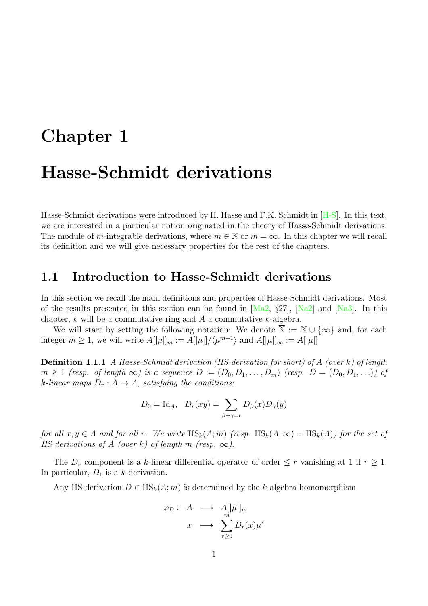# <span id="page-14-0"></span>Chapter 1 Hasse-Schmidt derivations

Hasse-Schmidt derivations were introduced by H. Hasse and F.K. Schmidt in [\[H-S\]](#page-102-3). In this text, we are interested in a particular notion originated in the theory of Hasse-Schmidt derivations: The module of m-integrable derivations, where  $m \in \mathbb{N}$  or  $m = \infty$ . In this chapter we will recall its definition and we will give necessary properties for the rest of the chapters.

# <span id="page-14-1"></span>1.1 Introduction to Hasse-Schmidt derivations

In this section we recall the main definitions and properties of Hasse-Schmidt derivations. Most of the results presented in this section can be found in  $[Ma2, \S27]$ ,  $[Na2]$  and  $[Na3]$ . In this chapter,  $k$  will be a commutative ring and  $A$  a commutative  $k$ -algebra.

We will start by setting the following notation: We denote  $\overline{\mathbb{N}} := \mathbb{N} \cup \{\infty\}$  and, for each integer  $m \geq 1$ , we will write  $A[|\mu|]_m := A[|\mu|]/\langle \mu^{m+1} \rangle$  and  $A[|\mu|]_{\infty} := A[|\mu|]$ .

Definition 1.1.1 A Hasse-Schmidt derivation (HS-derivation for short) of A (over k) of length  $m \geq 1$  (resp. of length  $\infty$ ) is a sequence  $D := (D_0, D_1, \ldots, D_m)$  (resp.  $D = (D_0, D_1, \ldots)$ ) of k-linear maps  $D_r : A \to A$ , satisfying the conditions:

$$
D_0 = \text{Id}_A, \quad D_r(xy) = \sum_{\beta + \gamma = r} D_\beta(x) D_\gamma(y)
$$

for all  $x, y \in A$  and for all r. We write  $\text{HS}_k(A; m)$  (resp.  $\text{HS}_k(A; \infty) = \text{HS}_k(A)$ ) for the set of HS-derivations of A (over k) of length m (resp.  $\infty$ ).

The  $D_r$  component is a k-linear differential operator of order  $\leq r$  vanishing at 1 if  $r \geq 1$ . In particular,  $D_1$  is a k-derivation.

Any HS-derivation  $D \in \text{HS}_k(A; m)$  is determined by the k-algebra homomorphism

$$
\varphi_D: A \longrightarrow A[|\mu|]_m
$$

$$
x \longmapsto \sum_{r\geq 0}^{m} D_r(x) \mu^r
$$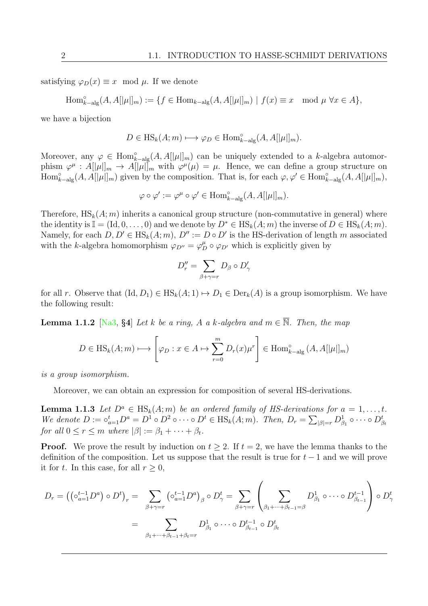satisfying  $\varphi_D(x) \equiv x \mod \mu$ . If we denote

$$
\operatorname{Hom}_{k-\text{alg}}^{\circ}(A,A[|\mu|]_m):=\{f\in \operatorname{Hom}_{k-\text{alg}}(A,A[|\mu|]_m)\mid f(x)\equiv x\mod \mu \ \forall x\in A\},
$$

we have a bijection

$$
D \in \text{HS}_k(A; m) \longmapsto \varphi_D \in \text{Hom}_{k-\text{alg}}^{\circ}(A, A[|\mu|]_m).
$$

Moreover, any  $\varphi \in \text{Hom}_{k-\text{alg}}^{\circ}(A, A[|\mu|]_m)$  can be uniquely extended to a k-algebra automorphism  $\varphi^{\mu}: A[|\mu|]_m \to A[|\mu|]_m$  with  $\varphi^{\mu}(\mu) = \mu$ . Hence, we can define a group structure on  $\text{Hom}_{k-\text{alg}}^{\circ}(A, A[|\mu|]_m)$  given by the composition. That is, for each  $\varphi, \varphi' \in \text{Hom}_{k-\text{alg}}^{\circ}(A, A[|\mu|]_m)$ ,

$$
\varphi \circ \varphi' := \varphi^{\mu} \circ \varphi' \in \text{Hom}_{k-\text{alg}}^{\circ}(A, A[|\mu|]_m).
$$

Therefore,  $\text{HS}_k(A; m)$  inherits a canonical group structure (non-commutative in general) where the identity is  $\mathbb{I} = (\text{Id}, 0, \ldots, 0)$  and we denote by  $D^* \in \text{HS}_k(A; m)$  the inverse of  $D \in \text{HS}_k(A; m)$ . Namely, for each  $D, D' \in HS_k(A; m), D'':= D \circ D'$  is the HS-derivation of length m associated with the k-algebra homomorphism  $\varphi_{D''} = \varphi_D^{\mu} \circ \varphi_{D'}$  which is explicitly given by

$$
D''_r = \sum_{\beta+\gamma=r} D_\beta \circ D'_\gamma
$$

for all r. Observe that  $(\text{Id}, D_1) \in \text{HS}_k(A; 1) \mapsto D_1 \in \text{Der}_k(A)$  is a group isomorphism. We have the following result:

**Lemma 1.1.2** [\[Na3,](#page-103-8) §4] Let k be a ring, A a k-algebra and  $m \in \overline{N}$ . Then, the map

$$
D \in \text{HS}_k(A; m) \longmapsto \left[\varphi_D : x \in A \mapsto \sum_{r=0}^m D_r(x) \mu^r \right] \in \text{Hom}_{k-\text{alg}}^{\circ}(A, A[|\mu|]_m)
$$

is a group isomorphism.

Moreover, we can obtain an expression for composition of several HS-derivations.

<span id="page-15-0"></span>**Lemma 1.1.3** Let  $D^a \in \text{HS}_k(A; m)$  be an ordered family of HS-derivations for  $a = 1, \ldots, t$ . We denote  $D := \circ_{a=1}^t D^a = D^1 \circ D^2 \circ \cdots \circ D^t \in \text{HS}_k(A; m)$ . Then,  $D_r = \sum_{|\beta|=r} D_{\beta_1}^1 \circ \cdots \circ D_{\beta_t}^t$ for all  $0 \le r \le m$  where  $|\beta| := \beta_1 + \cdots + \beta_t$ .

**Proof.** We prove the result by induction on  $t > 2$ . If  $t = 2$ , we have the lemma thanks to the definition of the composition. Let us suppose that the result is true for  $t-1$  and we will prove it for t. In this case, for all  $r \geq 0$ ,

$$
D_r = \left( \left( \circ_{a=1}^{t-1} D^a \right) \circ D^t \right)_r = \sum_{\beta + \gamma = r} \left( \circ_{a=1}^{t-1} D^a \right)_{\beta} \circ D^t_{\gamma} = \sum_{\beta + \gamma = r} \left( \sum_{\beta_1 + \dots + \beta_{t-1} = \beta} D^1_{\beta_1} \circ \dots \circ D^{t-1}_{\beta_{t-1}} \right) \circ D^t_{\gamma}
$$

$$
= \sum_{\beta_1 + \dots + \beta_{t-1} + \beta_t = r} D^1_{\beta_1} \circ \dots \circ D^{t-1}_{\beta_{t-1}} \circ D^t_{\beta_t}
$$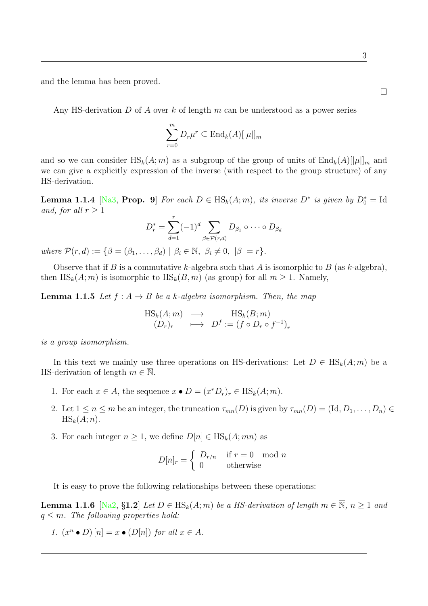and the lemma has been proved.

Any HS-derivation D of A over k of length m can be understood as a power series

$$
\sum_{r=0}^{m} D_r \mu^r \subseteq \text{End}_k(A)[|\mu|]_m
$$

and so we can consider  $\text{HS}_k(A; m)$  as a subgroup of the group of units of  $\text{End}_k(A)[|\mu|]_m$  and we can give a explicitly expression of the inverse (with respect to the group structure) of any HS-derivation.

<span id="page-16-0"></span>**Lemma 1.1.4** [\[Na3,](#page-103-8) Prop. 9] For each  $D \in HS_k(A; m)$ , its inverse  $D^*$  is given by  $D_0^* = Id$ and, for all  $r \geq 1$ 

$$
D_r^* = \sum_{d=1}^r (-1)^d \sum_{\beta \in \mathcal{P}(r,d)} D_{\beta_1} \circ \cdots \circ D_{\beta_d}
$$

where  $\mathcal{P}(r, d) := \{ \beta = (\beta_1, \dots, \beta_d) \mid \beta_i \in \mathbb{N}, \ \beta_i \neq 0, \ |\beta| = r \}.$ 

Observe that if B is a commutative k-algebra such that A is isomorphic to B (as k-algebra), then  $\text{HS}_k(A; m)$  is isomorphic to  $\text{HS}_k(B, m)$  (as group) for all  $m \geq 1$ . Namely,

<span id="page-16-2"></span>**Lemma 1.1.5** Let  $f : A \rightarrow B$  be a k-algebra isomorphism. Then, the map

$$
\begin{array}{ccc}\n\operatorname{HS}_k(A;m) & \longrightarrow & \operatorname{HS}_k(B;m) \\
(D_r)_r & \longmapsto & D^f := (f \circ D_r \circ f^{-1})_r\n\end{array}
$$

is a group isomorphism.

In this text we mainly use three operations on HS-derivations: Let  $D \in HS_k(A; m)$  be a HS-derivation of length  $m \in \overline{\mathbb{N}}$ .

- <span id="page-16-1"></span>1. For each  $x \in A$ , the sequence  $x \bullet D = (x^r D_r)_r \in \text{HS}_k(A; m)$ .
- 2. Let  $1 \leq n \leq m$  be an integer, the truncation  $\tau_{mn}(D)$  is given by  $\tau_{mn}(D) = (\text{Id}, D_1, \ldots, D_n) \in$  $\text{HS}_k(A; n)$ .
- 3. For each integer  $n \geq 1$ , we define  $D[n] \in HS_k(A; mn)$  as

$$
D[n]_r = \begin{cases} D_{r/n} & \text{if } r = 0 \mod n \\ 0 & \text{otherwise} \end{cases}
$$

It is easy to prove the following relationships between these operations:

**Lemma 1.1.6** [\[Na2,](#page-103-6) §1.2] Let  $D \in HS_k(A; m)$  be a HS-derivation of length  $m \in \overline{\mathbb{N}}$ ,  $n \ge 1$  and  $q \leq m$ . The following properties hold:

1. 
$$
(x^n \bullet D) [n] = x \bullet (D[n])
$$
 for all  $x \in A$ .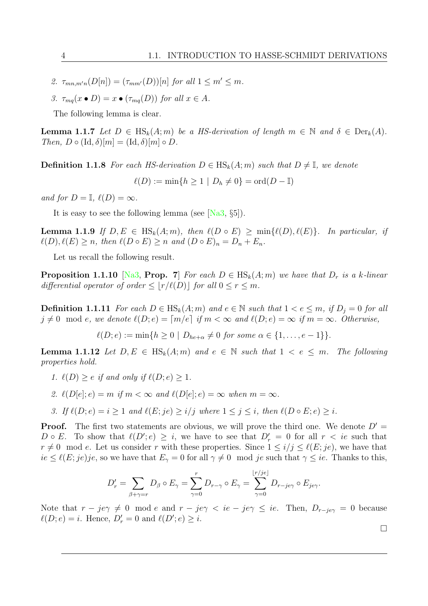- 2.  $\tau_{mn,m'n}(D[n]) = (\tau_{mm'}(D))[n]$  for all  $1 \leq m' \leq m$ .
- 3.  $\tau_{mq}(x \bullet D) = x \bullet (\tau_{mq}(D))$  for all  $x \in A$ .

The following lemma is clear.

**Lemma 1.1.7** Let  $D \in \text{HS}_k(A; m)$  be a HS-derivation of length  $m \in \mathbb{N}$  and  $\delta \in \text{Der}_k(A)$ . Then,  $D \circ (\text{Id}, \delta)[m] = (\text{Id}, \delta)[m] \circ D$ .

**Definition 1.1.8** For each HS-derivation  $D \in \text{HS}_k(A; m)$  such that  $D \neq \mathbb{I}$ , we denote

 $\ell(D) := \min\{h > 1 \mid D_h \neq 0\} = \text{ord}(D - \mathbb{I})$ 

and for  $D = \mathbb{I}$ ,  $\ell(D) = \infty$ .

It is easy to see the following lemma (see [\[Na3,](#page-103-8) §5]).

**Lemma 1.1.9** If  $D, E \in \text{HS}_k(A; m)$ , then  $\ell(D \circ E) \ge \min{\ell(D), \ell(E)}$ . In particular, if  $\ell(D), \ell(E) \geq n$ , then  $\ell(D \circ E) \geq n$  and  $(D \circ E)_n = D_n + E_n$ .

Let us recall the following result.

**Proposition 1.1.10** [\[Na3,](#page-103-8) Prop. 7] For each  $D \in \text{HS}_k(A; m)$  we have that  $D_r$  is a k-linear differential operator of order  $\leq |r/\ell(D)|$  for all  $0 \leq r \leq m$ .

**Definition 1.1.11** For each  $D \in HS_k(A;m)$  and  $e \in \mathbb{N}$  such that  $1 < e \leq m$ , if  $D_j = 0$  for all  $j \neq 0 \mod e$ , we denote  $\ell(D; e) = \lceil m/e \rceil$  if  $m < \infty$  and  $\ell(D; e) = \infty$  if  $m = \infty$ . Otherwise,

 $\ell(D; e) := \min\{h \geq 0 \mid D_{he+\alpha} \neq 0 \text{ for some } \alpha \in \{1, \ldots, e-1\}\}.$ 

**Lemma 1.1.12** Let  $D, E \in HS_k(A; m)$  and  $e \in \mathbb{N}$  such that  $1 < e \leq m$ . The following properties hold.

- 1.  $\ell(D) \geq e$  if and only if  $\ell(D; e) \geq 1$ .
- 2.  $\ell(D[e]; e) = m$  if  $m < \infty$  and  $\ell(D[e]; e) = \infty$  when  $m = \infty$ .
- 3. If  $\ell(D; e) = i \geq 1$  and  $\ell(E; ie) \geq i/j$  where  $1 \leq j \leq i$ , then  $\ell(D \circ E; e) \geq i$ .

**Proof.** The first two statements are obvious, we will prove the third one. We denote  $D' =$  $D \circ E$ . To show that  $\ell(D'; e) \geq i$ , we have to see that  $D'_r = 0$  for all  $r < i e$  such that  $r \neq 0 \mod e$ . Let us consider r with these properties. Since  $1 \leq i/j \leq \ell(E; je)$ , we have that  $ie \leq \ell(E; je)je$ , so we have that  $E_{\gamma} = 0$  for all  $\gamma \neq 0 \mod je$  such that  $\gamma \leq ie$ . Thanks to this,

$$
D'_r = \sum_{\beta + \gamma = r} D_\beta \circ E_\gamma = \sum_{\gamma = 0}^r D_{r - \gamma} \circ E_\gamma = \sum_{\gamma = 0}^{\lfloor r/je \rfloor} D_{r - je\gamma} \circ E_{je\gamma}.
$$

Note that  $r - je\gamma \neq 0 \mod e$  and  $r - je\gamma < ie - je\gamma \leq ie$ . Then,  $D_{r-je\gamma} = 0$  because  $\ell(D; e) = i$ . Hence,  $D'_r = 0$  and  $\ell(D'; e) \geq i$ .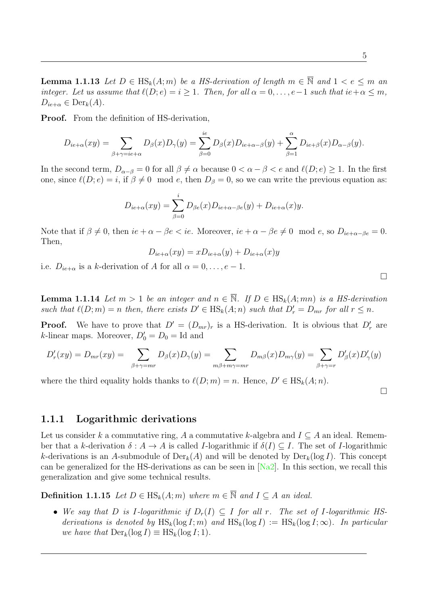5

**Lemma 1.1.13** Let  $D \in \text{HS}_k(A; m)$  be a HS-derivation of length  $m \in \overline{N}$  and  $1 < e \leq m$  and integer. Let us assume that  $\ell(D; e) = i \geq 1$ . Then, for all  $\alpha = 0, \ldots, e-1$  such that  $ie + \alpha \leq m$ ,  $D_{ie+\alpha} \in \text{Der}_k(A).$ 

Proof. From the definition of HS-derivation,

$$
D_{ie+\alpha}(xy) = \sum_{\beta+\gamma=ie+\alpha} D_{\beta}(x)D_{\gamma}(y) = \sum_{\beta=0}^{ie} D_{\beta}(x)D_{ie+\alpha-\beta}(y) + \sum_{\beta=1}^{\alpha} D_{ie+\beta}(x)D_{\alpha-\beta}(y).
$$

In the second term,  $D_{\alpha-\beta} = 0$  for all  $\beta \neq \alpha$  because  $0 < \alpha - \beta < e$  and  $\ell(D; e) \geq 1$ . In the first one, since  $\ell(D; e) = i$ , if  $\beta \neq 0 \mod e$ , then  $D_{\beta} = 0$ , so we can write the previous equation as:

$$
D_{ie+\alpha}(xy) = \sum_{\beta=0}^{i} D_{\beta e}(x) D_{ie+\alpha-\beta e}(y) + D_{ie+\alpha}(x)y.
$$

Note that if  $\beta \neq 0$ , then  $ie + \alpha - \beta e < ie$ . Moreover,  $ie + \alpha - \beta e \neq 0 \mod e$ , so  $D_{ie+\alpha-\beta e} = 0$ . Then,

$$
D_{ie+\alpha}(xy) = xD_{ie+\alpha}(y) + D_{ie+\alpha}(x)y
$$

i.e.  $D_{ie+\alpha}$  is a k-derivation of A for all  $\alpha = 0, \ldots, e-1$ .

**Lemma 1.1.14** Let  $m > 1$  be an integer and  $n \in \overline{\mathbb{N}}$ . If  $D \in HS_k(A; mn)$  is a HS-derivation such that  $\ell(D; m) = n$  then, there exists  $D' \in HS_k(A; n)$  such that  $D'_r = D_{mr}$  for all  $r \leq n$ .

**Proof.** We have to prove that  $D' = (D_{mr})_r$  is a HS-derivation. It is obvious that  $D'_r$  are *k*-linear maps. Moreover,  $D'_0 = D_0 = \text{Id}$  and

$$
D'_r(xy) = D_{mr}(xy) = \sum_{\beta + \gamma = mr} D_{\beta}(x)D_{\gamma}(y) = \sum_{m\beta + m\gamma = mr} D_{m\beta}(x)D_{m\gamma}(y) = \sum_{\beta + \gamma = r} D'_{\beta}(x)D'_{\gamma}(y)
$$

where the third equality holds thanks to  $\ell(D; m) = n$ . Hence,  $D' \in HS_k(A; n)$ .

 $\Box$ 

 $\Box$ 

## <span id="page-18-0"></span>1.1.1 Logarithmic derivations

Let us consider k a commutative ring, A a commutative k-algebra and  $I \subseteq A$  an ideal. Remember that a k-derivation  $\delta: A \to A$  is called *I*-logarithmic if  $\delta(I) \subseteq I$ . The set of *I*-logarithmic k-derivations is an A-submodule of  $Der_k(A)$  and will be denoted by  $Der_k(\log I)$ . This concept can be generalized for the HS-derivations as can be seen in  $[Na2]$ . In this section, we recall this generalization and give some technical results.

**Definition 1.1.15** Let  $D \in HS_k(A; m)$  where  $m \in \overline{\mathbb{N}}$  and  $I \subseteq A$  an ideal.

• We say that D is I-logarithmic if  $D_r(I) \subseteq I$  for all r. The set of I-logarithmic HSderivations is denoted by  $\text{HS}_k(\log I; m)$  and  $\text{HS}_k(\log I) := \text{HS}_k(\log I; \infty)$ . In particular we have that  $\text{Der}_k(\log I) \equiv \text{HS}_k(\log I; 1)$ .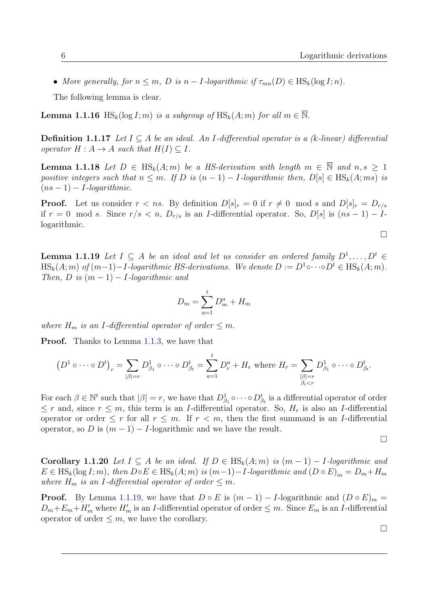• More generally, for  $n \leq m$ , D is  $n - I$ -logarithmic if  $\tau_{mn}(D) \in \text{HS}_k(\log I; n)$ .

The following lemma is clear.

**Lemma 1.1.16** HS<sub>k</sub>(log I; m) is a subgroup of HS<sub>k</sub>(A; m) for all  $m \in \overline{\mathbb{N}}$ .

**Definition 1.1.17** Let  $I ⊂ A$  be an ideal. An I-differential operator is a (k-linear) differential operator  $H : A \to A$  such that  $H(I) \subseteq I$ .

<span id="page-19-1"></span>**Lemma 1.1.18** Let  $D \in HS_k(A;m)$  be a HS-derivation with length  $m \in \overline{N}$  and  $n, s > 1$ positive integers such that  $n \leq m$ . If D is  $(n-1) - I$ -logarithmic then,  $D[s] \in HS_k(A; ms)$  is  $(ns-1) - I$ -logarithmic.

**Proof.** Let us consider  $r < ns$ . By definition  $D[s]_r = 0$  if  $r \neq 0 \mod s$  and  $D[s]_r = D_{r/s}$ if  $r = 0 \mod s$ . Since  $r/s < n$ ,  $D_{r/s}$  is an *I*-differential operator. So,  $D[s]$  is  $(ns - 1) - I$ logarithmic.

<span id="page-19-0"></span>**Lemma 1.1.19** Let  $I \subseteq A$  be an ideal and let us consider an ordered family  $D^1, \ldots, D^t \in$  $\text{HS}_k(A; m)$  of  $(m-1)-I$ -logarithmic HS-derivations. We denote  $D := D^1 \circ \cdots \circ D^t \in \text{HS}_k(A; m)$ . Then, D is  $(m-1) - I$ -logarithmic and

$$
D_m = \sum_{a=1}^t D_m^a + H_m
$$

where  $H_m$  is an I-differential operator of order  $\leq m$ .

**Proof.** Thanks to Lemma [1.1.3,](#page-15-0) we have that

$$
(D^1 \circ \cdots \circ D^t)_r = \sum_{|\beta|=r} D^1_{\beta_1} \circ \cdots \circ D^t_{\beta_t} = \sum_{a=1}^t D^a_r + H_r \text{ where } H_r = \sum_{\substack{|\beta|=r \\ \beta_i < r}} D^1_{\beta_1} \circ \cdots \circ D^t_{\beta_t}.
$$

For each  $\beta \in \mathbb{N}^t$  such that  $|\beta|=r$ , we have that  $D_{\beta_1}^1 \circ \cdots \circ D_{\beta_t}^t$  is a differential operator of order  $\leq r$  and, since  $r \leq m$ , this term is an *I*-differential operator. So,  $H_r$  is also an *I*-differential operator or order  $\leq r$  for all  $r \leq m$ . If  $r < m$ , then the first summand is an *I*-differential operator, so D is  $(m-1) - I$ -logarithmic and we have the result.

$$
\Box
$$

 $\Box$ 

Corollary 1.1.20 Let  $I \subseteq A$  be an ideal. If  $D \in \text{HS}_k(A; m)$  is  $(m-1) - I$ -logarithmic and  $E \in HS_k(\log I; m)$ , then  $D \circ E \in HS_k(A; m)$  is  $(m-1) - I$ -logarithmic and  $(D \circ E)_m = D_m + H_m$ where  $H_m$  is an I-differential operator of order  $\leq m$ .

**Proof.** By Lemma [1.1.19,](#page-19-0) we have that  $D \circ E$  is  $(m-1) - I$ -logarithmic and  $(D \circ E)_m$  =  $D_m + E_m + H'_m$  where  $H'_m$  is an *I*-differential operator of order  $\leq m$ . Since  $E_m$  is an *I*-differential operator of order  $\leq m$ , we have the corollary.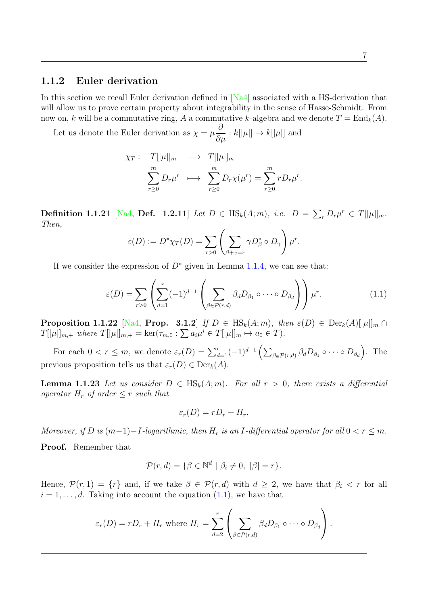## <span id="page-20-0"></span>1.1.2 Euler derivation

In this section we recall Euler derivation defined in [\[Na4\]](#page-103-7) associated with a HS-derivation that will allow us to prove certain property about integrability in the sense of Hasse-Schmidt. From now on, k will be a commutative ring, A a commutative k-algebra and we denote  $T = \text{End}_k(A)$ .

Let us denote the Euler derivation as  $\chi = \mu$  $\frac{\partial}{\partial \mu}: k[|\mu|] \to k[|\mu|]$  and

$$
\chi_T: T[|\mu|]_m \longrightarrow T[|\mu|]_m
$$
  

$$
\sum_{r\geq 0}^m D_r \mu^r \longrightarrow \sum_{r\geq 0}^m D_r \chi(\mu^r) = \sum_{r\geq 0}^m r D_r \mu^r.
$$

**Definition 1.1.21** [\[Na4,](#page-103-7) **Def.** 1.2.11] Let  $D \in \text{HS}_k(A; m)$ , i.e.  $D = \sum_r D_r \mu^r \in T[|\mu|]_m$ . Then,

$$
\varepsilon(D) := D^* \chi_T(D) = \sum_{r>0} \left( \sum_{\beta+\gamma=r} \gamma D^*_{\beta} \circ D_{\gamma} \right) \mu^r.
$$

If we consider the expression of  $D^*$  given in Lemma [1.1.4,](#page-16-0) we can see that:

<span id="page-20-1"></span>
$$
\varepsilon(D) = \sum_{r>0} \left( \sum_{d=1}^r (-1)^{d-1} \left( \sum_{\beta \in \mathcal{P}(r,d)} \beta_d D_{\beta_1} \circ \cdots \circ D_{\beta_d} \right) \right) \mu^r. \tag{1.1}
$$

**Proposition 1.1.22** [\[Na4,](#page-103-7) Prop. 3.1.2] If  $D \in HS_k(A; m)$ , then  $\varepsilon(D) \in \text{Der}_k(A)[|\mu|]_m \cap$  $T[|\mu|]_{m,+}$  where  $T[|\mu|]_{m,+} = \ker(\tau_{m,0} : \sum a_i \mu^i \in T[|\mu|]_m \mapsto a_0 \in T).$ 

For each  $0 < r \leq m$ , we denote  $\varepsilon_r(D) = \sum_{d=1}^r (-1)^{d-1} \left( \sum_{\beta \in \mathcal{P}(r,d)} \beta_d D_{\beta_1} \circ \cdots \circ D_{\beta_d} \right)$ . The previous proposition tells us that  $\varepsilon_r(D) \in \text{Der}_k(A)$ .

**Lemma 1.1.23** Let us consider  $D \in \text{HS}_k(A; m)$ . For all  $r > 0$ , there exists a differential operator  $H_r$  of order  $\leq r$  such that

$$
\varepsilon_r(D) = rD_r + H_r.
$$

Moreover, if D is  $(m-1)-I$ -logarithmic, then  $H_r$  is an I-differential operator for all  $0 < r \leq m$ .

Proof. Remember that

$$
\mathcal{P}(r,d) = \{ \beta \in \mathbb{N}^d \mid \beta_i \neq 0, \ |\beta| = r \}.
$$

Hence,  $\mathcal{P}(r,1) = \{r\}$  and, if we take  $\beta \in \mathcal{P}(r,d)$  with  $d \geq 2$ , we have that  $\beta_i < r$  for all  $i = 1, \ldots, d$ . Taking into account the equation  $(1.1)$ , we have that

$$
\varepsilon_r(D) = rD_r + H_r
$$
 where  $H_r = \sum_{d=2}^r \left( \sum_{\beta \in \mathcal{P}(r,d)} \beta_d D_{\beta_1} \circ \cdots \circ D_{\beta_d} \right)$ .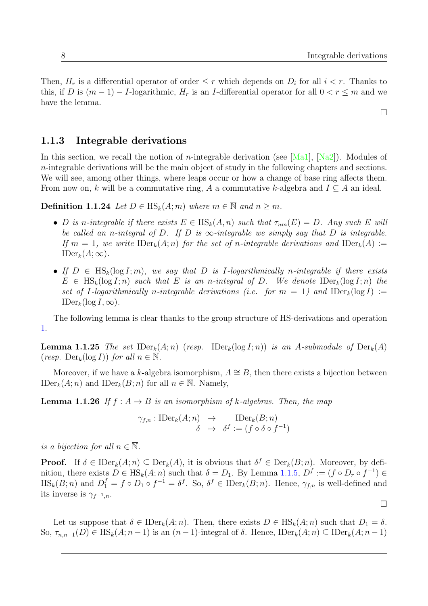Then,  $H_r$  is a differential operator of order  $\leq r$  which depends on  $D_i$  for all  $i < r$ . Thanks to this, if D is  $(m-1) - I$ -logarithmic,  $H_r$  is an I-differential operator for all  $0 < r \leq m$  and we have the lemma.

 $\Box$ 

 $\Box$ 

## <span id="page-21-0"></span>1.1.3 Integrable derivations

In this section, we recall the notion of *n*-integrable derivation (see [\[Ma1\]](#page-102-2), [\[Na2\]](#page-103-6)). Modules of  $n$ -integrable derivations will be the main object of study in the following chapters and sections. We will see, among other things, where leaps occur or how a change of base ring affects them. From now on, k will be a commutative ring, A a commutative k-algebra and  $I \subseteq A$  an ideal.

**Definition 1.1.24** Let  $D \in HS_k(A; m)$  where  $m \in \overline{\mathbb{N}}$  and  $n \geq m$ .

- D is n-integrable if there exists  $E \in HS_k(A,n)$  such that  $\tau_{nm}(E) = D$ . Any such E will be called an n-integral of D. If D is  $\infty$ -integrable we simply say that D is integrable. If  $m = 1$ , we write  $\text{IDer}_k(A; n)$  for the set of n-integrable derivations and  $\text{IDer}_k(A) :=$  $\text{IDer}_k(A;\infty)$ .
- If  $D \in \text{HS}_k(\log I; m)$ , we say that D is I-logarithmically n-integrable if there exists  $E \in \text{HS}_k(\log I; n)$  such that E is an n-integral of D. We denote  $\text{IDer}_k(\log I; n)$  the set of I-logarithmically n-integrable derivations (i.e. for  $m = 1$ ) and  $\text{IDer}_k(\log I) :=$  $\text{IDer}_k(\log I, \infty)$ .

The following lemma is clear thanks to the group structure of HS-derivations and operation [1.](#page-16-1)

**Lemma 1.1.25** The set  $\text{IDer}_k(A; n)$  (resp.  $\text{IDer}_k(\log I; n)$ ) is an A-submodule of  $\text{Der}_k(A)$ (resp.  $\text{Der}_k(\log I)$ ) for all  $n \in \mathbb{N}$ .

Moreover, if we have a k-algebra isomorphism,  $A \cong B$ , then there exists a bijection between  $\text{IDer}_k(A; n)$  and  $\text{IDer}_k(B; n)$  for all  $n \in \overline{\mathbb{N}}$ . Namely,

**Lemma 1.1.26** If  $f : A \rightarrow B$  is an isomorphism of k-algebras. Then, the map

$$
\gamma_{f,n} : \text{IDer}_k(A; n) \rightarrow \text{IDer}_k(B; n)
$$
  

$$
\delta \rightarrow \delta^f := (f \circ \delta \circ f^{-1})
$$

is a bijection for all  $n \in \overline{\mathbb{N}}$ .

**Proof.** If  $\delta \in \text{IDer}_k(A; n) \subseteq \text{Der}_k(A)$ , it is obvious that  $\delta^f \in \text{Der}_k(B; n)$ . Moreover, by definition, there exists  $D \in \text{HS}_k(A; n)$  such that  $\delta = D_1$ . By Lemma [1.1.5,](#page-16-2)  $D^f := (f \circ D_r \circ f^{-1}) \in$  $\text{HS}_k(B; n)$  and  $D_1^f = f \circ D_1 \circ f^{-1} = \delta^f$ . So,  $\delta^f \in \text{IDer}_k(B; n)$ . Hence,  $\gamma_{f,n}$  is well-defined and its inverse is  $\gamma_{f^{-1},n}$ .

Let us suppose that  $\delta \in \text{IDer}_k(A; n)$ . Then, there exists  $D \in \text{HS}_k(A; n)$  such that  $D_1 = \delta$ . So,  $\tau_{n,n-1}(D) \in \text{HS}_k(A; n-1)$  is an  $(n-1)$ -integral of  $\delta$ . Hence,  $\text{IDer}_k(A; n) \subseteq \text{IDer}_k(A; n-1)$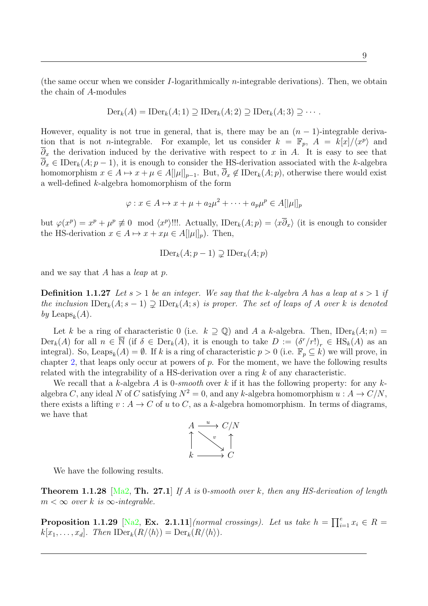(the same occur when we consider I-logarithmically *n*-integrable derivations). Then, we obtain the chain of A-modules

$$
\mathrm{Der}_k(A) = \mathrm{IDer}_k(A; 1) \supseteq \mathrm{IDer}_k(A; 2) \supseteq \mathrm{IDer}_k(A; 3) \supseteq \cdots
$$

However, equality is not true in general, that is, there may be an  $(n - 1)$ -integrable derivation that is not *n*-integrable. For example, let us consider  $k = \mathbb{F}_p$ ,  $A = k[x]/\langle x^p \rangle$  and  $\overline{\partial}_x$  the derivation induced by the derivative with respect to x in A. It is easy to see that  $\overline{\partial}_x \in \mathrm{IDer}_k(A; p-1)$ , it is enough to consider the HS-derivation associated with the k-algebra homomorphism  $x \in A \mapsto x + \mu \in A[[\mu]]_{p-1}$ . But,  $\overline{\partial}_x \notin \mathrm{IDer}_k(A;p)$ , otherwise there would exist a well-defined k-algebra homomorphism of the form

$$
\varphi: x \in A \mapsto x + \mu + a_2 \mu^2 + \dots + a_p \mu^p \in A[[\mu]]_p
$$

but  $\varphi(x^p) = x^p + \mu^p \not\equiv 0 \mod \langle x^p \rangle$ !!!. Actually, IDer $_k(A; p) = \langle x \overline{\partial}_x \rangle$  (it is enough to consider the HS-derivation  $x \in A \mapsto x + x\mu \in A[[\mu]]_p$ . Then,

$$
\mathrm{IDer}_k(A; p-1) \supsetneq \mathrm{IDer}_k(A; p)
$$

and we say that A has a *leap* at p.

**Definition 1.1.27** Let  $s > 1$  be an integer. We say that the k-algebra A has a leap at  $s > 1$  if the inclusion  $\text{IDer}_k(A; s-1) \supsetneq \text{IDer}_k(A; s)$  is proper. The set of leaps of A over k is denoted by Leaps<sub>k</sub> $(A)$ .

Let k be a ring of characteristic 0 (i.e.  $k \supseteq \mathbb{Q}$ ) and A a k-algebra. Then, IDer<sub>k</sub> $(A; n)$  =  $Der_k(A)$  for all  $n \in \overline{\mathbb{N}}$  (if  $\delta \in Der_k(A)$ , it is enough to take  $D := (\delta^r/r!)_r \in HS_k(A)$  as an integral). So, Leaps<sub>k</sub> $(A) = \emptyset$ . If k is a ring of characteristic  $p > 0$  (i.e.  $\mathbb{F}_p \subseteq k$ ) we will prove, in chapter [2,](#page-36-0) that leaps only occur at powers of  $p$ . For the moment, we have the following results related with the integrability of a HS-derivation over a ring  $k$  of any characteristic.

We recall that a k-algebra A is  $0\text{-}smooth$  over k if it has the following property: for any kalgebra C, any ideal N of C satisfying  $N^2 = 0$ , and any k-algebra homomorphism  $u : A \to C/N$ , there exists a lifting  $v : A \to C$  of u to C, as a k-algebra homomorphism. In terms of diagrams, we have that



We have the following results.

<span id="page-22-0"></span>**Theorem 1.1.28** [\[Ma2,](#page-102-1) Th. 27.1] If A is 0-smooth over k, then any HS-derivation of length  $m < \infty$  over k is  $\infty$ -integrable.

**Proposition 1.1.29** [\[Na2,](#page-103-6) Ex. 2.1.11] (normal crossings). Let us take  $h = \prod_{i=1}^{e} x_i \in R =$  $k[x_1, \ldots, x_d]$ . Then  $\text{IDer}_k(R/\langle h \rangle) = \text{Der}_k(R/\langle h \rangle)$ .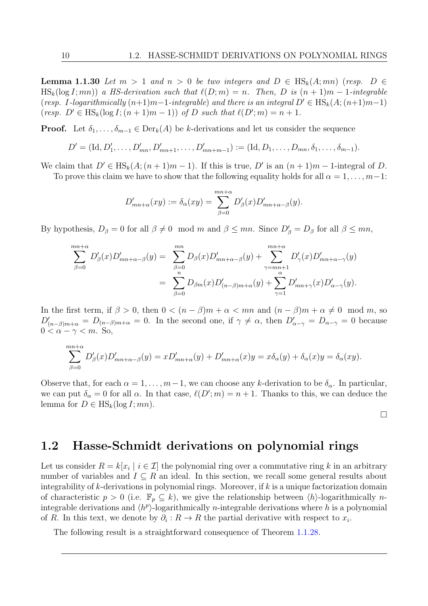**Lemma 1.1.30** Let  $m > 1$  and  $n > 0$  be two integers and  $D \in HS_k(A; mn)$  (resp.  $D \in$  $\text{HS}_k(\log I; mn)$  a HS-derivation such that  $\ell(D; m) = n$ . Then, D is  $(n + 1)m - 1$ -integrable (resp. I-logarithmically  $(n+1)m-1$ -integrable) and there is an integral  $D' \in HS_k(A; (n+1)m-1)$ (resp.  $D' \in \text{HS}_k(\log I; (n+1)m - 1))$  of D such that  $\ell(D'; m) = n + 1$ .

**Proof.** Let  $\delta_1, \ldots, \delta_{m-1} \in \text{Der}_k(A)$  be k-derivations and let us consider the sequence

$$
D' = (\mathrm{Id}, D'_1, \ldots, D'_{mn}, D'_{mn+1}, \ldots, D'_{mn+m-1}) := (\mathrm{Id}, D_1, \ldots, D_{mn}, \delta_1, \ldots, \delta_{m-1}).
$$

We claim that  $D' \in HS_k(A; (n+1)m-1)$ . If this is true, D' is an  $(n+1)m-1$ -integral of D.

To prove this claim we have to show that the following equality holds for all  $\alpha = 1, \ldots, m-1$ :

$$
D'_{mn+\alpha}(xy) := \delta_{\alpha}(xy) = \sum_{\beta=0}^{mn+\alpha} D'_{\beta}(x) D'_{mn+\alpha-\beta}(y).
$$

By hypothesis,  $D_{\beta} = 0$  for all  $\beta \neq 0 \mod m$  and  $\beta \leq mn$ . Since  $D'_{\beta} = D_{\beta}$  for all  $\beta \leq mn$ ,

$$
\sum_{\beta=0}^{mn+\alpha} D'_{\beta}(x) D'_{mn+\alpha-\beta}(y) = \sum_{\beta=0}^{mn} D_{\beta}(x) D'_{mn+\alpha-\beta}(y) + \sum_{\gamma=mn+1}^{mn+\alpha} D'_{\gamma}(x) D'_{mn+\alpha-\gamma}(y) \n= \sum_{\beta=0}^{n} D_{\beta m}(x) D'_{(n-\beta)m+\alpha}(y) + \sum_{\gamma=1}^{n} D'_{mn+\gamma}(x) D'_{\alpha-\gamma}(y).
$$

In the first term, if  $\beta > 0$ , then  $0 < (n - \beta)m + \alpha < mn$  and  $(n - \beta)m + \alpha \neq 0 \mod m$ , so  $D'_{(n-\beta)m+\alpha} = D_{(n-\beta)m+\alpha} = 0$ . In the second one, if  $\gamma \neq \alpha$ , then  $D'_{\alpha-\gamma} = D_{\alpha-\gamma} = 0$  because  $0 < \alpha - \gamma < m$ . So,

$$
\sum_{\beta=0}^{mn+\alpha} D'_{\beta}(x)D'_{mn+\alpha-\beta}(y) = xD'_{mn+\alpha}(y) + D'_{mn+\alpha}(x)y = x\delta_{\alpha}(y) + \delta_{\alpha}(x)y = \delta_{\alpha}(xy).
$$

Observe that, for each  $\alpha = 1, \ldots, m-1$ , we can choose any k-derivation to be  $\delta_{\alpha}$ . In particular, we can put  $\delta_{\alpha} = 0$  for all  $\alpha$ . In that case,  $\ell(D'; m) = n + 1$ . Thanks to this, we can deduce the lemma for  $D \in \text{HS}_k(\log I; mn)$ .

 $\Box$ 

# <span id="page-23-0"></span>1.2 Hasse-Schmidt derivations on polynomial rings

Let us consider  $R = k[x_i \mid i \in \mathcal{I}]$  the polynomial ring over a commutative ring k in an arbitrary number of variables and  $I \subseteq R$  an ideal. In this section, we recall some general results about integrability of  $k$ -derivations in polynomial rings. Moreover, if  $k$  is a unique factorization domain of characteristic  $p > 0$  (i.e.  $\mathbb{F}_p \subseteq k$ ), we give the relationship between  $\langle h \rangle$ -logarithmically *n*integrable derivations and  $\langle h^p \rangle$ -logarithmically *n*-integrable derivations where h is a polynomial of R. In this text, we denote by  $\partial_i: R \to R$  the partial derivative with respect to  $x_i$ .

<span id="page-23-1"></span>The following result is a straightforward consequence of Theorem [1.1.28.](#page-22-0)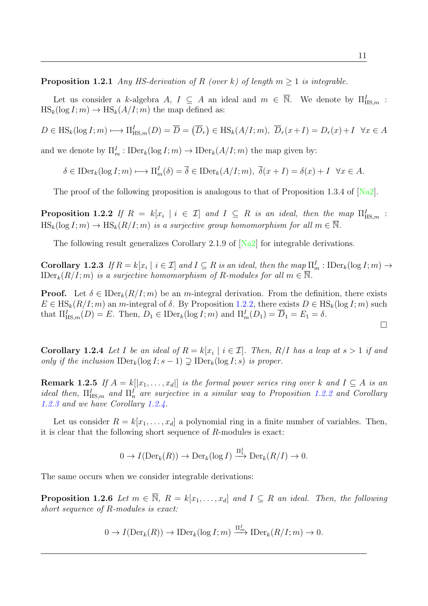**Proposition 1.2.1** Any HS-derivation of R (over k) of length  $m \geq 1$  is integrable.

Let us consider a k-algebra A,  $I \subseteq A$  an ideal and  $m \in \overline{\mathbb{N}}$ . We denote by  $\Pi_{\text{HS},m}^I$ :  $HS_k(log I; m) \rightarrow HS_k(A/I; m)$  the map defined as:

 $D \in \text{HS}_k(\log I; m) \longmapsto \Pi_{\text{HS},m}^I(D) = \overline{D} = (\overline{D}_r) \in \text{HS}_k(A/I; m), \ \overline{D}_r(x+I) = D_r(x) + I \ \ \forall x \in A$ 

and we denote by  $\Pi_m^I : \text{IDer}_k(\log I; m) \to \text{IDer}_k(A/I; m)$  the map given by:

 $\delta \in \text{IDer}_k(\log I; m) \longmapsto \Pi_m^I(\delta) = \overline{\delta} \in \text{IDer}_k(A/I; m), \ \overline{\delta}(x + I) = \delta(x) + I \ \ \forall x \in A.$ 

The proof of the following proposition is analogous to that of Proposition 1.3.4 of [\[Na2\]](#page-103-6).

<span id="page-24-0"></span>**Proposition 1.2.2** If  $R = k[x_i \mid i \in \mathcal{I}]$  and  $I \subseteq R$  is an ideal, then the map  $\Pi_{\text{HS},m}^I$ :  $\text{HS}_k(\log I; m) \to \text{HS}_k(R/I; m)$  is a surjective group homomorphism for all  $m \in \overline{\mathbb{N}}$ .

The following result generalizes Corollary 2.1.9 of [\[Na2\]](#page-103-6) for integrable derivations.

<span id="page-24-1"></span>**Corollary 1.2.3** If  $R = k[x_i \mid i \in \mathcal{I}]$  and  $I \subseteq R$  is an ideal, then the map  $\Pi_m^I$ : IDer<sub>k</sub>(log  $I; m$ )  $\rightarrow$ IDer<sub>k</sub> $(R/I; m)$  is a surjective homomorphism of R-modules for all  $m \in \overline{\mathbb{N}}$ .

**Proof.** Let  $\delta \in \text{IDer}_k(R/I; m)$  be an m-integral derivation. From the definition, there exists  $E \in \text{HS}_k(R/I; m)$  an m-integral of  $\delta$ . By Proposition [1.2.2,](#page-24-0) there exists  $D \in \text{HS}_k(\log I; m)$  such that  $\Pi_{\mathrm{HS},m}^{I}(D) = E$ . Then,  $D_1 \in \mathrm{IDer}_k(\log I; m)$  and  $\Pi_{m}^{I}(D_1) = \overline{D}_1 = E_1 = \delta$ .

<span id="page-24-2"></span>**Corollary 1.2.4** Let I be an ideal of  $R = k[x_i \mid i \in \mathcal{I}]$ . Then,  $R/I$  has a leap at  $s > 1$  if and only if the inclusion  $\text{IDer}_k(\log I; s - 1) \supseteq \text{IDer}_k(\log I; s)$  is proper.

**Remark 1.2.5** If  $A = k[[x_1, \ldots, x_d]]$  is the formal power series ring over k and  $I \subseteq A$  is an ideal then,  $\Pi_{\text{HS},m}^{I}$  and  $\Pi_{n}^{I}$  are surjective in a similar way to Proposition [1.2.2](#page-24-0) and Corollary [1.2.3](#page-24-1) and we have Corollary [1.2.4.](#page-24-2)

Let us consider  $R = k[x_1, \ldots, x_d]$  a polynomial ring in a finite number of variables. Then, it is clear that the following short sequence of R-modules is exact:

$$
0 \to I(\mathrm{Der}_k(R)) \to \mathrm{Der}_k(\log I) \xrightarrow{\Pi_1^I} \mathrm{Der}_k(R/I) \to 0.
$$

The same occurs when we consider integrable derivations:

**Proposition 1.2.6** Let  $m \in \overline{N}$ ,  $R = k[x_1, \ldots, x_d]$  and  $I \subseteq R$  an ideal. Then, the following short sequence of R-modules is exact:

$$
0 \to I(\mathrm{Der}_k(R)) \to \mathrm{IDer}_k(\log I; m) \xrightarrow{\Pi_m^I} \mathrm{IDer}_k(R/I; m) \to 0.
$$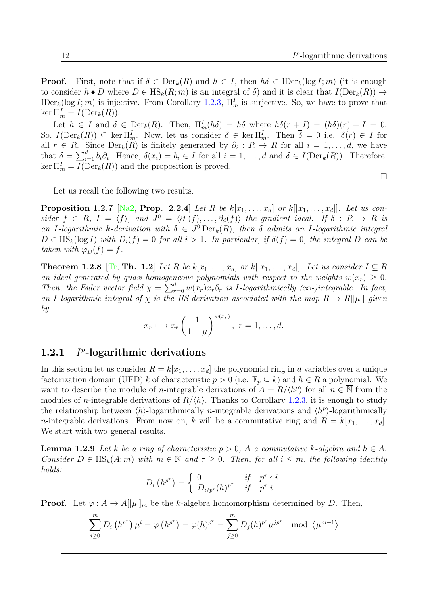**Proof.** First, note that if  $\delta \in \text{Der}_k(R)$  and  $h \in I$ , then  $h\delta \in \text{IDer}_k(\log I; m)$  (it is enough to consider  $h \bullet D$  where  $D \in \text{HS}_k(R; m)$  is an integral of  $\delta$ ) and it is clear that  $I(\text{Der}_k(R)) \to$ IDer<sub>k</sub>(log I; m) is injective. From Corollary [1.2.3,](#page-24-1)  $\Pi_m^I$  is surjective. So, we have to prove that ker  $\Pi_m^I = I(\text{Der}_k(R)).$ 

Let  $h \in I$  and  $\delta \in \text{Der}_k(R)$ . Then,  $\Pi_m^I(h\delta) = \overline{h\delta}$  where  $\overline{h\delta}(r+I) = (h\delta)(r) + I = 0$ . So,  $I(\text{Der}_k(R)) \subseteq \ker \Pi_m^I$ . Now, let us consider  $\delta \in \ker \Pi_m^I$ . Then  $\overline{\delta} = 0$  i.e.  $\delta(r) \in I$  for all  $r \in R$ . Since  $\text{Der}_k(R)$  is finitely generated by  $\partial_i: R \to R$  for all  $i = 1, \ldots, d$ , we have that  $\delta = \sum_{i=1}^d b_i \partial_i$ . Hence,  $\delta(x_i) = b_i \in I$  for all  $i = 1, ..., d$  and  $\delta \in I(\text{Der}_k(R))$ . Therefore,  $\ker \Pi_m^I = I(\mathrm{Der}_k(R))$  and the proposition is proved.

Let us recall the following two results.

**Proposition 1.2.7** [\[Na2,](#page-103-6) Prop. 2.2.4] Let R be  $k[x_1, \ldots, x_d]$  or  $k[[x_1, \ldots, x_d]]$ . Let us consider  $f \in R$ ,  $I = \langle f \rangle$ , and  $J^0 = \langle \partial_1(f), \ldots, \partial_d(f) \rangle$  the gradient ideal. If  $\delta : R \to R$  is an I-logarithmic k-derivation with  $\delta \in J^0 \text{Der}_k(R)$ , then  $\delta$  admits an I-logarithmic integral  $D \in \text{HS}_k(\log I)$  with  $D_i(f) = 0$  for all  $i > 1$ . In particular, if  $\delta(f) = 0$ , the integral D can be taken with  $\varphi_D(f) = f$ .

**Theorem 1.2.8** [\[Tr,](#page-103-2) Th. 1.2] Let R be  $k[x_1, \ldots, x_d]$  or  $k[[x_1, \ldots, x_d]]$ . Let us consider  $I \subseteq R$ an ideal generated by quasi-homogeneous polynomials with respect to the weights  $w(x_r) \geq 0$ . Then, the Euler vector field  $\chi = \sum_{r=0}^{d} w(x_r) x_r \partial_r$  is I-logarithmically (∞-)integrable. In fact, an I-logarithmic integral of  $\chi$  is the HS-derivation associated with the map  $R \to R[|\mu|]$  given by

$$
x_r \longmapsto x_r \left(\frac{1}{1-\mu}\right)^{w(x_r)}, \ r=1,\ldots,d.
$$

#### <span id="page-25-0"></span> $1.2.1$  $p$ -logarithmic derivations

In this section let us consider  $R = k[x_1, \ldots, x_d]$  the polynomial ring in d variables over a unique factorization domain (UFD) k of characteristic  $p > 0$  (i.e.  $\mathbb{F}_p \subseteq k$ ) and  $h \in R$  a polynomial. We want to describe the module of *n*-integrable derivations of  $A = R/\langle h^p \rangle$  for all  $n \in \overline{\mathbb{N}}$  from the modules of *n*-integrable derivations of  $R/\langle h \rangle$ . Thanks to Corollary [1.2.3,](#page-24-1) it is enough to study the relationship between  $\langle h \rangle$ -logarithmically *n*-integrable derivations and  $\langle h^p \rangle$ -logarithmically *n*-integrable derivations. From now on, k will be a commutative ring and  $R = k[x_1, \ldots, x_d]$ . We start with two general results.

<span id="page-25-1"></span>**Lemma 1.2.9** Let k be a ring of characteristic  $p > 0$ , A a commutative k-algebra and  $h \in A$ . Consider  $D \in \text{HS}_k(A; m)$  with  $m \in \overline{\mathbb{N}}$  and  $\tau \geq 0$ . Then, for all  $i \leq m$ , the following identity holds:

$$
D_i\left(h^{p^{\tau}}\right) = \begin{cases} 0 & \text{if } p^{\tau} \nmid i \\ D_{i/p^{\tau}}(h)^{p^{\tau}} & \text{if } p^{\tau}|i. \end{cases}
$$

**Proof.** Let  $\varphi: A \to A[\mu]_m$  be the k-algebra homomorphism determined by D. Then,

$$
\sum_{i\geq 0}^m D_i(h^{p^{\tau}}) \mu^i = \varphi(h^{p^{\tau}}) = \varphi(h)^{p^{\tau}} = \sum_{j\geq 0}^m D_j(h)^{p^{\tau}} \mu^{jp^{\tau}} \mod \langle \mu^{m+1} \rangle
$$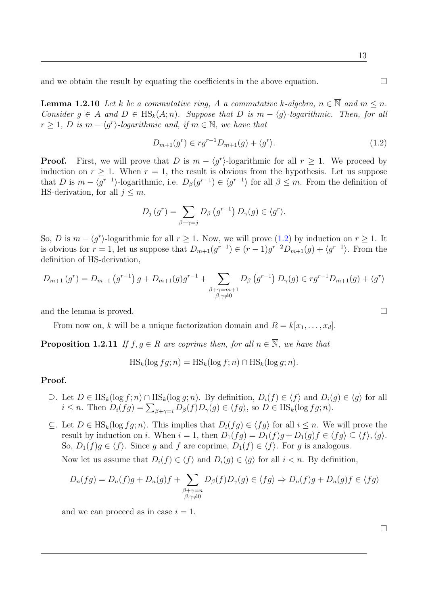and we obtain the result by equating the coefficients in the above equation.  $\Box$ 

<span id="page-26-3"></span>**Lemma 1.2.10** Let k be a commutative ring, A a commutative k-algebra,  $n \in \overline{\mathbb{N}}$  and  $m \leq n$ . Consider  $g \in A$  and  $D \in \text{HS}_k(A; n)$ . Suppose that D is  $m - \langle g \rangle$ -logarithmic. Then, for all  $r \geq 1$ , D is  $m - \langle g^r \rangle$ -logarithmic and, if  $m \in \mathbb{N}$ , we have that

<span id="page-26-0"></span>
$$
D_{m+1}(g^r) \in rg^{r-1}D_{m+1}(g) + \langle g^r \rangle.
$$
\n(1.2)

**Proof.** First, we will prove that D is  $m - \langle g^r \rangle$ -logarithmic for all  $r \geq 1$ . We proceed by induction on  $r \geq 1$ . When  $r = 1$ , the result is obvious from the hypothesis. Let us suppose that D is  $m - \langle g^{r-1} \rangle$ -logarithmic, i.e.  $D_{\beta}(g^{r-1}) \in \langle g^{r-1} \rangle$  for all  $\beta \leq m$ . From the definition of HS-derivation, for all  $j \leq m$ ,

$$
D_j(g^r) = \sum_{\beta+\gamma=j} D_\beta(g^{r-1}) D_\gamma(g) \in \langle g^r \rangle.
$$

So, D is  $m - \langle g^r \rangle$ -logarithmic for all  $r \geq 1$ . Now, we will prove [\(1.2\)](#page-26-0) by induction on  $r \geq 1$ . It is obvious for  $r = 1$ , let us suppose that  $D_{m+1}(g^{r-1}) \in (r-1)g^{r-2}D_{m+1}(g) + \langle g^{r-1} \rangle$ . From the definition of HS-derivation,

$$
D_{m+1}(g^{r}) = D_{m+1}(g^{r-1}) g + D_{m+1}(g)g^{r-1} + \sum_{\substack{\beta+\gamma=m+1\\ \beta,\gamma\neq 0}} D_{\beta}(g^{r-1}) D_{\gamma}(g) \in rg^{r-1}D_{m+1}(g) + \langle g^{r} \rangle
$$

and the lemma is proved.

From now on, k will be a unique factorization domain and  $R = k[x_1, \ldots, x_d]$ .

<span id="page-26-1"></span>**Proposition 1.2.11** If  $f, g \in R$  are coprime then, for all  $n \in \overline{N}$ , we have that

$$
HS_k(\log fg; n) = HS_k(\log f; n) \cap HS_k(\log g; n).
$$

#### Proof.

- $\supseteq$ . Let  $D \in HS_k(\log f; n) \cap HS_k(\log g; n)$ . By definition,  $D_i(f) \in \langle f \rangle$  and  $D_i(g) \in \langle g \rangle$  for all  $i \leq n$ . Then  $D_i(fg) = \sum_{\beta+\gamma=i} D_{\beta}(f)D_{\gamma}(g) \in \langle fg \rangle$ , so  $D \in \text{HS}_k(\log fg; n)$ .
- ⊆. Let  $D \in HS_k(\log fg; n)$ . This implies that  $D_i(fg) \in \langle fg \rangle$  for all  $i \leq n$ . We will prove the result by induction on i. When  $i = 1$ , then  $D_1(fg) = D_1(f)g + D_1(g)f \in \langle fg \rangle \subseteq \langle f \rangle, \langle g \rangle$ . So,  $D_1(f)g \in \langle f \rangle$ . Since g and f are coprime,  $D_1(f) \in \langle f \rangle$ . For g is analogous.

Now let us assume that  $D_i(f) \in \langle f \rangle$  and  $D_i(g) \in \langle g \rangle$  for all  $i < n$ . By definition,

$$
D_n(fg) = D_n(f)g + D_n(g)f + \sum_{\substack{\beta+\gamma=n\\ \beta,\gamma\neq 0}} D_\beta(f)D_\gamma(g) \in \langle fg \rangle \Rightarrow D_n(f)g + D_n(g)f \in \langle fg \rangle
$$

<span id="page-26-2"></span>and we can proceed as in case  $i = 1$ .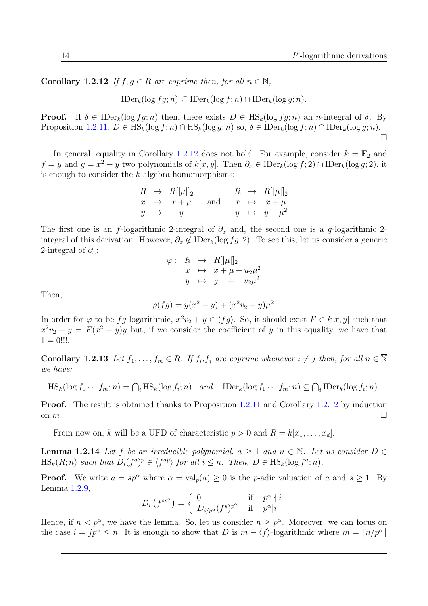**Corollary 1.2.12** If  $f, g \in R$  are coprime then, for all  $n \in \overline{\mathbb{N}}$ ,

 $\text{IDer}_{k}(\log f q; n) \subseteq \text{IDer}_{k}(\log f; n) \cap \text{IDer}_{k}(\log q; n).$ 

**Proof.** If  $\delta \in \text{IDer}_k(\log fg; n)$  then, there exists  $D \in \text{HS}_k(\log fg; n)$  an *n*-integral of  $\delta$ . By Proposition [1.2.11,](#page-26-1)  $D \in \text{HS}_k(\log f; n) \cap \text{HS}_k(\log g; n)$  so,  $\delta \in \text{IDer}_k(\log f; n) \cap \text{IDer}_k(\log g; n)$ .  $\Box$ 

In general, equality in Corollary [1.2.12](#page-26-2) does not hold. For example, consider  $k = \mathbb{F}_2$  and  $f = y$  and  $g = x^2 - y$  two polynomials of  $k[x, y]$ . Then  $\partial_x \in \mathrm{IDer}_k(\log f; 2) \cap \mathrm{IDer}_k(\log g; 2)$ , it is enough to consider the  $k$ -algebra homomorphisms:

|  | $R \rightarrow R[\mu \parallel_2]$          |  | $R \rightarrow R[\mu]]_2$ |
|--|---------------------------------------------|--|---------------------------|
|  | $x \mapsto x + \mu$ and $x \mapsto x + \mu$ |  |                           |
|  | $y \rightarrow y$                           |  | $y \rightarrow y + \mu^2$ |

The first one is an f-logarithmic 2-integral of  $\partial_x$  and, the second one is a g-logarithmic 2integral of this derivation. However,  $\partial_x \notin \text{IDer}_k(\log fg; 2)$ . To see this, let us consider a generic 2-integral of  $\partial_x$ :

$$
\varphi: R \to R[[\mu]]_2
$$
  
\n
$$
x \mapsto x + \mu + u_2 \mu^2
$$
  
\n
$$
y \mapsto y + v_2 \mu^2
$$

Then,

$$
\varphi(fg) = y(x^2 - y) + (x^2v_2 + y)\mu^2.
$$

In order for  $\varphi$  to be fg-logarithmic,  $x^2v_2 + y \in \langle fg \rangle$ . So, it should exist  $F \in k[x, y]$  such that  $x^2v_2 + y = F(x^2 - y)y$  but, if we consider the coefficient of y in this equality, we have that  $1 = 0$ !!!.

<span id="page-27-0"></span>**Corollary 1.2.13** Let  $f_1, \ldots, f_m \in R$ . If  $f_i, f_j$  are coprime whenever  $i \neq j$  then, for all  $n \in \overline{\mathbb{N}}$ we have:

$$
HS_k(\log f_1 \cdots f_m; n) = \bigcap_i HS_k(\log f_i; n) \quad and \quad \text{IDer}_k(\log f_1 \cdots f_m; n) \subseteq \bigcap_i \text{IDer}_k(\log f_i; n).
$$

Proof. The result is obtained thanks to Proposition [1.2.11](#page-26-1) and Corollary [1.2.12](#page-26-2) by induction on  $m$ .

From now on, k will be a UFD of characteristic  $p > 0$  and  $R = k[x_1, \ldots, x_d]$ .

<span id="page-27-1"></span>**Lemma 1.2.14** Let f be an irreducible polynomial,  $a > 1$  and  $n \in \overline{\mathbb{N}}$ . Let us consider  $D \in$  $\text{HS}_k(R; n)$  such that  $D_i(f^a)^p \in \langle f^{ap} \rangle$  for all  $i \leq n$ . Then,  $D \in \text{HS}_k(\log f^a; n)$ .

**Proof.** We write  $a = sp^{\alpha}$  where  $\alpha = val_n(a) \geq 0$  is the *p*-adic valuation of a and  $s \geq 1$ . By Lemma [1.2.9,](#page-25-1)

$$
D_i(f^{sp^{\alpha}}) = \begin{cases} 0 & \text{if } p^{\alpha} \nmid i \\ D_{i/p^{\alpha}}(f^s)^{p^{\alpha}} & \text{if } p^{\alpha}|i. \end{cases}
$$

Hence, if  $n < p^{\alpha}$ , we have the lemma. So, let us consider  $n \geq p^{\alpha}$ . Moreover, we can focus on the case  $i = jp^{\alpha} \leq n$ . It is enough to show that D is  $m - \langle f \rangle$ -logarithmic where  $m = \lfloor n/p^{\alpha} \rfloor$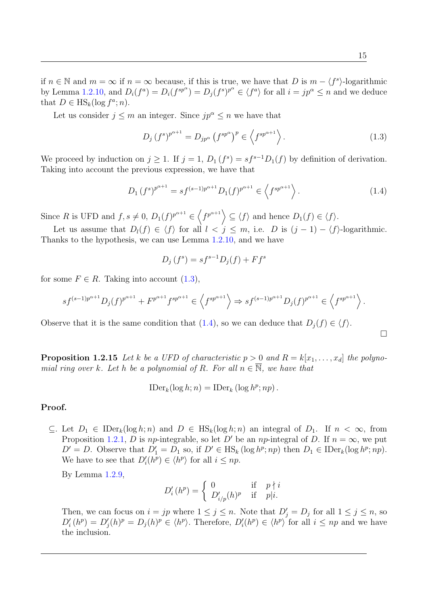if  $n \in \mathbb{N}$  and  $m = \infty$  if  $n = \infty$  because, if this is true, we have that D is  $m - \langle f^s \rangle$ -logarithmic by Lemma [1.2.10,](#page-26-3) and  $D_i(f^a) = D_i(f^{sp^a}) = D_j(f^s)^{p^a} \in \langle f^a \rangle$  for all  $i = jp^a \leq n$  and we deduce that  $D \in \text{HS}_k(\log f^a; n)$ .

Let us consider  $j \leq m$  an integer. Since  $jp^{\alpha} \leq n$  we have that

<span id="page-28-0"></span>
$$
D_j \left(f^s\right)^{p^{\alpha+1}} = D_{jp^{\alpha}} \left(f^{sp^{\alpha}}\right)^p \in \left\langle f^{sp^{\alpha+1}}\right\rangle. \tag{1.3}
$$

We proceed by induction on  $j \geq 1$ . If  $j = 1$ ,  $D_1(f^s) = sf^{s-1}D_1(f)$  by definition of derivation. Taking into account the previous expression, we have that

<span id="page-28-1"></span>
$$
D_1(f^s)^{p^{\alpha+1}} = sf^{(s-1)p^{\alpha+1}} D_1(f)^{p^{\alpha+1}} \in \left\langle f^{sp^{\alpha+1}} \right\rangle. \tag{1.4}
$$

Since R is UFD and  $f, s \neq 0$ ,  $D_1(f)^{p^{\alpha+1}} \in \left\langle f^{p^{\alpha+1}} \right\rangle \subseteq \left\langle f \right\rangle$  and hence  $D_1(f) \in \left\langle f \right\rangle$ .

Let us assume that  $D_l(f) \in \langle f \rangle$  for all  $l < j \leq m$ , i.e. D is  $(j-1) - \langle f \rangle$ -logarithmic. Thanks to the hypothesis, we can use Lemma [1.2.10,](#page-26-3) and we have

$$
D_j(f^s) = sf^{s-1}D_j(f) + Ff^s
$$

for some  $F \in R$ . Taking into account [\(1.3\)](#page-28-0),

$$
sf^{(s-1)p^{\alpha+1}}D_j(f)^{p^{\alpha+1}} + F^{p^{\alpha+1}}f^{sp^{\alpha+1}} \in \left\langle f^{sp^{\alpha+1}} \right\rangle \Rightarrow sf^{(s-1)p^{\alpha+1}}D_j(f)^{p^{\alpha+1}} \in \left\langle f^{sp^{\alpha+1}} \right\rangle.
$$

Observe that it is the same condition that [\(1.4\)](#page-28-1), so we can deduce that  $D_i(f) \in \langle f \rangle$ .

 $\Box$ 

<span id="page-28-2"></span>**Proposition 1.2.15** Let k be a UFD of characteristic  $p > 0$  and  $R = k[x_1, \ldots, x_d]$  the polynomial ring over k. Let h be a polynomial of R. For all  $n \in \overline{N}$ , we have that

$$
\text{IDer}_k(\log h; n) = \text{IDer}_k(\log h^p; np).
$$

#### Proof.

⊂. Let  $D_1$  ∈ IDer<sub>k</sub>(log h; n) and  $D$  ∈ HS<sub>k</sub>(log h; n) an integral of  $D_1$ . If  $n < \infty$ , from Proposition [1.2.1,](#page-23-1) D is np-integrable, so let D' be an np-integral of D. If  $n = \infty$ , we put  $D' = D$ . Observe that  $D'_1 = D_1$  so, if  $D' \in \text{HS}_k(\log h^p; np)$  then  $D_1 \in \text{IDer}_k(\log h^p; np)$ . We have to see that  $D_i'(h^p) \in \langle h^p \rangle$  for all  $i \leq np$ .

By Lemma [1.2.9,](#page-25-1)

$$
D'_{i}(h^{p}) = \begin{cases} 0 & \text{if } p \nmid i \\ D'_{i/p}(h)^{p} & \text{if } p \mid i. \end{cases}
$$

Then, we can focus on  $i = jp$  where  $1 \leq j \leq n$ . Note that  $D'_j = D_j$  for all  $1 \leq j \leq n$ , so  $D_i'(h^p) = D_j(h)^p \in \langle h^p \rangle$ . Therefore,  $D_i'(h^p) \in \langle h^p \rangle$  for all  $i \leq np$  and we have the inclusion.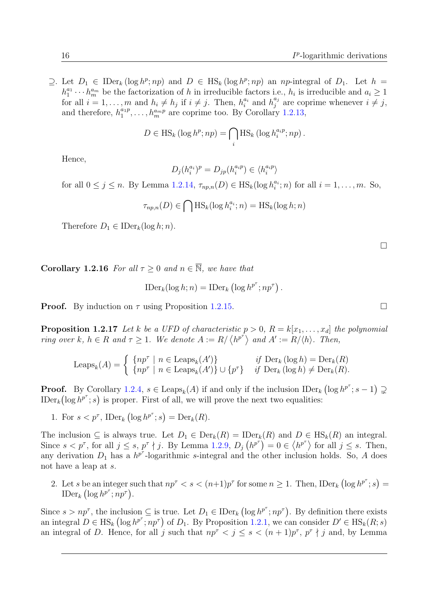$\supseteq$ . Let  $D_1 \in \text{IDer}_k(\log h^p; np)$  and  $D \in \text{HS}_k(\log h^p; np)$  an np-integral of  $D_1$ . Let  $h =$  $h_1^{a_1} \cdots h_m^{a_m}$  be the factorization of h in irreducible factors i.e.,  $h_i$  is irreducible and  $a_i \geq 1$ for all  $i = 1, ..., m$  and  $h_i \neq h_j$  if  $i \neq j$ . Then,  $h_i^{a_i}$  and  $h_j^{a_j}$  $j_j^{a_j}$  are coprime whenever  $i \neq j$ , and therefore,  $h_1^{a_1 p}, \ldots, h_m^{a_m p}$  are coprime too. By Corollary [1.2.13,](#page-27-0)

$$
D \in \mathrm{HS}_k \left( \log h^p; np \right) = \bigcap_i \mathrm{HS}_k \left( \log h_i^{a_i p}; np \right).
$$

Hence,

$$
D_j(h_i^{a_i})^p = D_{jp}(h_i^{a_ip}) \in \langle h_i^{a_ip} \rangle
$$

for all  $0 \le j \le n$ . By Lemma [1.2.14,](#page-27-1)  $\tau_{np,n}(D) \in \text{HS}_k(\log h_i^{a_i}; n)$  for all  $i = 1, \ldots, m$ . So,

$$
\tau_{np,n}(D) \in \bigcap \text{HS}_k(\log h_i^{a_i}; n) = \text{HS}_k(\log h; n)
$$

Therefore  $D_1 \in \mathrm{IDer}_k(\log h; n)$ .

<span id="page-29-0"></span>**Corollary 1.2.16** For all  $\tau \geq 0$  and  $n \in \overline{\mathbb{N}}$ , we have that

$$
\text{IDer}_k(\log h; n) = \text{IDer}_k(\log h^{p^{\tau}}; np^{\tau}).
$$

**Proof.** By induction on  $\tau$  using Proposition [1.2.15.](#page-28-2)

**Proposition 1.2.17** Let k be a UFD of characteristic  $p > 0$ ,  $R = k[x_1, \ldots, x_d]$  the polynomial ring over k,  $h \in R$  and  $\tau \geq 1$ . We denote  $A := R / \langle h^{p^{\tau}} \rangle$  and  $A' := R / \langle h \rangle$ . Then,

$$
\text{Leaps}_k(A) = \begin{cases} \{np^\tau \mid n \in \text{Leaps}_k(A')\} & \text{if } \text{Der}_k(\log h) = \text{Der}_k(R) \\ \{np^\tau \mid n \in \text{Leaps}_k(A')\} \cup \{p^\tau\} & \text{if } \text{Der}_k(\log h) \neq \text{Der}_k(R). \end{cases}
$$

**Proof.** By Corollary [1.2.4,](#page-24-2)  $s \in \text{Leaps}_k(A)$  if and only if the inclusion  $\text{IDer}_k(\log h^{p^{\tau}}; s-1) \supsetneq$ IDer<sub>k</sub>( $\log h^{p^{\tau}}$ ; *s*) is proper. First of all, we will prove the next two equalities:

1. For  $s < p^{\tau}$ , IDer<sub>k</sub> (log  $h^{p^{\tau}}$ ; s) = Der<sub>k</sub>(R).

The inclusion  $\subseteq$  is always true. Let  $D_1 \in \text{Der}_k(R) = \text{IDer}_k(R)$  and  $D \in \text{HS}_k(R)$  an integral. Since  $s < p^{\tau}$ , for all  $j \leq s$ ,  $p^{\tau} \nmid j$ . By Lemma [1.2.9,](#page-25-1)  $D_j(h^{p^{\tau}}) = 0 \in \langle h^{p^{\tau}} \rangle$  for all  $j \leq s$ . Then, any derivation  $D_1$  has a  $h^{p^{\tau}}$ -logarithmic s-integral and the other inclusion holds. So, A does not have a leap at s.

2. Let s be an integer such that  $np^{\tau} < s < (n+1)p^{\tau}$  for some  $n \geq 1$ . Then, IDer<sub>k</sub>  $(\log h^{p^{\tau}}; s)$ IDer<sub>k</sub>  $(\log h^{p^{\tau}}; np^{\tau}).$ 

Since  $s > np^{\tau}$ , the inclusion  $\subseteq$  is true. Let  $D_1 \in \mathrm{IDer}_k(\log h^{p^{\tau}}; np^{\tau})$ . By definition there exists an integral  $D \in \text{HS}_k$   $(\log h^{p^{\tau}}; np^{\tau})$  of  $D_1$ . By Proposition [1.2.1,](#page-23-1) we can consider  $D' \in \text{HS}_k(R; s)$ an integral of D. Hence, for all j such that  $np^{\tau} < j \leq s < (n+1)p^{\tau}$ ,  $p^{\tau} \nmid j$  and, by Lemma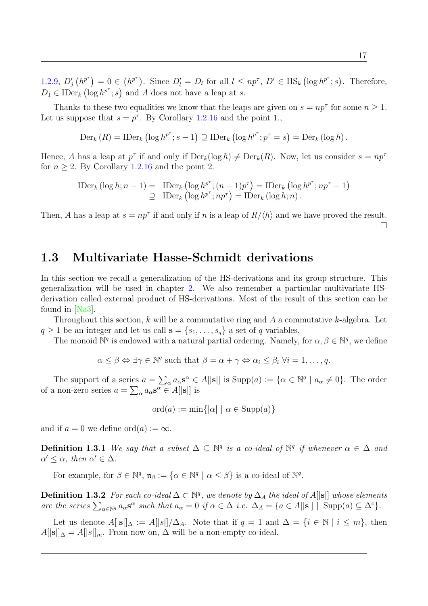[1.2.9,](#page-25-1)  $D'_j(h^{p^{\tau}}) = 0 \in \langle h^{p^{\tau}} \rangle$ . Since  $D'_l = D_l$  for all  $l \leq np^{\tau}$ ,  $D' \in \text{HS}_k(\log h^{p^{\tau}}; s)$ . Therefore,  $D_1 \in \mathrm{IDer}_k \left( \log h^{p^{\tau}}; s \right)$  and A does not have a leap at s.

Thanks to these two equalities we know that the leaps are given on  $s = np^{\tau}$  for some  $n \geq 1$ . Let us suppose that  $s = p^{\tau}$ . By Corollary [1.2.16](#page-29-0) and the point 1.,

$$
\mathrm{Der}_{k}(R) = \mathrm{IDer}_{k}(\log h^{p^{\tau}}; s-1) \supseteq \mathrm{IDer}_{k}(\log h^{p^{\tau}}; p^{\tau} = s) = \mathrm{Der}_{k}(\log h).
$$

Hence, A has a leap at  $p^{\tau}$  if and only if  $Der_k(\log h) \neq Der_k(R)$ . Now, let us consider  $s = np^{\tau}$ for  $n \geq 2$ . By Corollary [1.2.16](#page-29-0) and the point 2.

$$
\text{IDer}_k\left(\log h; n-1\right) = \text{IDer}_k\left(\log h^{p^{\tau}}; (n-1)p^{\tau}\right) = \text{IDer}_k\left(\log h^{p^{\tau}}; np^{\tau} - 1\right)
$$
  
\n
$$
\supseteq \text{IDer}_k\left(\log h^{p^{\tau}}; np^{\tau}\right) = \text{IDer}_k\left(\log h; n\right).
$$

Then, A has a leap at  $s = np^{\tau}$  if and only if n is a leap of  $R/\langle h \rangle$  and we have proved the result.  $\Box$ 

# <span id="page-30-0"></span>1.3 Multivariate Hasse-Schmidt derivations

In this section we recall a generalization of the HS-derivations and its group structure. This generalization will be used in chapter [2.](#page-36-0) We also remember a particular multivariate HSderivation called external product of HS-derivations. Most of the result of this section can be found in [\[Na3\]](#page-103-8).

Throughout this section,  $k$  will be a commutative ring and  $A$  a commutative  $k$ -algebra. Let  $q \geq 1$  be an integer and let us call  $\mathbf{s} = \{s_1, \ldots, s_q\}$  a set of q variables.

The monoid  $\mathbb{N}^q$  is endowed with a natural partial ordering. Namely, for  $\alpha, \beta \in \mathbb{N}^q$ , we define

$$
\alpha \leq \beta \Leftrightarrow \exists \gamma \in \mathbb{N}^q
$$
 such that  $\beta = \alpha + \gamma \Leftrightarrow \alpha_i \leq \beta_i \ \forall i = 1, \ldots, q$ .

The support of a series  $a = \sum_{\alpha} a_{\alpha} s^{\alpha} \in A[|s|]$  is  $\text{Supp}(a) := \{ \alpha \in \mathbb{N}^q \mid a_{\alpha} \neq 0 \}.$  The order of a non-zero series  $a = \sum_{\alpha} a_{\alpha} s^{\alpha} \in A[|s|]$  is

 $\mathrm{ord}(a) := \min\{|\alpha| \mid \alpha \in \mathrm{Supp}(a)\}\$ 

and if  $a = 0$  we define ord $(a) := \infty$ .

**Definition 1.3.1** We say that a subset  $\Delta \subseteq \mathbb{N}^q$  is a co-ideal of  $\mathbb{N}^q$  if whenever  $\alpha \in \Delta$  and  $\alpha' \leq \alpha$ , then  $\alpha' \in \Delta$ .

For example, for  $\beta \in \mathbb{N}^q$ ,  $\mathfrak{n}_{\beta} := {\alpha \in \mathbb{N}^q \mid \alpha \leq \beta}$  is a co-ideal of  $\mathbb{N}^q$ .

**Definition 1.3.2** For each co-ideal  $\Delta \subset \mathbb{N}^q$ , we denote by  $\Delta_A$  the ideal of A[|s|] whose elements are the series  $\sum_{\alpha \in \mathbb{N}^q} a_{\alpha} s^{\alpha}$  such that  $a_{\alpha} = 0$  if  $\alpha \in \Delta$  i.e.  $\Delta_A = \{a \in A[|s|] \mid \text{Supp}(a) \subseteq \Delta^c\}.$ 

Let us denote  $A[|\mathbf{s}||_{\Delta} := A[|\mathbf{s}|]/\Delta_A$ . Note that if  $q = 1$  and  $\Delta = \{i \in \mathbb{N} \mid i \leq m\}$ , then  $A[|\mathbf{s}||_{\Delta} = A[|\mathbf{s}||_{m}]$ . From now on,  $\Delta$  will be a non-empty co-ideal.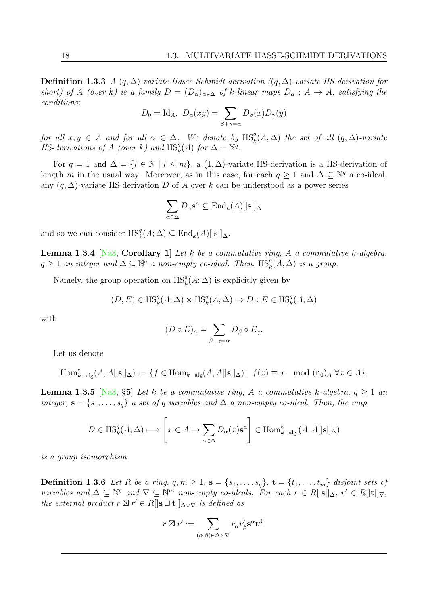**Definition 1.3.3** A  $(q, \Delta)$ -variate Hasse-Schmidt derivation  $((q, \Delta))$ -variate HS-derivation for short) of A (over k) is a family  $D = (D_{\alpha})_{\alpha \in \Delta}$  of k-linear maps  $D_{\alpha}: A \to A$ , satisfying the conditions:

$$
D_0 = \text{Id}_A, \ D_\alpha(xy) = \sum_{\beta + \gamma = \alpha} D_\beta(x) D_\gamma(y)
$$

for all  $x, y \in A$  and for all  $\alpha \in \Delta$ . We denote by  $\text{HS}_k^q(A; \Delta)$  the set of all  $(q, \Delta)$ -variate *HS-derivations of A (over k)* and  $\text{HS}_k^q(A)$  for  $\Delta = \mathbb{N}^q$ .

For  $q = 1$  and  $\Delta = \{i \in \mathbb{N} \mid i \leq m\}$ , a  $(1, \Delta)$ -variate HS-derivation is a HS-derivation of length m in the usual way. Moreover, as in this case, for each  $q \geq 1$  and  $\Delta \subseteq \mathbb{N}^q$  a co-ideal, any  $(q, \Delta)$ -variate HS-derivation D of A over k can be understood as a power series

$$
\sum_{\alpha \in \Delta} D_{\alpha} \mathbf{s}^{\alpha} \subseteq \text{End}_{k}(A)[|\mathbf{s}|]_{\Delta}
$$

and so we can consider  $\text{HS}_k^q(A; \Delta) \subseteq \text{End}_k(A)[|\mathbf{s}||_{\Delta}].$ 

**Lemma 1.3.4** [\[Na3,](#page-103-8) Corollary 1] Let k be a commutative ring, A a commutative k-algebra,  $q \geq 1$  an integer and  $\Delta \subseteq \mathbb{N}^q$  a non-empty co-ideal. Then,  $\text{HS}_k^q(A; \Delta)$  is a group.

Namely, the group operation on  $\text{HS}_k^q(A; \Delta)$  is explicitly given by

$$
(D, E) \in \text{HS}^q_k(A; \Delta) \times \text{HS}^q_k(A; \Delta) \mapsto D \circ E \in \text{HS}^q_k(A; \Delta)
$$

with

$$
(D \circ E)_{\alpha} = \sum_{\beta + \gamma = \alpha} D_{\beta} \circ E_{\gamma}.
$$

Let us denote

$$
\mathrm{Hom}^\circ_{k-\mathrm{alg}}(A,A[|{\bf s}||_\Delta):=\{f\in \mathrm{Hom}_{k-\mathrm{alg}}(A,A[|{\bf s}||_\Delta)\ |\ f(x)\equiv x\mod(\mathfrak{n}_0)_A\ \forall x\in A\}.
$$

**Lemma 1.3.5** [\[Na3,](#page-103-8) §5] Let k be a commutative ring, A a commutative k-algebra,  $q \ge 1$  and integer,  $\mathbf{s} = \{s_1, \ldots, s_q\}$  a set of q variables and  $\Delta$  a non-empty co-ideal. Then, the map

$$
D \in \mathcal{HS}_{k}^{q}(A; \Delta) \longmapsto \left[x \in A \mapsto \sum_{\alpha \in \Delta} D_{\alpha}(x) \mathbf{s}^{\alpha}\right] \in \text{Hom}_{k-\text{alg}}^{\circ}(A, A[|\mathbf{s}|]_{\Delta})
$$

is a group isomorphism.

**Definition 1.3.6** Let R be a ring,  $q, m \geq 1$ ,  $\mathbf{s} = \{s_1, \ldots, s_q\}$ ,  $\mathbf{t} = \{t_1, \ldots, t_m\}$  disjoint sets of variables and  $\Delta \subseteq \mathbb{N}^q$  and  $\nabla \subseteq \mathbb{N}^m$  non-empty co-ideals. For each  $r \in R[$  $|\mathbf{s}|]_{\Delta}$ ,  $r' \in R[$  $|\mathbf{t}|]_{\nabla}$ , the external product  $r \boxtimes r' \in R[|\mathbf{s} \sqcup \mathbf{t}|]_{\Delta \times \nabla}$  is defined as

$$
r \boxtimes r' := \sum_{(\alpha,\beta)\in\Delta\times\nabla} r_{\alpha} r'_{\beta} \mathbf{s}^{\alpha} \mathbf{t}^{\beta}.
$$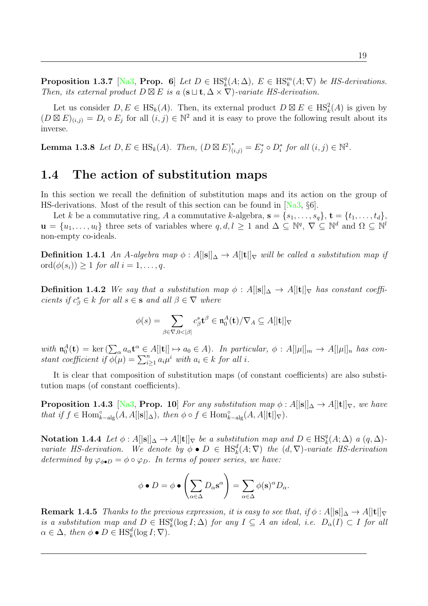**Proposition 1.3.7** [\[Na3,](#page-103-8) **Prop.** 6] Let  $D \in \text{HS}_k^q(A; \Delta)$ ,  $E \in \text{HS}_k^m(A; \nabla)$  be HS-derivations. Then, its external product  $D \boxtimes E$  is a  $(\mathbf{s} \sqcup \mathbf{t}, \Delta \times \nabla)$ -variate HS-derivation.

Let us consider  $D, E \in HS_k(A)$ . Then, its external product  $D \boxtimes E \in HS_k^2(A)$  is given by  $(D \boxtimes E)_{(i,j)} = D_i \circ E_j$  for all  $(i,j) \in \mathbb{N}^2$  and it is easy to prove the following result about its inverse.

**Lemma 1.3.8** Let  $D, E \in \text{HS}_k(A)$ . Then,  $(D \boxtimes E)^*_{(i,j)} = E^*_j \circ D^*_i$  for all  $(i, j) \in \mathbb{N}^2$ .

# <span id="page-32-0"></span>1.4 The action of substitution maps

In this section we recall the definition of substitution maps and its action on the group of HS-derivations. Most of the result of this section can be found in [\[Na3,](#page-103-8) §6].

Let k be a commutative ring, A a commutative k-algebra,  $\mathbf{s} = \{s_1, \ldots, s_q\}, \mathbf{t} = \{t_1, \ldots, t_d\}$  $\mathbf{u} = \{u_1, \ldots, u_l\}$  three sets of variables where  $q, d, l \geq 1$  and  $\Delta \subseteq \mathbb{N}^q$ ,  $\nabla \subseteq \mathbb{N}^d$  and  $\Omega \subseteq \mathbb{N}^l$ non-empty co-ideals.

**Definition 1.4.1** An A-algebra map  $\phi : A[|\mathbf{s}||_{\Delta} \to A[|\mathbf{t}||_{\nabla}$  will be called a substitution map if ord $(\phi(s_i)) \geq 1$  for all  $i = 1, \ldots, q$ .

**Definition 1.4.2** We say that a substitution map  $\phi : A[|\mathbf{s}||_{\Delta} \to A[|\mathbf{t}|]_{\nabla}$  has constant coefficients if  $c^s_\beta \in k$  for all  $s \in \mathbf{s}$  and all  $\beta \in \nabla$  where

$$
\phi(s) = \sum_{\beta \in \nabla, 0 < |\beta|} c^s_\beta \mathbf{t}^\beta \in \mathfrak{n}_0^A(\mathbf{t})/\nabla_A \subseteq A[|\mathbf{t}|]_\nabla
$$

with  $\mathfrak{n}_0^A(\mathbf{t}) = \ker \left( \sum_{\alpha} a_{\alpha} \mathbf{t}^{\alpha} \in A[\vert \mathbf{t} \vert] \mapsto a_0 \in A \right)$ . In particular,  $\phi : A[\vert \mu \vert]_m \to A[\vert \mu \vert]_n$  has constant coefficient if  $\phi(\mu) = \sum_{i=1}^n a_i \mu^i$  with  $a_i \in k$  for all i.

It is clear that composition of substitution maps (of constant coefficients) are also substitution maps (of constant coefficients).

**Proposition 1.4.3** [\[Na3,](#page-103-8) Prop. 10] For any substitution map  $\phi : A[|s|] \Delta \rightarrow A[|t|] \nabla$ , we have that if  $f \in \text{Hom}_{k-\text{alg}}^{\circ}(A, A[|\mathbf{s}||_{\Delta}), \text{ then } \phi \circ f \in \text{Hom}_{k-\text{alg}}^{\circ}(A, A[|\mathbf{t}||_{\nabla}).$ 

Notation 1.4.4 Let  $\phi: A[|\mathbf{s}||_{\Delta} \to A[|\mathbf{t}|]_{\nabla}$  be a substitution map and  $D \in \text{HS}_{k}^{q}(A; \Delta)$  a  $(q, \Delta)$ variate HS-derivation. We denote by  $\phi \bullet D \in \text{HS}_k^d(A; \nabla)$  the  $(d, \nabla)$ -variate HS-derivation determined by  $\varphi_{\phi \bullet D} = \phi \circ \varphi_D$ . In terms of power series, we have:

$$
\phi \bullet D = \phi \bullet \left( \sum_{\alpha \in \Delta} D_{\alpha} \mathbf{s}^{\alpha} \right) = \sum_{\alpha \in \Delta} \phi(\mathbf{s})^{\alpha} D_{\alpha}.
$$

<span id="page-32-1"></span>**Remark 1.4.5** Thanks to the previous expression, it is easy to see that, if  $\phi : A||\mathbf{s}||_{\Delta} \to A[|\mathbf{t}||_{\nabla}]$ is a substitution map and  $D \in \text{HS}_k^q(\log I; \Delta)$  for any  $I \subseteq A$  an ideal, i.e.  $D_\alpha(I) \subset I$  for all  $\alpha \in \Delta$ , then  $\phi \bullet D \in \text{HS}_k^d(\log I; \nabla)$ .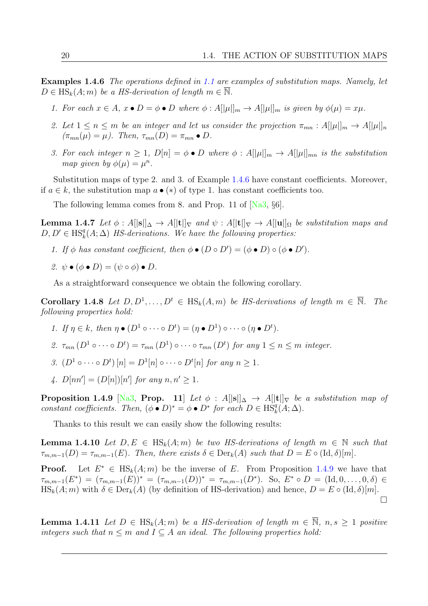Examples 1.4.6 The operations defined in [1.1](#page-16-2) are examples of substitution maps. Namely, let  $D \in \text{HS}_k(A; m)$  be a HS-derivation of length  $m \in \overline{\mathbb{N}}$ .

- 1. For each  $x \in A$ ,  $x \bullet D = \phi \bullet D$  where  $\phi : A[|\mu|]_m \to A[|\mu|]_m$  is given by  $\phi(\mu) = x\mu$ .
- 2. Let  $1 \le n \le m$  be an integer and let us consider the projection  $\pi_{mn}: A[|\mu|]_m \to A[|\mu|]_n$  $(\pi_{mn}(\mu) = \mu)$ . Then,  $\tau_{mn}(D) = \pi_{mn} \bullet D$ .
- 3. For each integer  $n \geq 1$ ,  $D[n] = \phi \bullet D$  where  $\phi : A[|\mu|]_m \to A[|\mu|]_{mn}$  is the substitution map given by  $\phi(\mu) = \mu^n$ .

Substitution maps of type 2. and 3. of Example [1.4.6](#page-32-1) have constant coefficients. Moreover, if  $a \in k$ , the substitution map  $a \bullet (*)$  of type 1. has constant coefficients too.

The following lemma comes from 8. and Prop. 11 of  $[Na3, §6]$ .

**Lemma 1.4.7** Let  $\phi: A[|\mathbf{s}||] \Delta \to A[|\mathbf{t}||] \nabla$  and  $\psi: A[|\mathbf{t}||] \nabla \to A[|\mathbf{u}||] \nabla$  be substitution maps and  $D, D' \in \text{HS}_k^q(A; \Delta)$  HS-derivations. We have the following properties:

- 1. If  $\phi$  has constant coefficient, then  $\phi \bullet (D \circ D') = (\phi \bullet D) \circ (\phi \bullet D')$ .
- 2.  $\psi \bullet (\phi \bullet D) = (\psi \circ \phi) \bullet D$ .

As a straightforward consequence we obtain the following corollary.

**Corollary 1.4.8** Let  $D, D^1, \ldots, D^t \in \text{HS}_k(A, m)$  be HS-derivations of length  $m \in \overline{\mathbb{N}}$ . The following properties hold:

- 1. If  $\eta \in k$ , then  $\eta \bullet (D^1 \circ \cdots \circ D^t) = (\eta \bullet D^1) \circ \cdots \circ (\eta \bullet D^t)$ .
- 2.  $\tau_{mn}(D^1 \circ \cdots \circ D^t) = \tau_{mn}(D^1) \circ \cdots \circ \tau_{mn}(D^t)$  for any  $1 \leq n \leq m$  integer.
- 3.  $(D^1 \circ \cdots \circ D^t) [n] = D^1[n] \circ \cdots \circ D^t[n]$  for any  $n \geq 1$ .
- 4.  $D[nn'] = (D[n])[n']$  for any  $n, n' \ge 1$ .

<span id="page-33-0"></span>**Proposition 1.4.9** [\[Na3,](#page-103-8) Prop. 11] Let  $\phi$  : A[|s|| $\Delta \rightarrow$  A[|t|| $\nabla$  be a substitution map of constant coefficients. Then,  $(\phi \bullet D)^* = \phi \bullet D^*$  for each  $D \in \text{HS}_k^q(A; \Delta)$ .

Thanks to this result we can easily show the following results:

**Lemma 1.4.10** Let  $D, E \in \text{HS}_k(A; m)$  be two HS-derivations of length  $m \in \mathbb{N}$  such that  $\tau_{m,m-1}(D) = \tau_{m,m-1}(E)$ . Then, there exists  $\delta \in \text{Der}_k(A)$  such that  $D = E \circ (\text{Id}, \delta)[m]$ .

Proof. Let  $E^* \in \text{HS}_k(A; m)$  be the inverse of E. From Proposition [1.4.9](#page-33-0) we have that  $\tau_{m,m-1}(E^*) = (\tau_{m,m-1}(E))^* = (\tau_{m,m-1}(D))^* = \tau_{m,m-1}(D^*)$ . So,  $E^* \circ D = (\mathrm{Id}, 0, \ldots, 0, \delta) \in$  $\text{HS}_k(A; m)$  with  $\delta \in \text{Der}_k(A)$  (by definition of HS-derivation) and hence,  $D = E \circ (\text{Id}, \delta)[m]$ .  $\Box$ 

**Lemma 1.4.11** Let  $D \in HS_k(A;m)$  be a HS-derivation of length  $m \in \overline{N}$ ,  $n, s \ge 1$  positive integers such that  $n \leq m$  and  $I \subseteq A$  an ideal. The following properties hold: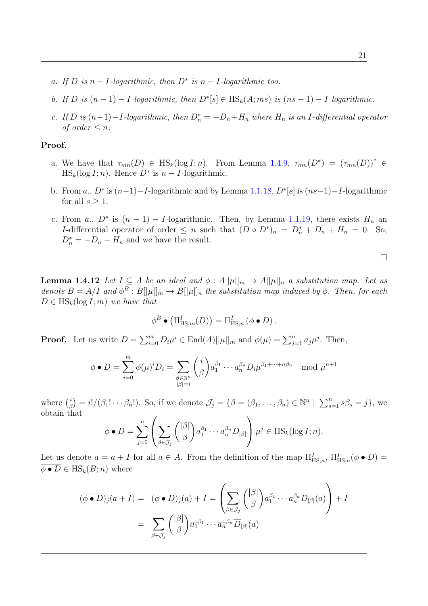- a. If D is  $n-I$ -logarithmic, then  $D^*$  is  $n-I$ -logarithmic too.
- b. If D is  $(n-1) I$ -logarithmic, then  $D^*[s] \in HS_k(A; ms)$  is  $(ns-1) I$ -logarithmic.
- c. If D is  $(n-1) I$ -logarithmic, then  $D_n^* = -D_n + H_n$  where  $H_n$  is an I-differential operator of order  $\leq n$ .

#### Proof.

- a. We have that  $\tau_{mn}(D) \in \text{HS}_k(\log I; n)$ . From Lemma [1.4.9,](#page-33-0)  $\tau_{mn}(D^*) = (\tau_{mn}(D))^* \in$  $\text{HS}_k(\log I; n)$ . Hence  $D^*$  is  $n - I$ -logarithmic.
- b. From a.,  $D^*$  is  $(n-1) I$ -logarithmic and by Lemma [1.1.18,](#page-19-1)  $D^*[s]$  is  $(ns-1) I$ -logarithmic for all  $s \geq 1$ .
- c. From a.,  $D^*$  is  $(n-1) I$ -logarithmic. Then, by Lemma [1.1.19,](#page-19-0) there exists  $H_n$  and I-differential operator of order  $\leq n$  such that  $(D \circ D^*)_n = D_n^* + D_n + H_n = 0$ . So,  $D_n^* = -D_n - H_n$  and we have the result.

 $\Box$ 

**Lemma 1.4.12** Let  $I \subseteq A$  be an ideal and  $\phi : A[|\mu|]_m \to A[|\mu|]_n$  a substitution map. Let us denote  $B = A/I$  and  $\phi^B : B[|\mu|]_m \to B[|\mu|]_n$  the substitution map induced by  $\phi$ . Then, for each  $D \in \text{HS}_k(\log I; m)$  we have that

$$
\phi^B \bullet (\Pi^I_{\mathrm{HS},m}(D)) = \Pi^I_{\mathrm{HS},n} (\phi \bullet D).
$$

**Proof.** Let us write  $D = \sum_{i=0}^{m} D_i \mu^i \in \text{End}(A)[\mu]_m$  and  $\phi(\mu) = \sum_{j=1}^{n} a_j \mu^j$ . Then,

$$
\phi \bullet D = \sum_{i=0}^{m} \phi(\mu)^i D_i = \sum_{\substack{\beta \in \mathbb{N}^n \\|\beta|=i}} {i \choose \beta} a_1^{\beta_1} \cdots a_n^{\beta_n} D_i \mu^{\beta_1 + \cdots + n\beta_n} \mod \mu^{n+1}
$$

where  $\binom{i}{4}$  $\mathcal{L}_{\beta}^{i}$  = i!/( $\beta_1! \cdots \beta_n!$ ). So, if we denote  $\mathcal{J}_j = \{ \beta = (\beta_1, \ldots, \beta_n) \in \mathbb{N}^n \mid \sum_{s=1}^n s\beta_s = j \}$ , we obtain that

$$
\phi \bullet D = \sum_{j=0}^n \left( \sum_{\beta \in \mathcal{J}_j} {\binom{|\beta|}{\beta}} a_1^{\beta_1} \cdots a_n^{\beta_n} D_{|\beta|} \right) \mu^j \in \text{HS}_k(\log I; n).
$$

Let us denote  $\overline{a} = a + I$  for all  $a \in A$ . From the definition of the map  $\Pi_{\mathrm{HS},n}^I$ ,  $\Pi_{\mathrm{HS},n}^I(\phi \bullet D) =$  $\overline{\phi \bullet D} \in \mathrm{HS}_k(B; n)$  where

$$
(\overline{\phi \bullet D})_j(a+I) = (\phi \bullet D)_j(a) + I = \left(\sum_{\beta \in \mathcal{J}_j} {\binom{|\beta|}{\beta}} a_1^{\beta_1} \cdots a_n^{\beta_n} D_{|\beta|}(a)\right) + I
$$

$$
= \sum_{\beta \in \mathcal{J}_j} {\binom{|\beta|}{\beta}} \overline{a_1}^{\beta_1} \cdots \overline{a_n}^{\beta_n} \overline{D}_{|\beta|}(a)
$$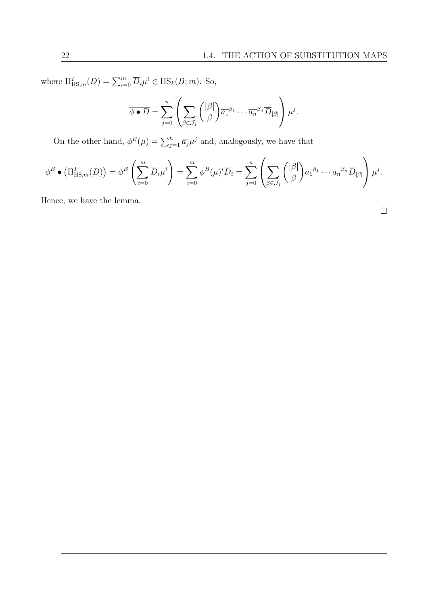where  $\Pi_{\text{HS},m}^I(D) = \sum_{i=0}^m \overline{D}_i \mu^i \in \text{HS}_k(B;m)$ . So,

$$
\overline{\phi \bullet D} = \sum_{j=0}^n \left( \sum_{\beta \in \mathcal{J}_j} {\binom{|\beta|}{\beta}} \overline{a_1}^{\beta_1} \cdots \overline{a_n}^{\beta_n} \overline{D}_{|\beta|} \right) \mu^j.
$$

On the other hand,  $\phi^B(\mu) = \sum_{j=1}^n \overline{a_j} \mu^j$  and, analogously, we have that

$$
\phi^B \bullet (\Pi^I_{\mathrm{HS},m}(D)) = \phi^B \left( \sum_{i=0}^m \overline{D}_i \mu^i \right) = \sum_{i=0}^m \phi^B(\mu)^i \overline{D}_i = \sum_{j=0}^n \left( \sum_{\beta \in \mathcal{J}_j} {\binom{|\beta|}{\beta}} \overline{a_1}^{\beta_1} \cdots \overline{a_n}^{\beta_n} \overline{D}_{|\beta|} \right) \mu^j.
$$

Hence, we have the lemma.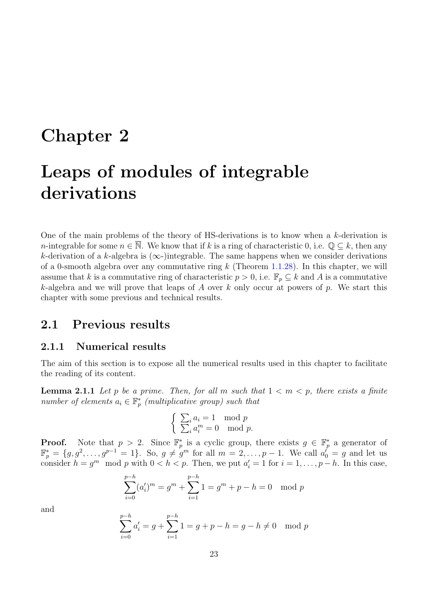# Chapter 2

# Leaps of modules of integrable derivations

One of the main problems of the theory of HS-derivations is to know when a k-derivation is n-integrable for some  $n \in \overline{\mathbb{N}}$ . We know that if k is a ring of characteristic 0, i.e.  $\mathbb{Q} \subseteq k$ , then any k-derivation of a k-algebra is  $(\infty)$ -)integrable. The same happens when we consider derivations of a 0-smooth algebra over any commutative ring  $k$  (Theorem [1.1.28\)](#page-22-0). In this chapter, we will assume that k is a commutative ring of characteristic  $p > 0$ , i.e.  $\mathbb{F}_p \subseteq k$  and A is a commutative k-algebra and we will prove that leaps of A over k only occur at powers of p. We start this chapter with some previous and technical results.

# 2.1 Previous results

## 2.1.1 Numerical results

The aim of this section is to expose all the numerical results used in this chapter to facilitate the reading of its content.

<span id="page-36-0"></span>**Lemma 2.1.1** Let p be a prime. Then, for all m such that  $1 < m < p$ , there exists a finite number of elements  $a_i \in \mathbb{F}_p^*$  (multiplicative group) such that

$$
\begin{cases} \sum_{i} a_i = 1 \mod p \\ \sum_{i} a_i^m = 0 \mod p. \end{cases}
$$

**Proof.** Note that  $p > 2$ . Since  $\mathbb{F}_p^*$  is a cyclic group, there exists  $g \in \mathbb{F}_p^*$  a generator of  $\mathbb{F}_p^* = \{g, g^2, \ldots, g^{p-1} = 1\}$ . So,  $g \neq g^m$  for all  $m = 2, \ldots, p-1$ . We call  $a_0^f = g$  and let us consider  $h = g^m \mod p$  with  $0 < h < p$ . Then, we put  $a'_i = 1$  for  $i = 1, \ldots, p - h$ . In this case,

$$
\sum_{i=0}^{p-h} (a'_i)^m = g^m + \sum_{i=1}^{p-h} 1 = g^m + p - h = 0 \mod p
$$

and

$$
\sum_{i=0}^{p-h} a'_i = g + \sum_{i=1}^{p-h} 1 = g + p - h = g - h \neq 0 \mod p
$$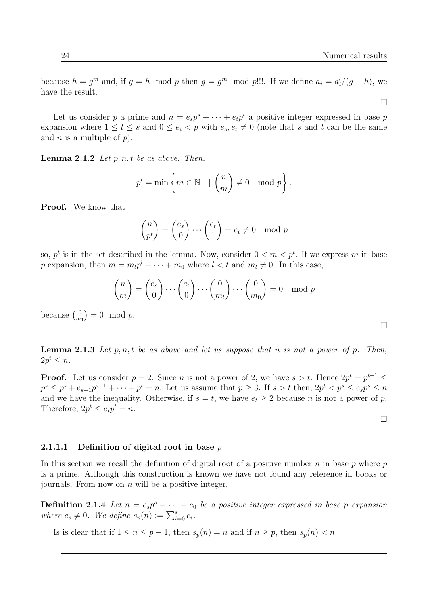$\Box$ 

because  $h = g^m$  and, if  $g = h \mod p$  then  $g = g^m \mod p!$ !!. If we define  $a_i = a'_i/(g - h)$ , we have the result.

Let us consider p a prime and  $n = e_s p^s + \cdots + e_t p^t$  a positive integer expressed in base p expansion where  $1 \le t \le s$  and  $0 \le e_i < p$  with  $e_s, e_t \ne 0$  (note that s and t can be the same and *n* is a multiple of  $p$ ).

<span id="page-37-0"></span>**Lemma 2.1.2** Let  $p, n, t$  be as above. Then,

$$
p^t = \min\left\{m \in \mathbb{N}_+ \mid \binom{n}{m} \neq 0 \mod p\right\}.
$$

Proof. We know that

$$
\begin{pmatrix} n \\ p^t \end{pmatrix} = \begin{pmatrix} e_s \\ 0 \end{pmatrix} \cdots \begin{pmatrix} e_t \\ 1 \end{pmatrix} = e_t \neq 0 \mod p
$$

so,  $p^t$  is in the set described in the lemma. Now, consider  $0 < m < p^t$ . If we express m in base p expansion, then  $m = m_l p^l + \cdots + m_0$  where  $l < t$  and  $m_l \neq 0$ . In this case,

$$
\binom{n}{m} = \binom{e_s}{0} \cdots \binom{e_t}{0} \cdots \binom{0}{m_l} \cdots \binom{0}{m_0} = 0 \mod p
$$

because  $\binom{0}{m}$  ${0 \choose m_1} = 0 \mod p.$ 

<span id="page-37-1"></span>**Lemma 2.1.3** Let  $p, n, t$  be as above and let us suppose that n is not a power of  $p$ . Then,  $2p^t \leq n$ .

**Proof.** Let us consider  $p = 2$ . Since *n* is not a power of 2, we have  $s > t$ . Hence  $2p^t = p^{t+1} \leq$  $p^s \leq p^s + e_{s-1}p^{s-1} + \cdots + p^t = n$ . Let us assume that  $p \geq 3$ . If  $s > t$  then,  $2p^t < p^s \leq e_s p^s \leq n$ and we have the inequality. Otherwise, if  $s = t$ , we have  $e_t \geq 2$  because n is not a power of p. Therefore,  $2p^t \leq e_t p^t = n$ .

## $\Box$

#### 2.1.1.1 Definition of digital root in base  $p$

In this section we recall the definition of digital root of a positive number  $n$  in base  $p$  where  $p$ is a prime. Although this construction is known we have not found any reference in books or journals. From now on  $n$  will be a positive integer.

**Definition 2.1.4** Let  $n = e_s p^s + \cdots + e_0$  be a positive integer expressed in base p expansion where  $e_s \neq 0$ . We define  $s_p(n) := \sum_{i=0}^s e_i$ .

Is is clear that if  $1 \le n \le p-1$ , then  $s_p(n) = n$  and if  $n \ge p$ , then  $s_p(n) < n$ .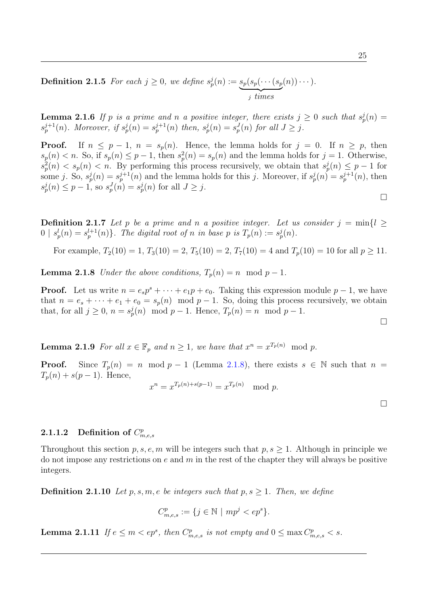**Definition 2.1.5** For each  $j \geq 0$ , we define  $s_p^j(n) := s_p(s_p(\cdots(s_p)))$  $$  $(n))\cdots$ ).

**Lemma 2.1.6** If p is a prime and n a positive integer, there exists  $j \geq 0$  such that  $s_p^j(n) =$  $s_p^{j+1}(n)$ . Moreover, if  $s_p^j(n) = s_p^{j+1}(n)$  then,  $s_p^j(n) = s_p^J(n)$  for all  $J \geq j$ .

**Proof.** If  $n \leq p-1$ ,  $n = s_p(n)$ . Hence, the lemma holds for  $j = 0$ . If  $n \geq p$ , then  $s_p(n) < n$ . So, if  $s_p(n) \leq p-1$ , then  $s_p^2(n) = s_p(n)$  and the lemma holds for  $j = 1$ . Otherwise,  $s_p^2(n) < s_p(n) < n$ . By performing this process recursively, we obtain that  $s_p^j(n) \leq p-1$  for some j. So,  $s_p^j(n) = s_p^{j+1}(n)$  and the lemma holds for this j. Moreover, if  $s_p^j(n) = s_p^{j+1}(n)$ , then  $s_p^j(n) \leq p-1$ , so  $s_p^J(n) = s_p^j(n)$  for all  $J \geq j$ .

<span id="page-38-2"></span>**Definition 2.1.7** Let p be a prime and n a positive integer. Let us consider  $j = \min\{l \geq 1\}$  $0 | s_p^l(n) = s_p^{l+1}(n) \}$ . The digital root of n in base p is  $T_p(n) := s_p^j(n)$ .

For example,  $T_2(10) = 1$ ,  $T_3(10) = 2$ ,  $T_5(10) = 2$ ,  $T_7(10) = 4$  and  $T_p(10) = 10$  for all  $p \ge 11$ .

<span id="page-38-0"></span>**Lemma 2.1.8** Under the above conditions,  $T_n(n) = n \mod p - 1$ .

**Proof.** Let us write  $n = e_s p^s + \cdots + e_1 p + e_0$ . Taking this expression module  $p - 1$ , we have that  $n = e_s + \cdots + e_1 + e_0 = s_p(n) \mod p - 1$ . So, doing this process recursively, we obtain that, for all  $j \geq 0$ ,  $n = s_p^j(n) \mod p - 1$ . Hence,  $T_p(n) = n \mod p - 1$ .

<span id="page-38-3"></span>**Lemma 2.1.9** For all  $x \in \mathbb{F}_p$  and  $n \geq 1$ , we have that  $x^n = x^{T_p(n)} \mod p$ .

**Proof.** Since  $T_p(n) = n \mod p - 1$  (Lemma [2.1.8\)](#page-38-0), there exists  $s \in \mathbb{N}$  such that  $n =$  $T_p(n) + s(p-1)$ . Hence,

$$
x^n = x^{T_p(n) + s(p-1)} = x^{T_p(n)} \mod p.
$$

## 2.1.1.2 Definition of  $C_{m,e,s}^p$

Throughout this section p, s, e, m will be integers such that  $p, s \geq 1$ . Although in principle we do not impose any restrictions on  $e$  and  $m$  in the rest of the chapter they will always be positive integers.

<span id="page-38-4"></span>**Definition 2.1.10** Let p, s, m, e be integers such that p,  $s > 1$ . Then, we define

$$
C_{m,e,s}^p := \{ j \in \mathbb{N} \mid mp^j < ep^s \}.
$$

<span id="page-38-1"></span>**Lemma 2.1.11** If  $e \leq m < ep^s$ , then  $C_{m,e,s}^p$  is not empty and  $0 \leq \max C_{m,e,s}^p < s$ .

 $\Box$ 

 $\Box$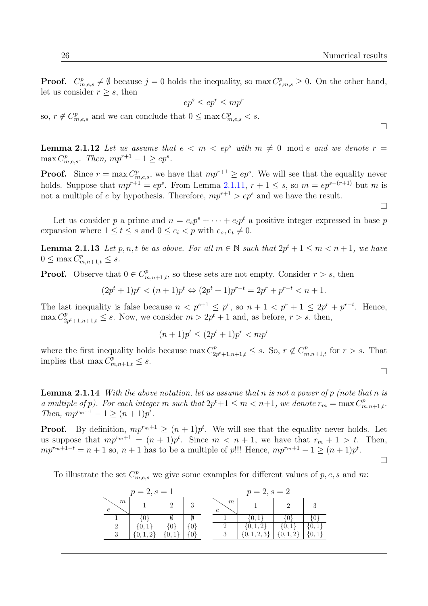$\Box$ 

 $\Box$ 

 $\Box$ 

 $\Box$ 

**Proof.**  $C_{m,e,s}^p \neq \emptyset$  because  $j = 0$  holds the inequality, so  $\max C_{e,m,s}^p \geq 0$ . On the other hand, let us consider  $r > s$ , then

$$
ep^s \le ep^r \le mp^r
$$

so,  $r \notin C_{m,e,s}^p$  and we can conclude that  $0 \leq \max C_{m,e,s}^p < s$ .

<span id="page-39-0"></span>**Lemma 2.1.12** Let us assume that  $e < m < ep<sup>s</sup>$  with  $m \neq 0 \mod e$  and we denote  $r =$  $\max C_{m,e,s}^p$ . Then,  $mp^{r+1} - 1 \ge ep^s$ .

**Proof.** Since  $r = \max C_{m,e,s}^p$ , we have that  $mp^{r+1} \ge ep^s$ . We will see that the equality never holds. Suppose that  $mp^{r+1} = ep^s$ . From Lemma [2.1.11,](#page-38-1)  $r + 1 \leq s$ , so  $m = ep^{s-(r+1)}$  but m is not a multiple of e by hypothesis. Therefore,  $mp^{r+1} > ep^s$  and we have the result.

Let us consider p a prime and  $n = e_s p^s + \cdots + e_t p^t$  a positive integer expressed in base p expansion where  $1 \leq t \leq s$  and  $0 \leq e_i < p$  with  $e_s, e_t \neq 0$ .

<span id="page-39-1"></span>**Lemma 2.1.13** Let  $p, n, t$  be as above. For all  $m \in \mathbb{N}$  such that  $2p^{t} + 1 \leq m < n + 1$ , we have  $0 \leq \max C^p_{m,n+1,t} \leq s.$ 

**Proof.** Observe that  $0 \in C^p_{m,n+1,t}$ , so these sets are not empty. Consider  $r > s$ , then

$$
(2pt + 1)pr < (n + 1)pt \Leftrightarrow (2pt + 1)pr-t = 2pr + pr-t < n + 1.
$$

The last inequality is false because  $n < p^{s+1} \leq p^r$ , so  $n + 1 < p^r + 1 \leq 2p^r + p^{r-t}$ . Hence,  $\max C_2^p$  $2p^{t}+1,n+1,t \leq s$ . Now, we consider  $m > 2p^{t}+1$  and, as before,  $r > s$ , then,

$$
(n+1)p^t \le (2p^t+1)p^r < mp^r
$$

where the first inequality holds because  $\max C_2^p$  $C_{2p^{t}+1,n+1,t}^{p} \leq s$ . So,  $r \notin C_{m,n+1,t}^{p}$  for  $r > s$ . That implies that  $\max C_{m,n+1,t}^p \leq s$ .

<span id="page-39-2"></span>**Lemma 2.1.14** With the above notation, let us assume that n is not a power of p (note that n is a multiple of p). For each integer m such that  $2p^{t}+1 \leq m < n+1$ , we denote  $r_m = \max C_{m,n+1,t}^p$ . Then,  $mp^{r_m+1} - 1 \ge (n+1)p^t$ .

**Proof.** By definition,  $mp^{r_m+1} \ge (n+1)p^t$ . We will see that the equality never holds. Let us suppose that  $mp^{r_m+1} = (n+1)p^t$ . Since  $m \leq n+1$ , we have that  $r_m + 1 > t$ . Then,  $mp^{r_m+1-t} = n+1$  so,  $n+1$  has to be a multiple of p!!! Hence,  $mp^{r_m+1} - 1 \ge (n+1)p^t$ .

To illustrate the set  $C_{m,e,s}^p$  we give some examples for different values of p, e, s and m:

|                     | $p = 2, s = 1$ |  |   | $p = 2, s = 2$ |  |
|---------------------|----------------|--|---|----------------|--|
| $m\,$<br>$\epsilon$ |                |  | m |                |  |
|                     |                |  |   |                |  |
|                     |                |  |   | 0, 1,          |  |
|                     |                |  |   |                |  |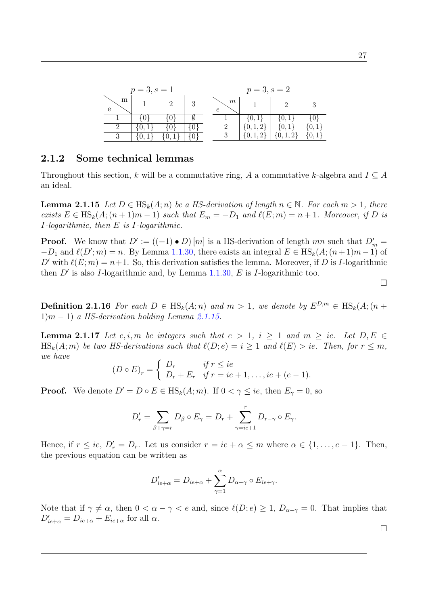|        | $p = 3, s = 1$ |  |   | $p = 3, s = 2$ |  |
|--------|----------------|--|---|----------------|--|
| m<br>е |                |  | m |                |  |
|        |                |  |   | $\theta$ .     |  |
|        |                |  |   |                |  |
|        |                |  |   |                |  |

## 2.1.2 Some technical lemmas

Throughout this section, k will be a commutative ring, A a commutative k-algebra and  $I \subseteq A$ an ideal.

<span id="page-40-0"></span>**Lemma 2.1.15** Let  $D \in HS_k(A; n)$  be a HS-derivation of length  $n \in \mathbb{N}$ . For each  $m > 1$ , there exists  $E \in HS_k(A; (n+1)m-1)$  such that  $E_m = -D_1$  and  $\ell(E; m) = n+1$ . Moreover, if D is I-logarithmic, then E is I-logarithmic.

**Proof.** We know that  $D' := ((-1) \cdot D) [m]$  is a HS-derivation of length mn such that  $D'_m =$  $-D_1$  and  $\ell(D'; m) = n$ . By Lemma [1.1.30,](#page-22-1) there exists an integral  $E \in HS_k(A; (n+1)m-1)$  of D' with  $\ell(E; m) = n+1$ . So, this derivation satisfies the lemma. Moreover, if D is I-logarithmic then  $D'$  is also I-logarithmic and, by Lemma [1.1.30,](#page-22-1) E is I-logarithmic too.

 $\Box$ 

<span id="page-40-1"></span>**Definition 2.1.16** For each  $D \in \text{HS}_k(A; n)$  and  $m > 1$ , we denote by  $E^{D,m} \in \text{HS}_k(A; (n +$  $1(m-1)$  a HS-derivation holding Lemma [2.1.15.](#page-40-0)

<span id="page-40-2"></span>**Lemma 2.1.17** Let e, i, m be integers such that  $e > 1$ ,  $i \ge 1$  and  $m \ge ie$ . Let  $D, E \in$  $\text{HS}_k(A; m)$  be two HS-derivations such that  $\ell(D; e) = i \geq 1$  and  $\ell(E) > ie$ . Then, for  $r \leq m$ , we have

$$
(D \circ E)_r = \begin{cases} D_r & \text{if } r \leq ie \\ D_r + E_r & \text{if } r = ie + 1, \dots, ie + (e - 1). \end{cases}
$$

**Proof.** We denote  $D' = D \circ E \in \text{HS}_k(A; m)$ . If  $0 < \gamma \leq ie$ , then  $E_{\gamma} = 0$ , so

$$
D'_{r} = \sum_{\beta + \gamma = r} D_{\beta} \circ E_{\gamma} = D_{r} + \sum_{\gamma = ie+1}^{r} D_{r-\gamma} \circ E_{\gamma}.
$$

Hence, if  $r \leq ie$ ,  $D'_r = D_r$ . Let us consider  $r = ie + \alpha \leq m$  where  $\alpha \in \{1, ..., e - 1\}$ . Then, the previous equation can be written as

$$
D'_{ie+\alpha} = D_{ie+\alpha} + \sum_{\gamma=1}^{\alpha} D_{\alpha-\gamma} \circ E_{ie+\gamma}.
$$

<span id="page-40-3"></span>Note that if  $\gamma \neq \alpha$ , then  $0 < \alpha - \gamma < e$  and, since  $\ell(D; e) \geq 1$ ,  $D_{\alpha-\gamma} = 0$ . That implies that  $D'_{ie+\alpha} = D_{ie+\alpha} + E_{ie+\alpha}$  for all  $\alpha$ .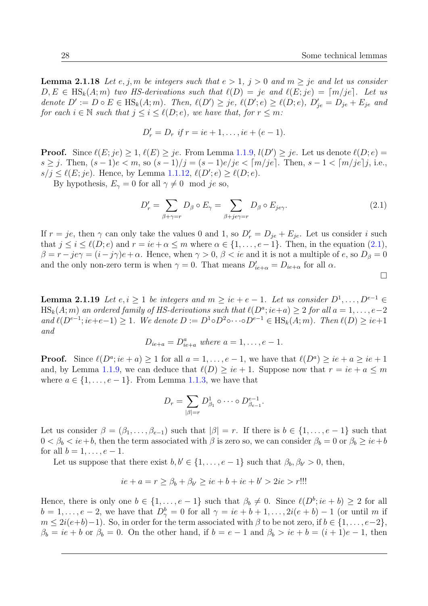**Lemma 2.1.18** Let e, j, m be integers such that  $e > 1$ ,  $j > 0$  and  $m \geq je$  and let us consider  $D, E \in HS_k(A; m)$  two HS-derivations such that  $\ell(D) = je$  and  $\ell(E; je) = [m/je]$ . Let us denote  $D' := D \circ E \in \text{HS}_k(A; m)$ . Then,  $\ell(D') \geq je$ ,  $\ell(D'; e) \geq \ell(D; e)$ ,  $D'_{je} = D_{je} + E_{je}$  and for each  $i \in \mathbb{N}$  such that  $j \leq i \leq \ell(D; e)$ , we have that, for  $r \leq m$ :

$$
D'_r = D_r \text{ if } r = ie + 1, \dots, ie + (e - 1).
$$

**Proof.** Since  $\ell(E; je) \geq 1$ ,  $\ell(E) \geq je$ . From Lemma [1.1.9,](#page-17-0)  $l(D') \geq je$ . Let us denote  $\ell(D; e)$ s  $\geq j$ . Then,  $(s-1)e < m$ , so  $(s-1)/j = (s-1)e/j$ e  $\leq [m/je]$ . Then,  $s-1 < [m/je]j$ , i.e.,  $s/j \leq \ell(E; je)$ . Hence, by Lemma [1.1.12,](#page-17-1)  $\ell(D'; e) \geq \ell(D; e)$ .

By hypothesis,  $E_{\gamma} = 0$  for all  $\gamma \neq 0 \mod je$  so,

<span id="page-41-0"></span>
$$
D'_{r} = \sum_{\beta + \gamma = r} D_{\beta} \circ E_{\gamma} = \sum_{\beta + j \neq \gamma = r} D_{\beta} \circ E_{j \neq \gamma}.
$$
 (2.1)

If  $r = je$ , then  $\gamma$  can only take the values 0 and 1, so  $D'_r = D_{je} + E_{je}$ . Let us consider i such that  $j \leq i \leq \ell(D; e)$  and  $r = ie + \alpha \leq m$  where  $\alpha \in \{1, ..., e-1\}$ . Then, in the equation  $(2.1)$ ,  $\beta = r - je\gamma = (i - j\gamma)e + \alpha$ . Hence, when  $\gamma > 0$ ,  $\beta < ie$  and it is not a multiple of e, so  $D_{\beta} = 0$ and the only non-zero term is when  $\gamma = 0$ . That means  $D'_{ie+\alpha} = D_{ie+\alpha}$  for all  $\alpha$ .

 $\Box$ 

<span id="page-41-1"></span>**Lemma 2.1.19** Let  $e, i \geq 1$  be integers and  $m \geq ie + e - 1$ . Let us consider  $D^1, \ldots, D^{e-1} \in$  $\text{HS}_k(A; m)$  an ordered family of HS-derivations such that  $\ell(D^a; i\epsilon + a) \geq 2$  for all  $a = 1, \ldots, e-2$ and  $\ell(D^{e-1};ie+e-1) \geq 1$ . We denote  $D := D^1 \circ D^2 \circ \cdots \circ D^{e-1} \in HS_k(A;m)$ . Then  $\ell(D) \geq ie+1$ and

$$
D_{ie+a} = D_{ie+a}^a
$$
 where  $a = 1, ..., e-1$ .

**Proof.** Since  $\ell(D^a; i\epsilon + a) \ge 1$  for all  $a = 1, \ldots, e - 1$ , we have that  $\ell(D^a) \ge ie + a \ge ie + 1$ and, by Lemma [1.1.9,](#page-17-0) we can deduce that  $\ell(D) \geq ie + 1$ . Suppose now that  $r = ie + a \leq m$ where  $a \in \{1, \ldots, e-1\}$ . From Lemma [1.1.3,](#page-15-0) we have that

$$
D_r = \sum_{|\beta|=r} D_{\beta_1}^1 \circ \cdots \circ D_{\beta_{e-1}}^{e-1}.
$$

Let us consider  $\beta = (\beta_1, \ldots, \beta_{e-1})$  such that  $|\beta| = r$ . If there is  $b \in \{1, \ldots, e-1\}$  such that  $0 < \beta_b < i\epsilon + b$ , then the term associated with  $\beta$  is zero so, we can consider  $\beta_b = 0$  or  $\beta_b \geq i\epsilon + b$ for all  $b = 1, \ldots, e-1$ .

Let us suppose that there exist  $b, b' \in \{1, \ldots, e-1\}$  such that  $\beta_b, \beta_{b'} > 0$ , then,

$$
ie + a = r \ge \beta_b + \beta_{b'} \ge ie + b + ie + b' > 2ie > r
$$
!!!

Hence, there is only one  $b \in \{1, \ldots, e-1\}$  such that  $\beta_b \neq 0$ . Since  $\ell(D^b; i e + b) \geq 2$  for all  $b = 1, \ldots, e-2$ , we have that  $D_{\gamma}^{b} = 0$  for all  $\gamma = ie + b + 1, \ldots, 2i(e + b) - 1$  (or until m if  $m \leq 2i(e+b)-1$ . So, in order for the term associated with  $\beta$  to be not zero, if  $b \in \{1, \ldots, e-2\}$ ,  $\beta_b = ie + b$  or  $\beta_b = 0$ . On the other hand, if  $b = e - 1$  and  $\beta_b > ie + b = (i + 1)e - 1$ , then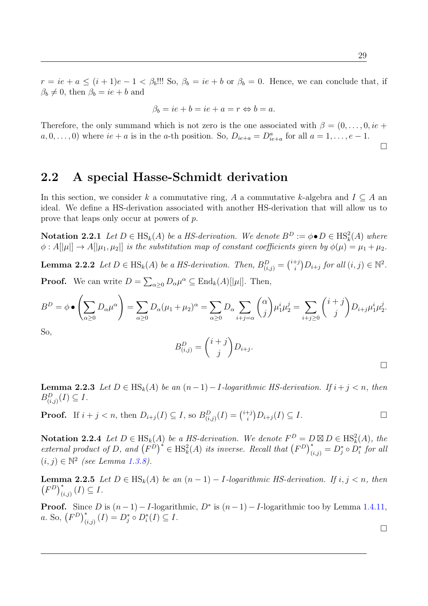$r = ie + a \leq (i + 1)e - 1 < \beta_b$ !!! So,  $\beta_b = ie + b$  or  $\beta_b = 0$ . Hence, we can conclude that, if  $\beta_b \neq 0$ , then  $\beta_b = ie + b$  and

$$
\beta_b = ie + b = ie + a = r \Leftrightarrow b = a.
$$

Therefore, the only summand which is not zero is the one associated with  $\beta = (0, \ldots, 0, ie +$  $a, 0, \ldots, 0$  where  $ie + a$  is in the a-th position. So,  $D_{ie+a} = D_{ie+a}^a$  for all  $a = 1, \ldots, e-1$ .  $\Box$ 

# 2.2 A special Hasse-Schmidt derivation

In this section, we consider k a commutative ring, A a commutative k-algebra and  $I \subseteq A$  and ideal. We define a HS-derivation associated with another HS-derivation that will allow us to prove that leaps only occur at powers of p.

**Notation 2.2.1** Let  $D \in \text{HS}_k(A)$  be a HS-derivation. We denote  $B^D := \phi \bullet D \in \text{HS}_k^2(A)$  where  $\phi: A[|\mu|] \to A[|\mu_1, \mu_2|]$  is the substitution map of constant coefficients given by  $\phi(\mu) = \mu_1 + \mu_2$ .

**Lemma 2.2.2** Let  $D \in \text{HS}_k(A)$  be a HS-derivation. Then,  $B_{(i,j)}^D = \binom{i+j}{i}$  $i^{+j}$  $D_{i+j}$  for all  $(i, j) \in \mathbb{N}^2$ . **Proof.** We can write  $D = \sum_{\alpha \geq 0} D_{\alpha} \mu^{\alpha} \subseteq \text{End}_{k}(A)[|\mu|].$  Then,

$$
B^D = \phi \bullet \left(\sum_{\alpha \ge 0} D_{\alpha} \mu^{\alpha}\right) = \sum_{\alpha \ge 0} D_{\alpha} (\mu_1 + \mu_2)^{\alpha} = \sum_{\alpha \ge 0} D_{\alpha} \sum_{i+j=\alpha} {\alpha \choose j} \mu_1^i \mu_2^j = \sum_{i+j\ge 0} {\binom{i+j}{j}} D_{i+j} \mu_1^i \mu_2^j.
$$
  
So,

So,

$$
B_{(i,j)}^D = \binom{i+j}{j} D_{i+j}.
$$

<span id="page-42-0"></span>**Lemma 2.2.3** Let  $D \in HS_k(A)$  be an  $(n-1) - I$ -logarithmic HS-derivation. If  $i + j < n$ , then  $B^D_{(i,j)}(I) \subseteq I$ .

**Proof.** If 
$$
i + j < n
$$
, then  $D_{i+j}(I) \subseteq I$ , so  $B_{(i,j)}^D(I) = \binom{i+j}{i} D_{i+j}(I) \subseteq I$ .

**Notation 2.2.4** Let  $D \in \text{HS}_k(A)$  be a HS-derivation. We denote  $F^D = D \boxtimes D \in \text{HS}_k^2(A)$ , the external product of D, and  $(F^{\tilde{D}})^* \in \text{HS}_k^2(A)$  its inverse. Recall that  $(F^D)_{(i,j)}^* = D_j^* \circ \tilde{D_i}^*$  for all  $(i, j) \in \mathbb{N}^2$  (see Lemma [1.3.8\)](#page-32-0).

<span id="page-42-1"></span>**Lemma 2.2.5** Let  $D \in HS_k(A)$  be an  $(n-1) - I$ -logarithmic HS-derivation. If  $i, j < n$ , then  $(F^{D})_{(i,j)}^{*}(I) \subseteq I.$ 

<span id="page-42-2"></span>**Proof.** Since D is  $(n-1) - I$ -logarithmic, D<sup>\*</sup> is  $(n-1) - I$ -logarithmic too by Lemma [1.4.11,](#page-33-0) *a*. So,  $(F^{D})_{(i,j)}^{*}(I) = D_{j}^{*} \circ D_{i}^{*}(I) \subseteq I$ .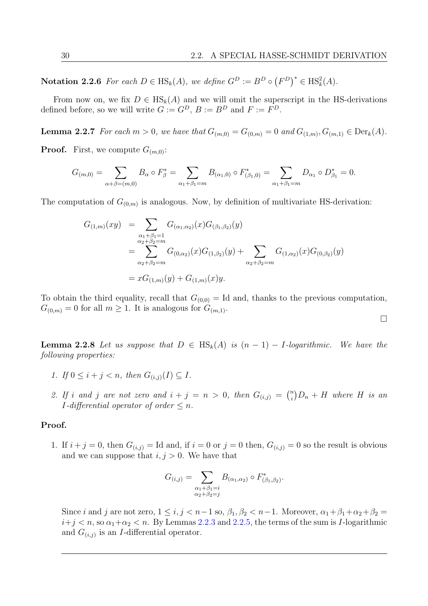$\Box$ 

**Notation 2.2.6** For each  $D \in \text{HS}_k(A)$ , we define  $G^D := B^D \circ (F^D)^* \in \text{HS}_k^2(A)$ .

From now on, we fix  $D \in HS_k(A)$  and we will omit the superscript in the HS-derivations defined before, so we will write  $G := G^D$ ,  $B := B^D$  and  $F := F^D$ .

<span id="page-43-0"></span>**Lemma 2.2.7** For each  $m > 0$ , we have that  $G_{(m,0)} = G_{(0,m)} = 0$  and  $G_{(1,m)}$ ,  $G_{(m,1)} \in \text{Der}_k(A)$ .

**Proof.** First, we compute  $G_{(m,0)}$ :

$$
G_{(m,0)} = \sum_{\alpha+\beta=(m,0)} B_{\alpha} \circ F_{\beta}^{*} = \sum_{\alpha_1+\beta_1=m} B_{(\alpha_1,0)} \circ F_{(\beta_1,0)}^{*} = \sum_{\alpha_1+\beta_1=m} D_{\alpha_1} \circ D_{\beta_1}^{*} = 0.
$$

The computation of  $G_{(0,m)}$  is analogous. Now, by definition of multivariate HS-derivation:

$$
G_{(1,m)}(xy) = \sum_{\substack{\alpha_1 + \beta_1 = 1 \\ \alpha_2 + \beta_2 = m}} G_{(\alpha_1, \alpha_2)}(x) G_{(\beta_1, \beta_2)}(y)
$$
  
= 
$$
\sum_{\alpha_2 + \beta_2 = m} G_{(0, \alpha_2)}(x) G_{(1, \beta_2)}(y) + \sum_{\alpha_2 + \beta_2 = m} G_{(1, \alpha_2)}(x) G_{(0, \beta_2)}(y)
$$
  
= 
$$
x G_{(1,m)}(y) + G_{(1,m)}(x) y.
$$

To obtain the third equality, recall that  $G_{(0,0)} =$  Id and, thanks to the previous computation,  $G_{(0,m)} = 0$  for all  $m \geq 1$ . It is analogous for  $G_{(m,1)}$ .

<span id="page-43-1"></span>**Lemma 2.2.8** Let us suppose that  $D \in HS_k(A)$  is  $(n-1) - I$ -logarithmic. We have the following properties:

- 1. If  $0 \le i + j < n$ , then  $G_{(i,j)}(I) \subseteq I$ .
- 2. If i and j are not zero and  $i + j = n > 0$ , then  $G_{(i,j)} = {n \choose i}$  $\binom{n}{i}D_n + H$  where H is an *I*-differential operator of order  $\leq n$ .

### Proof.

1. If  $i + j = 0$ , then  $G(i,j) = \text{Id}$  and, if  $i = 0$  or  $j = 0$  then,  $G(i,j) = 0$  so the result is obvious and we can suppose that  $i, j > 0$ . We have that

$$
G_{(i,j)} = \sum_{\substack{\alpha_1 + \beta_1 = i \\ \alpha_2 + \beta_2 = j}} B_{(\alpha_1, \alpha_2)} \circ F_{(\beta_1, \beta_2)}^*.
$$

Since i and j are not zero,  $1 \le i, j < n-1$  so,  $\beta_1, \beta_2 < n-1$ . Moreover,  $\alpha_1 + \beta_1 + \alpha_2 + \beta_2 =$  $i+j < n$ , so  $\alpha_1+\alpha_2 < n$ . By Lemmas [2.2.3](#page-42-0) and [2.2.5,](#page-42-1) the terms of the sum is *I*-logarithmic and  $G_{(i,j)}$  is an *I*-differential operator.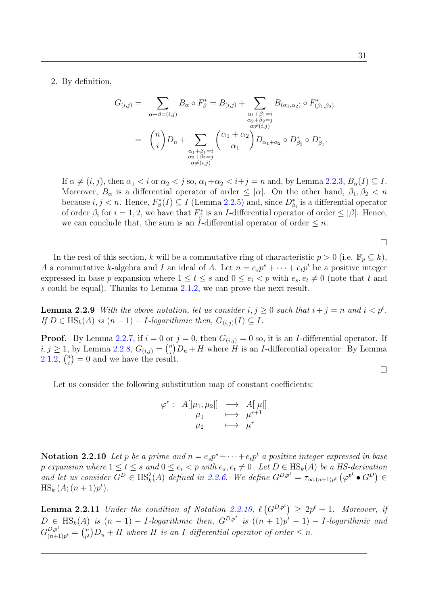2. By definition,

$$
G_{(i,j)} = \sum_{\alpha+\beta=(i,j)} B_{\alpha} \circ F_{\beta}^{*} = B_{(i,j)} + \sum_{\substack{\alpha_1+\beta_1=i \ \alpha_2+\beta_2=j \ \alpha \neq (i,j)}} B_{(\alpha_1,\alpha_2)} \circ F_{(\beta_1,\beta_2)}^{*}
$$

$$
= \binom{n}{i} D_n + \sum_{\substack{\alpha_1+\beta_1=i \ \alpha_2+\beta_2=j \ \alpha \neq (i,j)}} \binom{\alpha_1+\alpha_2}{\alpha_1} D_{\alpha_1+\alpha_2} \circ D_{\beta_2}^{*} \circ D_{\beta_1}^{*}.
$$

If  $\alpha \neq (i, j)$ , then  $\alpha_1 < i$  or  $\alpha_2 < j$  so,  $\alpha_1 + \alpha_2 < i + j = n$  and, by Lemma [2.2.3,](#page-42-0)  $B_\alpha(I) \subseteq I$ . Moreover,  $B_{\alpha}$  is a differential operator of order  $\leq |\alpha|$ . On the other hand,  $\beta_1, \beta_2 < n$ because  $i, j < n$ . Hence,  $F^*_{\beta}(I) \subseteq I$  (Lemma [2.2.5\)](#page-42-1) and, since  $D^*_{\beta_i}$  is a differential operator of order  $\beta_i$  for  $i = 1, 2$ , we have that  $F^*_{\beta}$  is an *I*-differential operator of order  $\leq |\beta|$ . Hence, we can conclude that, the sum is an I-differential operator of order  $\leq n$ .

 $\Box$ 

 $\Box$ 

In the rest of this section, k will be a commutative ring of characteristic  $p > 0$  (i.e.  $\mathbb{F}_p \subseteq k$ ), A a commutative k-algebra and I an ideal of A. Let  $n = e_s p^s + \cdots + e_t p^t$  be a positive integer expressed in base p expansion where  $1 \leq t \leq s$  and  $0 \leq e_i < p$  with  $e_s, e_t \neq 0$  (note that t and s could be equal). Thanks to Lemma [2.1.2,](#page-37-0) we can prove the next result.

<span id="page-44-1"></span>**Lemma 2.2.9** With the above notation, let us consider  $i, j \ge 0$  such that  $i + j = n$  and  $i < p<sup>t</sup>$ . If  $D \in \text{HS}_k(A)$  is  $(n-1) - I$ -logarithmic then,  $G_{(i,j)}(I) \subseteq I$ .

**Proof.** By Lemma [2.2.7,](#page-43-0) if  $i = 0$  or  $j = 0$ , then  $G_{(i,j)} = 0$  so, it is an *I*-differential operator. If  $i, j \geq 1$ , by Lemma [2.2.8,](#page-43-1)  $G_{(i,j)} = {n \choose i}$  $\binom{n}{i}$  $D_n + H$  where H is an I-differential operator. By Lemma  $2.1.2, \binom{n}{i}$  $2.1.2, \binom{n}{i}$  $\binom{n}{i} = 0$  and we have the result.

Let us consider the following substitution map of constant coefficients:

$$
\varphi^r: A[|\mu_1, \mu_2|] \longrightarrow A[|\mu|] \n\mu_1 \longmapsto \mu^{r+1} \n\mu_2 \longmapsto \mu^r
$$

<span id="page-44-0"></span>**Notation 2.2.10** Let p be a prime and  $n = e_s p^s + \cdots + e_t p^t$  a positive integer expressed in base p expansion where  $1 \leq t \leq s$  and  $0 \leq e_i < p$  with  $e_s, e_t \neq 0$ . Let  $D \in \text{HS}_k(A)$  be a HS-derivation and let us consider  $G^D \in \text{HS}_k^2(A)$  defined in [2.2.6.](#page-42-2) We define  $G^{D,p^t} = \tau_{\infty,(n+1)p^t} (\varphi^{p^t} \bullet G^D) \in$  $\text{HS}_k(A; (n+1)p^t).$ 

<span id="page-44-2"></span>**Lemma 2.2.11** Under the condition of Notation [2.2.10,](#page-44-0)  $\ell(G^{D,p^t}) \ge 2p^t + 1$ . Moreover, if  $D \in \text{HS}_k(A)$  is  $(n-1) - I$ -logarithmic then,  $G^{D,p^t}$  is  $((n+1)p^t - 1) - I$ -logarithmic and  $G_{(n+1)}^{D,p^t}$  $\frac{D,p^t}{(n+1)p^t} = \binom{n}{p^t}$  $\binom{n}{p^t}D_n + H$  where H is an I-differential operator of order  $\leq n$ .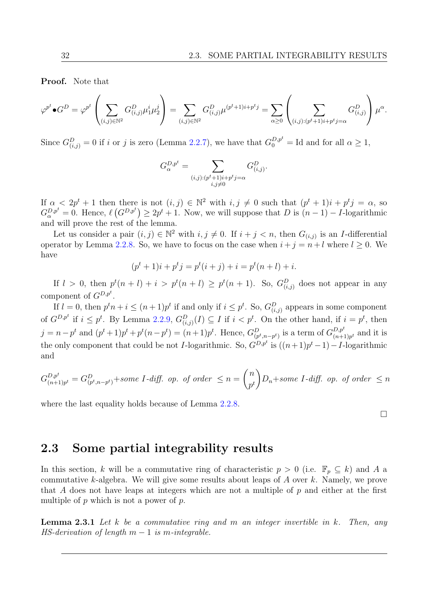Proof. Note that

$$
\varphi^{p^t} \bullet G^D = \varphi^{p^t} \left( \sum_{(i,j) \in \mathbb{N}^2} G^D_{(i,j)} \mu_1^i \mu_2^j \right) = \sum_{(i,j) \in \mathbb{N}^2} G^D_{(i,j)} \mu^{(p^t+1)i+p^t j} = \sum_{\alpha \ge 0} \left( \sum_{(i,j) : (p^t+1)i+p^t j = \alpha} G^D_{(i,j)} \right) \mu^{\alpha}.
$$

Since  $G_{(i,j)}^D = 0$  if i or j is zero (Lemma [2.2.7\)](#page-43-0), we have that  $G_0^{D,p^t} = \text{Id}$  and for all  $\alpha \geq 1$ ,

$$
G_{\alpha}^{D,p^t} = \sum_{\substack{(i,j):(p^t+1)i+p^tj=\alpha\\i,j\neq 0}} G_{(i,j)}^D.
$$

If  $\alpha < 2p^t + 1$  then there is not  $(i, j) \in \mathbb{N}^2$  with  $i, j \neq 0$  such that  $(p^t + 1)i + p^t j = \alpha$ , so  $G_{\alpha}^{D,p^t} = 0$ . Hence,  $\ell(G^{D,p^t}) \ge 2p^t + 1$ . Now, we will suppose that D is  $(n-1) - I$ -logarithmic and will prove the rest of the lemma.

Let us consider a pair  $(i, j) \in \mathbb{N}^2$  with  $i, j \neq 0$ . If  $i + j < n$ , then  $G_{(i,j)}$  is an *I*-differential operator by Lemma [2.2.8.](#page-43-1) So, we have to focus on the case when  $i + j = n + l$  where  $l \geq 0$ . We have

$$
(pt + 1)i + ptj = pt(i + j) + i = pt(n + l) + i.
$$

If  $l > 0$ , then  $p^t(n+l) + i > p^t(n+l) \geq p^t(n+1)$ . So,  $G_{(i,j)}^D$  does not appear in any component of  $G^{D,p^t}$ .

If  $l = 0$ , then  $p^t n + i \leq (n+1)p^t$  if and only if  $i \leq p^t$ . So,  $G_{(i,j)}^D$  appears in some component of  $G^{D,p^t}$  if  $i \leq p^t$ . By Lemma [2.2.9,](#page-44-1)  $G_{(i,j)}^D(I) \subseteq I$  if  $i < p^t$ . On the other hand, if  $i = p^t$ , then  $j = n - p^t$  and  $(p^t + 1)p^t + p^t(n - p^t) = (n + 1)p^t$ . Hence,  $G_{(p^t, n-p^t)}^D$  is a term of  $G_{(n+1)}^{D, p^t}$  $\binom{D,p^c}{(n+1)p^t}$  and it is the only component that could be not *I*-logarithmic. So,  $G^{D,p^t}$  is  $((n+1)p^t - 1) - I$ -logarithmic and

$$
G_{(n+1)p^t}^{D,p^t} = G_{(p^t, n-p^t)}^{D} + some I \cdot diff. \text{ op. of order } \le n = \binom{n}{p^t} D_n + some I \cdot diff. \text{ op. of order } \le n
$$

where the last equality holds because of Lemma [2.2.8.](#page-43-1)

 $\Box$ 

# 2.3 Some partial integrability results

In this section, k will be a commutative ring of characteristic  $p > 0$  (i.e.  $\mathbb{F}_p \subseteq k$ ) and A a commutative k-algebra. We will give some results about leaps of  $A$  over  $k$ . Namely, we prove that A does not have leaps at integers which are not a multiple of  $p$  and either at the first multiple of  $p$  which is not a power of  $p$ .

<span id="page-45-0"></span>**Lemma 2.3.1** Let k be a commutative ring and m an integer invertible in k. Then, any HS-derivation of length  $m-1$  is m-integrable.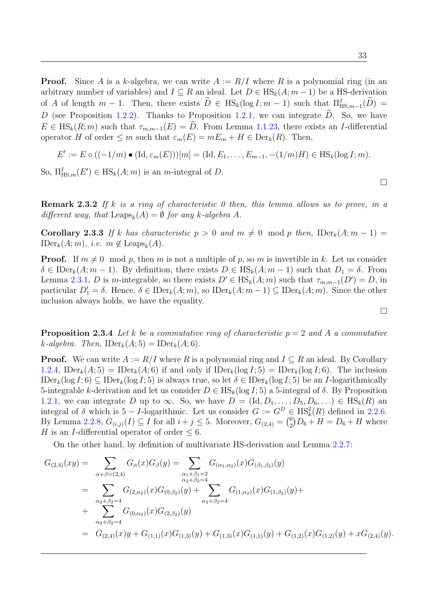**Proof.** Since A is a k-algebra, we can write  $A := R/I$  where R is a polynomial ring (in an arbitrary number of variables) and  $I \subseteq R$  an ideal. Let  $D \in HS_k(A; m-1)$  be a HS-derivation of A of length  $m-1$ . Then, there exists  $\tilde{D} \in HS_k(\log I; m-1)$  such that  $\Pi_{\text{HS},m-1}^{I}(\tilde{D}) =$ D (see Proposition [1.2.2\)](#page-24-0). Thanks to Proposition [1.2.1,](#page-23-0) we can integrate  $\tilde{D}$ . So, we have  $E \in HS_k(R; m)$  such that  $\tau_{m,m-1}(E) = \tilde{D}$ . From Lemma [1.1.23,](#page-20-0) there exists an I-differential operator H of order  $\leq m$  such that  $\varepsilon_m(E) = mE_m + H \in \text{Der}_k(R)$ . Then,

$$
E' := E \circ ((-1/m) \bullet (\mathrm{Id}, \varepsilon_m(E)))[m] = (\mathrm{Id}, E_1, \dots, E_{m-1}, -(1/m)H) \in \mathrm{HS}_k(\log I; m).
$$

So,  $\Pi_{\text{HS},m}^I(E') \in \text{HS}_k(A;m)$  is an *m*-integral of *D*.

**Remark 2.3.2** If k is a ring of characteristic 0 then, this lemma allows us to prove, in a different way, that  $\text{Leaps}_k(A) = \emptyset$  for any k-algebra A.

<span id="page-46-0"></span>Corollary 2.3.3 If k has characteristic  $p > 0$  and  $m \neq 0 \mod p$  then,  $\text{IDer}_k(A; m-1) =$  $\text{IDer}_k(A; m)$ , *i.e.*  $m \notin \text{Leaps}_k(A)$ .

**Proof.** If  $m \neq 0 \mod p$ , then m is not a multiple of p, so m is invertible in k. Let us consider  $\delta \in \mathrm{IDer}_k(A; m-1)$ . By definition, there exists  $D \in \mathrm{HS}_k(A; m-1)$  such that  $D_1 = \delta$ . From Lemma [2.3.1,](#page-45-0) D is m-integrable, so there exists  $D' \in HS_k(A; m)$  such that  $\tau_{m,m-1}(D') = D$ , in particular  $D'_1 = \delta$ . Hence,  $\delta \in \text{IDer}_k(A; m)$ , so  $\text{IDer}_k(A; m-1) \subseteq \text{IDer}_k(A; m)$ . Since the other inclusion always holds, we have the equality.

<span id="page-46-1"></span>**Proposition 2.3.4** Let k be a commutative ring of characteristic  $p = 2$  and A a commutative k-algebra. Then,  $\text{IDer}_k(A; 5) = \text{IDer}_k(A; 6)$ .

**Proof.** We can write  $A := R/I$  where R is a polynomial ring and  $I \subseteq R$  an ideal. By Corollary [1.2.4,](#page-24-1)  $\text{IDer}_k(A; 5) = \text{IDer}_k(A; 6)$  if and only if  $\text{IDer}_k(\log I; 5) = \text{IDer}_k(\log I; 6)$ . The inclusion  $\text{IDer}_k(\log I; 6) \subseteq \text{IDer}_k(\log I; 5)$  is always true, so let  $\delta \in \text{IDer}_k(\log I; 5)$  be an *I*-logarithmically 5-integrable k-derivation and let us consider  $D \in HS_k(\log I; 5)$  a 5-integral of  $\delta$ . By Proposition [1.2.1,](#page-23-0) we can integrate D up to  $\infty$ . So, we have  $D = (\text{Id}, D_1, \ldots, D_5, D_6, \ldots) \in \text{HS}_k(R)$  and integral of  $\delta$  which is 5 – *I*-logarithmic. Let us consider  $G := G^D \in \text{HS}_k^2(R)$  defined in [2.2.6.](#page-42-2) By Lemma [2.2.8,](#page-43-1)  $G_{(i,j)}(I) \subseteq I$  for all  $i + j \leq 5$ . Moreover,  $G_{(2,4)} = \binom{6}{2}$  $^{6}_{2}$ ) $D_{6} + H = D_{6} + H$  where H is an I-differential operator of order  $\leq 6$ .

On the other hand, by definition of multivariate HS-derivation and Lemma [2.2.7:](#page-43-0)

$$
G_{(2,4)}(xy) = \sum_{\alpha+\beta=(2,4)} G_{\alpha}(x)G_{\beta}(y) = \sum_{\substack{\alpha_1+\beta_1=2\\ \alpha_2+\beta_2=4}} G_{(\alpha_1,\alpha_2)}(x)G_{(\beta_1,\beta_2)}(y)
$$
  
\n
$$
= \sum_{\substack{\alpha_2+\beta_2=4\\ \alpha_2+\beta_2=4}} G_{(2,\alpha_2)}(x)G_{(0,\beta_2)}(y) + \sum_{\substack{\alpha_2+\beta_2=4\\ \alpha_2+\beta_2=4}} G_{(1,\alpha_2)}(x)G_{(1,\beta_2)}(y) + \sum_{\substack{\alpha_2+\beta_2=4\\ \alpha_2+\beta_2=4}} G_{(0,\alpha_2)}(x)G_{(2,\beta_2)}(y)
$$
  
\n
$$
= G_{(2,4)}(x)y + G_{(1,1)}(x)G_{(1,3)}(y) + G_{(1,3)}(x)G_{(1,1)}(y) + G_{(1,2)}(x)G_{(1,2)}(y) + xG_{(2,4)}(y).
$$

 $\Box$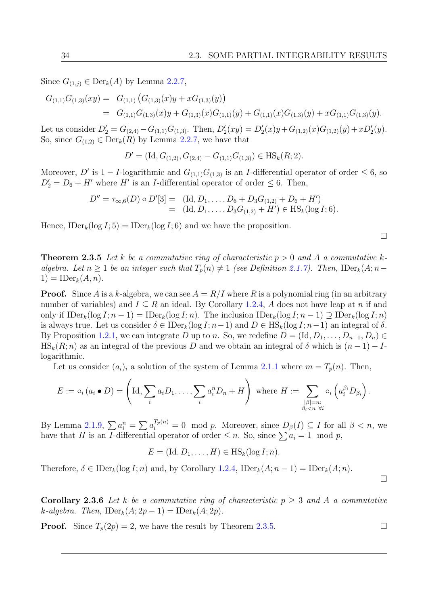Since  $G_{(1,j)} \in \text{Der}_k(A)$  by Lemma [2.2.7,](#page-43-0)

$$
G_{(1,1)}G_{(1,3)}(xy) = G_{(1,1)}(G_{(1,3)}(x)y + xG_{(1,3)}(y))
$$
  
= 
$$
G_{(1,1)}G_{(1,3)}(x)y + G_{(1,3)}(x)G_{(1,1)}(y) + G_{(1,1)}(x)G_{(1,3)}(y) + xG_{(1,1)}G_{(1,3)}(y).
$$

Let us consider  $D'_2 = G_{(2,4)} - G_{(1,1)}G_{(1,3)}$ . Then,  $D'_2(xy) = D'_2(x)y + G_{(1,2)}(x)G_{(1,2)}(y) + xD'_2(y)$ . So, since  $G_{(1,2)} \in \text{Der}_k(R)$  by Lemma [2.2.7,](#page-43-0) we have that

$$
D' = (\text{Id}, G_{(1,2)}, G_{(2,4)} - G_{(1,1)}G_{(1,3)}) \in \text{HS}_k(R; 2).
$$

Moreover, D' is  $1 - I$ -logarithmic and  $G_{(1,1)}G_{(1,3)}$  is an I-differential operator of order  $\leq 6$ , so  $D_2' = D_6 + H'$  where H' is an I-differential operator of order  $\leq 6$ . Then,

$$
D'' = \tau_{\infty,6}(D) \circ D'[3] = (Id, D_1, \dots, D_6 + D_3G_{(1,2)} + D_6 + H')
$$
  
= (Id, D\_1, \dots, D\_3G\_{(1,2)} + H') \in HS\_k(log I; 6).

Hence,  $\text{IDer}_k(\log I; 5) = \text{IDer}_k(\log I; 6)$  and we have the proposition.

 $\Box$ 

<span id="page-47-0"></span>**Theorem 2.3.5** Let k be a commutative ring of characteristic  $p > 0$  and A a commutative kalgebra. Let  $n \geq 1$  be an integer such that  $T_p(n) \neq 1$  (see Definition [2.1.7\)](#page-38-2). Then, IDer<sub>k</sub>(A; n –  $1) = \text{IDer}_k(A, n).$ 

**Proof.** Since A is a k-algebra, we can see  $A = R/I$  where R is a polynomial ring (in an arbitrary number of variables) and  $I \subseteq R$  an ideal. By Corollary [1.2.4,](#page-24-1) A does not have leap at n if and only if  $\text{IDer}_k(\log I; n-1) = \text{IDer}_k(\log I; n)$ . The inclusion  $\text{IDer}_k(\log I; n-1) \supseteq \text{IDer}_k(\log I; n)$ is always true. Let us consider  $\delta \in \mathrm{IDer}_k(\log I; n-1)$  and  $D \in \mathrm{HS}_k(\log I; n-1)$  an integral of  $\delta$ . By Proposition [1.2.1,](#page-23-0) we can integrate D up to n. So, we redefine  $D = (\text{Id}, D_1, \ldots, D_{n-1}, D_n) \in$  $\text{HS}_k(R; n)$  as an integral of the previous D and we obtain an integral of  $\delta$  which is  $(n-1) - I$ logarithmic.

Let us consider  $(a_i)_i$  a solution of the system of Lemma [2.1.1](#page-36-0) where  $m = T_p(n)$ . Then,

$$
E := \circ_i (a_i \bullet D) = \left( \text{Id}, \sum_i a_i D_1, \dots, \sum_i a_i^n D_n + H \right) \text{ where } H := \sum_{\substack{|\beta|=n:\\ \beta_i < n \ \forall i}} \circ_i \left( a_i^{\beta_i} D_{\beta_i} \right).
$$

By Lemma [2.1.9,](#page-38-3)  $\sum a_i^n = \sum a_i^{T_p(n)} = 0 \mod p$ . Moreover, since  $D_\beta(I) \subseteq I$  for all  $\beta < n$ , we have that H is an I-differential operator of order  $\leq n$ . So, since  $\sum a_i = 1 \mod p$ ,

$$
E = (\mathrm{Id}, D_1, \ldots, H) \in \mathrm{HS}_k(\log I; n).
$$

Therefore,  $\delta \in \mathrm{IDer}_k(\log I; n)$  and, by Corollary [1.2.4,](#page-24-1)  $\mathrm{IDer}_k(A; n-1) = \mathrm{IDer}_k(A; n)$ .

<span id="page-47-1"></span>**Corollary 2.3.6** Let k be a commutative ring of characteristic  $p > 3$  and A a commutative k-algebra. Then,  $\text{IDer}_k(A; 2p-1) = \text{IDer}_k(A; 2p)$ .

**Proof.** Since  $T_p(2p) = 2$ , we have the result by Theorem [2.3.5.](#page-47-0)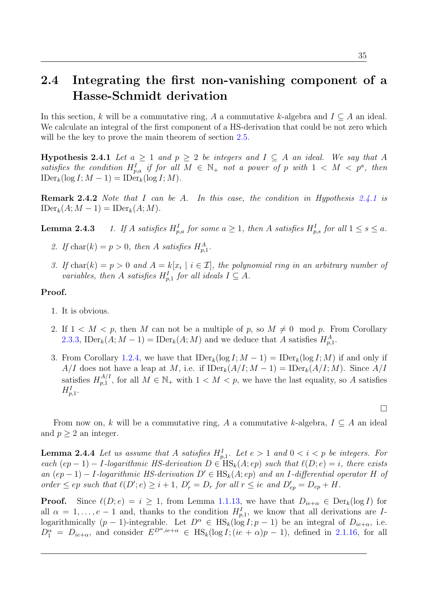# 2.4 Integrating the first non-vanishing component of a Hasse-Schmidt derivation

In this section, k will be a commutative ring, A a commutative k-algebra and  $I \subseteq A$  an ideal. We calculate an integral of the first component of a HS-derivation that could be not zero which will be the key to prove the main theorem of section [2.5.](#page-53-0)

<span id="page-48-0"></span>**Hypothesis 2.4.1** Let  $a \geq 1$  and  $p \geq 2$  be integers and  $I \subseteq A$  an ideal. We say that A satisfies the condition  $H_{p,a}^I$  if for all  $M \in \mathbb{N}_+$  not a power of p with  $1 \lt M \lt p^a$ , then  $\text{IDer}_k(\log I; M - 1) = \text{IDer}_k(\log I; M).$ 

Remark 2.4.2 Note that I can be A. In this case, the condition in Hypothesis [2.4.1](#page-48-0) is  $\text{IDer}_k(A; M-1) = \text{IDer}_k(A; M).$ 

**Lemma 2.4.3** 1. If A satisfies  $H_{p,a}^I$  for some  $a \geq 1$ , then A satisfies  $H_{p,s}^I$  for all  $1 \leq s \leq a$ .

- 2. If  $char(k) = p > 0$ , then A satisfies  $H_{p,1}^A$ .
- 3. If  $char(k) = p > 0$  and  $A = k[x_i \mid i \in \mathcal{I}]$ , the polynomial ring in an arbitrary number of variables, then A satisfies  $H_{p,1}^I$  for all ideals  $I \subseteq A$ .

### Proof.

- 1. It is obvious.
- 2. If  $1 < M < p$ , then M can not be a multiple of p, so  $M \neq 0 \mod p$ . From Corollary [2.3.3,](#page-46-0) IDer<sub>k</sub> $(A; M - 1) = \text{IDer}_k(A; M)$  and we deduce that A satisfies  $H_{p,1}^A$ .
- 3. From Corollary [1.2.4,](#page-24-1) we have that  $\text{IDer}_k(\log I; M 1) = \text{IDer}_k(\log I; M)$  if and only if A/I does not have a leap at M, i.e. if  $\text{IDer}_k(A/I; M - 1) = \text{IDer}_k(A/I; M)$ . Since  $A/I$ satisfies  $H_{n,1}^{A/I}$  $p_{p,1}^{A/I}$ , for all  $M \in \mathbb{N}_+$  with  $1 \lt M \lt p$ , we have the last equality, so A satisfies  $H_{p,1}^I$ .

From now on, k will be a commutative ring, A a commutative k-algebra,  $I \subseteq A$  an ideal and  $p \geq 2$  an integer.

<span id="page-48-1"></span>**Lemma 2.4.4** Let us assume that A satisfies  $H_{p,1}^I$ . Let  $e > 1$  and  $0 < i < p$  be integers. For each  $(ep - 1) - I$ -logarithmic HS-derivation  $D \in HS_k(A; ep)$  such that  $\ell(D; e) = i$ , there exists an  $(ep-1) - I$ -logarithmic HS-derivation  $D' \in HS_k(A; ep)$  and an I-differential operator H of order  $\leq ep$  such that  $\ell(D';e) \geq i + 1$ ,  $D'_r = D_r$  for all  $r \leq ie$  and  $D'_{ep} = D_{ep} + H$ .

**Proof.** Since  $\ell(D; e) = i \geq 1$ , from Lemma [1.1.13,](#page-17-2) we have that  $D_{ie+\alpha} \in \text{Der}_k(\log I)$  for all  $\alpha = 1, \ldots, e-1$  and, thanks to the condition  $H_{p,1}^I$ , we know that all derivations are Ilogarithmically  $(p-1)$ -integrable. Let  $D^{\alpha} \in HS_k(\log I; p-1)$  be an integral of  $D_{ie+\alpha}$ , i.e.  $D_1^{\alpha} = D_{ie+\alpha}$ , and consider  $E^{D^{\alpha},ie+\alpha} \in HS_k(\log I; (ie+\alpha)p-1)$ , defined in [2.1.16,](#page-40-1) for all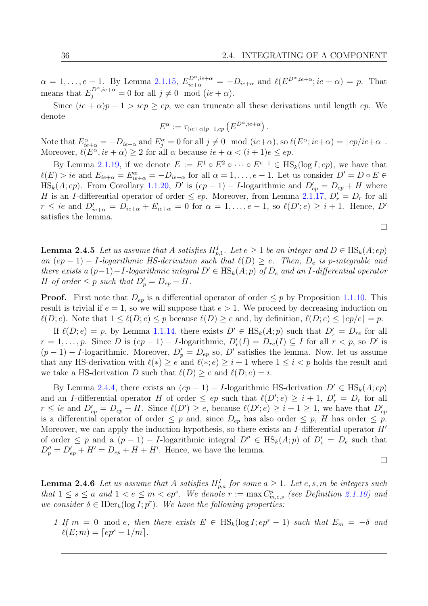$\alpha = 1, \ldots, e-1$ . By Lemma [2.1.15,](#page-40-0)  $E_{ie+\alpha}^{D^{\alpha}, ie+\alpha} = -D_{ie+\alpha}$  and  $\ell(E^{D^{\alpha}, ie+\alpha}; ie+\alpha) = p$ . That means that  $E_j^{D^{\alpha},ie+\alpha} = 0$  for all  $j \neq 0 \mod (ie + \alpha)$ .

Since  $(ie + \alpha)p - 1 > iep \ge ep$ , we can truncate all these derivations until length ep. We denote

$$
E^{\alpha} := \tau_{(ie+\alpha)p-1,ep} \left( E^{D^{\alpha},ie+\alpha} \right).
$$

Note that  $E_{ie+\alpha}^{\alpha} = -D_{ie+\alpha}$  and  $E_j^{\alpha} = 0$  for all  $j \neq 0 \mod (ie+\alpha)$ , so  $\ell(E^{\alpha}; ie+\alpha) = \lceil ep/ie+\alpha \rceil$ . Moreover,  $\ell(E^{\alpha}, ie + \alpha) \ge 2$  for all  $\alpha$  because  $ie + \alpha < (i + 1)e \le ep$ .

By Lemma [2.1.19,](#page-41-1) if we denote  $E := E^1 \circ E^2 \circ \cdots \circ E^{e-1} \in \text{HS}_k(\log I; ep)$ , we have that  $\ell(E) > ie$  and  $E_{ie+\alpha} = E_{ie+\alpha}^{\alpha} = -D_{ie+\alpha}$  for all  $\alpha = 1, \ldots, e-1$ . Let us consider  $D' = D \circ E \in$  $\text{HS}_k(A; ep)$ . From Corollary [1.1.20,](#page-19-0) D' is  $(ep-1) - I$ -logarithmic and  $D'_{ep} = D_{ep} + H$  where H is an I-differential operator of order  $\le ep$ . Moreover, from Lemma [2.1.17,](#page-40-2)  $D'_r = D_r$  for all  $r \leq ie$  and  $D'_{ie+\alpha} = D_{ie+\alpha} + E_{ie+\alpha} = 0$  for  $\alpha = 1, \ldots, e-1$ , so  $\ell(D';e) \geq i+1$ . Hence,  $D'$ satisfies the lemma.

$$
\Box
$$

<span id="page-49-1"></span>**Lemma 2.4.5** Let us assume that A satisfies  $H_{p,1}^I$ . Let  $e \geq 1$  be an integer and  $D \in \text{HS}_k(A; ep)$ an  $(ep - 1) - I$ -logarithmic HS-derivation such that  $\ell(D) \geq e$ . Then,  $D_e$  is p-integrable and there exists a  $(p-1)-I$ -logarithmic integral  $D' \in HS_k(A; p)$  of  $D_e$  and an I-differential operator H of order  $\leq p$  such that  $D'_p = D_{ep} + H$ .

**Proof.** First note that  $D_{ep}$  is a differential operator of order  $\leq p$  by Proposition [1.1.10.](#page-17-3) This result is trivial if  $e = 1$ , so we will suppose that  $e > 1$ . We proceed by decreasing induction on  $\ell(D; e)$ . Note that  $1 \leq \ell(D; e) \leq p$  because  $\ell(D) \geq e$  and, by definition,  $\ell(D; e) \leq [ep/e] = p$ .

If  $\ell(D; e) = p$ , by Lemma [1.1.14,](#page-18-0) there exists  $D' \in HS_k(A; p)$  such that  $D'_r = D_{re}$  for all  $r = 1, \ldots, p$ . Since D is  $(ep - 1) - I$ -logarithmic,  $D'_r(I) = D_{re}(I) \subseteq I$  for all  $r < p$ , so D' is  $(p-1) - I$ -logarithmic. Moreover,  $D'_p = D_{ep}$  so, D' satisfies the lemma. Now, let us assume that any HS-derivation with  $\ell(*) \ge e$  and  $\ell(*; e) \ge i + 1$  where  $1 \le i < p$  holds the result and we take a HS-derivation D such that  $\ell(D) \geq e$  and  $\ell(D; e) = i$ .

By Lemma [2.4.4,](#page-48-1) there exists an  $(ep - 1) - I$ -logarithmic HS-derivation  $D' \in HS_k(A; ep)$ and an *I*-differential operator H of order  $\le ep$  such that  $\ell(D'; e) \ge i + 1$ ,  $D'_r = D_r$  for all  $r \leq ie$  and  $D'_{ep} = D_{ep} + H$ . Since  $\ell(D') \geq e$ , because  $\ell(D'; e) \geq i+1 \geq 1$ , we have that  $D'_{ep}$ is a differential operator of order  $\leq p$  and, since  $D_{ep}$  has also order  $\leq p$ , H has order  $\leq p$ . Moreover, we can apply the induction hypothesis, so there exists an  $I$ -differential operator  $H'$ of order  $\leq p$  and a  $(p-1) - I$ -logarithmic integral  $D'' \in HS_k(A; p)$  of  $D'_e = D_e$  such that  $D_p'' = D_{ep}' + H' = D_{ep} + H + H'$ . Hence, we have the lemma.

$$
\Box
$$

<span id="page-49-0"></span>**Lemma 2.4.6** Let us assume that A satisfies  $H_{p,a}^I$  for some  $a \geq 1$ . Let e, s, m be integers such that  $1 \leq s \leq a$  and  $1 < e \leq m < ep^s$ . We denote  $r := \max C_{m,e,s}^p$  (see Definition [2.1.10\)](#page-38-4) and we consider  $\delta \in \mathrm{IDer}_k(\log I; p^r)$ . We have the following properties:

1 If  $m = 0 \mod e$ , then there exists  $E \in HS_k(\log I; ep^s - 1)$  such that  $E_m = -\delta$  and  $\ell(E; m) = \lceil ep^s - 1/m \rceil.$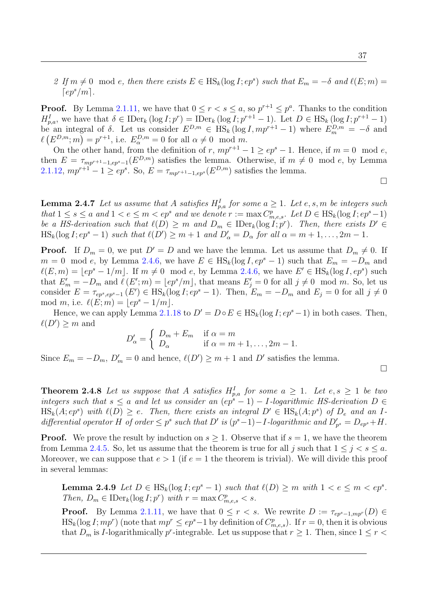2 If  $m \neq 0 \mod e$ , then there exists  $E \in HS_k(\log I; ep^s)$  such that  $E_m = -\delta$  and  $\ell(E; m) =$  $[ep^s/m]$ .

**Proof.** By Lemma [2.1.11,](#page-38-1) we have that  $0 \le r < s \le a$ , so  $p^{r+1} \le p^a$ . Thanks to the condition  $H_{p,a}^I$ , we have that  $\delta \in \text{IDer}_k(\log I; p^r) = \text{IDer}_k(\log I; p^{r+1} - 1)$ . Let  $D \in \text{HS}_k(\log I; p^{r+1} - 1)$ be an integral of  $\delta$ . Let us consider  $E^{D,m} \in \text{HS}_k(\log I, mp^{r+1} - 1)$  where  $E_m^{D,m} = -\delta$  and  $\ell(E^{D,m}; m) = p^{r+1}$ , i.e.  $E^{D,m}_{\alpha} = 0$  for all  $\alpha \neq 0 \mod m$ .

On the other hand, from the definition of r,  $mp^{r+1} - 1 \ge ep^s - 1$ . Hence, if  $m = 0 \mod e$ , then  $E = \tau_{mp^{r+1}-1, ep^s-1}(E^{D,m})$  satisfies the lemma. Otherwise, if  $m \neq 0 \mod e$ , by Lemma [2.1.12,](#page-39-0)  $mp^{r+1} - 1 \ge ep^s$ . So,  $E = \tau_{mp^{r+1}-1, ep^s}(E^{D,m})$  satisfies the lemma.

<span id="page-50-1"></span>**Lemma 2.4.7** Let us assume that A satisfies  $H_{p,a}^I$  for some  $a \geq 1$ . Let e, s, m be integers such that  $1 \leq s \leq a$  and  $1 < e \leq m < ep^s$  and we denote  $r := \max C_{m,e,s}^p$ . Let  $D \in \text{HS}_k(\log I; ep^s-1)$ be a HS-derivation such that  $\ell(D) \geq m$  and  $D_m \in \mathrm{IDer}_k(\log I; p^r)$ . Then, there exists  $D' \in$  $\text{HS}_k(\log I; e p^s - 1)$  such that  $\ell(D') \ge m + 1$  and  $D'_\alpha = D_\alpha$  for all  $\alpha = m + 1, \ldots, 2m - 1$ .

**Proof.** If  $D_m = 0$ , we put  $D' = D$  and we have the lemma. Let us assume that  $D_m \neq 0$ . If  $m = 0 \mod e$ , by Lemma [2.4.6,](#page-49-0) we have  $E \in HS_k(\log I, ep^s - 1)$  such that  $E_m = -D_m$  and  $\ell(E, m) = \lfloor ep^s - 1/m \rfloor$ . If  $m \neq 0 \mod e$ , by Lemma [2.4.6,](#page-49-0) we have  $E' \in \text{HS}_k(\log I, ep^s)$  such that  $E'_m = -D_m$  and  $\ell(E';m) = \lfloor ep^s/m \rfloor$ , that means  $E'_j = 0$  for all  $j \neq 0 \mod m$ . So, let us consider  $E = \tau_{ep^s, ep^s-1}(E') \in \text{HS}_k(\log I; ep^s-1)$ . Then,  $E_m = -D_m$  and  $E_j = 0$  for all  $j \neq 0$ mod m, i.e.  $\ell(E; m) = |ep^s - 1/m|$ .

Hence, we can apply Lemma [2.1.18](#page-40-3) to  $D' = D \circ E \in HS_k(\log I; ep^s - 1)$  in both cases. Then,  $\ell(D') \geq m$  and

$$
D'_{\alpha} = \begin{cases} D_m + E_m & \text{if } \alpha = m \\ D_{\alpha} & \text{if } \alpha = m + 1, \dots, 2m - 1. \end{cases}
$$

Since  $E_m = -D_m$ ,  $D'_m = 0$  and hence,  $\ell(D') \geq m+1$  and  $D'$  satisfies the lemma.

<span id="page-50-2"></span>**Theorem 2.4.8** Let us suppose that A satisfies  $H_{p,a}^I$  for some  $a \geq 1$ . Let  $e, s \geq 1$  be two integers such that  $s \le a$  and let us consider an  $(ep^s - 1) - I$ -logarithmic HS-derivation  $D \in$  $\text{HS}_k(A; e p^s)$  with  $\ell(D) \geq e$ . Then, there exists an integral  $D' \in \text{HS}_k(A; p^s)$  of  $D_e$  and an Idifferential operator H of order  $\leq p^s$  such that D' is  $(p^s-1) - I$ -logarithmic and  $D'_{p^s} = D_{ep^s} + H$ .

**Proof.** We prove the result by induction on  $s \geq 1$ . Observe that if  $s = 1$ , we have the theorem from Lemma [2.4.5.](#page-49-1) So, let us assume that the theorem is true for all j such that  $1 \leq j < s \leq a$ . Moreover, we can suppose that  $e > 1$  (if  $e = 1$  the theorem is trivial). We will divide this proof in several lemmas:

<span id="page-50-0"></span>**Lemma 2.4.9** Let  $D \in \text{HS}_k(\log I; ep^s - 1)$  such that  $\ell(D) \geq m$  with  $1 < e \leq m < ep^s$ . Then,  $D_m \in \text{IDer}_k(\log I; p^r)$  with  $r = \max C^p_{m,e,s} < s$ .

**Proof.** By Lemma [2.1.11,](#page-38-1) we have that  $0 \leq r < s$ . We rewrite  $D := \tau_{ep^s-1,mp^r}(D) \in$  $\text{HS}_k(\log I; mp^r)$  (note that  $mp^r \le ep^s-1$  by definition of  $C_{m,e,s}^p$ ). If  $r = 0$ , then it is obvious that  $D_m$  is *I*-logarithmically  $p^r$ -integrable. Let us suppose that  $r \geq 1$ . Then, since  $1 \leq r <$ 

 $\Box$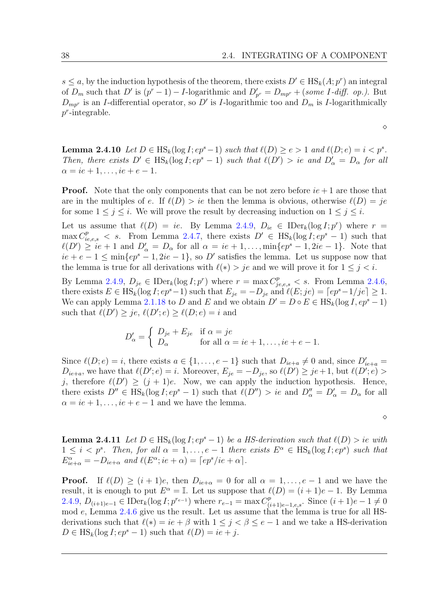$s \le a$ , by the induction hypothesis of the theorem, there exists  $D' \in HS_k(A; p^r)$  an integral of  $D_m$  such that  $D'$  is  $(p^r - 1) - I$ -logarithmic and  $D'_{p^r} = D_{mp^r} + (some I \text{-}diff \text{-} op \text{-}).$  But  $D_{mp^r}$  is an *I*-differential operator, so D' is *I*-logarithmic too and  $D_m$  is *I*-logarithmically  $p^r$ -integrable.

 $\Diamond$ 

<span id="page-51-0"></span>**Lemma 2.4.10** Let  $D \in \text{HS}_k(\log I; ep^s - 1)$  such that  $\ell(D) \geq e > 1$  and  $\ell(D; e) = i < p^s$ . Then, there exists  $D' \in HS_k(\log I; ep^s - 1)$  such that  $\ell(D') > ie$  and  $D'_\alpha = D_\alpha$  for all  $\alpha = ie + 1, \ldots, ie + e - 1.$ 

**Proof.** Note that the only components that can be not zero before  $ie + 1$  are those that are in the multiples of e. If  $\ell(D) > ie$  then the lemma is obvious, otherwise  $\ell(D) = je$ for some  $1 \leq j \leq i$ . We will prove the result by decreasing induction on  $1 \leq j \leq i$ .

Let us assume that  $\ell(D) = ie$ . By Lemma [2.4.9,](#page-50-0)  $D_{ie} \in \text{IDer}_k(\log I; p^r)$  where  $r =$  $\max C_{ie,e,s}^p < s$ . From Lemma [2.4.7,](#page-50-1) there exists  $D' \in HS_k(\log I; ep^s - 1)$  such that  $\ell(D') \geq ie + 1$  and  $D'_\alpha = D_\alpha$  for all  $\alpha = ie + 1, \ldots, \min\{ep^s - 1, 2ie - 1\}.$  Note that  $ie + e - 1 \le \min\{ep^s - 1, 2ie - 1\}$ , so D' satisfies the lemma. Let us suppose now that the lemma is true for all derivations with  $\ell(*) > je$  and we will prove it for  $1 \leq j < i$ .

By Lemma [2.4.9,](#page-50-0)  $D_{je} \in \text{IDer}_k(\log I; p^r)$  where  $r = \max C_{je,e,s}^p < s$ . From Lemma [2.4.6,](#page-49-0) there exists  $E \in HS_k(\log I; ep^s-1)$  such that  $E_{je} = -D_{je}$  and  $\ell(E; je) = \lceil ep^s-1/je \rceil \geq 1$ . We can apply Lemma [2.1.18](#page-40-3) to D and E and we obtain  $D' = D \circ E \in HS_k(\log I, ep^s - 1)$ such that  $\ell(D') \geq je, \ell(D'; e) \geq \ell(D; e) = i$  and

$$
D'_{\alpha} = \begin{cases} D_{je} + E_{je} & \text{if } \alpha = je \\ D_{\alpha} & \text{for all } \alpha = ie + 1, \dots, ie + e - 1. \end{cases}
$$

Since  $\ell(D; e) = i$ , there exists  $a \in \{1, \ldots, e-1\}$  such that  $D_{ie+a} \neq 0$  and, since  $D'_{ie+a} =$  $D_{ie+a}$ , we have that  $\ell(D'; e) = i$ . Moreover,  $E_{je} = -D_{je}$ , so  $\ell(D') \geq je+1$ , but  $\ell(D'; e) >$ j, therefore  $\ell(D') \geq (j + 1)e$ . Now, we can apply the induction hypothesis. Hence, there exists  $D'' \in HS_k(\log I; ep^s - 1)$  such that  $\ell(D'') > ie$  and  $D''_{\alpha} = D'_{\alpha} = D_{\alpha}$  for all  $\alpha = ie + 1, \ldots, ie + e - 1$  and we have the lemma.

 $\Diamond$ 

<span id="page-51-1"></span>**Lemma 2.4.11** Let  $D \in \text{HS}_k(\log I; ep^s - 1)$  be a HS-derivation such that  $\ell(D) > ie$  with  $1 \leq i < p^s$ . Then, for all  $\alpha = 1, \ldots, e-1$  there exists  $E^{\alpha} \in \text{HS}_k(\log I; e p^s)$  such that  $E_{ie+\alpha}^{\alpha} = -D_{ie+\alpha}$  and  $\ell(E^{\alpha};ie+\alpha) = \lceil ep^{s}/ie+\alpha \rceil$ .

**Proof.** If  $\ell(D) \geq (i + 1)e$ , then  $D_{ie+\alpha} = 0$  for all  $\alpha = 1, \ldots, e-1$  and we have the result, it is enough to put  $E^{\alpha} = \mathbb{I}$ . Let us suppose that  $\ell(D) = (i + 1)e - 1$ . By Lemma [2.4.9,](#page-50-0)  $D_{(i+1)e-1} \in \text{IDer}_k(\log I; p^{r_{e-1}})$  where  $r_{e-1} = \max C_{(i+1)e-1}^p$  $_{(i+1)e-1,e,s}^{(p)}$ . Since  $(i+1)e-1 \neq 0$ mod e, Lemma [2.4.6](#page-49-0) give us the result. Let us assume that the lemma is true for all HSderivations such that  $\ell(*) = ie + \beta$  with  $1 \leq j < \beta \leq e-1$  and we take a HS-derivation  $D \in \text{HS}_k(\log I; ep^s - 1)$  such that  $\ell(D) = ie + j$ .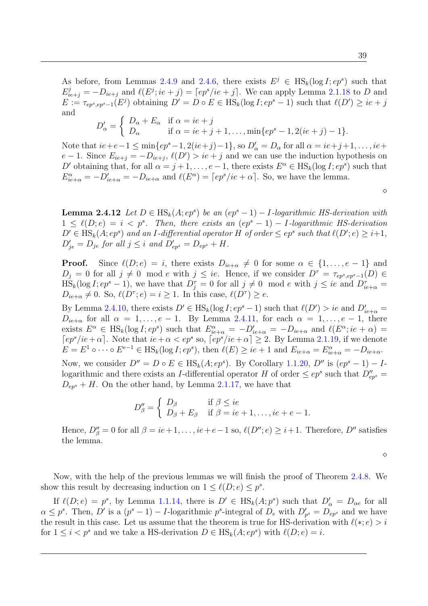$$
D'_{\alpha} = \begin{cases} D_{\alpha} + E_{\alpha} & \text{if } \alpha = ie + j \\ D_{\alpha} & \text{if } \alpha = ie + j + 1, \dots, \min\{ep^s - 1, 2(ie + j) - 1\}. \end{cases}
$$

Note that  $ie+e-1 \le \min\{ep^s-1, 2(ie+j)-1\}$ , so  $D'_\alpha = D_\alpha$  for all  $\alpha = ie+j+1, \ldots, ie+$  $e-1$ . Since  $E_{ie+j} = -D_{ie+j}, \ell(D') > ie+j$  and we can use the induction hypothesis on D' obtaining that, for all  $\alpha = j + 1, \ldots, e - 1$ , there exists  $E^{\alpha} \in HS_k(\log I; e p^s)$  such that  $E_{ie+\alpha}^{\alpha} = -D'_{ie+\alpha} = -D_{ie+\alpha}$  and  $\ell(E^{\alpha}) = \lceil ep^{s}/ie + \alpha \rceil$ . So, we have the lemma.

 $\diamond$ 

<span id="page-52-0"></span>**Lemma 2.4.12** Let  $D \in \text{HS}_k(A; ep^s)$  be an  $(ep^s - 1) - I$ -logarithmic HS-derivation with  $1 \leq \ell(D; e) = i < p^s$ . Then, there exists an  $(ep^s - 1) - I$ -logarithmic HS-derivation  $D' \in \text{HS}_k(A; ep^s)$  and an I-differential operator H of order  $\le ep^s$  such that  $\ell(D'; e) \ge i+1$ ,  $D'_{je} = D_{je}$  for all  $j \leq i$  and  $D'_{ep^s} = D_{ep^s} + H$ .

**Proof.** Since  $\ell(D; e) = i$ , there exists  $D_{ie+\alpha} \neq 0$  for some  $\alpha \in \{1, \ldots, e-1\}$  and  $D_j = 0$  for all  $j \neq 0 \mod e$  with  $j \leq ie$ . Hence, if we consider  $D^{\tau} = \tau_{ep^s, ep^s-1}(D) \in$  $\text{HS}_k(\log I; e p^s - 1)$ , we have that  $D_j^{\tau} = 0$  for all  $j \neq 0 \mod e$  with  $j \leq ie$  and  $D_{ie+\alpha}^{\tau} =$  $D_{ie+\alpha} \neq 0$ . So,  $\ell(D^{\tau}; e) = i \geq 1$ . In this case,  $\ell(D^{\tau}) \geq e$ .

By Lemma [2.4.10,](#page-51-0) there exists  $D' \in HS_k(\log I; ep^s - 1)$  such that  $\ell(D') > ie$  and  $D'_{ie+\alpha} =$  $D_{ie+\alpha}$  for all  $\alpha = 1, \ldots, e-1$ . By Lemma [2.4.11,](#page-51-1) for each  $\alpha = 1, \ldots, e-1$ , there exists  $E^{\alpha} \in \text{HS}_k(\log I; e p^s)$  such that  $E^{\alpha}_{ie+\alpha} = -D'_{ie+\alpha} = -D_{ie+\alpha}$  and  $\ell(E^{\alpha}; ie+\alpha) =$  $[ep<sup>s</sup>/ie+\alpha]$ . Note that  $ie+\alpha < ep<sup>s</sup>$  so,  $[ep<sup>s</sup>/ie+\alpha] \geq 2$ . By Lemma [2.1.19,](#page-41-1) if we denote  $E = E^1 \circ \cdots \circ E^{e-1} \in \text{HS}_k(\log I; e^{\sigma})$ , then  $\ell(E) \geq ie + 1$  and  $E_{ie+\alpha} = E^{\alpha}_{ie+\alpha} = -D_{ie+\alpha}$ . Now, we consider  $D'' = D \circ E \in HS_k(A; ep^s)$ . By Corollary [1.1.20,](#page-19-0)  $D''$  is  $(ep^s - 1) - I$ 

logarithmic and there exists an *I*-differential operator H of order  $\leq ep^s$  such that  $D''_{ep^s}$  $D_{ep^s} + H$ . On the other hand, by Lemma [2.1.17,](#page-40-2) we have that

$$
D''_{\beta} = \begin{cases} D_{\beta} & \text{if } \beta \leq ie \\ D_{\beta} + E_{\beta} & \text{if } \beta = ie + 1, \dots, ie + e - 1. \end{cases}
$$

Hence,  $D''_{\beta} = 0$  for all  $\beta = ie+1, \ldots, ie+e-1$  so,  $\ell(D''; e) \geq i+1$ . Therefore,  $D''$  satisfies the lemma.

 $\Diamond$ 

Now, with the help of the previous lemmas we will finish the proof of Theorem [2.4.8.](#page-50-2) We show this result by decreasing induction on  $1 \leq \ell(D; e) \leq p^s$ .

If  $\ell(D; e) = p^s$ , by Lemma [1.1.14,](#page-18-0) there is  $D' \in HS_k(A; p^s)$  such that  $D'_\alpha = D_{\alpha e}$  for all  $\alpha \leq p^s$ . Then, D' is a  $(p^s - 1) - I$ -logarithmic  $p^s$ -integral of  $D_e$  with  $D'_{p^s} = D_{ep^s}$  and we have the result in this case. Let us assume that the theorem is true for HS-derivation with  $\ell(*; e) > i$ for  $1 \leq i < p^s$  and we take a HS-derivation  $D \in \text{HS}_k(A; ep^s)$  with  $\ell(D; e) = i$ .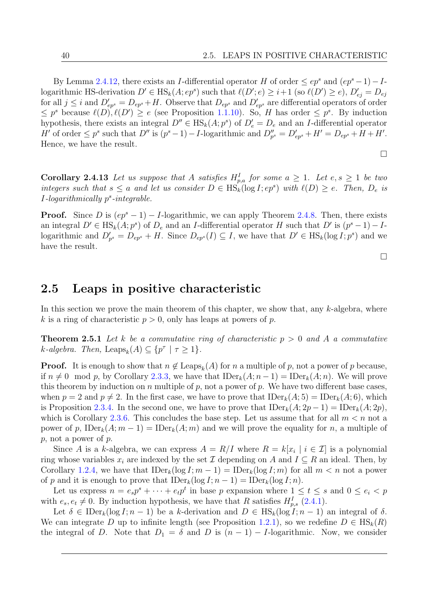By Lemma [2.4.12,](#page-52-0) there exists an I-differential operator H of order  $\leq ep^s$  and  $(ep^s-1)-I$ logarithmic HS-derivation  $D' \in \text{HS}_k(A; ep^s)$  such that  $\ell(D'; e) \geq i+1$  (so  $\ell(D') \geq e$ ),  $D'_{ej} = D_{ej}$ for all  $j \leq i$  and  $D'_{ep^s} = D_{ep^s} + H$ . Observe that  $D_{ep^s}$  and  $D'_{ep^s}$  are differential operators of order  $\leq p^s$  because  $\ell(D), \ell(D') \geq e$  (see Proposition [1.1.10\)](#page-17-3). So, H has order  $\leq p^s$ . By induction hypothesis, there exists an integral  $D'' \in HS_k(A; p^s)$  of  $D'_e = D_e$  and an *I*-differential operator H' of order  $\leq p^s$  such that  $D''$  is  $(p^s-1)-I$ -logarithmic and  $D''_{p^s}=D'_{ep^s}+H'=D_{ep^s}+H+H'.$ Hence, we have the result.

$$
\Box
$$

<span id="page-53-1"></span>**Corollary 2.4.13** Let us suppose that A satisfies  $H_{p,q}^I$  for some  $a \geq 1$ . Let  $e, s \geq 1$  be two integers such that  $s \le a$  and let us consider  $D \in \mathrm{HS}_k(\log I; e p^s)$  with  $\ell(D) \ge e$ . Then,  $D_e$  is  $I$ -logarithmically  $p^s$ -integrable.

**Proof.** Since D is  $(ep^s - 1) - I$ -logarithmic, we can apply Theorem [2.4.8.](#page-50-2) Then, there exists an integral  $D' \in \text{HS}_k(A; p^s)$  of  $D_e$  and an *I*-differential operator H such that  $D'$  is  $(p^s - 1) - I$ logarithmic and  $D'_{p^s} = D_{ep^s} + H$ . Since  $D_{ep^s}(I) \subseteq I$ , we have that  $D' \in HS_k(\log I; p^s)$  and we have the result.

 $\Box$ 

# <span id="page-53-0"></span>2.5 Leaps in positive characteristic

In this section we prove the main theorem of this chapter, we show that, any  $k$ -algebra, where k is a ring of characteristic  $p > 0$ , only has leaps at powers of p.

<span id="page-53-2"></span>**Theorem 2.5.1** Let k be a commutative ring of characteristic  $p > 0$  and A a commutative  $k$ -algebra. Then, Leaps $_k(A) \subseteq \{p^{\tau} \mid \tau \geq 1\}.$ 

**Proof.** It is enough to show that  $n \notin \text{Leaps}_k(A)$  for n a multiple of p, not a power of p because, if  $n \neq 0 \mod p$ , by Corollary [2.3.3,](#page-46-0) we have that  $\text{IDer}_k(A; n-1) = \text{IDer}_k(A; n)$ . We will prove this theorem by induction on n multiple of p, not a power of p. We have two different base cases, when  $p = 2$  and  $p \neq 2$ . In the first case, we have to prove that  $\text{IDer}_k(A; 5) = \text{IDer}_k(A; 6)$ , which is Proposition [2.3.4.](#page-46-1) In the second one, we have to prove that  $\text{IDer}_k(A; 2p-1) = \text{IDer}_k(A; 2p)$ , which is Corollary [2.3.6.](#page-47-1) This concludes the base step. Let us assume that for all  $m < n$  not a power of p,  $\text{IDer}_k(A; m-1) = \text{IDer}_k(A; m)$  and we will prove the equality for n, a multiple of p, not a power of p.

Since A is a k-algebra, we can express  $A = R/I$  where  $R = k[x_i \mid i \in \mathcal{I}]$  is a polynomial ring whose variables  $x_i$  are indexed by the set  $\mathcal I$  depending on A and  $I \subseteq R$  an ideal. Then, by Corollary [1.2.4,](#page-24-1) we have that  $\text{IDer}_k(\log I; m - 1) = \text{IDer}_k(\log I; m)$  for all  $m < n$  not a power of p and it is enough to prove that  $\text{IDer}_k(\log I; n-1) = \text{IDer}_k(\log I; n)$ .

Let us express  $n = e_s p^s + \cdots + e_t p^t$  in base p expansion where  $1 \le t \le s$  and  $0 \le e_i < p$ with  $e_s, e_t \neq 0$ . By induction hypothesis, we have that R satisfies  $H_{p,s}^I$  [\(2.4.1\)](#page-48-0).

Let  $\delta \in \text{IDer}_k(\log I; n-1)$  be a k-derivation and  $D \in \text{HS}_k(\log I; n-1)$  an integral of  $\delta$ . We can integrate D up to infinite length (see Proposition [1.2.1\)](#page-23-0), so we redefine  $D \in HS_k(R)$ the integral of D. Note that  $D_1 = \delta$  and D is  $(n-1) - I$ -logarithmic. Now, we consider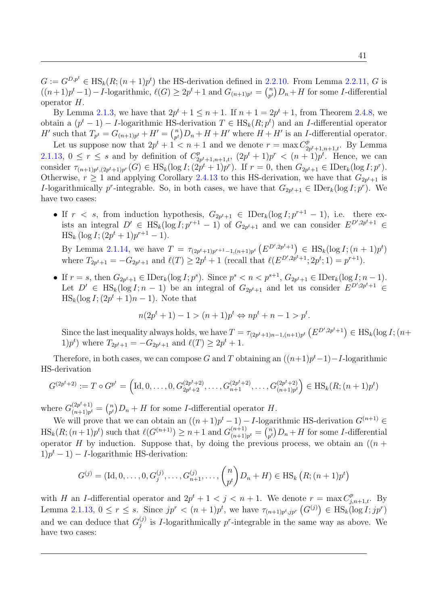$G := G^{D,p^t} \in \text{HS}_k(R; (n+1)p^t)$  the HS-derivation defined in [2.2.10.](#page-44-0) From Lemma [2.2.11,](#page-44-2) G is  $((n+1)p^{t}-1)-I$ -logarithmic,  $\ell(G) \geq 2p^{t}+1$  and  $G_{(n+1)p^{t}} = {n \choose p^{t}}$  ${n \choose p^t}D_n+H$  for some *I*-differential operator H.

By Lemma [2.1.3,](#page-37-1) we have that  $2p^{t} + 1 \leq n + 1$ . If  $n + 1 = 2p^{t} + 1$ , from Theorem [2.4.8,](#page-50-2) we obtain a  $(p^t - 1) - I$ -logarithmic HS-derivation  $T \in HS_k(R; p^t)$  and an I-differential operator *H'* such that  $T_{p^t} = G_{(n+1)p^t} + H' = \binom{n}{p^t}$  $\binom{n}{p^t}$ ,  $D_n + H + H'$  where  $H + H'$  is an *I*-differential operator.

Let us suppose now that  $2p^t + 1 < n + 1$  and we denote  $r = \max C_2^p$  $p_{2p^t+1,n+1,t}^p$ . By Lemma [2.1.13,](#page-39-1)  $0 \leq r \leq s$  and by definition of  $C_2^p$  $2p^{t}+1,n+1,t$ ,  $(2p^{t}+1)p^{r} < (n+1)p^{t}$ . Hence, we can consider  $\tau_{(n+1)p^t,(2p^t+1)p^r}(G) \in \text{HS}_k(\log I; (2p^t+1)p^r)$ . If  $r = 0$ , then  $G_{2p^t+1} \in \text{IDer}_k(\log I; p^r)$ . Otherwise,  $r \geq 1$  and applying Corollary [2.4.13](#page-53-1) to this HS-derivation, we have that  $G_{2p^t+1}$  is I-logarithmically p<sup>r</sup>-integrable. So, in both cases, we have that  $G_{2p^t+1} \in \mathrm{IDer}_k(\log I; p^r)$ . We have two cases:

• If  $r < s$ , from induction hypothesis,  $G_{2p^t+1} \in \text{IDer}_k(\log I; p^{r+1} - 1)$ , i.e. there exists an integral  $D' \in HS_k(\log I; p^{r+1} - 1)$  of  $G_{2p^t+1}$  and we can consider  $E^{D', 2p^t+1} \in$  $\text{HS}_k \left( \log I; (2p^t + 1)p^{r+1} - 1 \right).$ 

By Lemma [2.1.14,](#page-39-2) we have  $T = \tau_{(2p^t+1)p^{r+1}-1,(n+1)p^t} (E^{D',2p^t+1}) \in HS_k(\log I; (n+1)p^t)$ where  $T_{2p^t+1} = -G_{2p^t+1}$  and  $\ell(T) \ge 2p^t + 1$  (recall that  $\ell(E^{D', 2p^t+1}; 2p^t; 1) = p^{r+1}$ ).

• If  $r = s$ , then  $G_{2p^t+1} \in \text{IDer}_k(\log I; p^s)$ . Since  $p^s < n < p^{s+1}$ ,  $G_{2p^t+1} \in \text{IDer}_k(\log I; n-1)$ . Let  $D' \in \text{HS}_k(\log I; n-1)$  be an integral of  $G_{2p^t+1}$  and let us consider  $E^{D';2p^t+1} \in$  $\text{HS}_k(\log I; (2p^t + 1)n - 1)$ . Note that

$$
n(2p^t + 1) - 1 > (n+1)p^t \Leftrightarrow np^t + n - 1 > p^t.
$$

Since the last inequality always holds, we have  $T = \tau_{(2p^t+1)n-1,(n+1)p^t} (E^{D',2p^t+1}) \in HS_k(\log I; (n+1)p^t)$ 1) $p^t$ ) where  $T_{2p^t+1} = -G_{2p^t+1}$  and  $\ell(T) \ge 2p^t + 1$ .

Therefore, in both cases, we can compose G and T obtaining an  $((n+1)p<sup>t</sup>-1)-I$ -logarithmic HS-derivation

$$
G^{(2p^t+2)} := T \circ G^{p^t} = \left( \text{Id}, 0, \dots, 0, G^{(2p^t+2)}_{2p^t+2}, \dots, G^{(2p^t+2)}_{n+1}, \dots, G^{(2p^t+2)}_{(n+1)p^t} \right) \in \text{HS}_k(R; (n+1)p^t)
$$

where  $G_{(n+1)n^t}^{(2p^t+1)}$  $\binom{(2p^t+1)}{(n+1)p^t} = \binom{n}{p^t}$  $\binom{n}{p^t}D_n + H$  for some *I*-differential operator *H*.

We will prove that we can obtain an  $((n+1)p^{t}-1) - I$ -logarithmic HS-derivation  $G^{(n+1)}$  $\text{HS}_k(R; (n+1)p^t)$  such that  $\ell(G^{(n+1)}) \geq n+1$  and  $G^{(n+1)}_{(n+1)}$  $\binom{(n+1)}{(n+1)p^t} = \binom{n}{p^t}$  $\binom{n}{p^t}D_n + H$  for some *I*-differential operator H by induction. Suppose that, by doing the previous process, we obtain an  $((n +$  $1)p^{t} - 1$  – *I*-logarithmic HS-derivation:

$$
G^{(j)} = (\text{Id}, 0, \dots, 0, G_j^{(j)}, \dots, G_{n+1}^{(j)}, \dots, {n \choose p^t} D_n + H) \in \text{HS}_k (R; (n+1)p^t)
$$

with H an I-differential operator and  $2p^{t} + 1 < j < n + 1$ . We denote  $r = \max C_{j,n+1,t}^{p}$ . By Lemma [2.1.13,](#page-39-1)  $0 \leq r \leq s$ . Since  $jp^r < (n+1)p^t$ , we have  $\tau_{(n+1)p^t,jp^r} (G^{(j)}) \in HS_k(\log I;jp^r)$ and we can deduce that  $G_j^{(j)}$  $j^{(j)}$  is *I*-logarithmically p<sup>r</sup>-integrable in the same way as above. We have two cases: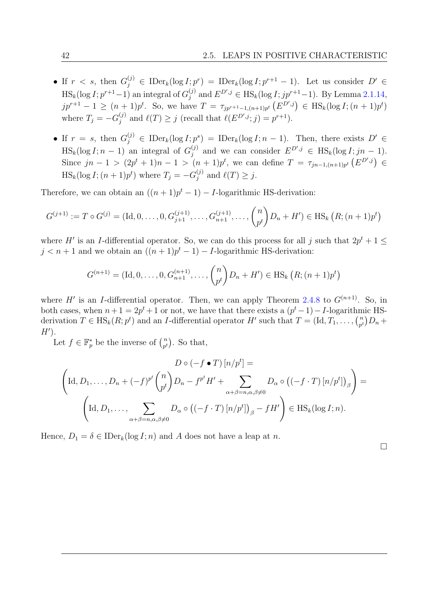- If  $r < s$ , then  $G_j^{(j)} \in \text{IDer}_k(\log I; p^r) = \text{IDer}_k(\log I; p^{r+1} 1)$ . Let us consider  $D' \in$  $\text{HS}_k(\log I; p^{r+1}-1)$  an integral of  $G_j^{(j)}$  $j_j^{(j)}$  and  $E^{D',j}$  ∈ HS<sub>k</sub>(log *I*;  $jp^{r+1}-1$ ). By Lemma [2.1.14,](#page-39-2)  $jp^{r+1} - 1 \ge (n+1)p^t$ . So, we have  $T = \tau_{jp^{r+1}-1,(n+1)p^t} (E^{D',j}) \in \text{HS}_k(\log I; (n+1)p^t)$ where  $T_j = -G_j^{(j)}$  $j^{(j)}$  and  $\ell(T) \geq j$  (recall that  $\ell(E^{D',j}; j) = p^{r+1}$ ).
- If  $r = s$ , then  $G_j^{(j)} \in \text{IDer}_k(\log I; p^s) = \text{IDer}_k(\log I; n-1)$ . Then, there exists  $D' \in$  $\text{HS}_k(\log I; n-1)$  an integral of  $G_j^{(j)}$  $j_j^{(j)}$  and we can consider  $E^{D',j} \in \text{HS}_k(\log I; jn-1)$ . Since  $jn-1 > (2p^t + 1)n - 1 > (n+1)p^t$ , we can define  $T = \tau_{jn-1,(n+1)p^t} (E^{D',j}) \in$  $\text{HS}_k(\log I; (n+1)p^t)$  where  $T_j = -G_j^{(j)}$  $_j^{(j)}$  and  $\ell(T) \geq j$ .

Therefore, we can obtain an  $((n+1)p^t - 1) - I$ -logarithmic HS-derivation:

$$
G^{(j+1)} := T \circ G^{(j)} = (\text{Id}, 0, \dots, 0, G^{(j+1)}_{j+1}, \dots, G^{(j+1)}_{n+1}, \dots, {n \choose p^t} D_n + H') \in \text{HS}_k (R; (n+1)p^t)
$$

where H' is an I-differential operator. So, we can do this process for all j such that  $2p^{t} + 1 \leq$  $j < n+1$  and we obtain an  $((n+1)p^t - 1) - I$ -logarithmic HS-derivation:

$$
G^{(n+1)} = (\text{Id}, 0, \dots, 0, G_{n+1}^{(n+1)}, \dots, {n \choose p^t} D_n + H') \in \text{HS}_k (R; (n+1)p^t)
$$

where H' is an I-differential operator. Then, we can apply Theorem [2.4.8](#page-50-2) to  $G^{(n+1)}$ . So, in both cases, when  $n+1 = 2p^t + 1$  or not, we have that there exists a  $(p^t - 1) - I$ -logarithmic HSderivation  $T \in \text{HS}_k(R; p^t)$  and an *I*-differential operator H' such that  $T = (\text{Id}, T_1, \ldots, T_n)$  $\binom{n}{p^t}D_n +$  $H^{\prime}$ ).

Let  $f \in \mathbb{F}_p^*$  be the inverse of  $\binom{n}{p^t}$  $\binom{n}{p^t}$ . So that,

$$
D \circ (-f \bullet T) [n/p^t] =
$$
  
\n
$$
\left(\text{Id}, D_1, \dots, D_n + (-f)^{p^t} {n \choose p^t} D_n - f^{p^t} H' + \sum_{\alpha+\beta=n, \alpha, \beta \neq 0} D_\alpha \circ ((-f \cdot T) [n/p^t])_\beta\right) =
$$
  
\n
$$
\left(\text{Id}, D_1, \dots, \sum_{\alpha+\beta=n, \alpha, \beta \neq 0} D_\alpha \circ ((-f \cdot T) [n/p^t])_\beta - f H'\right) \in \text{HS}_k(\log I; n).
$$

Hence,  $D_1 = \delta \in \text{IDer}_k(\log I; n)$  and A does not have a leap at n.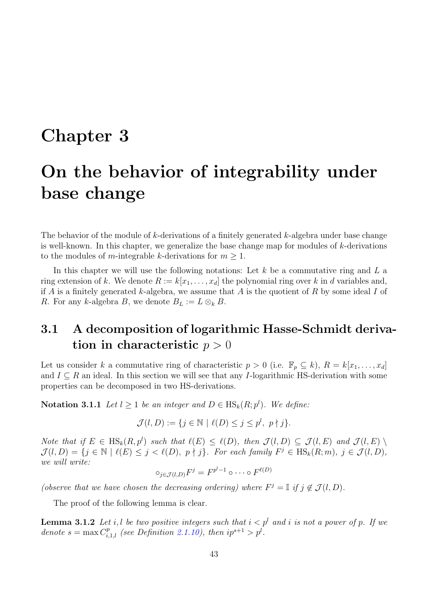# Chapter 3

# On the behavior of integrability under base change

The behavior of the module of  $k$ -derivations of a finitely generated  $k$ -algebra under base change is well-known. In this chapter, we generalize the base change map for modules of k-derivations to the modules of m-integrable k-derivations for  $m \geq 1$ .

In this chapter we will use the following notations: Let  $k$  be a commutative ring and  $L$  a ring extension of k. We denote  $R := k[x_1, \ldots, x_d]$  the polynomial ring over k in d variables and, if A is a finitely generated k-algebra, we assume that A is the quotient of R by some ideal I of R. For any k-algebra B, we denote  $B_L := L \otimes_k B$ .

# 3.1 A decomposition of logarithmic Hasse-Schmidt derivation in characteristic  $p > 0$

Let us consider k a commutative ring of characteristic  $p > 0$  (i.e.  $\mathbb{F}_p \subseteq k$ ),  $R = k[x_1, \ldots, x_d]$ and  $I \subseteq R$  an ideal. In this section we will see that any I-logarithmic HS-derivation with some properties can be decomposed in two HS-derivations.

**Notation 3.1.1** Let  $l \geq 1$  be an integer and  $D \in \text{HS}_k(R; p^l)$ . We define:

$$
\mathcal{J}(l, D) := \{ j \in \mathbb{N} \mid \ell(D) \le j \le p^l, \ p \nmid j \}.
$$

Note that if  $E \in HS_k(R, p^l)$  such that  $\ell(E) \leq \ell(D)$ , then  $\mathcal{J}(l, D) \subseteq \mathcal{J}(l, E)$  and  $\mathcal{J}(l, E)$  $\mathcal{J}(l, D) = \{j \in \mathbb{N} \mid \ell(E) \leq j < \ell(D), p \nmid j\}.$  For each family  $F^j \in \text{HS}_k(R; m), j \in \mathcal{J}(l, D),$ we will write:

$$
\circ_{j \in \mathcal{J}(l,D)} F^j = F^{p^l-1} \circ \cdots \circ F^{\ell(D)}
$$

(observe that we have chosen the decreasing ordering) where  $F^j = \mathbb{I}$  if  $j \notin \mathcal{J}(l, D)$ .

The proof of the following lemma is clear.

<span id="page-56-0"></span>**Lemma 3.1.2** Let i, l be two positive integers such that  $i < p^l$  and i is not a power of p. If we denote  $s = \max C_{i,1,l}^p$  (see Definition [2.1.10\)](#page-38-4), then  $ip^{s+1} > p^l$ .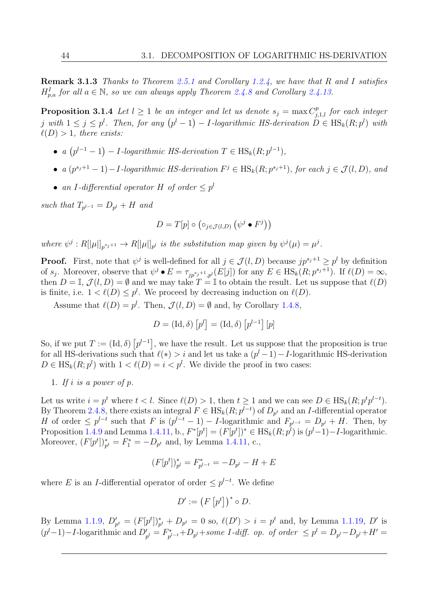Remark 3.1.3 Thanks to Theorem [2.5.1](#page-53-2) and Corollary [1.2.4,](#page-24-1) we have that R and I satisfies  $H_{p,a}^I$  for all  $a \in \mathbb{N}$ , so we can always apply Theorem [2.4.8](#page-50-2) and Corollary [2.4.13.](#page-53-1)

<span id="page-57-0"></span>**Proposition 3.1.4** Let  $l \geq 1$  be an integer and let us denote  $s_j = \max C_{j,1,l}^p$  for each integer j with  $1 \leq j \leq p^l$ . Then, for any  $(p^l-1) - I$ -logarithmic HS-derivation  $D \in \text{HS}_k(R; p^l)$  with  $\ell(D) > 1$ , there exists:

- a  $(p^{l-1}-1) I$ -logarithmic HS-derivation  $T \in HS_k(R; p^{l-1}),$
- a  $(p^{s_j+1}-1) I$ -logarithmic HS-derivation  $F^j \in \text{HS}_k(R; p^{s_j+1})$ , for each  $j \in \mathcal{J}(l, D)$ , and
- an I-differential operator H of order  $\leq p^l$

such that  $T_{p^{l-1}} = D_{p^l} + H$  and

$$
D = T[p] \circ ( \circ_{j \in \mathcal{J}(l, D)} (\psi^j \bullet F^j))
$$

where  $\psi^j: R[|\mu|]_{p^{s_j+1}} \to R[|\mu|]_{p^l}$  is the substitution map given by  $\psi^j(\mu) = \mu^j$ .

**Proof.** First, note that  $\psi^j$  is well-defined for all  $j \in \mathcal{J}(l, D)$  because  $jp^{s_j+1} \geq p^l$  by definition of  $s_j$ . Moreover, observe that  $\psi^j \bullet E = \tau_{jp^{s_j+1},p^l}(E[j])$  for any  $E \in \text{HS}_k(R;p^{s_j+1})$ . If  $\ell(D) = \infty$ , then  $D = \mathbb{I}, \mathcal{J}(l, D) = \emptyset$  and we may take  $T = \mathbb{I}$  to obtain the result. Let us suppose that  $\ell(D)$ is finite, i.e.  $1 < \ell(D) \leq p^l$ . We proceed by decreasing induction on  $\ell(D)$ .

Assume that  $\ell(D) = p^l$ . Then,  $\mathcal{J}(l, D) = \emptyset$  and, by Corollary [1.4.8,](#page-33-1)

$$
D = (\mathrm{Id}, \delta) [p^l] = (\mathrm{Id}, \delta) [p^{l-1}] [p]
$$

So, if we put  $T := (\mathrm{Id}, \delta) [p^{l-1}]$ , we have the result. Let us suppose that the proposition is true for all HS-derivations such that  $\ell(*) > i$  and let us take a  $(p<sup>l</sup> - 1) - I$ -logarithmic HS-derivation  $D \in \text{HS}_k(R; p^l)$  with  $1 < l(D) = i < p^l$ . We divide the proof in two cases:

1. If i is a power of  $p$ .

Let us write  $i = p^t$  where  $t < l$ . Since  $\ell(D) > 1$ , then  $t \geq 1$  and we can see  $D \in \text{HS}_k(R; p^t p^{l-t})$ . By Theorem [2.4.8,](#page-50-2) there exists an integral  $F \in \text{HS}_k(R; p^{l-t})$  of  $D_{p^t}$  and an I-differential operator H of order  $\leq p^{l-t}$  such that F is  $(p^{l-t}-1) - I$ -logarithmic and  $F_{p^{l-t}} = D_{p^l} + H$ . Then, by Proposition [1.4.9](#page-33-2) and Lemma [1.4.11,](#page-33-0) b.,  $F^*[p^t] = (F[p^t])^* \in \text{HS}_k(R; p^l)$  is  $(p^l-1) - I$ -logarithmic. Moreover,  $(F[p^t])_{p^t}^* = F_1^* = -D_{p^t}$  and, by Lemma [1.4.11,](#page-33-0) c.,

$$
(F[pt])_{pl}^* = F_{pl-t}^* = -D_{pl} - H + E
$$

where E is an I-differential operator of order  $\leq p^{l-t}$ . We define

$$
D' := \left(F\left[p^t\right]\right)^* \circ D.
$$

By Lemma [1.1.9,](#page-17-0)  $D'_{p^t} = (F[p^t])_{p^t}^* + D_{p^t} = 0$  so,  $\ell(D') > i = p^t$  and, by Lemma [1.1.19,](#page-19-1) D' is  $(p<sup>l</sup>-1)-I$ -logarithmic and  $D'_{p<sup>l</sup>} = F^*_{p<sup>l</sup>}$  $D_{p^{l-t}}^*+D_{p^l}+some\ I\text{-}diff\!\!.~~op.\ of\ order\ \leq p^l=D_{p^l}-D_{p^l}+H'=0$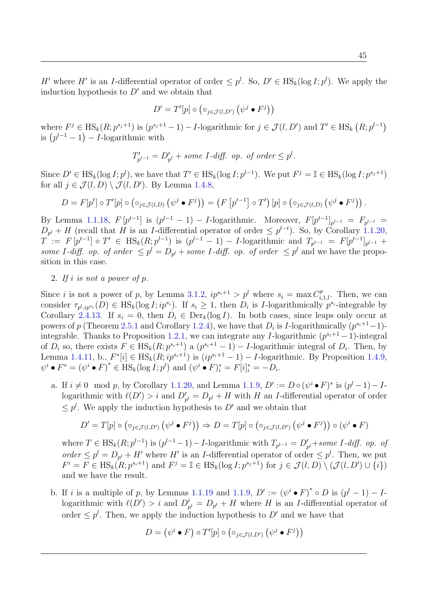H' where H' is an I-differential operator of order  $\leq p^l$ . So,  $D' \in HS_k(\log I; p^l)$ . We apply the induction hypothesis to  $D'$  and we obtain that

$$
D' = T'[p] \circ (\circ_{j \in \mathcal{J}(l, D')} (\psi^j \bullet F^j))
$$

where  $F^j \in \text{HS}_k(R; p^{s_j+1})$  is  $(p^{s_j+1}-1) - I$ -logarithmic for  $j \in \mathcal{J}(l, D')$  and  $T' \in \text{HS}_k(R; p^{l-1})$ is  $(p^{l-1}-1) - I$ -logarithmic with

$$
T'_{p^{l-1}} = D'_{p^l} + some I \text{-diff. op. of order } \leq p^l.
$$

Since  $D' \in \text{HS}_k(\log I; p^l)$ , we have that  $T' \in \text{HS}_k(\log I; p^{l-1})$ . We put  $F^j = \mathbb{I} \in \text{HS}_k(\log I; p^{s_j+1})$ for all  $j \in \mathcal{J}(l, D) \setminus \mathcal{J}(l, D')$ . By Lemma [1.4.8,](#page-33-1)

$$
D = F[pt] \circ T'[p] \circ (\circ_{j \in \mathcal{J}(l,D)} (\psi^j \bullet F^j)) = (F[p^{t-1}] \circ T')[p] \circ (\circ_{j \in \mathcal{J}(l,D)} (\psi^j \bullet F^j)).
$$

By Lemma [1.1.18,](#page-19-2)  $F[p^{t-1}]$  is  $(p^{l-1} - 1) - I$ -logarithmic. Moreover,  $F[p^{t-1}]_{p^{l-1}} = F_{p^{l-t}} =$  $D_{p^l}$  + H (recall that H is an I-differential operator of order  $\leq p^{l-t}$ ). So, by Corollary [1.1.20,](#page-19-0)  $T := F[p^{t-1}] \circ T' \in \text{HS}_k(R; p^{l-1})$  is  $(p^{l-1} - 1) - I$ -logarithmic and  $T_{p^{l-1}} = F[p^{t-1}]_{p^{l-1}} + I$ some I-diff. op. of order  $\leq p^l = D_{p^l} +$  some I-diff. op. of order  $\leq p^l$  and we have the proposition in this case.

2. If i is not a power of p.

Since *i* is not a power of p, by Lemma [3.1.2,](#page-56-0)  $ip^{s_i+1} > p^l$  where  $s_i = \max C_{i,1,l}^p$ . Then, we can consider  $\tau_{p^l,ip^{s_i}}(D) \in \text{HS}_k(\log I;ip^{s_i}).$  If  $s_i \geq 1$ , then  $D_i$  is *I*-logarithmically  $p^{s_i}$ -integrable by Corollary [2.4.13.](#page-53-1) If  $s_i = 0$ , then  $D_i \in \text{Der}_k(\log I)$ . In both cases, since leaps only occur at powers of p (Theorem [2.5.1](#page-53-2) and Corollary [1.2.4\)](#page-24-1), we have that  $D_i$  is I-logarithmically  $(p^{s_i+1}-1)$ -integrable. Thanks to Proposition [1.2.1,](#page-23-0) we can integrate any I-logarithmic  $(p^{s_i+1}-1)$ -integral of  $D_i$  so, there exists  $F \in HS_k(R; p^{s_i+1})$  a  $(p^{s_i+1}-1) - I$ -logarithmic integral of  $D_i$ . Then, by Lemma [1.4.11,](#page-33-0) b.,  $F^*[i] \in HS_k(R; ip^{s_i+1})$  is  $(ip^{s_i+1}-1) - I$ -logarithmic. By Proposition [1.4.9,](#page-33-2)  $\psi^i \bullet F^* = (\psi^i \bullet F)^* \in \text{HS}_k(\log I; p^l)$  and  $(\psi^i \bullet F)^*_i = F[i]^*_i = -D_i$ .

a. If  $i \neq 0 \mod p$ , by Corollary [1.1.20,](#page-19-0) and Lemma [1.1.9,](#page-17-0)  $D' := D \circ (\psi^i \bullet F)^*$  is  $(p^l - 1) - I$ logarithmic with  $\ell(D') > i$  and  $D'_{p^l} = D_{p^l} + H$  with H an I-differential operator of order  $\leq p^{l}$ . We apply the induction hypothesis to D' and we obtain that

$$
D' = T[p] \circ (\circ_{j \in \mathcal{J}(l, D')} (\psi^j \bullet F^j)) \Rightarrow D = T[p] \circ (\circ_{j \in \mathcal{J}(l, D')} (\psi^j \bullet F^j)) \circ (\psi^i \bullet F)
$$

where  $T \in \text{HS}_k(R; p^{l-1})$  is  $(p^{l-1}-1) - I$ -logarithmic with  $T_{p^{l-1}} = D'_{p^l} + some \ I$ -diff. op. of order  $\leq p^{l} = D_{p^{l}} + H'$  where H' is an *I*-differential operator of order  $\leq p^{l}$ . Then, we put  $F^i = F \in \text{HS}_k(R; p^{s_i+1})$  and  $F^j = \mathbb{I} \in \text{HS}_k(\log I; p^{s_j+1})$  for  $j \in \mathcal{J}(l, D) \setminus (\mathcal{J}(l, D') \cup \{i\})$ and we have the result.

b. If i is a multiple of p, by Lemmas [1.1.19](#page-19-1) and [1.1.9,](#page-17-0)  $D' := (\psi^i \bullet F)^* \circ D$  is  $(p^l - 1) - I$ logarithmic with  $\ell(D') > i$  and  $D'_{p^l} = D_{p^l} + H$  where H is an I-differential operator of order  $\leq p^{l}$ . Then, we apply the induction hypothesis to D' and we have that

$$
D = (\psi^i \bullet F) \circ T'[p] \circ (\circ_{j \in \mathcal{J}(l, D')} (\psi^j \bullet F^j))
$$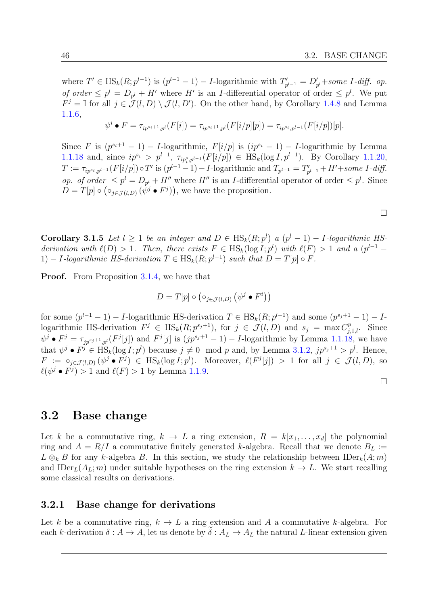where  $T' \in \text{HS}_k(R; p^{l-1})$  is  $(p^{l-1} - 1) - I$ -logarithmic with  $T'_n$  $D'_{p^{l-1}} = D'_{p^l} + some \text{ } I$ -diff. op. of order  $\leq p^{l} = D_{p^{l}} + H'$  where H' is an I-differential operator of order  $\leq p^{l}$ . We put  $F^j = \mathbb{I}$  for all  $j \in \mathcal{J}(l, D) \setminus \mathcal{J}(l, D')$ . On the other hand, by Corollary [1.4.8](#page-33-1) and Lemma [1.1.6,](#page-16-0)

$$
\psi^{i} \bullet F = \tau_{ip^{s_i+1},p^l}(F[i]) = \tau_{ip^{s_i+1},p^l}(F[i/p][p]) = \tau_{ip^{s_i},p^{l-1}}(F[i/p])[p].
$$

Since F is  $(p^{s_i+1}-1)$  – I-logarithmic,  $F[i/p]$  is  $(ip^{s_i}-1)$  – I-logarithmic by Lemma [1.1.18](#page-19-2) and, since  $ip^{s_i} > p^{l-1}$ ,  $\tau_{ip^s_i, p^{l-1}}(F[i/p]) \in \text{HS}_k(\log I, p^{l-1})$ . By Corollary [1.1.20,](#page-19-0)  $T := \tau_{ip^{s_i},p^{l-1}}(F[i/p]) \circ T'$  is  $(p^{l-1}-1) - I$ -logarithmic and  $T_{p^{l-1}} = T'_p$  $p'_{p^{l-1}}$  + H'+some I-diff. op. of order  $\leq p^{l} = D_{p^{l}} + H''$  where  $H''$  is an *I*-differential operator of order  $\leq p^{l}$ . Since  $D=T[p] \circ (\circ_{j\in \mathcal{J}(l,D)} (\psi^j \bullet F^j)),$  we have the proposition.

 $\Box$ 

**Corollary 3.1.5** Let  $l \geq 1$  be an integer and  $D \in HS_k(R; p^l)$  a  $(p^l - 1) - 1$ -logarithmic HSderivation with  $\ell(D) > 1$ . Then, there exists  $F \in HS_k(\log I; p^l)$  with  $\ell(F) > 1$  and a  $(p^{l-1} - p)$ 1) – I-logarithmic HS-derivation  $T \in \text{HS}_k(R; p^{l-1})$  such that  $D = T[p] \circ F$ .

**Proof.** From Proposition [3.1.4,](#page-57-0) we have that

$$
D = T[p] \circ (\circ_{j \in \mathcal{J}(l,D)} (\psi^j \bullet F^i))
$$

for some  $(p^{l-1}-1) - I$ -logarithmic HS-derivation  $T \in HS_k(R; p^{l-1})$  and some  $(p^{s_j+1}-1) - I$ logarithmic HS-derivation  $F^j \in HS_k(R; p^{s_j+1})$ , for  $j \in \mathcal{J}(l, D)$  and  $s_j = \max C_{j,1,l}^p$ . Since  $\psi^j \bullet F^j = \tau_{jp^{s_j+1},p^l}(F^j[j])$  and  $F^j[j]$  is  $(jp^{s_j+1}-1) - I$ -logarithmic by Lemma [1.1.18,](#page-19-2) we have that  $\psi^j \bullet F^j \in \text{HS}_k(\log I; p^l)$  because  $j \neq 0 \mod p$  and, by Lemma [3.1.2,](#page-56-0)  $jp^{s_j+1} > p^l$ . Hence,  $F := \circ_{j \in \mathcal{J}(l,D)} (\psi^j \bullet F^j) \in \text{HS}_k(\log I; p^l)$ . Moreover,  $\ell(F^j[j]) > 1$  for all  $j \in \mathcal{J}(l,D)$ , so  $\ell(\psi^j \bullet F^j) > 1$  and  $\ell(F) > 1$  by Lemma [1.1.9.](#page-17-0)

## 3.2 Base change

Let k be a commutative ring,  $k \to L$  a ring extension,  $R = k[x_1, \ldots, x_d]$  the polynomial ring and  $A = R/I$  a commutative finitely generated k-algebra. Recall that we denote  $B_L$  :=  $L \otimes_k B$  for any k-algebra B. In this section, we study the relationship between IDer $_k(A; m)$ and IDer<sub>L</sub>( $A_L$ ; m) under suitable hypotheses on the ring extension  $k \to L$ . We start recalling some classical results on derivations.

### 3.2.1 Base change for derivations

Let k be a commutative ring,  $k \to L$  a ring extension and A a commutative k-algebra. For each k-derivation  $\delta: A \to A$ , let us denote by  $\delta: A_L \to A_L$  the natural L-linear extension given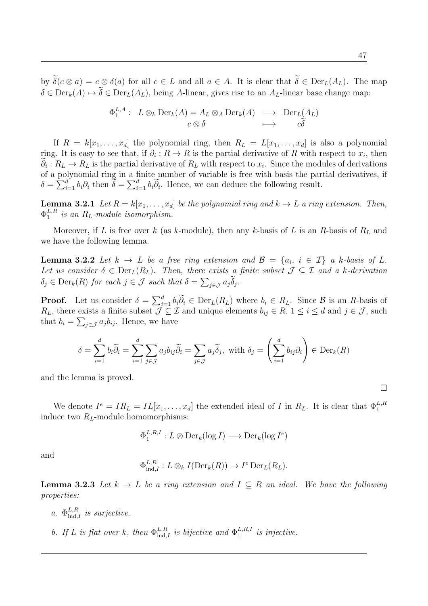47

 $\Box$ 

by  $\tilde{\delta}(c \otimes a) = c \otimes \delta(a)$  for all  $c \in L$  and all  $a \in A$ . It is clear that  $\tilde{\delta} \in Der_L(A_L)$ . The map  $\delta \in \text{Der}_k(A) \mapsto \widetilde{\delta} \in \text{Der}_L(A_L)$ , being A-linear, gives rise to an  $A_L$ -linear base change map:

$$
\Phi_1^{L,A} : L \otimes_k \text{Der}_k(A) = A_L \otimes_A \text{Der}_k(A) \longrightarrow \text{Der}_L(A_L)
$$
  

$$
c \otimes \delta \longrightarrow \widetilde{c\delta}
$$

If  $R = k[x_1, \ldots, x_d]$  the polynomial ring, then  $R_L = L[x_1, \ldots, x_d]$  is also a polynomial ring. It is easy to see that, if  $\partial_i : R \to R$  is the partial derivative of R with respect to  $x_i$ , then  $\partial_i: R_L \to R_L$  is the partial derivative of  $R_L$  with respect to  $x_i$ . Since the modules of derivations of a polynomial ring in a finite number of variable is free with basis the partial derivatives, if  $\delta = \sum_{i=1}^d b_i \partial_i$  then  $\tilde{\delta} = \sum_{i=1}^d b_i \tilde{\partial}_i$ . Hence, we can deduce the following result.

**Lemma 3.2.1** Let  $R = k[x_1, \ldots, x_d]$  be the polynomial ring and  $k \to L$  a ring extension. Then,  $\Phi_1^{L,R}$  $_{1}^{L,R}$  is an  $R_L$ -module isomorphism.

Moreover, if L is free over k (as k-module), then any k-basis of L is an R-basis of  $R_L$  and we have the following lemma.

<span id="page-60-0"></span>**Lemma 3.2.2** Let  $k \to L$  be a free ring extension and  $\mathcal{B} = \{a_i, i \in \mathcal{I}\}\$ a k-basis of L. Let us consider  $\delta \in \text{Der}_L(R_L)$ . Then, there exists a finite subset  $\mathcal{J} \subseteq \mathcal{I}$  and a k-derivation  $\delta_j \in \text{Der}_k(R)$  for each  $j \in \mathcal{J}$  such that  $\delta = \sum_{j \in \mathcal{J}} a_j \delta_j$ .

**Proof.** Let us consider  $\delta = \sum_{i=1}^d b_i \widetilde{\partial}_i \in \text{Der}_L(R_L)$  where  $b_i \in R_L$ . Since  $\beta$  is an R-basis of  $R_L$ , there exists a finite subset  $\mathcal{J} \subseteq \mathcal{I}$  and unique elements  $b_{ij} \in R$ ,  $1 \le i \le d$  and  $j \in \mathcal{J}$ , such that  $b_i = \sum_{j \in \mathcal{J}} a_j b_{ij}$ . Hence, we have

$$
\delta = \sum_{i=1}^d b_i \widetilde{\partial}_i = \sum_{i=1}^d \sum_{j \in \mathcal{J}} a_j b_{ij} \widetilde{\partial}_i = \sum_{j \in \mathcal{J}} a_j \widetilde{\delta}_j, \text{ with } \delta_j = \left( \sum_{i=1}^d b_{ij} \partial_i \right) \in \text{Der}_k(R)
$$

and the lemma is proved.

We denote  $I^e = IR_L = IL[x_1, \ldots, x_d]$  the extended ideal of I in  $R_L$ . It is clear that  $\Phi_1^{L,R}$ induce two  $R_L$ -module homomorphisms:

$$
\Phi_1^{L,R,I}: L \otimes \mathrm{Der}_k(\log I) \longrightarrow \mathrm{Der}_k(\log I^e)
$$

and

$$
\Phi_{\mathrm{ind},I}^{L,R}: L \otimes_k I(\mathrm{Der}_k(R)) \to I^e \mathrm{Der}_L(R_L).
$$

<span id="page-60-1"></span>**Lemma 3.2.3** Let  $k \to L$  be a ring extension and  $I \subseteq R$  an ideal. We have the following properties:

- a.  $\Phi_{\text{ind},I}^{L,R}$  is surjective.
- b. If L is flat over k, then  $\Phi_{\text{ind},I}^{L,R}$  is bijective and  $\Phi_1^{L,R,I}$  $i<sub>1</sub><sup>L,R,I</sup>$  is injective.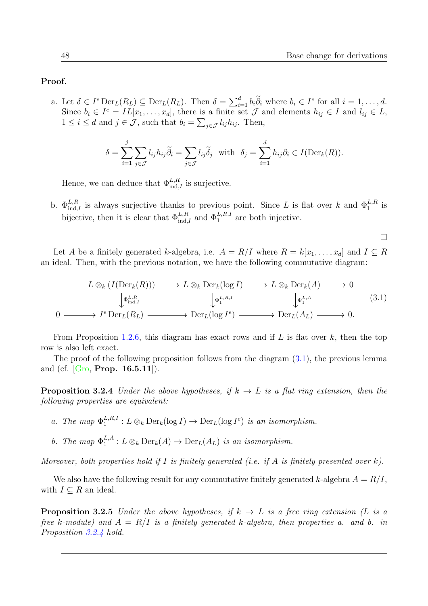### Proof.

a. Let  $\delta \in I^e \text{Der}_L(R_L) \subseteq \text{Der}_L(R_L)$ . Then  $\delta = \sum_{i=1}^d b_i \widetilde{\partial}_i$  where  $b_i \in I^e$  for all  $i = 1, \ldots, d$ . Since  $b_i \in I^e = IL[x_1, \ldots, x_d]$ , there is a finite set  $\mathcal J$  and elements  $h_{ij} \in I$  and  $l_{ij} \in L$ ,  $1 \leq i \leq d$  and  $j \in \mathcal{J}$ , such that  $b_i = \sum_{j \in \mathcal{J}} l_{ij} h_{ij}$ . Then,

$$
\delta = \sum_{i=1}^{j} \sum_{j \in \mathcal{J}} l_{ij} h_{ij} \widetilde{\partial}_i = \sum_{j \in \mathcal{J}} l_{ij} \widetilde{\delta}_j \text{ with } \delta_j = \sum_{i=1}^{d} h_{ij} \partial_i \in I(\text{Der}_k(R)).
$$

Hence, we can deduce that  $\Phi_{\text{ind},I}^{L,R}$  is surjective.

b.  $\Phi_{\text{ind},I}^{L,R}$  is always surjective thanks to previous point. Since L is flat over k and  $\Phi_1^{L,R}$  is bijective, then it is clear that  $\Phi_{\text{ind},I}^{L,R}$  and  $\Phi_{1}^{L,R,I}$  are both injective.

 $\Box$ 

Let A be a finitely generated k-algebra, i.e.  $A = R/I$  where  $R = k[x_1, \ldots, x_d]$  and  $I \subseteq R$ an ideal. Then, with the previous notation, we have the following commutative diagram:

<span id="page-61-0"></span>
$$
L \otimes_k (I(\text{Der}_k(R))) \longrightarrow L \otimes_k \text{Der}_k(\log I) \longrightarrow L \otimes_k \text{Der}_k(A) \longrightarrow 0
$$
  
\n
$$
\downarrow_{\Phi_{\text{ind},I}^{L,R}} \qquad \qquad \downarrow_{\Phi_1^{L,R,I}} \qquad \qquad \downarrow_{\Phi_1^{L,A}} \qquad \qquad \downarrow_{\Phi_1^{L,A}} \qquad (3.1)
$$
  
\n
$$
0 \longrightarrow I^e \text{Der}_L(R_L) \longrightarrow \text{Der}_L(\log I^e) \longrightarrow \text{Der}_L(A_L) \longrightarrow 0.
$$

From Proposition [1.2.6,](#page-24-2) this diagram has exact rows and if L is flat over k, then the top row is also left exact.

The proof of the following proposition follows from the diagram  $(3.1)$ , the previous lemma and (cf.  $[G_{\rm I} \, \text{Prop. 16.5.11}].$ 

<span id="page-61-1"></span>**Proposition 3.2.4** Under the above hypotheses, if  $k \to L$  is a flat ring extension, then the following properties are equivalent:

- a. The map  $\Phi_1^{L,R,I}$  $L^{L,R,I}_{1}: L \otimes_{k} \text{Der}_{k}(\log I) \to \text{Der}_{L}(\log I^{e})$  is an isomorphism.
- b. The map  $\Phi_1^{L,A}$  $L^{L,A}_1: L \otimes_k \text{Der}_k(A) \to \text{Der}_L(A_L)$  is an isomorphism.

Moreover, both properties hold if I is finitely generated (i.e. if A is finitely presented over k).

We also have the following result for any commutative finitely generated k-algebra  $A = R/I$ , with  $I \subseteq R$  an ideal.

<span id="page-61-2"></span>**Proposition 3.2.5** Under the above hypotheses, if  $k \to L$  is a free ring extension (L is a free k-module) and  $A = R/I$  is a finitely generated k-algebra, then properties a. and b. in Proposition [3.2.4](#page-61-1) hold.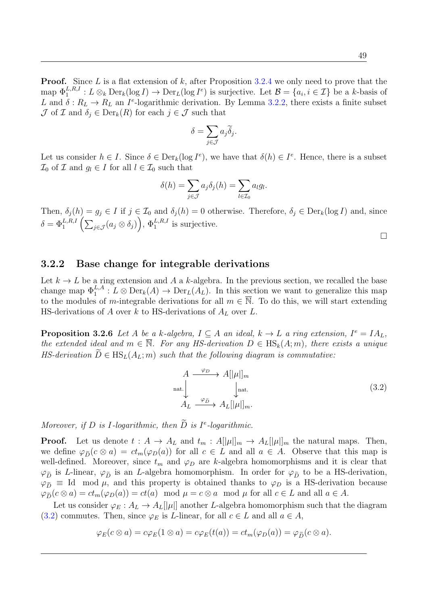**Proof.** Since L is a flat extension of k, after Proposition [3.2.4](#page-61-1) we only need to prove that the map  $\Phi_1^{L,R,I}: L \otimes_k \text{Der}_k(\log I) \to \text{Der}_L(\log I^e)$  is surjective. Let  $\mathcal{B} = \{a_i, i \in \mathcal{I}\}\$  be a k-basis of L and  $\delta: R_L \to R_L$  an I<sup>e</sup>-logarithmic derivation. By Lemma [3.2.2,](#page-60-0) there exists a finite subset  $\mathcal J$  of  $\mathcal I$  and  $\delta_j \in \text{Der}_k(R)$  for each  $j \in \mathcal J$  such that

$$
\delta = \sum_{j \in \mathcal{J}} a_j \widetilde{\delta}_j.
$$

Let us consider  $h \in I$ . Since  $\delta \in \text{Der}_k(\log I^e)$ , we have that  $\delta(h) \in I^e$ . Hence, there is a subset  $\mathcal{I}_0$  of  $\mathcal I$  and  $g_l \in I$  for all  $l \in \mathcal{I}_0$  such that

$$
\delta(h) = \sum_{j \in \mathcal{J}} a_j \delta_j(h) = \sum_{l \in \mathcal{I}_0} a_l g_l.
$$

Then,  $\delta_j(h) = g_j \in I$  if  $j \in \mathcal{I}_0$  and  $\delta_j(h) = 0$  otherwise. Therefore,  $\delta_j \in \text{Der}_k(\log I)$  and, since  $\delta = \Phi_1^{L,R,I} \left( \sum_{j \in \mathcal{J}} (a_j \otimes \delta_j) \right), \, \Phi_1^{L,R,I}$  is surjective.

 $\Box$ 

## 3.2.2 Base change for integrable derivations

Let  $k \to L$  be a ring extension and A a k-algebra. In the previous section, we recalled the base change map  $\Phi_1^{L,A}: L \otimes \text{Der}_k(A) \to \text{Der}_L(A_L)$ . In this section we want to generalize this map to the modules of m-integrable derivations for all  $m \in \overline{N}$ . To do this, we will start extending HS-derivations of A over k to HS-derivations of  $A_L$  over L.

<span id="page-62-1"></span>**Proposition 3.2.6** Let A be a k-algebra,  $I \subseteq A$  an ideal,  $k \to L$  a ring extension,  $I^e = IA_L$ , the extended ideal and  $m \in \overline{\mathbb{N}}$ . For any HS-derivation  $D \in \text{HS}_k(A; m)$ , there exists a unique HS-derivation  $\tilde{D} \in \text{HS}_{L}(A_L; m)$  such that the following diagram is commutative:

<span id="page-62-0"></span>
$$
A \xrightarrow{\varphi_D} A[|\mu|]_m
$$
  
nat.  

$$
A_L \xrightarrow{\varphi_{\tilde{D}}} A_L[|\mu|]_m.
$$
 (3.2)

Moreover, if D is I-logarithmic, then  $\tilde{D}$  is I<sup>e</sup>-logarithmic.

**Proof.** Let us denote  $t : A \to A_L$  and  $t_m : A[|\mu|]_m \to A_L[|\mu|]_m$  the natural maps. Then, we define  $\varphi_{\tilde{D}}(c \otimes a) = ct_m(\varphi_D(a))$  for all  $c \in L$  and all  $a \in A$ . Observe that this map is well-defined. Moreover, since  $t_m$  and  $\varphi_D$  are k-algebra homomorphisms and it is clear that  $\varphi_{\tilde{D}}$  is L-linear,  $\varphi_{\tilde{D}}$  is an L-algebra homomorphism. In order for  $\varphi_{\tilde{D}}$  to be a HS-derivation,  $\varphi_{\tilde{D}} \equiv$  Id mod  $\mu$ , and this property is obtained thanks to  $\varphi_D$  is a HS-derivation because  $\varphi_{\tilde{D}}(c \otimes a) = ct_m(\varphi_D(a)) = ct(a) \mod \mu = c \otimes a \mod \mu$  for all  $c \in L$  and all  $a \in A$ .

Let us consider  $\varphi_E : A_L \to A_L[[\mu]]$  another L-algebra homomorphism such that the diagram [\(3.2\)](#page-62-0) commutes. Then, since  $\varphi_E$  is *L*-linear, for all  $c \in L$  and all  $a \in A$ ,

$$
\varphi_E(c \otimes a) = c\varphi_E(1 \otimes a) = c\varphi_E(t(a)) = ct_m(\varphi_D(a)) = \varphi_{\widetilde{D}}(c \otimes a).
$$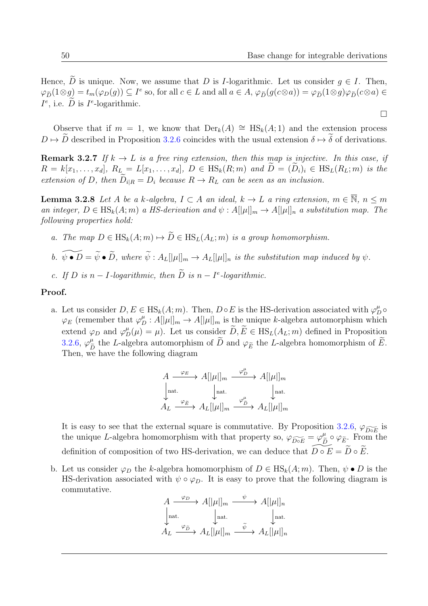$\Box$ 

Hence,  $\overline{D}$  is unique. Now, we assume that  $D$  is *I*-logarithmic. Let us consider  $q \in I$ . Then,  $\varphi_{\tilde{D}}(1\otimes g) = t_m(\varphi_D(g)) \subseteq I^e$  so, for all  $c \in L$  and all  $a \in A$ ,  $\varphi_{\tilde{D}}(g(c\otimes a)) = \varphi_{\tilde{D}}(1\otimes g)\varphi_{\tilde{D}}(c\otimes a) \in$  $I^e$ , i.e.  $\overline{D}$  is  $I^e$ -logarithmic.

Observe that if  $m = 1$ , we know that  $Der_k(A) \cong HS_k(A; 1)$  and the extension process  $D \mapsto \widetilde{D}$  described in Proposition [3.2.6](#page-62-1) coincides with the usual extension  $\delta \mapsto \widetilde{\delta}$  of derivations.

**Remark 3.2.7** If  $k \to L$  is a free ring extension, then this map is injective. In this case, if  $R = k[x_1, \ldots, x_d], R_L = L[x_1, \ldots, x_d], D \in \text{HS}_k(R; m)$  and  $\widetilde{D} = (\widetilde{D}_i)_i \in \text{HS}_L(R_L; m)$  is the extension of D, then  $D_{i|R} = D_i$  because  $R \to R_L$  can be seen as an inclusion.

<span id="page-63-0"></span>**Lemma 3.2.8** Let A be a k-algebra,  $I \subset A$  an ideal,  $k \to L$  a ring extension,  $m \in \overline{\mathbb{N}}$ ,  $n \leq m$ an integer,  $D \in \text{HS}_k(A; m)$  a HS-derivation and  $\psi : A[|\mu|]_m \to A[|\mu|]_n$  a substitution map. The following properties hold:

- a. The map  $D \in \text{HS}_k(A; m) \mapsto \widetilde{D} \in \text{HS}_L(A_L; m)$  is a group homomorphism.
- b.  $\widetilde{\psi \bullet D} = \widetilde{\psi} \bullet \widetilde{D}$ , where  $\widetilde{\psi} : A_L[|\mu|]_m \to A_L[|\mu|]_n$  is the substitution map induced by  $\psi$ .
- c. If D is  $n I$ -logarithmic, then  $\tilde{D}$  is  $n I<sup>e</sup>$ -logarithmic.

#### Proof.

a. Let us consider  $D, E \in HS_k(A; m)$ . Then,  $D \circ E$  is the HS-derivation associated with  $\varphi_D^{\mu} \circ$  $\varphi_E$  (remember that  $\varphi_D^{\mu}: A[[\mu]]_m \to A[[\mu]]_m$  is the unique k-algebra automorphism which extend  $\varphi_D$  and  $\varphi_D^{\mu}(\mu) = \mu$ . Let us consider  $\widetilde{D}, \widetilde{E} \in \text{HS}_L(A_L; m)$  defined in Proposition [3.2.6,](#page-62-1)  $\varphi_{\tilde{D}}^{\mu}$  the L-algebra automorphism of  $\tilde{D}$  and  $\varphi_{\tilde{E}}$  the L-algebra homomorphism of  $\tilde{E}$ . Then, we have the following diagram

$$
A \xrightarrow{\varphi_E} A[|\mu|]_m \xrightarrow{\varphi_D^{\mu}} A[|\mu|]_m
$$
  
\n
$$
\downarrow_{\text{nat.}} \qquad \qquad \downarrow_{\text{nat.}} \qquad \qquad \downarrow_{\text{nat.}} \qquad \qquad \downarrow_{\text{nat.}}
$$
  
\n
$$
A_L \xrightarrow{\varphi_{\tilde{E}}} A_L[|\mu|]_m \xrightarrow{\varphi_{\tilde{D}}^{\mu}} A_L[|\mu|]_m
$$

It is easy to see that the external square is commutative. By Proposition [3.2.6,](#page-62-1)  $\varphi_{\widetilde{D\circ E}}$  is the unique L-algebra homomorphism with that property so,  $\varphi_{\widetilde{D} \circ E} = \varphi_{\widetilde{L}}^{\mu}$  $\stackrel{\mu}{\tilde{\rho}}\circ \varphi_{\tilde{E}}.$  From the definition of composition of two HS-derivation, we can deduce that  $D \circ E = \widetilde{D} \circ \widetilde{E}$ .

b. Let us consider  $\varphi_D$  the k-algebra homomorphism of  $D \in \text{HS}_k(A; m)$ . Then,  $\psi \bullet D$  is the HS-derivation associated with  $\psi \circ \varphi_D$ . It is easy to prove that the following diagram is commutative.

$$
A \xrightarrow{\varphi_D} A[|\mu|]_m \xrightarrow{\psi} A[|\mu|]_n
$$
  
\n
$$
\downarrow_{\text{nat.}} \qquad \qquad \downarrow_{\text{nat.}} \qquad \qquad \downarrow_{\text{nat.}}
$$
  
\n
$$
A_L \xrightarrow{\varphi_{\tilde{D}}} A_L[|\mu|]_m \xrightarrow{\tilde{\psi}} A_L[|\mu|]_n
$$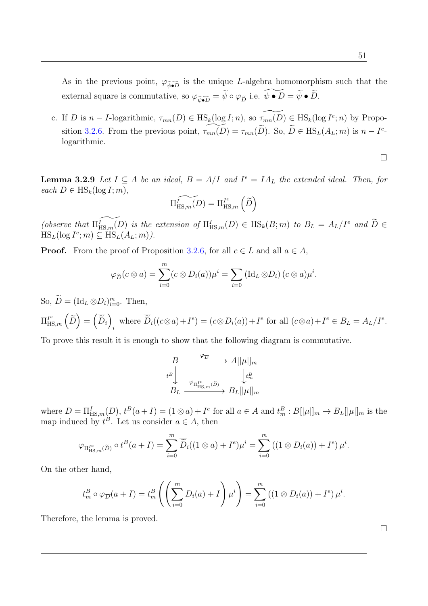As in the previous point,  $\varphi_{\widetilde{\psi \bullet D}}$  is the unique L-algebra homomorphism such that the external square is commutative, so  $\varphi_{\widetilde{\psi \bullet D}} = \widetilde{\psi} \circ \varphi_{\widetilde{D}}$  i.e.  $\widetilde{\psi \bullet D} = \widetilde{\psi} \bullet \widetilde{D}$ .

c. If D is  $n - I$ -logarithmic,  $\tau_{mn}(D) \in \text{HS}_k(\log I; n)$ , so  $\widetilde{\tau_{mn}(D)} \in \text{HS}_k(\log I^e; n)$  by Propo-sition [3.2.6.](#page-62-1) From the previous point,  $\widetilde{\tau_{mn}(D)} = \tau_{mn}(\widetilde{D})$ . So,  $\widetilde{D} \in \text{HS}_L(A_L; m)$  is  $n - I^e$ . logarithmic.

**Lemma 3.2.9** Let  $I \subseteq A$  be an ideal,  $B = A/I$  and  $I^e = IA_L$  the extended ideal. Then, for each  $D \in \text{HS}_k(\log I; m)$ ,

$$
\widetilde{\Pi_{\mathrm{HS},m}^{I}(D)}=\Pi_{\mathrm{HS},m}^{I^{e}}\left(\widetilde{D}\right)
$$

(observe that  $\widetilde{\Pi_{\text{HS},m}(D)}$  is the extension of  $\Pi_{\text{HS},m}^I(D) \in \text{HS}_k(B;m)$  to  $B_L = A_L/I^e$  and  $\widetilde{D} \in \text{HS}_k(A, \mathbb{R})$  $\operatorname{HS}_L(\log I^e; m) \subseteq \operatorname{HS}_L(A_L; m)$ .

**Proof.** From the proof of Proposition [3.2.6,](#page-62-1) for all  $c \in L$  and all  $a \in A$ ,

$$
\varphi_{\widetilde{D}}(c \otimes a) = \sum_{i=0}^{m} (c \otimes D_i(a)) \mu^{i} = \sum_{i=0} (\text{Id}_L \otimes D_i) (c \otimes a) \mu^{i}.
$$

So,  $\widetilde{D} = (\mathrm{Id}_L \otimes D_i)_{i=0}^m$ . Then,  $\Pi^{I^e}_{\mathrm{HS},m}\left(\widetilde{D}\right)=\left(\overline{\widetilde{D}}_i\right)$ where  $\widetilde{D}_i((c \otimes a) + I^e) = (c \otimes D_i(a)) + I^e$  for all  $(c \otimes a) + I^e \in B_L = A_L/I^e$ .

To prove this result it is enough to show that the following diagram is commutative.

$$
\begin{array}{ccc} B & \xrightarrow{\varphi_{\overline{D}}} & A[|\mu|]_m \\ \downarrow^{B} & & \downarrow^{B} \\ B_L & \xrightarrow{\varphi_{\Pi^{Ie}_{\mathrm{HS},m}(\tilde{D})}} & B_L[|\mu|]_m \end{array}
$$

where  $\overline{D} = \prod_{\text{HS},m}^{I}(D)$ ,  $t^B(a+I) = (1 \otimes a) + I^e$  for all  $a \in A$  and  $t_m^B : B[|\mu|]_m \to B_L[|\mu|]_m$  is the map induced by  $t^B$ . Let us consider  $a \in A$ , then

$$
\varphi_{\Pi_{\mathrm{HS},m}^{I^e}(\widetilde{D})}\circ t^B(a+I)=\sum_{i=0}^m\overline{\widetilde{D}}_i((1\otimes a)+I^e)\mu^i=\sum_{i=0}^m((1\otimes D_i(a))+I^e)\mu^i.
$$

On the other hand,

$$
t_m^B \circ \varphi_{\overline{D}}(a+I) = t_m^B \left( \left( \sum_{i=0}^m D_i(a) + I \right) \mu^i \right) = \sum_{i=0}^m \left( (1 \otimes D_i(a)) + I^e \right) \mu^i.
$$

Therefore, the lemma is proved.

 $\Box$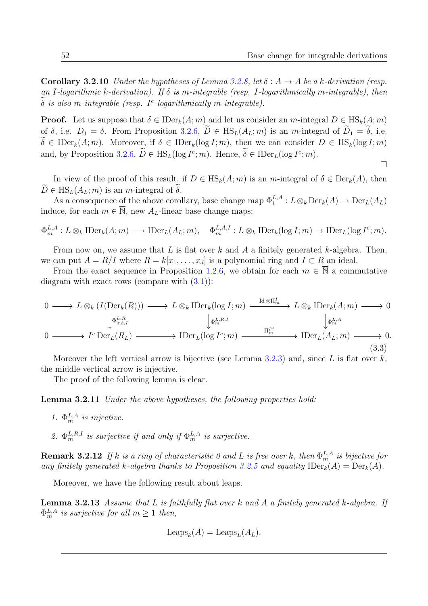**Corollary 3.2.10** Under the hypotheses of Lemma [3.2.8,](#page-63-0) let  $\delta : A \rightarrow A$  be a k-derivation (resp. an I-logarithmic k-derivation). If  $\delta$  is m-integrable (resp. I-logarithmically m-integrable), then  $\delta$  is also m-integrable (resp. I<sup>e</sup>-logarithmically m-integrable).

**Proof.** Let us suppose that  $\delta \in \text{IDer}_k(A; m)$  and let us consider an m-integral  $D \in \text{HS}_k(A; m)$ of  $\delta$ , i.e.  $D_1 = \delta$ . From Proposition [3.2.6,](#page-62-1)  $\widetilde{D} \in \text{HS}_L(A_L; m)$  is an *m*-integral of  $\widetilde{D}_1 = \widetilde{\delta}$ , i.e.  $\widetilde{\delta} \in \mathrm{IDer}_k(A; m)$ . Moreover, if  $\delta \in \mathrm{IDer}_k(\log I; m)$ , then we can consider  $D \in \mathrm{HS}_k(\log I; m)$ and, by Proposition [3.2.6,](#page-62-1)  $\tilde{D} \in \text{HS}_{L}(\log I^e; m)$ . Hence,  $\delta \in \text{IDer}_{L}(\log I^e; m)$ .

$$
\Box
$$

In view of the proof of this result, if  $D \in \text{HS}_k(A; m)$  is an m-integral of  $\delta \in \text{Der}_k(A)$ , then  $\widetilde{D} \in \text{HS}_{L}(A_L; m)$  is an m-integral of  $\widetilde{\delta}$ .

As a consequence of the above corollary, base change map  $\Phi_1^{L,A}: L \otimes_k \text{Der}_k(A) \to \text{Der}_L(A_L)$ induce, for each  $m \in \overline{\mathbb{N}}$ , new  $A_L$ -linear base change maps:

$$
\Phi_m^{L,A}: L \otimes_k \text{IDer}_k(A; m) \longrightarrow \text{IDer}_L(A_L; m), \quad \Phi_m^{L,A,I}: L \otimes_k \text{IDer}_k(\log I; m) \longrightarrow \text{IDer}_L(\log I^e; m).
$$

From now on, we assume that L is flat over k and A a finitely generated k-algebra. Then, we can put  $A = R/I$  where  $R = k[x_1, \ldots, x_d]$  is a polynomial ring and  $I \subset R$  an ideal.

From the exact sequence in Proposition [1.2.6,](#page-24-2) we obtain for each  $m \in \overline{N}$  a commutative diagram with exact rows (compare with  $(3.1)$ ):

$$
0 \longrightarrow L \otimes_k (I(\text{Der}_k(R))) \longrightarrow L \otimes_k \text{IDer}_k(\log I; m) \xrightarrow{\text{Id} \otimes \Pi_m^I} L \otimes_k \text{IDer}_k(A; m) \longrightarrow 0
$$
  
\n
$$
\downarrow^{\Phi_{\text{ind},I}^{L,R}} \qquad \qquad \downarrow^{\Phi_{\text{ind},I}^{L,R}} \qquad \qquad \downarrow^{\Phi_m^{L,R}} \qquad \qquad \downarrow^{\Phi_m^{L,A}} \qquad \qquad \downarrow^{\Phi_m^{L,A}} \qquad \qquad 0 \longrightarrow I^e \text{Der}_L(R_L) \longrightarrow \text{IDer}_L(\log I^e; m) \longrightarrow \text{IDer}_L(A_L; m) \longrightarrow 0.
$$
\n
$$
(3.3)
$$

Moreover the left vertical arrow is bijective (see Lemma [3.2.3\)](#page-60-1) and, since  $L$  is flat over  $k$ , the middle vertical arrow is injective.

The proof of the following lemma is clear.

Lemma 3.2.11 Under the above hypotheses, the following properties hold:

- 1.  $\Phi_m^{L,A}$  is injective.
- 2.  $\Phi_m^{L,R,I}$  is surjective if and only if  $\Phi_m^{L,A}$  is surjective.

**Remark 3.2.12** If k is a ring of characteristic 0 and L is free over k, then  $\Phi_m^{L,A}$  is bijective for any finitely generated k-algebra thanks to Proposition [3.2.5](#page-61-2) and equality  $\text{IDer}_k(A) = \text{Der}_k(A)$ .

Moreover, we have the following result about leaps.

**Lemma 3.2.13** Assume that L is faithfully flat over k and A a finitely generated k-algebra. If  $\Phi_m^{L,A}$  is surjective for all  $m \geq 1$  then,

$$
Leaps_k(A) = Leaps_L(A_L).
$$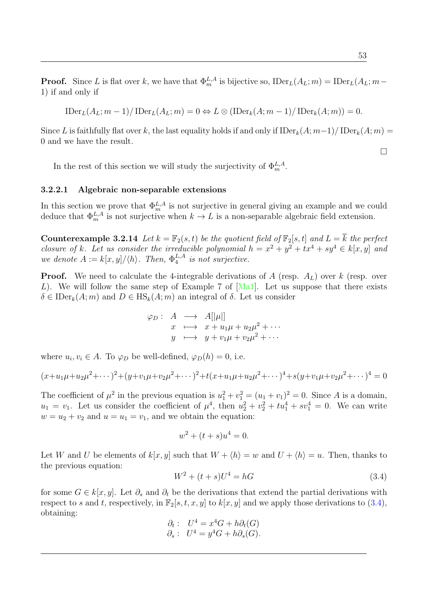$$
\text{IDer}_{L}(A_{L}; m-1)/\text{IDer}_{L}(A_{L}; m) = 0 \Leftrightarrow L \otimes (\text{IDer}_{k}(A; m-1)/\text{IDer}_{k}(A; m)) = 0.
$$

Since L is faithfully flat over k, the last equality holds if and only if  $\text{IDer}_k(A; m-1)/ \text{IDer}_k(A; m)$  = 0 and we have the result.

In the rest of this section we will study the surjectivity of  $\Phi_m^{L,A}$ .

#### 3.2.2.1 Algebraic non-separable extensions

In this section we prove that  $\Phi_m^{L,A}$  is not surjective in general giving an example and we could deduce that  $\Phi_m^{L,A}$  is not surjective when  $k \to L$  is a non-separable algebraic field extension.

**Counterexample 3.2.14** Let  $k = \mathbb{F}_2(s, t)$  be the quotient field of  $\mathbb{F}_2[s, t]$  and  $L = \overline{k}$  the perfect closure of k. Let us consider the irreducible polynomial  $h = x^2 + y^2 + tx^4 + sy^4 \in k[x, y]$  and we denote  $A := k[x, y]/\langle h \rangle$ . Then,  $\Phi_4^{L,A}$  $\frac{L}{4}$  is not surjective.

**Proof.** We need to calculate the 4-integrable derivations of A (resp.  $A_L$ ) over k (resp. over L). We will follow the same step of Example 7 of  $[Ma1]$ . Let us suppose that there exists  $\delta \in \mathrm{IDer}_k(A; m)$  and  $D \in \mathrm{HS}_k(A; m)$  an integral of  $\delta$ . Let us consider

$$
\varphi_D: A \longrightarrow A[|\mu|] \nx \longmapsto x + u_1\mu + u_2\mu^2 + \cdots \ny \longmapsto y + v_1\mu + v_2\mu^2 + \cdots
$$

where  $u_i, v_i \in A$ . To  $\varphi_D$  be well-defined,  $\varphi_D(h) = 0$ , i.e.

$$
(x+u_1\mu+u_2\mu^2+\cdots)^2+(y+v_1\mu+v_2\mu^2+\cdots)^2+t(x+u_1\mu+u_2\mu^2+\cdots)^4+s(y+v_1\mu+v_2\mu^2+\cdots)^4=0
$$

The coefficient of  $\mu^2$  in the previous equation is  $u_1^2 + v_1^2 = (u_1 + v_1)^2 = 0$ . Since A is a domain,  $u_1 = v_1$ . Let us consider the coefficient of  $\mu^4$ , then  $u_2^2 + v_2^2 + tu_1^4 + sv_1^4 = 0$ . We can write  $w = u_2 + v_2$  and  $u = u_1 = v_1$ , and we obtain the equation:

$$
w^2 + (t+s)u^4 = 0.
$$

Let W and U be elements of  $k[x, y]$  such that  $W + \langle h \rangle = w$  and  $U + \langle h \rangle = u$ . Then, thanks to the previous equation:

<span id="page-66-0"></span>
$$
W^2 + (t+s)U^4 = hG \tag{3.4}
$$

for some  $G \in k[x, y]$ . Let  $\partial_s$  and  $\partial_t$  be the derivations that extend the partial derivations with respect to s and t, respectively, in  $\mathbb{F}_2[s, t, x, y]$  to  $k[x, y]$  and we apply those derivations to [\(3.4\)](#page-66-0), obtaining:

$$
\partial_t: \quad U^4 = x^4G + h\partial_t(G) \n\partial_s: \quad U^4 = y^4G + h\partial_s(G).
$$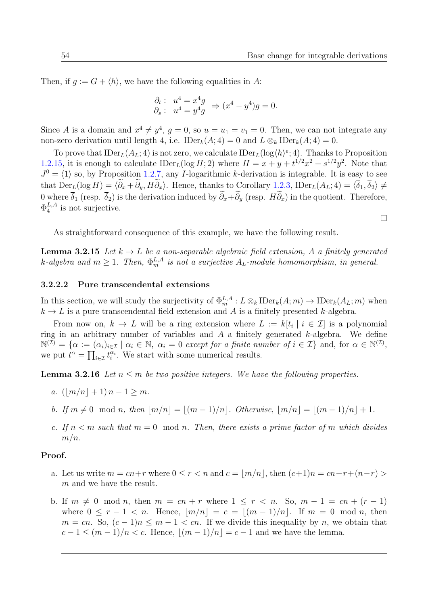Then, if  $q := G + \langle h \rangle$ , we have the following equalities in A:

$$
\begin{aligned}\n\partial_t: \ u^4 &= x^4 g \\
\partial_s: \ u^4 &= y^4 g\n\end{aligned} \Rightarrow (x^4 - y^4)g = 0.
$$

Since A is a domain and  $x^4 \neq y^4$ ,  $g = 0$ , so  $u = u_1 = v_1 = 0$ . Then, we can not integrate any non-zero derivation until length 4, i.e.  $\text{IDer}_k(A; 4) = 0$  and  $L \otimes_k \text{IDer}_k(A; 4) = 0$ .

To prove that  $\text{IDer}_L(A_L; 4)$  is not zero, we calculate  $\text{IDer}_L(\log \langle h \rangle^e; 4)$ . Thanks to Proposition [1.2.15,](#page-28-0) it is enough to calculate  $\text{IDer}_L(\log H; 2)$  where  $H = x + y + t^{1/2}x^2 + s^{1/2}y^2$ . Note that  $J^0 = \langle 1 \rangle$  so, by Proposition [1.2.7,](#page-25-0) any I-logarithmic k-derivation is integrable. It is easy to see that  $\text{Der}_L(\log H) = \langle \widetilde{\partial}_x + \widetilde{\partial}_y, H \widetilde{\partial}_x \rangle$ . Hence, thanks to Corollary [1.2.3,](#page-24-3)  $\text{IDer}_L(A_L; 4) = \langle \overline{\delta}_1, \overline{\delta}_2 \rangle \neq 0$ 0 where  $\overline{\delta}_1$  (resp.  $\overline{\delta}_2$ ) is the derivation induced by  $\widetilde{\partial}_x+\widetilde{\partial}_y$  (resp.  $H\widetilde{\partial}_x$ ) in the quotient. Therefore,  $\Phi_4^{L,A}$  $_4^{L,A}$  is not surjective.

As straightforward consequence of this example, we have the following result.

**Lemma 3.2.15** Let  $k \to L$  be a non-separable algebraic field extension, A a finitely generated k-algebra and  $m \geq 1$ . Then,  $\Phi_m^{L,A}$  is not a surjective  $A_L$ -module homomorphism, in general.

#### 3.2.2.2 Pure transcendental extensions

In this section, we will study the surjectivity of  $\Phi_m^{L,A}: L \otimes_k \text{IDer}_k(A; m) \to \text{IDer}_k(A_L; m)$  when  $k \to L$  is a pure transcendental field extension and A is a finitely presented k-algebra.

From now on,  $k \to L$  will be a ring extension where  $L := k[t_i \mid i \in \mathcal{I}]$  is a polynomial ring in an arbitrary number of variables and  $A$  a finitely generated  $k$ -algebra. We define  $\mathbb{N}^{(\mathcal{I})} = \{ \alpha := (\alpha_i)_{i \in \mathcal{I}} \mid \alpha_i \in \mathbb{N}, \ \alpha_i = 0 \text{ except for a finite number of } i \in \mathcal{I} \} \text{ and, for } \alpha \in \mathbb{N}^{(\mathcal{I})},$ we put  $t^{\alpha} = \prod_{i \in \mathcal{I}} t_i^{\alpha_i}$ . We start with some numerical results.

<span id="page-67-0"></span>**Lemma 3.2.16** Let  $n \leq m$  be two positive integers. We have the following properties.

- a.  $(\lfloor m/n \rfloor + 1) n 1 \ge m$ .
- b. If  $m \neq 0 \mod n$ , then  $|m/n| = |(m-1)/n|$ . Otherwise,  $|m/n| = |(m-1)/n| + 1$ .
- c. If  $n < m$  such that  $m = 0 \mod n$ . Then, there exists a prime factor of m which divides  $m/n$ .

### Proof.

- a. Let us write  $m = cn + r$  where  $0 \le r < n$  and  $c = |m/n|$ , then  $(c+1)n = cn + r+(n-r) >$ m and we have the result.
- b. If  $m \neq 0 \mod n$ , then  $m = cn + r$  where  $1 \leq r < n$ . So,  $m 1 = cn + (r 1)$ where  $0 \leq r - 1 < n$ . Hence,  $|m/n| = c = |(m - 1)/n|$ . If  $m = 0 \mod n$ , then  $m = cn$ . So,  $(c - 1)n \le m - 1 < cn$ . If we divide this inequality by n, we obtain that  $c - 1 \le (m - 1)/n < c$ . Hence,  $|(m - 1)/n| = c - 1$  and we have the lemma.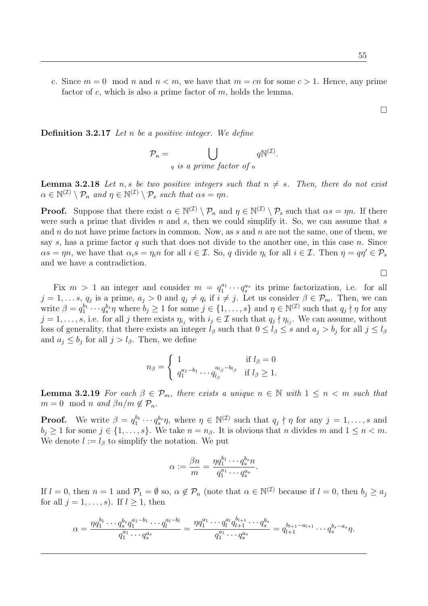$\Box$ 

c. Since  $m = 0 \mod n$  and  $n < m$ , we have that  $m = cn$  for some  $c > 1$ . Hence, any prime factor of c, which is also a prime factor of  $m$ , holds the lemma.

**Definition 3.2.17** Let  $n$  be a positive integer. We define

$$
\mathcal{P}_n = \bigcup_{q \text{ is a prime factor of } n} q^{\mathbb{N}^{(\mathcal{I})}}.
$$

<span id="page-68-0"></span>**Lemma 3.2.18** Let n, s be two positive integers such that  $n \neq s$ . Then, there do not exist  $\alpha \in \mathbb{N}^{(\mathcal{I})} \setminus \mathcal{P}_n$  and  $\eta \in \mathbb{N}^{(\mathcal{I})} \setminus \mathcal{P}_s$  such that  $\alpha s = \eta n$ .

**Proof.** Suppose that there exist  $\alpha \in \mathbb{N}^{(\mathcal{I})} \setminus \mathcal{P}_n$  and  $\eta \in \mathbb{N}^{(\mathcal{I})} \setminus \mathcal{P}_s$  such that  $\alpha s = \eta n$ . If there were such a prime that divides  $n$  and  $s$ , then we could simplify it. So, we can assume that  $s$ and  $n$  do not have prime factors in common. Now, as  $s$  and  $n$  are not the same, one of them, we say s, has a prime factor q such that does not divide to the another one, in this case n. Since  $\alpha s = \eta n$ , we have that  $\alpha_i s = \eta_i n$  for all  $i \in \mathcal{I}$ . So, q divide  $\eta_i$  for all  $i \in \mathcal{I}$ . Then  $\eta = q \eta' \in \mathcal{P}_s$ and we have a contradiction.

 $\Box$ 

Fix  $m > 1$  an integer and consider  $m = q_1^{a_1} \cdots q_s^{a_s}$  its prime factorization, i.e. for all  $j = 1, \ldots s, q_j$  is a prime,  $a_j > 0$  and  $q_j \neq q_i$  if  $i \neq j$ . Let us consider  $\beta \in \mathcal{P}_m$ . Then, we can write  $\beta = q_1^{b_1} \cdots q_s^{b_s} \eta$  where  $b_j \ge 1$  for some  $j \in \{1, \ldots, s\}$  and  $\eta \in \mathbb{N}^{(\mathcal{I})}$  such that  $q_j \nmid \eta$  for any  $j = 1, \ldots, s$ , i.e. for all j there exists  $\eta_{i_j}$  with  $i_j \in \mathcal{I}$  such that  $q_j \nmid \eta_{i_j}$ . We can assume, without loss of generality, that there exists an integer  $l_\beta$  such that  $0 \leq l_\beta \leq s$  and  $a_j > b_j$  for all  $j \leq l_\beta$ and  $a_j \leq b_j$  for all  $j > l_\beta$ . Then, we define

$$
n_{\beta} = \begin{cases} 1 & \text{if } l_{\beta} = 0 \\ q_1^{a_1 - b_1} \cdots q_{l_{\beta}}^{a_{l_{\beta}} - b_{l_{\beta}}} & \text{if } l_{\beta} \ge 1. \end{cases}
$$

<span id="page-68-1"></span>**Lemma 3.2.19** For each  $\beta \in \mathcal{P}_m$ , there exists a unique  $n \in \mathbb{N}$  with  $1 \leq n \leq m$  such that  $m = 0 \mod n$  and  $\beta n/m \notin \mathcal{P}_n$ .

**Proof.** We write  $\beta = q_1^{b_1} \cdots q_s^{b_s} \eta$ , where  $\eta \in \mathbb{N}^{(\mathcal{I})}$  such that  $q_j \nmid \eta$  for any  $j = 1, \ldots, s$  and  $b_i \geq 1$  for some  $j \in \{1, \ldots, s\}$ . We take  $n = n_\beta$ . It is obvious that n divides m and  $1 \leq n < m$ . We denote  $l := l_\beta$  to simplify the notation. We put

$$
\alpha := \frac{\beta n}{m} = \frac{\eta q_1^{b_1} \cdots q_s^{b_s} n}{q_1^{a_1} \cdots q_s^{a_s}}.
$$

If  $l = 0$ , then  $n = 1$  and  $\mathcal{P}_1 = \emptyset$  so,  $\alpha \notin \mathcal{P}_n$  (note that  $\alpha \in \mathbb{N}^{(\mathcal{I})}$  because if  $l = 0$ , then  $b_j \ge a_j$ for all  $j = 1, \ldots, s$ . If  $l \geq 1$ , then

$$
\alpha = \frac{\eta q_1^{b_1} \cdots q_s^{b_s} q_1^{a_1 - b_1} \cdots q_l^{a_l - b_l}}{q_1^{a_1} \cdots q_s^{a_s}} = \frac{\eta q_1^{a_1} \cdots q_l^{a_l} q_{l+1}^{b_{l+1}} \cdots q_s^{b_s}}{q_1^{a_1} \cdots q_s^{a_s}} = q_{l+1}^{b_{l+1} - a_{l+1}} \cdots q_s^{b_s - a_s} \eta.
$$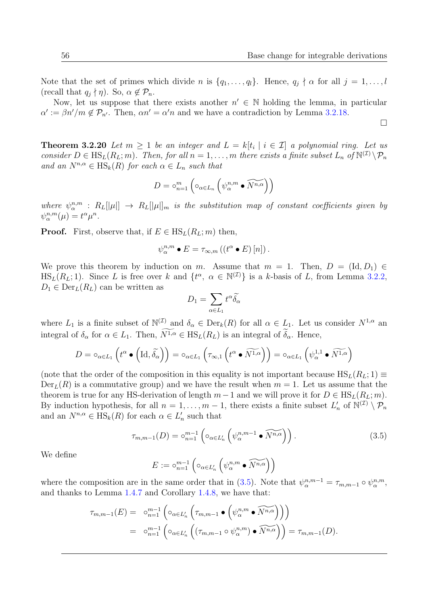Note that the set of primes which divide n is  $\{q_1, \ldots, q_l\}$ . Hence,  $q_j \nmid \alpha$  for all  $j = 1, \ldots, l$ (recall that  $q_j \nmid \eta$ ). So,  $\alpha \notin \mathcal{P}_n$ .

Now, let us suppose that there exists another  $n' \in \mathbb{N}$  holding the lemma, in particular  $\alpha' := \beta n'/m \notin \mathcal{P}_{n'}$ . Then,  $\alpha n' = \alpha' n$  and we have a contradiction by Lemma [3.2.18.](#page-68-0)

 $\Box$ 

**Theorem 3.2.20** Let  $m \geq 1$  be an integer and  $L = k[t_i \mid i \in \mathcal{I}]$  a polynomial ring. Let us consider  $D \in \text{HS}_L(R_L; m)$ . Then, for all  $n = 1, \ldots, m$  there exists a finite subset  $L_n$  of  $\mathbb{N}^{(1)} \setminus \mathcal{P}_n$ and an  $N^{n,\alpha} \in \text{HS}_k(R)$  for each  $\alpha \in L_n$  such that

$$
D = \circ_{n=1}^{m} \left( \circ_{\alpha \in L_n} \left( \psi_{\alpha}^{n,m} \bullet \widetilde{N^{n,\alpha}} \right) \right)
$$

where  $\psi_{\alpha}^{n,m}$  :  $R_L[|\mu|] \to R_L[|\mu|]_m$  is the substitution map of constant coefficients given by  $\psi_{\alpha}^{n,m}(\mu) = t^{\alpha}\mu^n.$ 

**Proof.** First, observe that, if  $E \in HS_L(R_L; m)$  then,

$$
\psi_{\alpha}^{n,m} \bullet E = \tau_{\infty,m} \left( \left( t^{\alpha} \bullet E \right) [n] \right).
$$

We prove this theorem by induction on m. Assume that  $m = 1$ . Then,  $D = (Id, D_1) \in$  $\text{HS}_L(R_L; 1)$ . Since L is free over k and  $\{t^{\alpha}, \alpha \in \mathbb{N}^{(\mathcal{I})}\}\$ is a k-basis of L, from Lemma [3.2.2,](#page-60-0)  $D_1 \in \text{Der}_L(R_L)$  can be written as

$$
D_1 = \sum_{\alpha \in L_1} t^{\alpha} \widetilde{\delta_{\alpha}}
$$

where  $L_1$  is a finite subset of  $\mathbb{N}^{(\mathcal{I})}$  and  $\delta_\alpha \in \text{Der}_k(R)$  for all  $\alpha \in L_1$ . Let us consider  $N^{1,\alpha}$  and integral of  $\delta_{\alpha}$  for  $\alpha \in L_1$ . Then,  $\widetilde{N^{1,\alpha}} \in \text{HS}_L(R_L)$  is an integral of  $\widetilde{\delta}_{\alpha}$ . Hence,

$$
D = \circ_{\alpha \in L_1} \left( t^{\alpha} \bullet \left( \mathrm{Id}, \widetilde{\delta_{\alpha}} \right) \right) = \circ_{\alpha \in L_1} \left( \tau_{\infty,1} \left( t^{\alpha} \bullet \widetilde{N^{1,\alpha}} \right) \right) = \circ_{\alpha \in L_1} \left( \psi_{\alpha}^{1,1} \bullet \widetilde{N^{1,\alpha}} \right)
$$

(note that the order of the composition in this equality is not important because  $\text{HS}_{L}(R_{L}; 1) \equiv$  $Der_L(R)$  is a commutative group) and we have the result when  $m = 1$ . Let us assume that the theorem is true for any HS-derivation of length  $m-1$  and we will prove it for  $D \in \text{HS}_{L}(R_{L}; m)$ . By induction hypothesis, for all  $n = 1, \ldots, m-1$ , there exists a finite subset  $L'_n$  of  $\mathbb{N}^{(\mathcal{I})} \setminus \mathcal{P}_n$ and an  $N^{n,\alpha} \in \text{HS}_k(R)$  for each  $\alpha \in L'_n$  such that

<span id="page-69-0"></span>
$$
\tau_{m,m-1}(D) = \circ_{n=1}^{m-1} \left( \circ_{\alpha \in L'_n} \left( \psi_{\alpha}^{n,m-1} \bullet \widetilde{N^{n,\alpha}} \right) \right). \tag{3.5}
$$

We define

$$
E := \circ_{n=1}^{m-1} \left( \circ_{\alpha \in L'_n} \left( \psi_{\alpha}^{n,m} \bullet \widetilde{N^{n,\alpha}} \right) \right)
$$

where the composition are in the same order that in [\(3.5\)](#page-69-0). Note that  $\psi_{\alpha}^{n,m-1} = \tau_{m,m-1} \circ \psi_{\alpha}^{n,m}$ , and thanks to Lemma [1.4.7](#page-33-3) and Corollary [1.4.8,](#page-33-1) we have that:

$$
\tau_{m,m-1}(E) = \circ_{n=1}^{m-1} \left( \circ_{\alpha \in L'_n} \left( \tau_{m,m-1} \bullet \left( \psi_{\alpha}^{n,m} \bullet \widetilde{N^{n,\alpha}} \right) \right) \right)
$$
  

$$
= \circ_{n=1}^{m-1} \left( \circ_{\alpha \in L'_n} \left( \left( \tau_{m,m-1} \circ \psi_{\alpha}^{n,m} \right) \bullet \widetilde{N^{n,\alpha}} \right) \right) = \tau_{m,m-1}(D).
$$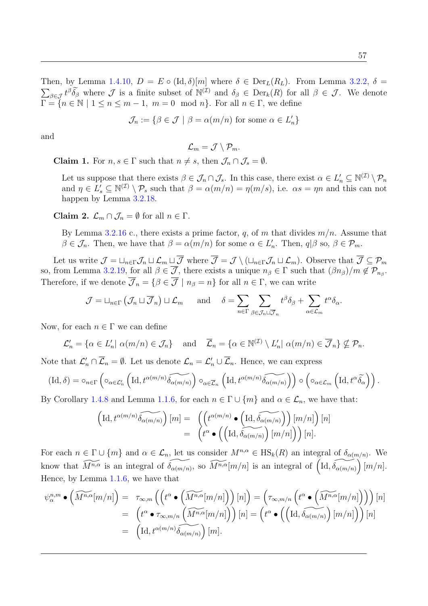Then, by Lemma [1.4.10,](#page-33-4)  $D = E \circ (\text{Id}, \delta)[m]$  where  $\delta \in \text{Der}_L(R_L)$ . From Lemma [3.2.2,](#page-60-0)  $\delta =$  $\sum_{\beta \in \mathcal{J}} t^{\beta} \widetilde{\delta}_{\beta}$  where  $\mathcal{J}$  is a finite subset of  $\mathbb{N}^{(\mathcal{I})}$  and  $\delta_{\beta} \in \text{Der}_k(R)$  for all  $\beta \in \mathcal{J}$ . We denote  $\Gamma = \{n \in \mathbb{N} \mid 1 \le n \le m-1, m=0 \mod n\}.$  For all  $n \in \Gamma$ , we define

$$
\mathcal{J}_n := \{ \beta \in \mathcal{J} \mid \beta = \alpha(m/n) \text{ for some } \alpha \in L'_n \}
$$

and

$$
\mathcal{L}_m = \mathcal{J} \setminus \mathcal{P}_m.
$$

**Claim 1.** For  $n, s \in \Gamma$  such that  $n \neq s$ , then  $\mathcal{J}_n \cap \mathcal{J}_s = \emptyset$ .

Let us suppose that there exists  $\beta \in \mathcal{J}_n \cap \mathcal{J}_s$ . In this case, there exist  $\alpha \in L'_n \subseteq \mathbb{N}^{(\mathcal{I})} \setminus \mathcal{P}_n$ and  $\eta \in L'_{s} \subseteq \mathbb{N}^{(\mathcal{I})} \setminus \mathcal{P}_{s}$  such that  $\beta = \alpha(m/n) = \eta(m/s)$ , i.e.  $\alpha s = \eta n$  and this can not happen by Lemma [3.2.18.](#page-68-0)

Claim 2.  $\mathcal{L}_m \cap \mathcal{J}_n = \emptyset$  for all  $n \in \Gamma$ .

By Lemma [3.2.16](#page-67-0) c., there exists a prime factor, q, of m that divides  $m/n$ . Assume that  $\beta \in \mathcal{J}_n$ . Then, we have that  $\beta = \alpha(m/n)$  for some  $\alpha \in L'_n$ . Then,  $q|\beta \text{ so, } \beta \in \mathcal{P}_m$ .

Let us write  $\mathcal{J} = \sqcup_{n \in \Gamma} \mathcal{J}_n \sqcup \mathcal{L}_m \sqcup \overline{\mathcal{J}}$  where  $\overline{\mathcal{J}} = \mathcal{J} \setminus (\sqcup_{n \in \Gamma} \mathcal{J}_n \sqcup \mathcal{L}_m)$ . Observe that  $\overline{\mathcal{J}} \subseteq \mathcal{P}_m$ so, from Lemma [3.2.19,](#page-68-1) for all  $\beta \in \mathcal{J}$ , there exists a unique  $n_{\beta} \in \Gamma$  such that  $(\beta n_{\beta})/m \notin \mathcal{P}_{n_{\beta}}$ . Therefore, if we denote  $\overline{\mathcal{J}}_n = \{\beta \in \overline{\mathcal{J}} \mid n_\beta = n\}$  for all  $n \in \Gamma$ , we can write

$$
\mathcal{J} = \sqcup_{n \in \Gamma} (\mathcal{J}_n \sqcup \overline{\mathcal{J}}_n) \sqcup \mathcal{L}_m \quad \text{and} \quad \delta = \sum_{n \in \Gamma} \sum_{\beta \in \mathcal{J}_n \sqcup \overline{\mathcal{J}}_n} t^{\beta} \delta_{\beta} + \sum_{\alpha \in \mathcal{L}_m} t^{\alpha} \delta_{\alpha}.
$$

Now, for each  $n \in \Gamma$  we can define

$$
\mathcal{L}'_n = \{ \alpha \in L'_n | \alpha(m/n) \in \mathcal{J}_n \} \quad \text{and} \quad \overline{\mathcal{L}}_n = \{ \alpha \in \mathbb{N}^{(\mathcal{I})} \setminus L'_n | \alpha(m/n) \in \overline{\mathcal{J}}_n \} \nsubseteq \mathcal{P}_n.
$$

Note that  $\mathcal{L}'_n \cap \overline{\mathcal{L}}_n = \emptyset$ . Let us denote  $\mathcal{L}_n = \mathcal{L}'_n \cup \overline{\mathcal{L}}_n$ . Hence, we can express

$$
(\mathrm{Id}, \delta) = \circ_{n \in \Gamma} \left( \circ_{\alpha \in \mathcal{L}'_n} \left( \mathrm{Id}, t^{\alpha(m/n)} \widetilde{\delta_{\alpha(m/n)}} \right) \circ_{\alpha \in \overline{\mathcal{L}}_n} \left( \mathrm{Id}, t^{\alpha(m/n)} \widetilde{\delta_{\alpha(m/n)}} \right) \right) \circ \left( \circ_{\alpha \in \mathcal{L}_m} \left( \mathrm{Id}, t^{\alpha} \widetilde{\delta_{\alpha}} \right) \right).
$$

By Corollary [1.4.8](#page-33-1) and Lemma [1.1.6,](#page-16-0) for each  $n \in \Gamma \cup \{m\}$  and  $\alpha \in \mathcal{L}_n$ , we have that:

$$
\left(\mathrm{Id}, t^{\alpha(m/n)}\widetilde{\delta_{\alpha(m/n)}}\right)[m] = \left(\left(t^{\alpha(m/n)} \bullet \left(\mathrm{Id}, \widetilde{\delta_{\alpha(m/n)}}\right)\right)[m/n]\right)[n] = \left(t^{\alpha} \bullet \left(\left(\mathrm{Id}, \widetilde{\delta_{\alpha(m/n)}}\right)[m/n]\right)\right)[n].
$$

For each  $n \in \Gamma \cup \{m\}$  and  $\alpha \in \mathcal{L}_n$ , let us consider  $M^{n,\alpha} \in \text{HS}_k(R)$  an integral of  $\delta_{\alpha(m/n)}$ . We know that  $\widetilde{M^{n,\alpha}}$  is an integral of  $\widetilde{\delta_{\alpha(m/n)}}$ , so  $\widetilde{M^{n,\alpha}}[m/n]$  is an integral of  $\left(\mathrm{Id}, \widetilde{\delta_{\alpha(m/n)}}\right)[m/n]$ . Hence, by Lemma [1.1.6,](#page-16-0) we have that

$$
\psi_{\alpha}^{n,m} \bullet (\widetilde{M^{n,\alpha}}[m/n]) = \tau_{\infty,m} \left( \left( t^{\alpha} \bullet (\widetilde{M^{n,\alpha}}[m/n]) \right) [n] \right) = \left( \tau_{\infty,m/n} \left( t^{\alpha} \bullet (\widetilde{M^{n,\alpha}}[m/n]) \right) \right) [n]
$$
  

$$
= \left( t^{\alpha} \bullet \tau_{\infty,m/n} (\widetilde{M^{n,\alpha}}[m/n]) \right) [n] = \left( t^{\alpha} \bullet (\left( [\mathrm{Id}, \widetilde{\delta_{\alpha(m/n)}} \right) [m/n] \right) \right) [n]
$$
  

$$
= (\mathrm{Id}, t^{\alpha(m/n)} \widetilde{\delta_{\alpha(m/n)}}) [m].
$$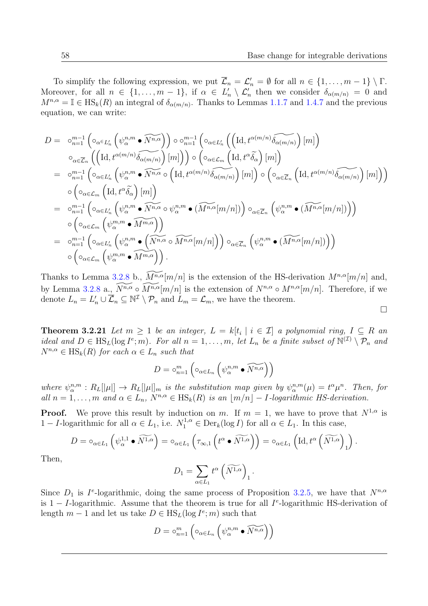To simplify the following expression, we put  $\overline{\mathcal{L}}_n = \mathcal{L}'_n = \emptyset$  for all  $n \in \{1, ..., m-1\} \setminus \Gamma$ . Moreover, for all  $n \in \{1, \ldots, m-1\}$ , if  $\alpha \in L'_n \setminus L'_n$  then we consider  $\delta_{\alpha(m/n)} = 0$  and  $M^{n,\alpha} = \mathbb{I} \in \text{HS}_k(R)$  an integral of  $\delta_{\alpha(m/n)}$ . Thanks to Lemmas [1.1.7](#page-17-4) and [1.4.7](#page-33-3) and the previous equation, we can write:

$$
D = \circ_{n=1}^{m-1} \left( \circ_{\alpha \in L'_n} \left( \psi_{\alpha}^{n,m} \bullet \widetilde{N^{n,\alpha}} \right) \right) \circ \circ_{n=1}^{m-1} \left( \circ_{\alpha \in L'_n} \left( \left( \mathrm{Id}, t^{\alpha(m/n)} \widetilde{\delta_{\alpha(m/n)}} \right) [m] \right) \right)
$$
  
\n
$$
\circ_{\alpha \in \overline{\mathcal{L}}_n} \left( \left( \mathrm{Id}, t^{\alpha(m/n)} \widetilde{\delta_{\alpha(m/n)}} \right) [m] \right) \right) \circ \left( \circ_{\alpha \in \mathcal{L}_m} \left( \mathrm{Id}, t^{\alpha} \widetilde{\delta_{\alpha}} \right) [m] \right)
$$
  
\n
$$
= \circ_{n=1}^{m-1} \left( \circ_{\alpha \in L'_n} \left( \psi_{\alpha}^{n,m} \bullet \widetilde{N^{n,\alpha}} \circ \left( \mathrm{Id}, t^{\alpha(m/n)} \widetilde{\delta_{\alpha(m/n)}} \right) [m] \right) \circ \left( \circ_{\alpha \in \overline{\mathcal{L}}_n} \left( \mathrm{Id}, t^{\alpha(m/n)} \widetilde{\delta_{\alpha(m/n)}} \right) [m] \right) \right)
$$
  
\n
$$
\circ \left( \circ_{\alpha \in \mathcal{L}_m} \left( \mathrm{Id}, t^{\alpha} \widetilde{\delta_{\alpha}} \right) [m] \right)
$$
  
\n
$$
= \circ_{n=1}^{m-1} \left( \circ_{\alpha \in L'_n} \left( \psi_{\alpha}^{n,m} \bullet \widetilde{N^{n,\alpha}} \circ \psi_{\alpha}^{n,m} \bullet (\widetilde{M^{n,\alpha}}[m/n]) \right) \circ_{\alpha \in \overline{\mathcal{L}}_n} \left( \psi_{\alpha}^{n,m} \bullet (\widetilde{M^{n,\alpha}}[m/n]) \right) \right)
$$
  
\n
$$
= \circ_{n=1}^{m-1} \left( \circ_{\alpha \in L'_n} \left( \psi_{\alpha}^{n,m} \bullet \widetilde{M^{m,\alpha}} \right) \right)
$$
  
\n
$$
\circ \left( \circ_{\alpha \in \mathcal{L}_m} \left( \psi_{\alpha}^{n,m} \bullet \widetilde{M^{m,\alpha}} \right
$$

Thanks to Lemma [3.2.8](#page-63-0) b.,  $\widetilde{M^{n,\alpha}}[m/n]$  is the extension of the HS-derivation  $M^{n,\alpha}[m/n]$  and, by Lemma [3.2.8](#page-63-0) a.,  $\widetilde{N^{n,\alpha}} \circ \widetilde{M^{n,\alpha}}[m/n]$  is the extension of  $N^{n,\alpha} \circ M^{n,\alpha}[m/n]$ . Therefore, if we denote  $L_n = L'_n \cup \overline{\mathcal{L}}_n \subseteq \mathbb{N}^{\mathcal{I}} \setminus \mathcal{P}_n$  and  $L_m = \mathcal{L}_m$ , we have the theorem.

 $\Box$ 

**Theorem 3.2.21** Let  $m \geq 1$  be an integer,  $L = k[t_i \mid i \in \mathcal{I}]$  a polynomial ring,  $I \subseteq R$  an ideal and  $D \in \text{HS}_L(\log I^e; m)$ . For all  $n = 1, \ldots, m$ , let  $L_n$  be a finite subset of  $\mathbb{N}^{(\mathcal{I})} \setminus \mathcal{P}_n$  and  $N^{n,\alpha} \in \text{HS}_k(R)$  for each  $\alpha \in L_n$  such that

$$
D = \circ_{n=1}^{m} \left( \circ_{\alpha \in L_n} \left( \psi_{\alpha}^{n,m} \bullet \widetilde{N^{n,\alpha}} \right) \right)
$$

where  $\psi^{n,m}_\alpha : R_L[[\mu]] \to R_L[[\mu]]_m$  is the substitution map given by  $\psi^{n,m}_\alpha(\mu) = t^\alpha \mu^n$ . Then, for all  $n = 1, \ldots, m$  and  $\alpha \in L_n$ ,  $N^{n,\alpha} \in \text{HS}_k(R)$  is an  $|m/n| - 1$ -logarithmic HS-derivation.

**Proof.** We prove this result by induction on m. If  $m = 1$ , we have to prove that  $N^{1,\alpha}$  is 1 − *I*-logarithmic for all  $\alpha \in L_1$ , i.e.  $N_1^{1,\alpha} \in \text{Der}_k(\log I)$  for all  $\alpha \in L_1$ . In this case,

$$
D = \circ_{\alpha \in L_1} \left( \psi_{\alpha}^{1,1} \bullet \widetilde{N^{1,\alpha}} \right) = \circ_{\alpha \in L_1} \left( \tau_{\infty,1} \left( t^{\alpha} \bullet \widetilde{N^{1,\alpha}} \right) \right) = \circ_{\alpha \in L_1} \left( \mathrm{Id}, t^{\alpha} \left( \widetilde{N^{1,\alpha}} \right)_1 \right).
$$

Then,

$$
D_1 = \sum_{\alpha \in L_1} t^{\alpha} \left( \widetilde{N^{1,\alpha}} \right)_1.
$$

Since  $D_1$  is  $I^e$ -logarithmic, doing the same process of Proposition [3.2.5,](#page-61-2) we have that  $N^{n,\alpha}$ is 1 – I-logarithmic. Assume that the theorem is true for all  $I^e$ -logarithmic HS-derivation of length  $m-1$  and let us take  $D \in \text{HS}_L(\log I^e; m)$  such that

$$
D = \circ_{n=1}^{m} \left( \circ_{\alpha \in L_n} \left( \psi_{\alpha}^{n,m} \bullet \widetilde{N^{n,\alpha}} \right) \right)
$$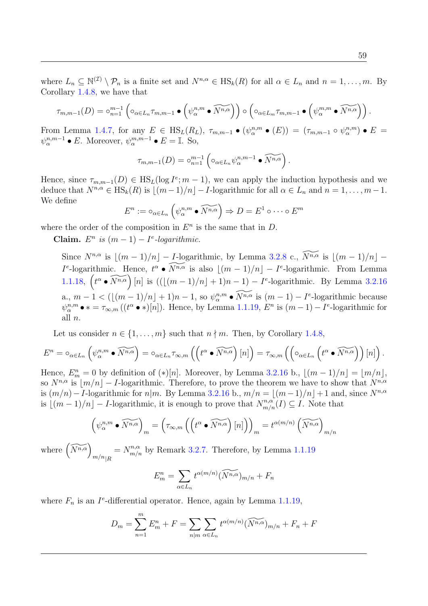$$
\tau_{m,m-1}(D) = \circ_{n=1}^{m-1} \left( \circ_{\alpha \in L_n} \tau_{m,m-1} \bullet \left( \psi_{\alpha}^{n,m} \bullet \widetilde{N^{n,\alpha}} \right) \right) \circ \left( \circ_{\alpha \in L_m} \tau_{m,m-1} \bullet \left( \psi_{\alpha}^{m,m} \bullet \widetilde{N^{n,\alpha}} \right) \right).
$$

From Lemma [1.4.7,](#page-33-1) for any  $E \in \text{HS}_L(R_L)$ ,  $\tau_{m,m-1} \bullet (\psi_{\alpha}^{n,m} \bullet (E)) = (\tau_{m,m-1} \circ \psi_{\alpha}^{n,m}) \bullet E =$  $\psi_{\alpha}^{n,m-1} \bullet E$ . Moreover,  $\psi_{\alpha}^{m,m-1} \bullet E = \mathbb{I}$ . So,

$$
\tau_{m,m-1}(D) = \circ_{n=1}^{m-1} \left( \circ_{\alpha \in L_n} \psi_{\alpha}^{n,m-1} \bullet \widetilde{N^{n,\alpha}} \right).
$$

Hence, since  $\tau_{m,m-1}(D) \in \text{HS}_{L}(\log I^e; m-1)$ , we can apply the induction hypothesis and we deduce that  $N^{n,\alpha} \in \text{HS}_k(R)$  is  $\lfloor (m-1)/n \rfloor - I$ -logarithmic for all  $\alpha \in L_n$  and  $n = 1, \ldots, m-1$ . We define

$$
E^n := \circ_{\alpha \in L_n} \left( \psi^{n,m}_\alpha \bullet \widetilde{N^{n,\alpha}} \right) \Rightarrow D = E^1 \circ \cdots \circ E^m
$$

where the order of the composition in  $E<sup>n</sup>$  is the same that in  $D$ .

Claim.  $E^n$  is  $(m-1) - I^e$ -logarithmic.

Since  $N^{n,\alpha}$  is  $\lfloor (m - 1)/n \rfloor - I$ -logarithmic, by Lemma [3.2.8](#page-63-0) c.,  $\widetilde{N^{n,\alpha}}$  is  $\lfloor (m - 1)/n \rfloor I^e$ -logarithmic. Hence,  $t^{\alpha} \bullet \widetilde{N^{n,\alpha}}$  is also  $\lfloor (m-1)/n \rfloor - I^e$ -logarithmic. From Lemma [1.1.18,](#page-19-0)  $\left(t^{\alpha} \cdot \widetilde{N^{n,\alpha}}\right) [n]$  is  $\left(\left(\left\lfloor (m-1)/n \right\rfloor + 1\right) n - 1\right) - I^e$ -logarithmic. By Lemma [3.2.16](#page-67-0) a.,  $m-1 < (\lfloor (m-1)/n \rfloor + 1)n - 1$ , so  $\psi_{\alpha}^{n,m} \bullet \widetilde{N^{n,\alpha}}$  is  $(m-1) - I^e$ -logarithmic because  $\psi^{n,m}_{\alpha} \bullet * = \tau_{\infty,m}((t^{\alpha} \bullet *)[n])$ . Hence, by Lemma [1.1.19,](#page-19-1)  $E^n$  is  $(m-1) - I^e$ -logarithmic for all  $n$ .

Let us consider  $n \in \{1, \ldots, m\}$  such that  $n \nmid m$ . Then, by Corollary [1.4.8,](#page-33-0)

$$
E^{n} = \circ_{\alpha \in L_{n}} \left( \psi_{\alpha}^{n,m} \bullet \widetilde{N^{n,\alpha}} \right) = \circ_{\alpha \in L_{n}} \tau_{\infty,m} \left( \left( t^{\alpha} \bullet \widetilde{N^{n,\alpha}} \right) [n] \right) = \tau_{\infty,m} \left( \left( \circ_{\alpha \in L_{n}} \left( t^{\alpha} \bullet \widetilde{N^{n,\alpha}} \right) \right) [n] \right).
$$

Hence,  $E_m^n = 0$  by definition of  $(*)[n]$ . Moreover, by Lemma [3.2.16](#page-67-0) b.,  $\lfloor (m-1)/n \rfloor = \lfloor m/n \rfloor$ , so  $N^{n,\alpha}$  is  $|m/n|-I$ -logarithmic. Therefore, to prove the theorem we have to show that  $N^{n,\alpha}$ is  $(m/n) - I$ -logarithmic for  $n|m$ . By Lemma [3.2.16](#page-67-0) b.,  $m/n = \lfloor (m-1)/n \rfloor + 1$  and, since  $N^{n,\alpha}$ is  $\lfloor (m-1)/n \rfloor - I$ -logarithmic, it is enough to prove that  $N_{m/n}^{n,\alpha}(I) \subseteq I$ . Note that

$$
\left(\psi^{n,m}_{\alpha}\bullet\widetilde{N^{n,\alpha}}\right)_m = \left(\tau_{\infty,m}\left(\left(t^{\alpha}\bullet\widetilde{N^{n,\alpha}}\right)[n]\right)\right)_m = t^{\alpha(m/n)}\left(\widetilde{N^{n,\alpha}}\right)_{m/n}
$$

where  $\left(\widetilde{N^{n,\alpha}}\right)$  $m/n_{|R}$  $N_{m/n}^{n,\alpha}$  by Remark [3.2.7.](#page-63-1) Therefore, by Lemma [1.1.19](#page-19-1)

$$
E_m^n = \sum_{\alpha \in L_n} t^{\alpha(m/n)} (\widetilde{N^{n,\alpha}})_{m/n} + F_n
$$

where  $F_n$  is an  $I^e$ -differential operator. Hence, again by Lemma [1.1.19,](#page-19-1)

$$
D_m = \sum_{n=1}^m E_m^n + F = \sum_{n|m} \sum_{\alpha \in L_n} t^{\alpha(m/n)} (\widetilde{N^{n,\alpha}})_{m/n} + F_n + F
$$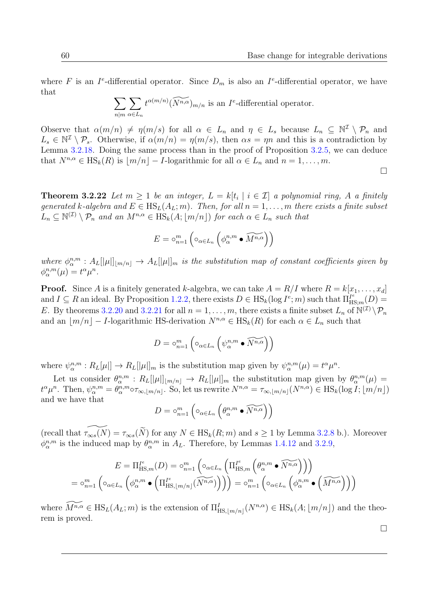where F is an I<sup>e</sup>-differential operator. Since  $D_m$  is also an I<sup>e</sup>-differential operator, we have that

$$
\sum_{n|m} \sum_{\alpha \in L_n} t^{\alpha(m/n)} \widetilde{(N^{n,\alpha})}_{m/n}
$$
 is an  $I^e$ -differential operator.

Observe that  $\alpha(m/n) \neq \eta(m/s)$  for all  $\alpha \in L_n$  and  $\eta \in L_s$  because  $L_n \subseteq \mathbb{N}^{\mathcal{I}} \setminus \mathcal{P}_n$  and  $L_s \in \mathbb{N}^{\mathcal{I}} \setminus \mathcal{P}_s$ . Otherwise, if  $\alpha(m/n) = \eta(m/s)$ , then  $\alpha s = \eta n$  and this is a contradiction by Lemma [3.2.18.](#page-68-0) Doing the same process than in the proof of Proposition [3.2.5,](#page-61-0) we can deduce that  $N^{n,\alpha} \in \text{HS}_k(R)$  is  $\lfloor m/n \rfloor - I$ -logarithmic for all  $\alpha \in L_n$  and  $n = 1, \ldots, m$ .

 $\Box$ 

**Theorem 3.2.22** Let  $m \geq 1$  be an integer,  $L = k[t_i \mid i \in \mathcal{I}]$  a polynomial ring, A a finitely generated k-algebra and  $E \in HS_L(A_L; m)$ . Then, for all  $n = 1, \ldots, m$  there exists a finite subset  $L_n \subseteq \mathbb{N}^{(\mathcal{I})} \setminus \mathcal{P}_n$  and an  $M^{n,\alpha} \in \text{HS}_k(A; \lfloor m/n \rfloor)$  for each  $\alpha \in L_n$  such that

$$
E = \circ_{n=1}^{m} \left( \circ_{\alpha \in L_n} \left( \phi_{\alpha}^{n,m} \bullet \widetilde{M^{n,\alpha}} \right) \right)
$$

where  $\phi^{n,m}_\alpha : A_L[[\mu]]_{m/n} \to A_L[[\mu]]_m$  is the substitution map of constant coefficients given by  $\phi_{\alpha}^{n,m}(\mu) = t^{\alpha} \mu^n.$ 

**Proof.** Since A is a finitely generated k-algebra, we can take  $A = R/I$  where  $R = k[x_1, \ldots, x_d]$ and  $I \subseteq R$  an ideal. By Proposition [1.2.2,](#page-24-0) there exists  $D \in \text{HS}_k(\log I^e; m)$  such that  $\Pi_{\text{HS};m}^{I^e}(D) =$ E. By theorems [3.2.20](#page-69-0) and [3.2.21](#page-71-0) for all  $n = 1, \ldots, m$ , there exists a finite subset  $L_n$  of  $\mathbb{N}^{(\mathcal{I})}\setminus\mathcal{P}_n$ and an  $\lfloor m/n \rfloor - I$ -logarithmic HS-derivation  $N^{n,\alpha} \in \text{HS}_k(R)$  for each  $\alpha \in L_n$  such that

$$
D = \circ_{n=1}^{m} \left( \circ_{\alpha \in L_n} \left( \psi_{\alpha}^{n,m} \bullet \widetilde{N^{n,\alpha}} \right) \right)
$$

where  $\psi^{n,m}_{\alpha}: R_L[\mu]] \to R_L[[\mu]]_m$  is the substitution map given by  $\psi^{n,m}_{\alpha}(\mu) = t^{\alpha} \mu^n$ .

Let us consider  $\theta_{\alpha}^{n,m}$ :  $R_L[[\mu]]_{m/n} \to R_L[[\mu]]_m$  the substitution map given by  $\theta_{\alpha}^{n,m}(\mu) =$  $t^{\alpha}\mu^{n}$ . Then,  $\psi_{\alpha}^{n,m} = \theta_{\alpha}^{n,m} \circ \tau_{\infty, \lfloor m/n \rfloor}$ . So, let us rewrite  $N^{n,\alpha} = \tau_{\infty, \lfloor m/n \rfloor}(N^{n,\alpha}) \in \text{HS}_{k}(\log I; \lfloor m/n \rfloor)$ and we have that

$$
D = \circ_{n=1}^{m} \left( \circ_{\alpha \in L_n} \left( \theta_{\alpha}^{n,m} \bullet \widetilde{N^{n,\alpha}} \right) \right)
$$

(recall that  $\widetilde{\tau_{\infty s}(N)} = \tau_{\infty s}(\widetilde{N})$  for any  $N \in \text{HS}_k(R; m)$  and  $s \geq 1$  by Lemma [3.2.8](#page-63-0) b.). Moreover  $\phi_{\alpha}^{n,m}$  is the induced map by  $\theta_{\alpha}^{n,m}$  in  $A_L$ . Therefore, by Lemmas [1.4.12](#page-34-0) and [3.2.9,](#page-64-0)

$$
E = \Pi_{\text{HS},m}^{I^e}(D) = \circ_{n=1}^m \left( \circ_{\alpha \in L_n} \left( \Pi_{\text{HS},m}^{I^e} \left( \theta_{\alpha}^{n,m} \bullet \widetilde{N^{n,\alpha}} \right) \right) \right)
$$
  
=  $\circ_{n=1}^m \left( \circ_{\alpha \in L_n} \left( \phi_{\alpha}^{n,m} \bullet \left( \Pi_{\text{HS},\lfloor m/n \rfloor}^{I^e} (\widetilde{N^{n,\alpha}}) \right) \right) \right) = \circ_{n=1}^m \left( \circ_{\alpha \in L_n} \left( \phi_{\alpha}^{n,m} \bullet \left( \widetilde{M^{n,\alpha}} \right) \right) \right)$ 

where  $\widetilde{M^{n,\alpha}} \in \text{HS}_L(A_L; m)$  is the extension of  $\Pi_{\text{HS},\lfloor m/n \rfloor}^I(N^{n,\alpha}) \in \text{HS}_k(A; \lfloor m/n \rfloor)$  and the theorem is proved.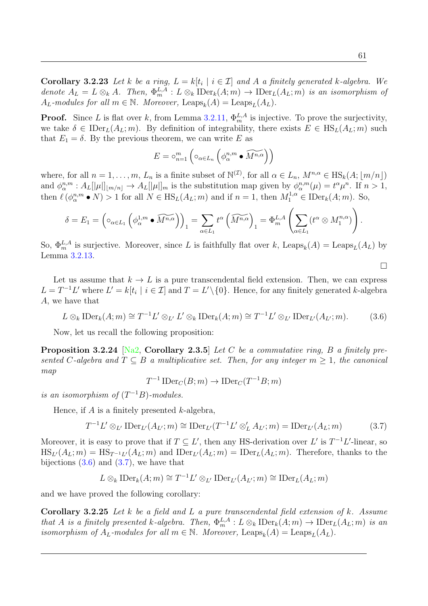**Corollary 3.2.23** Let k be a ring,  $L = k[t_i \mid i \in \mathcal{I}]$  and A a finitely generated k-algebra. We denote  $A_L = L \otimes_k A$ . Then,  $\Phi_m^{L,A} : L \otimes_k \text{IDer}_k(A; m) \to \text{IDer}_L(A_L; m)$  is an isomorphism of  $A_L$ -modules for all  $m \in \mathbb{N}$ . Moreover, Leaps<sub>k</sub> $(A)$  = Leaps<sub>L</sub> $(A_L)$ .

**Proof.** Since L is flat over k, from Lemma [3.2.11,](#page-65-0)  $\Phi_m^{L,A}$  is injective. To prove the surjectivity, we take  $\delta \in \text{IDer}_L(A_L; m)$ . By definition of integrability, there exists  $E \in \text{HS}_L(A_L; m)$  such that  $E_1 = \delta$ . By the previous theorem, we can write E as

$$
E = \circ_{n=1}^{m} \left( \circ_{\alpha \in L_n} \left( \phi_{\alpha}^{n,m} \bullet \widetilde{M^{n,\alpha}} \right) \right)
$$

where, for all  $n = 1, \ldots, m$ ,  $L_n$  is a finite subset of  $\mathbb{N}^{(\mathcal{I})}$ , for all  $\alpha \in L_n$ ,  $M^{n, \alpha} \in \text{HS}_k(A; \lfloor m/n \rfloor)$ and  $\phi^{n,m}_{\alpha}: A_L[[\mu]]_{m/n} \to A_L[[\mu]]_m$  is the substitution map given by  $\phi^{n,m}_{\alpha}(\mu) = t^{\alpha} \mu^n$ . If  $n > 1$ , then  $\ell(\phi^{n,m}_{\alpha} \bullet N) > 1$  for all  $N \in \text{HS}_{L}(A_L; m)$  and if  $n = 1$ , then  $M_1^{1,\alpha} \in \text{IDer}_k(A; m)$ . So,

$$
\delta = E_1 = \left( \circ_{\alpha \in L_1} \left( \phi_\alpha^{1,m} \bullet \widetilde{M^{n,\alpha}} \right) \right)_1 = \sum_{\alpha \in L_1} t^\alpha \left( \widetilde{M^{n,\alpha}} \right)_1 = \Phi_m^{L,A} \left( \sum_{\alpha \in L_1} (t^\alpha \otimes M_1^{n,\alpha}) \right).
$$

So,  $\Phi_m^{L,A}$  is surjective. Moreover, since L is faithfully flat over k, Leaps<sub>k</sub> $(A) = \text{Leaps}_L(A_L)$  by Lemma [3.2.13.](#page-65-1)

Let us assume that  $k \to L$  is a pure transcendental field extension. Then, we can express  $L = T^{-1}L'$  where  $L' = k[t_i \mid i \in \mathcal{I}]$  and  $T = L' \setminus \{0\}$ . Hence, for any finitely generated k-algebra A, we have that

<span id="page-74-0"></span>
$$
L \otimes_k \text{IDer}_k(A; m) \cong T^{-1}L' \otimes_{L'} L' \otimes_k \text{IDer}_k(A; m) \cong T^{-1}L' \otimes_{L'} \text{IDer}_{L'}(A_{L'}; m). \tag{3.6}
$$

Now, let us recall the following proposition:

**Proposition 3.2.24** [\[Na2,](#page-103-0) Corollary 2.3.5] Let C be a commutative ring, B a finitely presented C-algebra and  $T \subseteq B$  a multiplicative set. Then, for any integer  $m \geq 1$ , the canonical map

$$
T^{-1} \operatorname{IDer}_C(B; m) \to \operatorname{IDer}_C(T^{-1}B; m)
$$

is an isomorphism of  $(T^{-1}B)$ -modules.

Hence, if  $A$  is a finitely presented  $k$ -algebra,

<span id="page-74-1"></span>
$$
T^{-1}L' \otimes_{L'} \text{IDer}_{L'}(A_{L'}; m) \cong \text{IDer}_{L'}(T^{-1}L' \otimes'_{L} A_{L'}; m) = \text{IDer}_{L'}(A_{L}; m)
$$
(3.7)

Moreover, it is easy to prove that if  $T \subseteq L'$ , then any HS-derivation over L' is  $T^{-1}L'$ -linear, so  $\text{HS}_{L}(A_L; m) = \text{HS}_{T^{-1}L'}(A_L; m)$  and  $\text{IDer}_{L'}(A_L; m) = \text{IDer}_{L}(A_L; m)$ . Therefore, thanks to the bijections  $(3.6)$  and  $(3.7)$ , we have that

$$
L \otimes_k \text{IDer}_k(A; m) \cong T^{-1}L' \otimes_{L'} \text{IDer}_{L'}(A_{L'}; m) \cong \text{IDer}_L(A_L; m)
$$

and we have proved the following corollary:

Corollary 3.2.25 Let k be a field and L a pure transcendental field extension of k. Assume that A is a finitely presented k-algebra. Then,  $\Phi_m^{L,A}: L \otimes_k \mathrm{IDer}_k(A; m) \to \mathrm{IDer}_L(A_L; m)$  is an isomorphism of  $A_L$ -modules for all  $m \in \mathbb{N}$ . Moreover, Leaps<sub>k</sub> $(A) = \text{Leaps}_L(A_L)$ .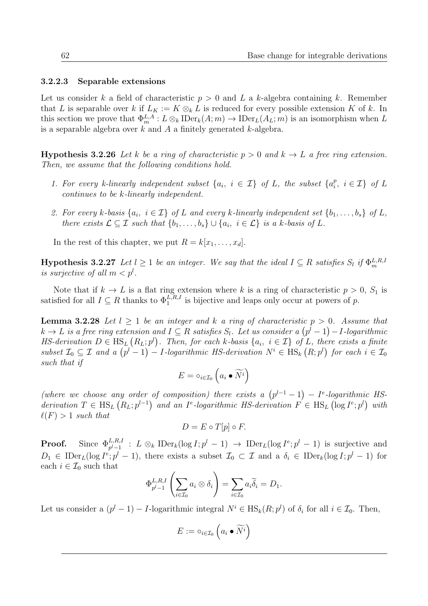#### 3.2.2.3 Separable extensions

Let us consider k a field of characteristic  $p > 0$  and L a k-algebra containing k. Remember that L is separable over k if  $L_K := K \otimes_k L$  is reduced for every possible extension K of k. In this section we prove that  $\Phi_m^{L,A}: L \otimes_k \text{IDer}_k(A;m) \to \text{IDer}_L(A_L;m)$  is an isomorphism when L is a separable algebra over  $k$  and  $A$  a finitely generated  $k$ -algebra.

<span id="page-75-0"></span>**Hypothesis 3.2.26** Let k be a ring of characteristic  $p > 0$  and  $k \rightarrow L$  a free ring extension. Then, we assume that the following conditions hold.

- 1. For every k-linearly independent subset  $\{a_i, i \in \mathcal{I}\}\$  of L, the subset  $\{a_i^p\}$  $i, i \in \mathcal{I}$  of L continues to be k-linearly independent.
- 2. For every k-basis  $\{a_i, i \in \mathcal{I}\}\$  of L and every k-linearly independent set  $\{b_1, \ldots, b_s\}$  of L, there exists  $\mathcal{L} \subseteq \mathcal{I}$  such that  $\{b_1, \ldots, b_s\} \cup \{a_i, i \in \mathcal{L}\}\$ is a k-basis of L.

In the rest of this chapter, we put  $R = k[x_1, \ldots, x_d]$ .

**Hypothesis 3.2.27** Let  $l \geq 1$  be an integer. We say that the ideal  $I \subseteq R$  satisfies  $S_l$  if  $\Phi_m^{L,R,l}$ is surjective of all  $m < p<sup>l</sup>$ .

Note that if  $k \to L$  is a flat ring extension where k is a ring of characteristic  $p > 0$ ,  $S_1$  is satisfied for all  $I \subseteq R$  thanks to  $\Phi_1^{L,R,I}$  is bijective and leaps only occur at powers of p.

<span id="page-75-1"></span>**Lemma 3.2.28** Let  $l > 1$  be an integer and k a ring of characteristic  $p > 0$ . Assume that  $k \to L$  is a free ring extension and  $I \subseteq R$  satisfies  $S_l$ . Let us consider a  $\left(p^l-1\right)-I$ -logarithmic HS-derivation  $D \in \text{HS}_{L}(R_{L}; p^{l})$ . Then, for each k-basis  $\{a_i, i \in \mathcal{I}\}\$  of L, there exists a finite subset  $\mathcal{I}_0 \subseteq \mathcal{I}$  and a  $(p^l-1) - I$ -logarithmic HS-derivation  $N^i \in \text{HS}_k(R; p^l)$  for each  $i \in \mathcal{I}_0$ such that if

$$
E = \circ_{i \in \mathcal{I}_0} \left( a_i \bullet \widetilde{N^i} \right)
$$

(where we choose any order of composition) there exists a  $(p^{l-1}-1) - I^e$ -logarithmic HSderivation  $T \in \text{HS}_{L}(R_{L}; p^{l-1})$  and an I<sup>e</sup>-logarithmic HS-derivation  $F \in \text{HS}_{L}(\log I^{e}; p^{l})$  with  $\ell(F) > 1$  such that

$$
D = E \circ T[p] \circ F.
$$

**Proof.** Since  $\Phi_{p^l-1}^{L,R,I}$  :  $L \otimes_k \text{IDer}_k(\log I; p^l-1) \to \text{IDer}_L(\log I^e; p^l-1)$  is surjective and  $D_1 \in \text{IDer}_L(\log I^e; p^l - 1)$ , there exists a subset  $\mathcal{I}_0 \subset \mathcal{I}$  and a  $\delta_i \in \text{IDer}_k(\log I; p^l - 1)$  for each  $i \in \mathcal{I}_0$  such that

$$
\Phi_{p^{l}-1}^{L,R,I} \left( \sum_{i \in \mathcal{I}_0} a_i \otimes \delta_i \right) = \sum_{i \in \mathcal{I}_0} a_i \widetilde{\delta}_i = D_1.
$$

Let us consider a  $(p^{l} - 1) - I$ -logarithmic integral  $N^{i} \in \text{HS}_{k}(R; p^{l})$  of  $\delta_{i}$  for all  $i \in \mathcal{I}_{0}$ . Then,

$$
E := \circ_{i \in \mathcal{I}_0} \left( a_i \bullet \widetilde{N^i} \right)
$$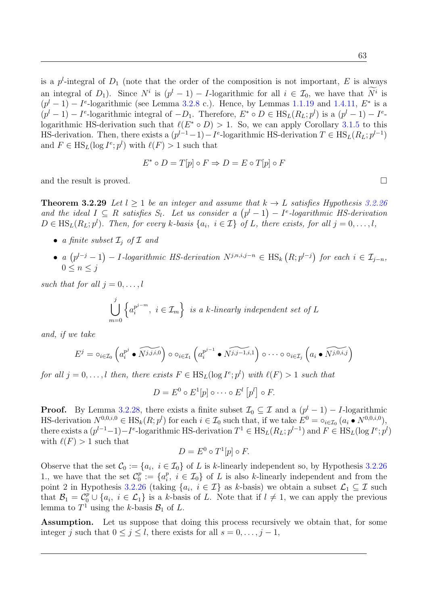is a  $p^l$ -integral of  $D_1$  (note that the order of the composition is not important, E is always an integral of  $D_1$ ). Since  $N^i$  is  $(p^l - 1) - I$ -logarithmic for all  $i \in \mathcal{I}_0$ , we have that  $N^i$  is  $(p^{l}-1)-I^{e}$ -logarithmic (see Lemma [3.2.8](#page-63-0) c.). Hence, by Lemmas [1.1.19](#page-19-1) and [1.4.11,](#page-33-2)  $E^*$  is a  $(p^{l}-1)-I^{e}$ -logarithmic integral of  $-D_1$ . Therefore,  $E^* \circ D \in \text{HS}_{L}(R_L; p^{l})$  is a  $(p^{l}-1)-I^{e}$ logarithmic HS-derivation such that  $\ell(E^* \circ D) > 1$ . So, we can apply Corollary [3.1.5](#page-59-0) to this HS-derivation. Then, there exists a  $(p^{l-1}-1) - I^e$ -logarithmic HS-derivation  $T \in \text{HS}_L(R_L; p^{l-1})$ and  $F \in \text{HS}_L(\log I^e; p^l)$  with  $\ell(F) > 1$  such that

$$
E^* \circ D = T[p] \circ F \Rightarrow D = E \circ T[p] \circ F
$$

and the result is proved.  $\square$ 

<span id="page-76-0"></span>**Theorem 3.2.29** Let  $l > 1$  be an integer and assume that  $k \rightarrow L$  satisfies Hypothesis [3.2.26](#page-75-0) and the ideal  $I \subseteq R$  satisfies  $S_l$ . Let us consider a  $(p^l-1) - I^e$ -logarithmic HS-derivation  $D \in \text{HS}_{L}(R_{L}; p^{l}).$  Then, for every k-basis  $\{a_{i}, i \in I\}$  of L, there exists, for all  $j = 0, \ldots, l$ ,

- a finite subset  $\mathcal{I}_i$  of  $\mathcal I$  and
- a  $(p^{l-j}-1) 1$ -logarithmic HS-derivation  $N^{j,n,i,j-n} \in \text{HS}_k(R;p^{l-j})$  for each  $i \in \mathcal{I}_{j-n}$ ,  $0 \leq n \leq j$

such that for all  $j = 0, \ldots, l$ 

$$
\bigcup_{m=0}^{j} \left\{ a_i^{p^{j-m}}, i \in \mathcal{I}_m \right\} \text{ is a } k\text{-linearly independent set of } L
$$

and, if we take

$$
E^j = \circ_{i \in \mathcal{I}_0} \left( a_i^{p^j} \bullet \widetilde{N^{j,j,i,0}} \right) \circ \circ_{i \in \mathcal{I}_1} \left( a_i^{p^{j-1}} \bullet \widetilde{N^{j,j-1,i,1}} \right) \circ \cdots \circ \circ_{i \in \mathcal{I}_j} \left( a_i \bullet \widetilde{N^{j,0,i,j}} \right)
$$

for all  $j = 0, \ldots, l$  then, there exists  $F \in \text{HS}_L(\log I^e; p^l)$  with  $\ell(F) > 1$  such that

$$
D = E^0 \circ E^1[p] \circ \cdots \circ E^l [p^l] \circ F.
$$

**Proof.** By Lemma [3.2.28,](#page-75-1) there exists a finite subset  $\mathcal{I}_0 \subseteq \mathcal{I}$  and a  $(p^l - 1) - I$ -logarithmic HS-derivation  $N^{0,0,i,0} \in \text{HS}_k(R; p^l)$  for each  $i \in \mathcal{I}_0$  such that, if we take  $E^0 = \circ_{i \in \mathcal{I}_0} (a_i \bullet N^{0,0,i,0}),$ there exists a  $(p^{l-1}-1)-I^e$ -logarithmic HS-derivation  $T^1 \in \text{HS}_L(R_L; p^{l-1})$  and  $F \in \text{HS}_L(\log I^e; p^l)$ with  $\ell(F) > 1$  such that

$$
D = E^0 \circ T^1[p] \circ F.
$$

Observe that the set  $\mathcal{C}_0 := \{a_i, i \in \mathcal{I}_0\}$  of L is k-linearly independent so, by Hypothesis [3.2.26](#page-75-0) 1., we have that the set  $\mathcal{C}_0^p$  $a_0^p := \{a_i^p\}$  $i<sup>p</sup>$ ,  $i \in \mathcal{I}_0$  of L is also k-linearly independent and from the point 2 in Hypothesis [3.2.26](#page-75-0) (taking  $\{a_i, i \in \mathcal{I}\}\$ as k-basis) we obtain a subset  $\mathcal{L}_1 \subseteq \mathcal{I}$  such that  $\mathcal{B}_1 = \mathcal{C}_0^p \cup \{a_i, i \in \mathcal{L}_1\}$  is a k-basis of L. Note that if  $l \neq 1$ , we can apply the previous lemma to  $T^1$  using the k-basis  $\mathcal{B}_1$  of L.

Assumption. Let us suppose that doing this process recursively we obtain that, for some integer j such that  $0 \le j \le l$ , there exists for all  $s = 0, \ldots, j - 1$ ,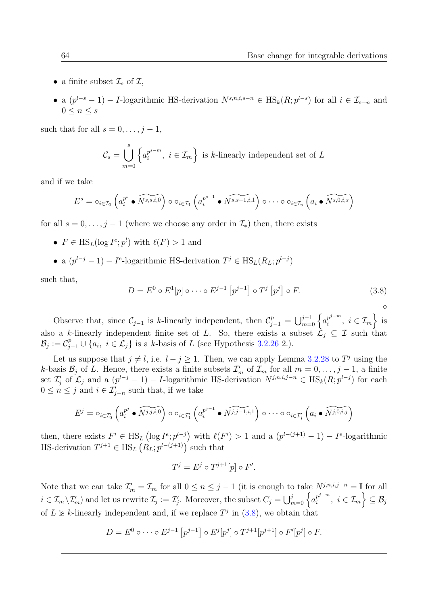- a finite subset  $\mathcal{I}_s$  of  $\mathcal{I},$
- a  $(p^{l-s}-1) I$ -logarithmic HS-derivation  $N^{s,n,i,s-n} \in \text{HS}_k(R; p^{l-s})$  for all  $i \in \mathcal{I}_{s-n}$  and  $0 \leq n \leq s$

such that for all  $s = 0, \ldots, j - 1$ ,

$$
\mathcal{C}_s = \bigcup_{m=0}^s \left\{ a_i^{p^{s-m}}, \ i \in \mathcal{I}_m \right\} \text{ is } k\text{-linearly independent set of } L
$$

and if we take

$$
E^s = \circ_{i \in \mathcal{I}_0} \left( a_i^{p^s} \bullet \widetilde{N^{s,s,i,0}} \right) \circ \circ_{i \in \mathcal{I}_1} \left( a_i^{p^{s-1}} \bullet \widetilde{N^{s,s-1,i,1}} \right) \circ \cdots \circ \circ_{i \in \mathcal{I}_s} \left( a_i \bullet \widetilde{N^{s,0,i,s}} \right)
$$

for all  $s = 0, \ldots, j - 1$  (where we choose any order in  $\mathcal{I}_{*}$ ) then, there exists

- $F \in \text{HS}_L(\log I^e; p^l)$  with  $\ell(F) > 1$  and
- a  $(p^{l-j}-1)-I^e$ -logarithmic HS-derivation  $T^j \in \text{HS}_L(R_L;p^{l-j})$

such that,

<span id="page-77-0"></span>
$$
D = E^0 \circ E^1[p] \circ \cdots \circ E^{j-1} [p^{j-1}] \circ T^j [p^j] \circ F.
$$
\n
$$
\diamond
$$
\n
$$
\diamond
$$

Observe that, since  $\mathcal{C}_{j-1}$  is k-linearly independent, then  $\mathcal{C}_{j-1}^p = \bigcup_{m=0}^{j-1} \left\{ a_i^{p^{j-m}} \right\}$  $\left\{\begin{matrix}\n p^{j-m}, & i \in \mathcal{I}_m\n \end{matrix}\right\}$  is also a k-linearly independent finite set of L. So, there exists a subset  $\mathcal{L}_j \subseteq \mathcal{I}$  such that  $\mathcal{B}_j := \mathcal{C}_{j-1}^p \cup \{a_i, i \in \mathcal{L}_j\}$  is a k-basis of L (see Hypothesis [3.2.26](#page-75-0) 2.).

Let us suppose that  $j \neq l$ , i.e.  $l - j \geq 1$ . Then, we can apply Lemma [3.2.28](#page-75-1) to  $T<sup>j</sup>$  using the k-basis  $\mathcal{B}_j$  of L. Hence, there exists a finite subsets  $\mathcal{I}'_m$  of  $\mathcal{I}_m$  for all  $m = 0, \ldots, j - 1$ , a finite set  $\mathcal{I}'_j$  of  $\mathcal{L}_j$  and a  $(p^{l-j}-1) - I$ -logarithmic HS-derivation  $N^{j,n,i,j-n} \in \text{HS}_k(R; p^{l-j})$  for each  $0 \leq n \leq j$  and  $i \in \mathcal{I}'_{j-n}$  such that, if we take

$$
E^j = \circ_{i \in \mathcal{I}'_0} \left( a_i^{p^j} \bullet \widetilde{N^{j,j,i,0}} \right) \circ \circ_{i \in \mathcal{I}'_1} \left( a_i^{p^{j-1}} \bullet \widetilde{N^{j,j-1,i,1}} \right) \circ \cdots \circ \circ_{i \in \mathcal{I}'_j} \left( a_i \bullet \widetilde{N^{j,0,i,j}} \right)
$$

then, there exists  $F' \in \text{HS}_L(\log I^e; p^{l-j})$  with  $\ell(F') > 1$  and a  $(p^{l-(j+1)}-1) - I^e$ -logarithmic HS-derivation  $T^{j+1} \in \text{HS}_{L}(R_{L}; p^{l-(j+1)})$  such that

$$
T^j = E^j \circ T^{j+1}[p] \circ F'.
$$

Note that we can take  $\mathcal{I}'_m = \mathcal{I}_m$  for all  $0 \leq n \leq j-1$  (it is enough to take  $N^{j,n,i,j-n} = \mathbb{I}$  for all  $i \in \mathcal{I}_m \backslash \mathcal{I}'_m$  and let us rewrite  $\mathcal{I}_j := \mathcal{I}'_j$ . Moreover, the subset  $C_j = \bigcup_{m=0}^j \left\{ a_i^{p^{j-m}} \right\}$  $\left\{\begin{matrix}p^{j-m}\i, \end{matrix} \right. \, i \in \mathcal{I}_m \Big\} \subseteq \mathcal{B}_j$ of L is k-linearly independent and, if we replace  $T<sup>j</sup>$  in [\(3.8\)](#page-77-0), we obtain that

$$
D = E^{0} \circ \cdots \circ E^{j-1} [p^{j-1}] \circ E^{j} [p^{j}] \circ T^{j+1} [p^{j+1}] \circ F^{j} [p^{j}] \circ F.
$$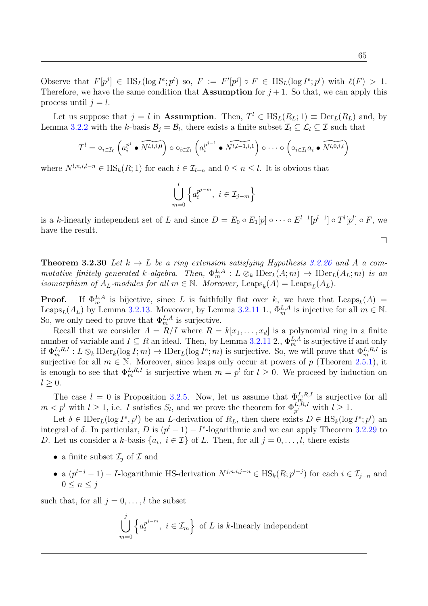65

Observe that  $F[p^j] \in \text{HS}_L(\log I^e; p^l)$  so,  $F := F'[p^j] \circ F \in \text{HS}_L(\log I^e; p^l)$  with  $\ell(F) > 1$ . Therefore, we have the same condition that **Assumption** for  $j + 1$ . So that, we can apply this process until  $j = l$ .

Let us suppose that  $j = l$  in **Assumption**. Then,  $T^l \in HS_L(R_L; 1) \equiv Der_L(R_L)$  and, by Lemma [3.2.2](#page-60-0) with the k-basis  $\mathcal{B}_j = \mathcal{B}_l$ , there exists a finite subset  $\mathcal{I}_l \subseteq \mathcal{L}_l \subseteq \mathcal{I}$  such that

$$
T^l = \circ_{i \in \mathcal{I}_0} \left( a_i^{p^j} \bullet \widetilde{N^{l,l,i,0}} \right) \circ \circ_{i \in \mathcal{I}_1} \left( a_i^{p^{j-1}} \bullet \widetilde{N^{l,l-1,i,1}} \right) \circ \cdots \circ \left( \circ_{i \in \mathcal{I}_l} a_i \bullet \widetilde{N^{l,0,i,l}} \right)
$$

where  $N^{l,n,i,l-n} \in \text{HS}_k(R;1)$  for each  $i \in \mathcal{I}_{l-n}$  and  $0 \leq n \leq l$ . It is obvious that

$$
\bigcup_{m=0}^{l} \left\{ a_i^{p^{j-m}}, \ i \in \mathcal{I}_{j-m} \right\}
$$

is a k-linearly independent set of L and since  $D = E_0 \circ E_1[p] \circ \cdots \circ E^{l-1}[p^{l-1}] \circ T^l[p^l] \circ F$ , we have the result.

 $\Box$ 

<span id="page-78-0"></span>**Theorem 3.2.30** Let  $k \to L$  be a ring extension satisfying Hypothesis [3.2.26](#page-75-0) and A a commutative finitely generated k-algebra. Then,  $\Phi_m^{L,A}: L \otimes_k \mathrm{IDer}_k(A; m) \to \mathrm{IDer}_L(A_L; m)$  is an isomorphism of  $A_L$ -modules for all  $m \in \mathbb{N}$ . Moreover, Leaps<sub>k</sub> $(A) = \text{Leaps}_L(A_L)$ .

**Proof.** If  $\Phi_m^{L,A}$  is bijective, since L is faithfully flat over k, we have that  $\text{Leaps}_k(A)$  = Leaps<sub>L</sub>( $A_L$ ) by Lemma [3.2.13.](#page-65-1) Moveover, by Lemma [3.2.11](#page-65-0) 1.,  $\Phi_m^{L,A}$  is injective for all  $m \in \mathbb{N}$ . So, we only need to prove that  $\Phi_m^{L,A}$  is surjective.

Recall that we consider  $A = R/I$  where  $R = k[x_1, \ldots, x_d]$  is a polynomial ring in a finite number of variable and  $I \subseteq R$  an ideal. Then, by Lemma [3.2.11](#page-65-0) 2.,  $\Phi_m^{L,A}$  is surjective if and only if  $\Phi_m^{L,R,I}: L\otimes_k \text{IDer}_k(\log I; m) \to \text{IDer}_L(\log I^e; m)$  is surjective. So, we will prove that  $\Phi_m^{L,R,I}$  is surjective for all  $m \in \mathbb{N}$ . Moreover, since leaps only occur at powers of p (Theorem [2.5.1\)](#page-53-0), it is enough to see that  $\Phi_m^{L,R,I}$  is surjective when  $m = p^l$  for  $l \geq 0$ . We proceed by induction on  $l > 0$ .

The case  $l = 0$  is Proposition [3.2.5.](#page-61-0) Now, let us assume that  $\Phi_{m}^{L,R,I}$  is surjective for all  $m < p^l$  with  $l \geq 1$ , i.e. I satisfies  $S_l$ , and we prove the theorem for  $\Phi_{p^l}^{L,R,I}$  with  $l \geq 1$ .

Let  $\delta \in \text{IDer}_L(\log I^e, p^l)$  be an L-derivation of  $R_L$ , then there exists  $D \in \text{HS}_k(\log I^e; p^l)$  and integral of  $\delta$ . In particular, D is  $(p^{l}-1)-I^{e}$ -logarithmic and we can apply Theorem [3.2.29](#page-76-0) to D. Let us consider a k-basis  $\{a_i, i \in \mathcal{I}\}\$  of L. Then, for all  $j = 0, \ldots, l$ , there exists

- a finite subset  $\mathcal{I}_j$  of  $\mathcal I$  and
- a  $(p^{l-j}-1) I$ -logarithmic HS-derivation  $N^{j,n,i,j-n} \in \text{HS}_k(R; p^{l-j})$  for each  $i \in \mathcal{I}_{j-n}$  and  $0 \leq n \leq i$

such that, for all  $j = 0, \ldots, l$  the subset

$$
\bigcup_{m=0}^{j} \left\{ a_i^{p^{j-m}}, i \in \mathcal{I}_m \right\} \text{ of } L \text{ is } k\text{-linearly independent}
$$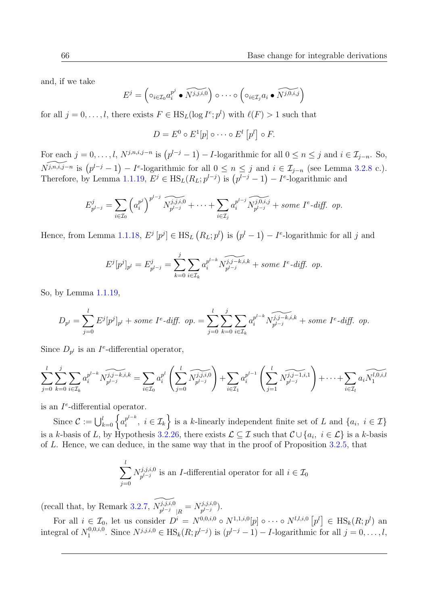and, if we take

$$
E^j = \left( \circ_{i \in \mathcal{I}_0} a_i^{p^j} \bullet \widetilde{N^{j,j,i,0}} \right) \circ \cdots \circ \left( \circ_{i \in \mathcal{I}_j} a_i \bullet \widetilde{N^{j,0,i,j}} \right)
$$

for all  $j = 0, \ldots, l$ , there exists  $F \in \text{HS}_L(\log I^e; p^l)$  with  $\ell(F) > 1$  such that

$$
D = E^0 \circ E^1[p] \circ \cdots \circ E^l [p^l] \circ F.
$$

For each  $j = 0, \ldots, l$ ,  $N^{j,n,i,j-n}$  is  $(p^{l-j}-1) - I$ -logarithmic for all  $0 \le n \le j$  and  $i \in \mathcal{I}_{j-n}$ . So,  $\widetilde{N^{j,n,i,j-n}}$  is  $(p^{l-j}-1) - I^e$ -logarithmic for all  $0 \le n \le j$  and  $i \in \mathcal{I}_{j-n}$  (see Lemma [3.2.8](#page-63-0) c.). Therefore, by Lemma [1.1.19,](#page-19-1)  $E^j \in \text{HS}_L(R_L; p^{l-j})$  is  $(p^{l-j}-1) - I^e$ -logarithmic and

$$
E_{p^{l-j}}^j = \sum_{i \in \mathcal{I}_0} \left( a_i^{p^j} \right)^{p^{l-j}} \widetilde{N_{p^{l-j}}^{j,j,i,0}} + \cdots + \sum_{i \in \mathcal{I}_j} a_i^{p^{l-j}} \widetilde{N_{p^{l-j}}^{j,0,i,j}} + \text{some } I^e \text{-diff. op.}
$$

Hence, from Lemma [1.1.18,](#page-19-0)  $E^j[p^j] \in \text{HS}_L (R_L;p^l)$  is  $(p^l-1) - I^e$ -logarithmic for all j and

$$
E^{j}[p^{j}]_{p^{l}} = E^{j}_{p^{l-j}} = \sum_{k=0}^{j} \sum_{i \in \mathcal{I}_{k}} a_{i}^{p^{l-k}} \widetilde{N_{p^{l-j}}^{j,j-k,i,k}} + some \tI^{e} \text{-diff. op.}
$$

So, by Lemma [1.1.19,](#page-19-1)

$$
D_{p^l} = \sum_{j=0}^l E^j [p^j]_{p^l} + some \ I^e \text{-diff.} \ op. = \sum_{j=0}^l \sum_{k=0}^j \sum_{i \in \mathcal{I}_k} a_i^{p^{l-k}} \widetilde{N_{p^{l-j}}^{j,j-k,i,k}} + some \ I^e \text{-diff.} \ op.
$$

Since  $D_{p^l}$  is an I<sup>e</sup>-differential operator,

$$
\sum_{j=0}^{l} \sum_{k=0}^{j} \sum_{i \in \mathcal{I}_k} a_i^{p^{l-k}} \widetilde{N_{p^{l-j}}^{j,j-k,i,k}} = \sum_{i \in \mathcal{I}_0} a_i^{p^l} \left( \sum_{j=0}^{l} \widetilde{N_{p^{l-j}}^{j,j,i,0}} \right) + \sum_{i \in \mathcal{I}_1} a_i^{p^{l-1}} \left( \sum_{j=1}^{l} \widetilde{N_{p^{l-j}}^{j,j-1,i,1}} \right) + \cdots + \sum_{i \in \mathcal{I}_l} a_i \widetilde{N_1^{l,0,i,l}}
$$

is an  $I^e$ -differential operator.

Since  $\mathcal{C} := \bigcup_{k=0}^{l} \left\{ a_i^{p^{l-k}} \right\}$  $\{x_i^{p^{l-k}}, i \in \mathcal{I}_k\}$  is a k-linearly independent finite set of L and  $\{a_i, i \in \mathcal{I}\}$ is a k-basis of L, by Hypothesis [3.2.26,](#page-75-0) there exists  $\mathcal{L} \subseteq \mathcal{I}$  such that  $\mathcal{C} \cup \{a_i, i \in \mathcal{L}\}$  is a k-basis of L. Hence, we can deduce, in the same way that in the proof of Proposition [3.2.5,](#page-61-0) that

$$
\sum_{j=0}^{l} N_{p^{l-j}}^{j,j,i,0}
$$
 is an *I*-differential operator for all  $i \in \mathcal{I}_0$ 

(recall that, by Remark [3.2.7,](#page-63-1)  $\widetilde{N_{p^{l-j}}^{j,j,i,0}}_{|R} = N_{p^{l-j}}^{j,j,i,0}$  $\binom{f, j, i, 0}{p^{l-j}}.$ 

For all  $i \in \mathcal{I}_0$ , let us consider  $D^i = N^{0,0,i,0} \circ N^{1,1,i,0}[p] \circ \cdots \circ N^{l,l,i,0}[p^l] \in \text{HS}_k(R;p^l)$  and integral of  $N_1^{0,0,i,0}$ <sup>0,0,*i*,0</sup>. Since  $N^{j,j,i,0}$  ∈ HS<sub>k</sub>( $R; p^{l-j}$ ) is  $(p^{l-j}-1) - I$ -logarithmic for all  $j = 0, ..., l$ ,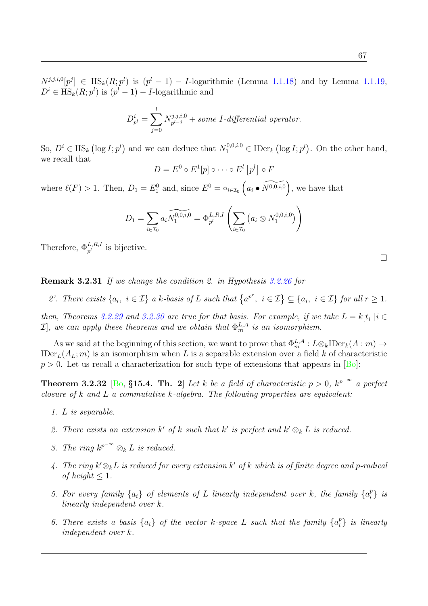67

 $N^{j,j,i,0}[p^j] \in \text{HS}_k(R; p^l)$  is  $(p^l - 1) - 1$ -logarithmic (Lemma [1.1.18\)](#page-19-0) and by Lemma [1.1.19,](#page-19-1)  $D^i \in \text{HS}_k(R; p^l)$  is  $(p^l - 1) - I$ -logarithmic and

$$
D_{p^l}^i = \sum_{j=0}^l N_{p^{l-j}}^{j,j,i,0} + some I\text{-differential operator}.
$$

So,  $D^i \in \text{HS}_k$  (log  $I; p^l$ ) and we can deduce that  $N_1^{0,0,i,0} \in \text{IDer}_k$  (log  $I; p^l$ ). On the other hand, we recall that

$$
D = E^0 \circ E^1[p] \circ \cdots \circ E^l [p^l] \circ F
$$

where  $\ell(F) > 1$ . Then,  $D_1 = E_1^0$  and, since  $E^0 = \circ_{i \in \mathcal{I}_0} \left( a_i \bullet \widetilde{N^{0,0,i,0}} \right)$ , we have that

$$
D_1 = \sum_{i \in \mathcal{I}_0} a_i \widetilde{N_1^{0,0,i,0}} = \Phi_{p^l}^{L,R,I} \left( \sum_{i \in \mathcal{I}_0} \left( a_i \otimes N_1^{0,0,i,0} \right) \right)
$$

Therefore,  $\Phi_{p^l}^{L,R,I}$  is bijective.

Remark 3.2.31 If we change the condition 2. in Hypothesis [3.2.26](#page-75-0) for

2'. There exists  $\{a_i, i \in \mathcal{I}\}\$ a k-basis of L such that  $\{a^{p^r}, i \in \mathcal{I}\}\subseteq \{a_i, i \in \mathcal{I}\}\$  for all  $r \geq 1$ .

then, Theorems [3.2.29](#page-76-0) and [3.2.30](#page-78-0) are true for that basis. For example, if we take  $L = k[t_i | i \in$  $\mathcal{I}],$  we can apply these theorems and we obtain that  $\Phi^{L,A}_m$  is an isomorphism.

As we said at the beginning of this section, we want to prove that  $\Phi_m^{L,A}: L \otimes_k \text{IDer}_k(A:m) \to$ IDer<sub>L</sub>( $A_L$ ; m) is an isomorphism when L is a separable extension over a field k of characteristic  $p > 0$ . Let us recall a characterization for such type of extensions that appears in [\[Bo\]](#page-102-0):

**Theorem 3.2.32** [\[Bo,](#page-102-0) §15.4. Th. 2] Let k be a field of characteristic  $p > 0$ ,  $k^{p^{-\infty}}$  a perfect closure of  $k$  and  $L$  a commutative  $k$ -algebra. The following properties are equivalent:

- 1. L is separable.
- 2. There exists an extension  $k'$  of k such that  $k'$  is perfect and  $k' \otimes_k L$  is reduced.
- 3. The ring  $k^{p^{-\infty}} \otimes_k L$  is reduced.
- 4. The ring  $k' \otimes_k L$  is reduced for every extension  $k'$  of  $k$  which is of finite degree and p-radical of height  $\leq 1$ .
- 5. For every family  $\{a_i\}$  of elements of L linearly independent over k, the family  $\{a_i^p\}$  $\begin{array}{c} p \\ i \end{array}$  is linearly independent over k.
- 6. There exists a basis  $\{a_i\}$  of the vector k-space L such that the family  $\{a_i^p\}$  $\{ \big\}^p_i \}$  is linearly independent over k.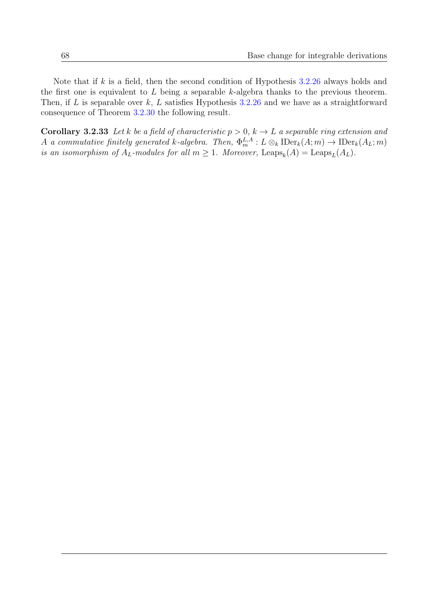Note that if  $k$  is a field, then the second condition of Hypothesis [3.2.26](#page-75-0) always holds and the first one is equivalent to  $L$  being a separable k-algebra thanks to the previous theorem. Then, if L is separable over  $k$ , L satisfies Hypothesis [3.2.26](#page-75-0) and we have as a straightforward consequence of Theorem [3.2.30](#page-78-0) the following result.

**Corollary 3.2.33** Let k be a field of characteristic  $p > 0$ ,  $k \to L$  a separable ring extension and A a commutative finitely generated k-algebra. Then,  $\Phi_m^{L,A}: L \otimes_k \mathrm{IDer}_k(A; m) \to \mathrm{IDer}_k(A_L; m)$ is an isomorphism of  $A_L$ -modules for all  $m \geq 1$ . Moreover, Leaps<sub>k</sub> $(A) = \text{Leaps}_L(A_L)$ .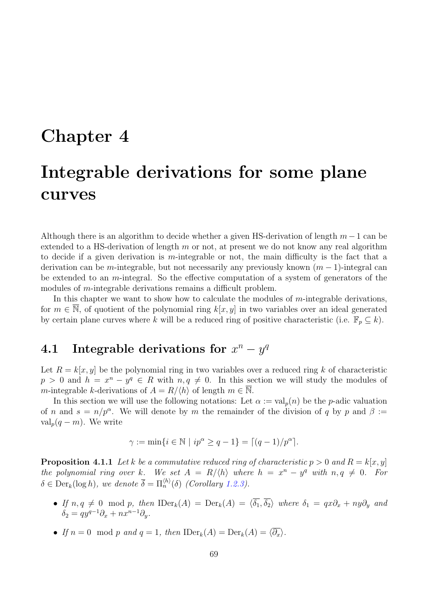### Chapter 4

# Integrable derivations for some plane curves

Although there is an algorithm to decide whether a given HS-derivation of length  $m-1$  can be extended to a HS-derivation of length  $m$  or not, at present we do not know any real algorithm to decide if a given derivation is m-integrable or not, the main difficulty is the fact that a derivation can be m-integrable, but not necessarily any previously known  $(m-1)$ -integral can be extended to an m-integral. So the effective computation of a system of generators of the modules of *m*-integrable derivations remains a difficult problem.

In this chapter we want to show how to calculate the modules of  $m$ -integrable derivations, for  $m \in \mathbb{N}$ , of quotient of the polynomial ring  $k[x, y]$  in two variables over an ideal generated by certain plane curves where k will be a reduced ring of positive characteristic (i.e.  $\mathbb{F}_p \subseteq k$ ).

### 4.1 Integrable derivations for  $x^n - y^q$

Let  $R = k[x, y]$  be the polynomial ring in two variables over a reduced ring k of characteristic  $p > 0$  and  $h = x^n - y^q \in R$  with  $n, q \neq 0$ . In this section we will study the modules of m-integrable k-derivations of  $A = R/\langle h \rangle$  of length  $m \in \overline{\mathbb{N}}$ .

In this section we will use the following notations: Let  $\alpha := \text{val}_p(n)$  be the p-adic valuation of n and  $s = n/p^{\alpha}$ . We will denote by m the remainder of the division of q by p and  $\beta :=$  $\operatorname{val}_p(q-m)$ . We write

$$
\gamma := \min\{i \in \mathbb{N} \mid ip^{\alpha} \ge q - 1\} = \lceil (q - 1)/p^{\alpha} \rceil.
$$

<span id="page-82-0"></span>**Proposition 4.1.1** Let k be a commutative reduced ring of characteristic  $p > 0$  and  $R = k[x, y]$ the polynomial ring over k. We set  $A = R/\langle h \rangle$  where  $h = x^n - y^q$  with  $n, q \neq 0$ . For  $\delta \in \text{Der}_k(\log h)$ , we denote  $\overline{\delta} = \Pi_n^{\langle h \rangle}(\delta)$  (Corollary [1.2.3\)](#page-24-1).

- If  $n, q \neq 0 \mod p$ , then  $\text{IDer}_k(A) = \text{Der}_k(A) = \langle \overline{\delta_1}, \overline{\delta_2} \rangle$  where  $\delta_1 = qx\partial_x + ny\partial_y$  and  $\delta_2 = qy^{q-1}\partial_x + nx^{n-1}\partial_y.$
- If  $n = 0 \mod p$  and  $q = 1$ , then  $\text{IDer}_k(A) = \text{Der}_k(A) = \langle \overline{\partial_x} \rangle$ .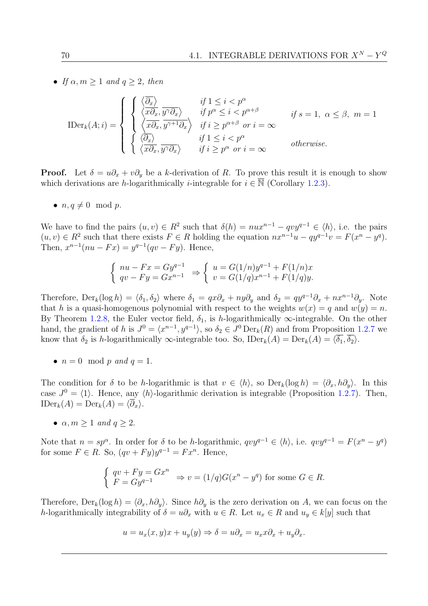• If  $\alpha, m \geq 1$  and  $q \geq 2$ , then

$$
\text{IDer}_{k}(A; i) = \begin{cases} \begin{cases} \langle \overline{\partial_{x}} \rangle & \text{if } 1 \leq i < p^{\alpha} \\ \langle x \partial_{x}, y^{\gamma} \partial_{x} \rangle & \text{if } p^{\alpha} \leq i < p^{\alpha + \beta} \\ \langle \overline{x \partial_{x}}, y^{\gamma + 1} \partial_{x} \rangle & \text{if } i \geq p^{\alpha + \beta} \text{ or } i = \infty \end{cases} & \text{if } s = 1, \ \alpha \leq \beta, \ m = 1 \\ \begin{cases} \langle \overline{\partial_{x}} \rangle & \text{if } 1 \leq i < p^{\alpha} \\ \langle x \partial_{x}, y^{\gamma} \partial_{x} \rangle & \text{if } i \geq p^{\alpha} \text{ or } i = \infty \end{cases} & \text{otherwise.} \end{cases}
$$

**Proof.** Let  $\delta = u\partial_x + v\partial_y$  be a k-derivation of R. To prove this result it is enough to show which derivations are h-logarithmically *i*-integrable for  $i \in \overline{\mathbb{N}}$  (Corollary [1.2.3\)](#page-24-1).

•  $n, q \neq 0 \mod p$ .

We have to find the pairs  $(u, v) \in R^2$  such that  $\delta(h) = nux^{n-1} - qvy^{q-1} \in \langle h \rangle$ , i.e. the pairs  $(u, v) \in R^2$  such that there exists  $F \in R$  holding the equation  $nx^{n-1}u - qy^{q-1}v = F(x^n - y^q)$ . Then,  $x^{n-1}(nu - Fx) = y^{q-1}(qv - Fy)$ . Hence,

$$
\begin{cases} nu - Fx = Gy^{q-1} \\ qv - Fy = Gx^{n-1} \end{cases} \Rightarrow \begin{cases} u = G(1/n)y^{q-1} + F(1/n)x \\ v = G(1/q)x^{n-1} + F(1/q)y. \end{cases}
$$

Therefore,  $\text{Der}_k(\log h) = \langle \delta_1, \delta_2 \rangle$  where  $\delta_1 = qx\partial_x + ny\partial_y$  and  $\delta_2 = qy^{q-1}\partial_x + nx^{n-1}\partial_y$ . Note that h is a quasi-homogenous polynomial with respect to the weights  $w(x) = q$  and  $w(y) = n$ . By Theorem [1.2.8,](#page-25-0) the Euler vector field,  $\delta_1$ , is h-logarithmically  $\infty$ -integrable. On the other hand, the gradient of h is  $J^0 = \langle x^{n-1}, y^{q-1} \rangle$ , so  $\delta_2 \in J^0 \text{Der}_k(R)$  and from Proposition [1.2.7](#page-25-1) we know that  $\delta_2$  is h-logarithmically  $\infty$ -integrable too. So, IDer $_k(A) = \text{Der}_k(A) = \langle \overline{\delta_1}, \overline{\delta_2} \rangle$ .

•  $n = 0 \mod p$  and  $q = 1$ .

The condition for  $\delta$  to be h-logarithmic is that  $v \in \langle h \rangle$ , so  $Der_k(\log h) = \langle \partial_x, h\partial_y \rangle$ . In this case  $J^0 = \langle 1 \rangle$ . Hence, any  $\langle h \rangle$ -logarithmic derivation is integrable (Proposition [1.2.7\)](#page-25-1). Then,  $\text{IDer}_k(A) = \text{Der}_k(A) = \langle \overline{\partial}_x \rangle.$ 

•  $\alpha, m \geq 1$  and  $q \geq 2$ .

Note that  $n = sp^{\alpha}$ . In order for  $\delta$  to be h-logarithmic,  $qvy^{q-1} \in \langle h \rangle$ , i.e.  $qvy^{q-1} = F(x^n - y^q)$ for some  $F \in R$ . So,  $(qv + Fy)y^{q-1} = Fx^n$ . Hence,

$$
\begin{cases} qv + Fy = Gx^n \\ F = Gy^{q-1} \end{cases} \Rightarrow v = (1/q)G(x^n - y^q) \text{ for some } G \in R.
$$

Therefore,  $Der_k(\log h) = \langle \partial_x, h\partial_y \rangle$ . Since  $h\partial_y$  is the zero derivation on A, we can focus on the h-logarithmically integrability of  $\delta = u\partial_x$  with  $u \in R$ . Let  $u_x \in R$  and  $u_y \in k[y]$  such that

$$
u = u_x(x, y)x + u_y(y) \Rightarrow \delta = u\partial_x = u_x x \partial_x + u_y \partial_x.
$$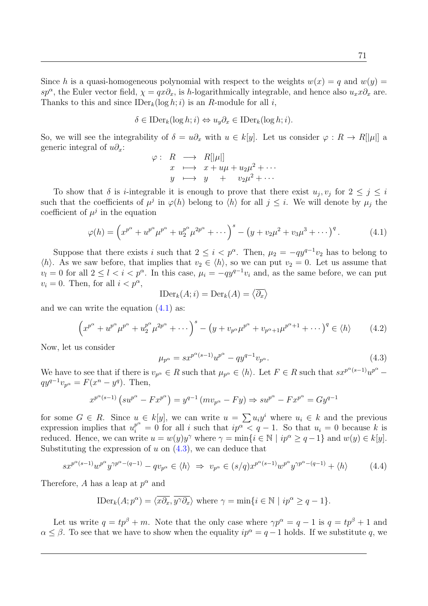Since h is a quasi-homogeneous polynomial with respect to the weights  $w(x) = q$  and  $w(y) =$ sp<sup>α</sup>, the Euler vector field,  $\chi = qx\partial_x$ , is h-logarithmically integrable, and hence also  $u_x x \partial_x$  are. Thanks to this and since  $\text{IDer}_k(\log h; i)$  is an R-module for all i,

$$
\delta \in \text{IDer}_k(\log h; i) \Leftrightarrow u_y \partial_x \in \text{IDer}_k(\log h; i).
$$

So, we will see the integrability of  $\delta = u\partial_x$  with  $u \in k[y]$ . Let us consider  $\varphi : R \to R[[\mu]]$  a generic integral of  $u\partial_x$ :

$$
\varphi: R \longrightarrow R[|\mu|]
$$
  
\n
$$
x \longmapsto x + u\mu + u_2\mu^2 + \cdots
$$
  
\n
$$
y \longmapsto y + v_2\mu^2 + \cdots
$$

To show that  $\delta$  is *i*-integrable it is enough to prove that there exist  $u_j, v_j$  for  $2 \leq j \leq i$ such that the coefficients of  $\mu^j$  in  $\varphi(h)$  belong to  $\langle h \rangle$  for all  $j \leq i$ . We will denote by  $\mu_j$  the coefficient of  $\mu^j$  in the equation

<span id="page-84-0"></span>
$$
\varphi(h) = \left(x^{p^{\alpha}} + u^{p^{\alpha}} \mu^{p^{\alpha}} + u_2^{p^{\alpha}} \mu^{2p^{\alpha}} + \cdots \right)^{s} - \left(y + v_2 \mu^2 + v_3 \mu^3 + \cdots \right)^{q}.
$$
 (4.1)

Suppose that there exists i such that  $2 \leq i < p^{\alpha}$ . Then,  $\mu_2 = -q y^{q-1} v_2$  has to belong to  $\langle h \rangle$ . As we saw before, that implies that  $v_2 \in \langle h \rangle$ , so we can put  $v_2 = 0$ . Let us assume that  $v_l = 0$  for all  $2 \leq l < i < p^{\alpha}$ . In this case,  $\mu_i = -q y^{q-1} v_i$  and, as the same before, we can put  $v_i = 0$ . Then, for all  $i < p^{\alpha}$ ,

$$
\mathrm{IDer}_k(A; i) = \mathrm{Der}_k(A) = \langle \overline{\partial_x} \rangle
$$

and we can write the equation [\(4.1\)](#page-84-0) as:

<span id="page-84-2"></span>
$$
\left(x^{p^{\alpha}} + u^{p^{\alpha}} \mu^{p^{\alpha}} + u^{p^{\alpha}} \mu^{2p^{\alpha}} + \cdots \right)^{s} - \left(y + v_{p^{\alpha}} \mu^{p^{\alpha}} + v_{p^{\alpha}+1} \mu^{p^{\alpha}+1} + \cdots \right)^{q} \in \langle h \rangle \tag{4.2}
$$

Now, let us consider

<span id="page-84-1"></span>
$$
\mu_{p^{\alpha}} = s x^{p^{\alpha}(s-1)} u^{p^{\alpha}} - q y^{q-1} v_{p^{\alpha}}.
$$
\n(4.3)

We have to see that if there is  $v_{p^{\alpha}} \in R$  such that  $\mu_{p^{\alpha}} \in \langle h \rangle$ . Let  $F \in R$  such that  $sx^{p^{\alpha}(s-1)}w^{p^{\alpha}}$  $q y^{q-1} v_{p^{\alpha}} = F(x^{n} - y^{q}).$  Then,

$$
x^{p^{\alpha}(s-1)}\left(su^{p^{\alpha}} - Fx^{p^{\alpha}}\right) = y^{q-1}\left(mv_{p^{\alpha}} - Fy\right) \Rightarrow su^{p^{\alpha}} - Fx^{p^{\alpha}} = Gy^{q-1}
$$

for some  $G \in R$ . Since  $u \in k[y]$ , we can write  $u = \sum u_i y^i$  where  $u_i \in k$  and the previous expression implies that  $u_i^{p^{\alpha}} = 0$  for all i such that  $ip^{\alpha} < q - 1$ . So that  $u_i = 0$  because k is reduced. Hence, we can write  $u = w(y)y^{\gamma}$  where  $\gamma = \min\{i \in \mathbb{N} \mid ip^{\alpha} \ge q-1\}$  and  $w(y) \in k[y]$ . Substituting the expression of u on  $(4.3)$ , we can deduce that

<span id="page-84-3"></span>
$$
sx^{p^{\alpha}(s-1)}w^{p^{\alpha}}y^{\gamma p^{\alpha}-(q-1)}-qv_{p^{\alpha}} \in \langle h \rangle \Rightarrow v_{p^{\alpha}} \in (s/q)x^{p^{\alpha}(s-1)}w^{p^{\alpha}}y^{\gamma p^{\alpha}-(q-1)}+\langle h \rangle \tag{4.4}
$$

Therefore, A has a leap at  $p^{\alpha}$  and

$$
\text{IDer}_k(A; p^{\alpha}) = \langle \overline{x\partial_x}, \overline{y^{\gamma}\partial_x} \rangle \text{ where } \gamma = \min\{i \in \mathbb{N} \mid ip^{\alpha} \ge q - 1\}.
$$

Let us write  $q = tp^{\beta} + m$ . Note that the only case where  $\gamma p^{\alpha} = q - 1$  is  $q = tp^{\beta} + 1$  and  $\alpha \leq \beta$ . To see that we have to show when the equality  $ip^{\alpha} = q - 1$  holds. If we substitute q, we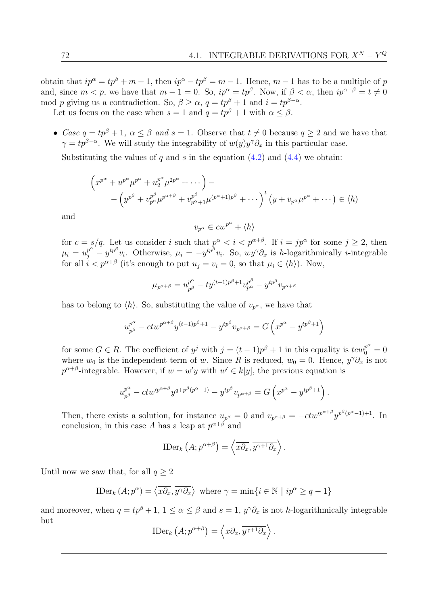obtain that  $ip^{\alpha} = tp^{\beta} + m - 1$ , then  $ip^{\alpha} - tp^{\beta} = m - 1$ . Hence,  $m - 1$  has to be a multiple of p and, since  $m < p$ , we have that  $m - 1 = 0$ . So,  $ip^{\alpha} = tp^{\beta}$ . Now, if  $\beta < \alpha$ , then  $ip^{\alpha-\beta} = t \neq 0$ mod p giving us a contradiction. So,  $\beta \ge \alpha$ ,  $q = tp^{\beta} + 1$  and  $i = tp^{\beta - \alpha}$ .

Let us focus on the case when  $s = 1$  and  $q = tp^{\beta} + 1$  with  $\alpha \leq \beta$ .

• Case  $q = tp^{\beta} + 1$ ,  $\alpha \leq \beta$  and  $s = 1$ . Observe that  $t \neq 0$  because  $q \geq 2$  and we have that  $\gamma = tp^{\beta-\alpha}$ . We will study the integrability of  $w(y)y^{\gamma}\partial_x$  in this particular case.

Substituting the values of q and s in the equation  $(4.2)$  and  $(4.4)$  we obtain:

$$
\left(x^{p^{\alpha}} + u^{p^{\alpha}} \mu^{p^{\alpha}} + u^{p^{\alpha}} \mu^{2p^{\alpha}} + \cdots \right) -
$$
  
 
$$
- \left(y^{p^{\beta}} + v^{p^{\beta}} \mu^{p^{\alpha+\beta}} + v^{p^{\beta}} \mu^{(p^{\alpha}+1)p^{\beta}} + \cdots \right)^{t} \left(y + v_{p^{\alpha}} \mu^{p^{\alpha}} + \cdots \right) \in \langle h \rangle
$$

and

$$
v_{p^{\alpha}} \in cw^{p^{\alpha}} + \langle h \rangle
$$

for  $c = s/q$ . Let us consider i such that  $p^{\alpha} < i < p^{\alpha+\beta}$ . If  $i = jp^{\alpha}$  for some  $j \ge 2$ , then  $\mu_i = u_j^{p^{\alpha'}} - y^{tp^{\beta}} v_i$ . Otherwise,  $\mu_i = -y^{tp^{\beta}} v_i$ . So,  $wy^{\gamma} \partial_x$  is h-logarithmically *i*-integrable for all  $i < p^{\alpha+\beta}$  (it's enough to put  $u_j = v_i = 0$ , so that  $\mu_i \in \langle h \rangle$ ). Now,

$$
\mu_{p^{\alpha+\beta}} = u_{p^{\beta}}^{p^{\alpha}} - t y^{(t-1)p^{\beta}+1} v_{p^{\alpha}}^{p^{\beta}} - y^{t p^{\beta}} v_{p^{\alpha+\beta}}
$$

has to belong to  $\langle h \rangle$ . So, substituting the value of  $v_{p^{\alpha}}$ , we have that

$$
u_{p^\beta}^{p^\alpha}-ctw^{p^{\alpha+\beta}}y^{(t-1)p^\beta+1}-y^{tp^\beta}v_{p^{\alpha+\beta}}=G\left(x^{p^\alpha}-y^{tp^\beta+1}\right)
$$

for some  $G \in R$ . The coefficient of  $y^j$  with  $j = (t-1)p^{\beta} + 1$  in this equality is  $t c w_0^{p^{\alpha}} = 0$ where  $w_0$  is the independent term of w. Since R is reduced,  $w_0 = 0$ . Hence,  $y^{\gamma} \partial_x$  is not  $p^{\alpha+\beta}$ -integrable. However, if  $w=w'y$  with  $w' \in k[y]$ , the previous equation is

$$
u_{p^{\beta}}^{p^{\alpha}} - ctw'^{p^{\alpha+\beta}}y^{q+p^{\beta}(p^{\alpha}-1)} - y^{tp^{\beta}}v_{p^{\alpha+\beta}} = G\left(x^{p^{\alpha}} - y^{tp^{\beta}+1}\right).
$$

Then, there exists a solution, for instance  $u_{p^{\beta}} = 0$  and  $v_{p^{\alpha+\beta}} = -ctw^{p^{\alpha+\beta}}y^{p^{\beta}(p^{\alpha}-1)+1}$ . In conclusion, in this case A has a leap at  $p^{\alpha+\beta}$  and

$$
\text{IDer}_k\left(A; p^{\alpha+\beta}\right) = \left\langle \overline{x\partial_x}, \overline{y^{\gamma+1}\partial_x} \right\rangle.
$$

Until now we saw that, for all  $q \geq 2$ 

$$
\text{IDer}_k(A; p^{\alpha}) = \langle \overline{x\partial_x}, \overline{y^{\gamma}\partial_x} \rangle \text{ where } \gamma = \min\{i \in \mathbb{N} \mid ip^{\alpha} \ge q - 1\}
$$

and moreover, when  $q = tp^{\beta} + 1$ ,  $1 \leq \alpha \leq \beta$  and  $s = 1$ ,  $y^{\gamma} \partial_x$  is not h-logarithmically integrable but

$$
\text{IDer}_k\left(A; p^{\alpha+\beta}\right) = \left\langle \overline{x\partial_x}, \overline{y^{\gamma+1}\partial_x} \right\rangle.
$$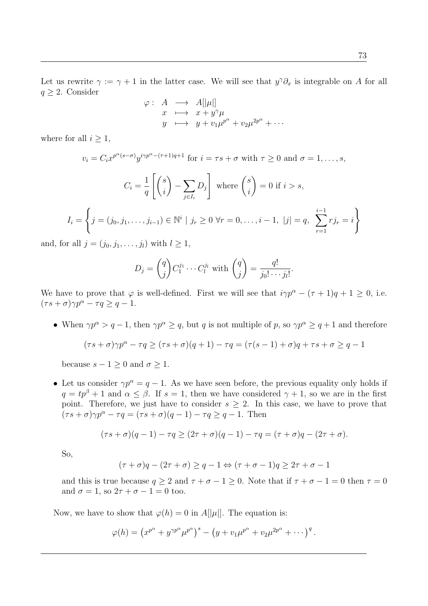73

Let us rewrite  $\gamma := \gamma + 1$  in the latter case. We will see that  $y^{\gamma} \partial_x$  is integrable on A for all  $q \geq 2$ . Consider

$$
\varphi: A \longrightarrow A[|\mu|] \nx \longmapsto x + y^{\gamma}\mu \ny \longmapsto y + v_1\mu^{p^{\alpha}} + v_2\mu^{2p^{\alpha}} + \cdots
$$

where for all  $i \geq 1$ ,

$$
v_i = C_i x^{p^{\alpha}(s-\sigma)} y^{i\gamma p^{\alpha} - (\tau+1)q+1} \text{ for } i = \tau s + \sigma \text{ with } \tau \ge 0 \text{ and } \sigma = 1, \dots, s,
$$
  

$$
C_i = \frac{1}{q} \left[ \binom{s}{i} - \sum_{j \in I_i} D_j \right] \text{ where } \binom{s}{i} = 0 \text{ if } i > s,
$$
  

$$
I_i = \left\{ j = (j_0, j_1, \dots, j_{i-1}) \in \mathbb{N}^i \mid j_r \ge 0 \text{ } \forall r = 0, \dots, i-1, \ |j| = q, \sum_{r=1}^{i-1} r j_r = i \right\}
$$

and, for all  $j = (j_0, j_1, \ldots, j_l)$  with  $l \geq 1$ ,

$$
D_j = {q \choose j} C_1^{j_1} \cdots C_l^{j_l} \text{ with } {q \choose j} = \frac{q!}{j_0! \cdots j_l!}
$$

.

We have to prove that  $\varphi$  is well-defined. First we will see that  $i\gamma p^{\alpha} - (\tau + 1)q + 1 \ge 0$ , i.e.  $(\tau s + \sigma) \gamma p^{\alpha} - \tau q \geq q - 1.$ 

• When  $\gamma p^{\alpha} > q - 1$ , then  $\gamma p^{\alpha} \geq q$ , but q is not multiple of p, so  $\gamma p^{\alpha} \geq q + 1$  and therefore

$$
(\tau s + \sigma)\gamma p^{\alpha} - \tau q \ge (\tau s + \sigma)(q + 1) - \tau q = (\tau (s - 1) + \sigma)q + \tau s + \sigma \ge q - 1
$$

because  $s - 1 \geq 0$  and  $\sigma \geq 1$ .

• Let us consider  $\gamma p^{\alpha} = q - 1$ . As we have seen before, the previous equality only holds if  $q = tp^{\beta} + 1$  and  $\alpha \leq \beta$ . If  $s = 1$ , then we have considered  $\gamma + 1$ , so we are in the first point. Therefore, we just have to consider  $s \geq 2$ . In this case, we have to prove that  $(\tau s + \sigma)\gamma p^{\alpha} - \tau q = (\tau s + \sigma)(q - 1) - \tau q \geq q - 1$ . Then

$$
(\tau s + \sigma)(q - 1) - \tau q \ge (2\tau + \sigma)(q - 1) - \tau q = (\tau + \sigma)q - (2\tau + \sigma).
$$

So,

$$
(\tau+\sigma)q-(2\tau+\sigma)\geq q-1 \Leftrightarrow (\tau+\sigma-1)q\geq 2\tau+\sigma-1
$$

and this is true because  $q \ge 2$  and  $\tau + \sigma - 1 \ge 0$ . Note that if  $\tau + \sigma - 1 = 0$  then  $\tau = 0$ and  $\sigma = 1$ , so  $2\tau + \sigma - 1 = 0$  too.

Now, we have to show that  $\varphi(h) = 0$  in  $A[|\mu|]$ . The equation is:

$$
\varphi(h) = (x^{p^{\alpha}} + y^{\gamma p^{\alpha}} \mu^{p^{\alpha}})^{s} - (y + v_1 \mu^{p^{\alpha}} + v_2 \mu^{2p^{\alpha}} + \cdots)^{q}.
$$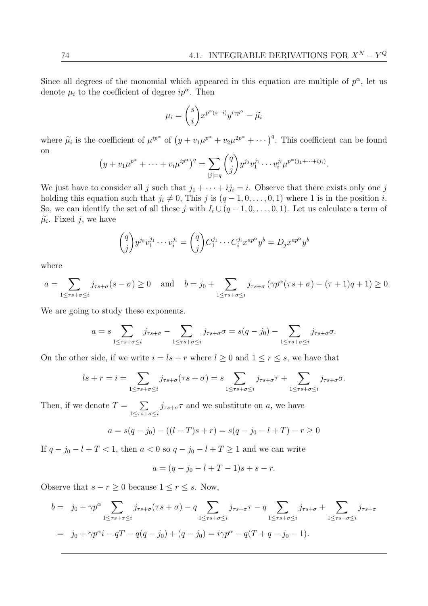Since all degrees of the monomial which appeared in this equation are multiple of  $p^{\alpha}$ , let us denote  $\mu_i$  to the coefficient of degree  $ip^{\alpha}$ . Then

$$
\mu_i = \binom{s}{i} x^{p^{\alpha}(s-i)} y^{i\gamma p^{\alpha}} - \widetilde{\mu}_i
$$

where  $\tilde{\mu}_i$  is the coefficient of  $\mu^{ip^{\alpha}}$  of  $(y + v_1\mu^{p^{\alpha}} + v_2\mu^{2p^{\alpha}} + \cdots)^q$ . This coefficient can be found on

$$
(y + v_1 \mu^{p^{\alpha}} + \dots + v_i \mu^{ip^{\alpha}})^q = \sum_{|j|=q} \binom{q}{j} y^{j_0} v_1^{j_1} \cdots v_i^{j_i} \mu^{p^{\alpha}(j_1 + \dots + j_i)}.
$$

We just have to consider all j such that  $j_1 + \cdots + i j_i = i$ . Observe that there exists only one j holding this equation such that  $j_i \neq 0$ , This j is  $(q - 1, 0, \ldots, 0, 1)$  where 1 is in the position i. So, we can identify the set of all these j with  $I_i \cup (q-1,0,\ldots,0,1)$ . Let us calculate a term of  $\tilde{\mu}_i$ . Fixed j, we have

$$
\begin{pmatrix} q \\ j \end{pmatrix} y^{j_0} v_1^{j_1} \cdots v_i^{j_i} = \begin{pmatrix} q \\ j \end{pmatrix} C_1^{j_1} \cdots C_i^{j_i} x^{ap^{\alpha}} y^b = D_j x^{ap^{\alpha}} y^b
$$

where

$$
a = \sum_{1 \leq \tau s + \sigma \leq i} j_{\tau s + \sigma} (s - \sigma) \geq 0 \quad \text{and} \quad b = j_0 + \sum_{1 \leq \tau s + \sigma \leq i} j_{\tau s + \sigma} \left( \gamma p^{\alpha} (\tau s + \sigma) - (\tau + 1) q + 1 \right) \geq 0.
$$

We are going to study these exponents.

$$
a = s \sum_{1 \leq \tau s + \sigma \leq i} j_{\tau s + \sigma} - \sum_{1 \leq \tau s + \sigma \leq i} j_{\tau s + \sigma} \sigma = s(q - j_0) - \sum_{1 \leq \tau s + \sigma \leq i} j_{\tau s + \sigma} \sigma.
$$

On the other side, if we write  $i = ls + r$  where  $l \geq 0$  and  $1 \leq r \leq s$ , we have that

$$
ls + r = i = \sum_{1 \leq \tau s + \sigma \leq i} j_{\tau s + \sigma}(\tau s + \sigma) = s \sum_{1 \leq \tau s + \sigma \leq i} j_{\tau s + \sigma}(\tau s + \sum_{1 \leq \tau s + \sigma \leq i} j_{\tau s + \sigma}(\tau s + \sigma))
$$

Then, if we denote  $T = \sum$  $1 \leq rs+\sigma \leq i$  $j_{\tau s+\sigma} \tau$  and we substitute on a, we have

$$
a = s(q - j_0) - ((l - T)s + r) = s(q - j_0 - l + T) - r \ge 0
$$

If  $q - j_0 - l + T < 1$ , then  $a < 0$  so  $q - j_0 - l + T \ge 1$  and we can write

$$
a = (q - j_0 - l + T - 1)s + s - r.
$$

Observe that  $s - r \geq 0$  because  $1 \leq r \leq s$ . Now,

$$
b = j_0 + \gamma p^{\alpha} \sum_{1 \leq \tau s + \sigma \leq i} j_{\tau s + \sigma}(\tau s + \sigma) - q \sum_{1 \leq \tau s + \sigma \leq i} j_{\tau s + \sigma} - q \sum_{1 \leq \tau s + \sigma \leq i} j_{\tau s + \sigma} + \sum_{1 \leq \tau s + \sigma \leq i} j_{\tau s + \sigma}
$$
  
=  $j_0 + \gamma p^{\alpha} i - qT - q(q - j_0) + (q - j_0) = i\gamma p^{\alpha} - q(T + q - j_0 - 1).$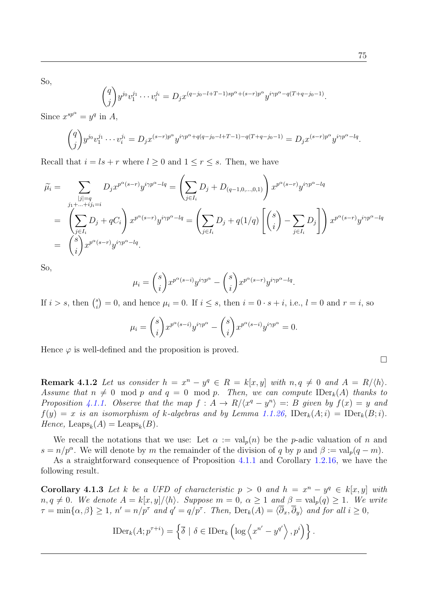So,

$$
\binom{q}{j} y^{j_0} v_1^{j_1} \cdots v_i^{j_i} = D_j x^{(q-j_0-l+T-1)sp^{\alpha} + (s-r)p^{\alpha}} y^{i\gamma p^{\alpha} - q(T+q-j_0-1)}.
$$

Since  $x^{sp^{\alpha}} = y^q$  in A,

$$
\binom{q}{j} y^{j_0} v_1^{j_1} \cdots v_i^{j_i} = D_j x^{(s-r)p^{\alpha}} y^{i\gamma p^{\alpha} + q(q-j_0 - l + T - 1) - q(T + q - j_0 - 1)} = D_j x^{(s-r)p^{\alpha}} y^{i\gamma p^{\alpha} - lq}.
$$

Recall that  $i = ls + r$  where  $l \geq 0$  and  $1 \leq r \leq s$ . Then, we have

$$
\widetilde{\mu}_{i} = \sum_{\substack{j_{j} \mid q_{j} \mid n_{j} \neq i}} D_{j} x^{p^{\alpha}(s-r)} y^{i\gamma p^{\alpha} - lq} = \left( \sum_{j \in I_{i}} D_{j} + D_{(q-1,0,\ldots,0,1)} \right) x^{p^{\alpha}(s-r)} y^{i\gamma p^{\alpha} - lq}
$$
\n
$$
= \left( \sum_{j \in I_{i}} D_{j} + q C_{i} \right) x^{p^{\alpha}(s-r)} y^{i\gamma p^{\alpha} - lq} = \left( \sum_{j \in I_{i}} D_{j} + q(1/q) \left[ \binom{s}{i} - \sum_{j \in I_{i}} D_{j} \right] \right) x^{p^{\alpha}(s-r)} y^{i\gamma p^{\alpha} - lq}
$$
\n
$$
= \binom{s}{i} x^{p^{\alpha}(s-r)} y^{i\gamma p^{\alpha} - lq}.
$$

So,

$$
\mu_i = {s \choose i} x^{p^{\alpha}(s-i)} y^{i\gamma p^{\alpha}} - {s \choose i} x^{p^{\alpha}(s-r)} y^{i\gamma p^{\alpha}-lq}.
$$

If  $i > s$ , then  $\binom{s}{i}$  $\mathcal{L}_{i}^{s}$  = 0, and hence  $\mu_{i} = 0$ . If  $i \leq s$ , then  $i = 0 \cdot s + i$ , i.e.,  $l = 0$  and  $r = i$ , so

$$
\mu_i = \binom{s}{i} x^{p^{\alpha}(s-i)} y^{i\gamma p^{\alpha}} - \binom{s}{i} x^{p^{\alpha}(s-i)} y^{i\gamma p^{\alpha}} = 0.
$$

Hence  $\varphi$  is well-defined and the proposition is proved.

**Remark 4.1.2** Let us consider  $h = x^n - y^q \in R = k[x, y]$  with  $n, q \neq 0$  and  $A = R/\langle h \rangle$ . Assume that  $n \neq 0 \mod p$  and  $q = 0 \mod p$ . Then, we can compute  $\text{IDer}_k(A)$  thanks to Proposition [4.1.1.](#page-82-0) Observe that the map  $f : A \to R/\langle x^q - y^n \rangle =: B$  given by  $f(x) = y$  and  $f(y) = x$  is an isomorphism of k-algebras and by Lemma [1.1.26,](#page-21-0)  $\text{IDer}_k(A; i) = \text{IDer}_k(B; i)$ . Hence,  $\text{Leaps}_k(A) = \text{Leaps}_k(B)$ .

We recall the notations that we use: Let  $\alpha := \text{val}_p(n)$  be the p-adic valuation of n and  $s = n/p^{\alpha}$ . We will denote by m the remainder of the division of q by p and  $\beta := \text{val}_p(q-m)$ .

As a straightforward consequence of Proposition [4.1.1](#page-82-0) and Corollary [1.2.16,](#page-29-0) we have the following result.

<span id="page-88-1"></span><span id="page-88-0"></span>**Corollary 4.1.3** Let k be a UFD of characteristic  $p > 0$  and  $h = x^n - y^q \in k[x, y]$  with  $n, q \neq 0$ . We denote  $A = k[x, y]/\langle h \rangle$ . Suppose  $m = 0, \alpha \geq 1$  and  $\beta = val_p(q) \geq 1$ . We write  $\tau = \min\{\alpha, \beta\} \geq 1, n' = n/p^{\tau}$  and  $q' = q/p^{\tau}$ . Then,  $\text{Der}_k(A) = \langle \overline{\partial}_x, \overline{\partial}_y \rangle$  and for all  $i \geq 0$ ,

$$
\text{IDer}_k(A; p^{\tau+i}) = \left\{ \overline{\delta} \mid \delta \in \text{IDer}_k \left( \log \left\langle x^{n'} - y^{q'} \right\rangle, p^i \right) \right\}.
$$

$$
\Box
$$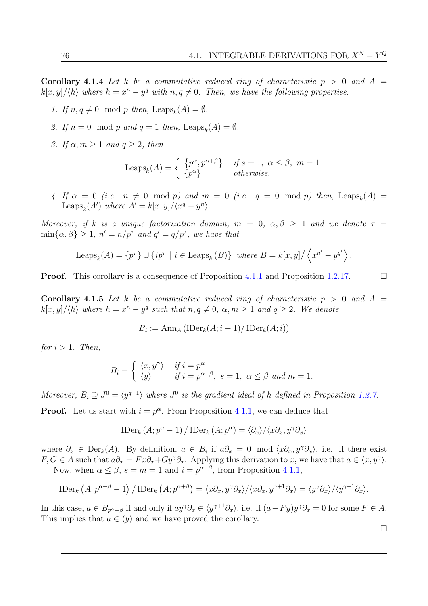Corollary 4.1.4 Let k be a commutative reduced ring of characteristic  $p > 0$  and  $A =$  $k[x, y]/\langle h \rangle$  where  $h = x^n - y^q$  with  $n, q \neq 0$ . Then, we have the following properties.

- 1. If  $n, q \neq 0 \mod p$  then, Leaps<sub>k</sub>(A) =  $\emptyset$ .
- 2. If  $n = 0 \mod p$  and  $q = 1$  then, Leaps<sub>k</sub>(A) =  $\emptyset$ .
- 3. If  $\alpha, m \geq 1$  and  $q \geq 2$ , then

$$
\text{Leaps}_k(A) = \begin{cases} \{p^{\alpha}, p^{\alpha+\beta}\} & \text{if } s = 1, \ \alpha \le \beta, \ m = 1\\ \{p^{\alpha}\} & \text{otherwise.} \end{cases}
$$

4. If  $\alpha = 0$  (i.e.  $n \neq 0 \mod p$ ) and  $m = 0$  (i.e.  $q = 0 \mod p$ ) then, Leaps<sub>k</sub>(A) = Leaps<sub>k</sub>(A') where  $A' = k[x, y]/\langle x^q - y^n \rangle$ .

Moreover, if k is a unique factorization domain,  $m = 0$ ,  $\alpha, \beta \geq 1$  and we denote  $\tau =$  $\min\{\alpha, \beta\} \geq 1, n' = n/p^{\tau}$  and  $q' = q/p^{\tau}$ , we have that

Leaps<sub>k</sub>
$$
(A) = \{p^{\tau}\} \cup \{ip^{\tau} \mid i \in \text{Leaps}_k(B)\}\
$$
 where  $B = k[x, y]/\langle x^{n'} - y^{q'} \rangle$ .

**Proof.** This corollary is a consequence of Proposition [4.1.1](#page-82-0) and Proposition [1.2.17.](#page-29-1)

**Corollary 4.1.5** Let k be a commutative reduced ring of characteristic  $p > 0$  and  $A =$  $\langle k[x,y]/\langle h \rangle$  where  $h = x^n - y^q$  such that  $n, q \neq 0, \alpha, m \geq 1$  and  $q \geq 2$ . We denote

$$
B_i := \operatorname{Ann}_A(\operatorname{IDer}_k(A; i-1)/\operatorname{IDer}_k(A; i))
$$

for  $i > 1$ . Then,

$$
B_i = \begin{cases} \langle x, y^\gamma \rangle & \text{if } i = p^\alpha \\ \langle y \rangle & \text{if } i = p^{\alpha+\beta}, \ s = 1, \ \alpha \le \beta \ \text{and } m = 1. \end{cases}
$$

Moreover,  $B_i \supseteq J^0 = \langle y^{q-1} \rangle$  where  $J^0$  is the gradient ideal of h defined in Proposition [1.2.7.](#page-25-1)

**Proof.** Let us start with  $i = p^{\alpha}$ . From Proposition [4.1.1,](#page-82-0) we can deduce that

$$
\text{IDer}_{k}(A; p^{\alpha} - 1) / \text{IDer}_{k}(A; p^{\alpha}) = \langle \partial_{x} \rangle / \langle x \partial_{x}, y^{\gamma} \partial_{x} \rangle
$$

where  $\partial_x \in \text{Der}_k(A)$ . By definition,  $a \in B_i$  if  $a\partial_x = 0 \mod \langle x\partial_x, y\partial_x \rangle$ , i.e. if there exist  $F, G \in A$  such that  $a\partial_x = Fx\partial_x + Gy^{\gamma}\partial_x$ . Applying this derivation to x, we have that  $a \in \langle x, y^{\gamma} \rangle$ . Now, when  $\alpha \leq \beta$ ,  $s = m = 1$  and  $i = p^{\alpha+\beta}$ , from Proposition [4.1.1,](#page-82-0)

$$
\text{IDer}_k\left(A; p^{\alpha+\beta}-1\right)/\text{IDer}_k\left(A; p^{\alpha+\beta}\right)=\langle x\partial_x, y^{\gamma}\partial_x\rangle/\langle x\partial_x, y^{\gamma+1}\partial_x\rangle=\langle y^{\gamma}\partial_x\rangle/\langle y^{\gamma+1}\partial_x\rangle.
$$

<span id="page-89-0"></span>In this case,  $a \in B_{p^{\alpha}+\beta}$  if and only if  $ay^{\gamma}\partial_x \in \langle y^{\gamma+1}\partial_x \rangle$ , i.e. if  $(a-Fy)y^{\gamma}\partial_x = 0$  for some  $F \in A$ . This implies that  $a \in \langle y \rangle$  and we have proved the corollary.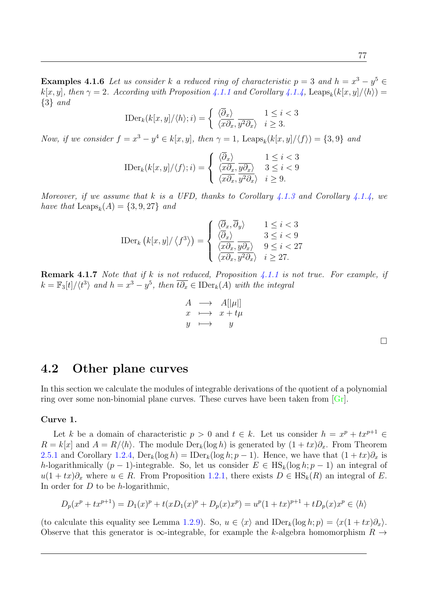**Examples 4.1.6** Let us consider k a reduced ring of characteristic  $p = 3$  and  $h = x^3 - y^5 \in$  $k[x, y]$ , then  $\gamma = 2$ . According with Proposition [4.1.1](#page-82-0) and Corollary [4.1.4,](#page-88-0) Leaps<sub>k</sub> $(k[x, y]/\langle h \rangle)$ {3} and

$$
\text{IDer}_k(k[x, y]/\langle h \rangle; i) = \begin{cases} \frac{\langle \overline{\partial}_x \rangle}{\langle x \partial_x, y^2 \partial_x \rangle} & i \ge 3. \\ 0 & i \ge 3. \end{cases}
$$

Now, if we consider  $f = x^3 - y^4 \in k[x, y]$ , then  $\gamma = 1$ , Leaps<sub>k</sub> $(k[x, y]/\langle f \rangle) = \{3, 9\}$  and

$$
\text{IDer}_k(k[x, y]/\langle f \rangle; i) = \begin{cases} \frac{\langle \overline{\partial}_x \rangle}{\langle x \partial_x, y \partial_x \rangle} & 1 \leq i < 3\\ \frac{\langle x \partial_x, y \partial_x \rangle}{\langle x \partial_x, y^2 \partial_x \rangle} & i \geq 9. \end{cases}
$$

Moreover, if we assume that k is a UFD, thanks to Corollary [4.1.3](#page-88-1) and Corollary [4.1.4,](#page-88-0) we have that  $\text{Leaps}_k(A) = \{3, 9, 27\}$  and

$$
\text{IDer}_{k}\left(k[x,y]/\left\langle f^{3}\right\rangle\right) = \begin{cases} \frac{\langle\overline{\partial}_{x},\overline{\partial}_{y}\rangle}{\langle\overline{\partial}_{x}\rangle} & 1 \leq i < 3\\ \frac{\langle\overline{\partial}_{x}\rangle}{\langle x\partial_{x},y\partial_{x}\rangle} & 3 \leq i < 9\\ \frac{\langle x\partial_{x},y\partial_{x}\rangle}{\langle x\partial_{x},y^{2}\partial_{x}\rangle} & i \geq 27. \end{cases}
$$

**Remark 4.1.7** Note that if k is not reduced, Proposition [4.1.1](#page-82-0) is not true. For example, if  $k = \mathbb{F}_3[t]/\langle t^3 \rangle$  and  $h = x^3 - y^5$ , then  $\overline{t \partial_x} \in \mathrm{IDer}_k(A)$  with the integral

$$
A \longrightarrow A[|\mu|] \nx \longrightarrow x + t\mu \ny \longrightarrow y
$$

### 4.2 Other plane curves

In this section we calculate the modules of integrable derivations of the quotient of a polynomial ring over some non-binomial plane curves. These curves have been taken from  $\lfloor \text{Gr} \rfloor$ .

#### Curve 1.

Let k be a domain of characteristic  $p > 0$  and  $t \in k$ . Let us consider  $h = x^p + tx^{p+1} \in$  $R = k[x]$  and  $A = R/\langle h \rangle$ . The module  $Der_k(\log h)$  is generated by  $(1 + tx)\partial_x$ . From Theorem [2.5.1](#page-53-0) and Corollary [1.2.4,](#page-24-2)  $\text{Der}_k(\log h) = \text{IDer}_k(\log h; p-1)$ . Hence, we have that  $(1 + tx)\partial_x$  is h-logarithmically  $(p-1)$ -integrable. So, let us consider  $E \in HS_k(\log h; p-1)$  an integral of  $u(1 + tx)\partial_x$  where  $u \in R$ . From Proposition [1.2.1,](#page-23-0) there exists  $D \in HS_k(R)$  an integral of E. In order for  $D$  to be h-logarithmic,

$$
D_p(x^p + tx^{p+1}) = D_1(x)^p + t(xD_1(x)^p + D_p(x)x^p) = u^p(1+tx)^{p+1} + tD_p(x)x^p \in \langle h \rangle
$$

(to calculate this equality see Lemma [1.2.9\)](#page-25-2). So,  $u \in \langle x \rangle$  and  $\text{IDer}_k(\log h; p) = \langle x(1 + tx)\partial_x \rangle$ . Observe that this generator is  $\infty$ -integrable, for example the k-algebra homomorphism  $R \to$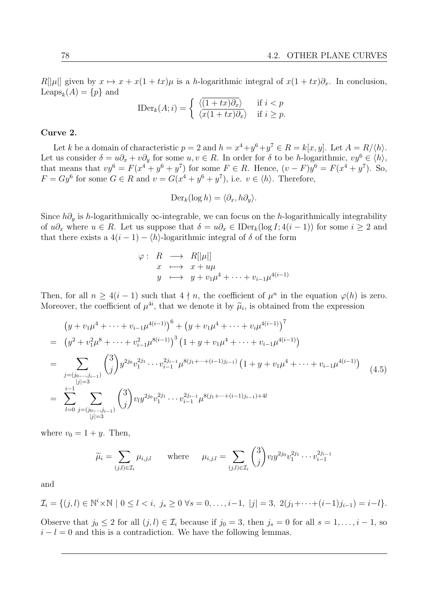$R[|\mu|]$  given by  $x \mapsto x + x(1 + tx)\mu$  is a h-logarithmic integral of  $x(1 + tx)\partial_x$ . In conclusion, Leaps<sub>k</sub> $(A) = \{p\}$  and

$$
\text{IDer}_k(A; i) = \begin{cases} \frac{\langle (1+tx)\partial_x \rangle}{\langle x(1+tx)\partial_x \rangle} & \text{if } i < p \\ \end{cases}
$$

#### Curve 2.

Let k be a domain of characteristic  $p = 2$  and  $h = x^4 + y^6 + y^7 \in R = k[x, y]$ . Let  $A = R/\langle h \rangle$ . Let us consider  $\delta = u\partial_x + v\partial_y$  for some  $u, v \in R$ . In order for  $\delta$  to be h-logarithmic,  $vy^6 \in \langle h \rangle$ , that means that  $vy^6 = F(x^4 + y^6 + y^7)$  for some  $F \in R$ . Hence,  $(v - F)y^6 = F(x^4 + y^7)$ . So,  $F = Gy^6$  for some  $G \in R$  and  $v = G(x^4 + y^6 + y^7)$ , i.e.  $v \in \langle h \rangle$ . Therefore,

$$
\mathrm{Der}_k(\log h) = \langle \partial_x, h \partial_y \rangle.
$$

Since  $h\partial_y$  is h-logarithmically ∞-integrable, we can focus on the h-logarithmically integrability of  $u\partial_x$  where  $u \in R$ . Let us suppose that  $\delta = u\partial_x \in \text{IDer}_k(\log I; 4(i-1))$  for some  $i \geq 2$  and that there exists a  $4(i-1) - \langle h \rangle$ -logarithmic integral of  $\delta$  of the form

$$
\varphi: R \longrightarrow R[|\mu|]
$$
  
\n
$$
x \longmapsto x + u\mu
$$
  
\n
$$
y \longmapsto y + v_1\mu^4 + \dots + v_{i-1}\mu^{4(i-1)}
$$

Then, for all  $n \geq 4(i-1)$  such that  $4 \nmid n$ , the coefficient of  $\mu^n$  in the equation  $\varphi(h)$  is zero. Moreover, the coefficient of  $\mu^{4i}$ , that we denote it by  $\tilde{\mu}_i$ , is obtained from the expression

$$
(y + v_1 \mu^4 + \dots + v_{i-1} \mu^{4(i-1)})^6 + (y + v_1 \mu^4 + \dots + v_i \mu^{4(i-1)})^7
$$
  
\n
$$
= (y^2 + v_1^2 \mu^8 + \dots + v_{i-1}^2 \mu^{8(i-1)})^3 (1 + y + v_1 \mu^4 + \dots + v_{i-1} \mu^{4(i-1)})
$$
  
\n
$$
= \sum_{\substack{j=(j_0,\dots,j_{i-1})\\|j|=3}} {3 \choose j} y^{2j_0} v_1^{2j_1} \dots v_{i-1}^{2j_{i-1}} \mu^{8(j_1 + \dots + (i-1)j_{i-1})} (1 + y + v_1 \mu^4 + \dots + v_{i-1} \mu^{4(i-1)})
$$
  
\n
$$
= \sum_{\substack{j=1\\|j|=3}}^{i-1} \sum_{\substack{j=(j_0,\dots,j_{i-1})\\|j|=3}} {3 \choose j} v_i y^{2j_0} v_1^{2j_1} \dots v_{i-1}^{2j_{i-1}} \mu^{8(j_1 + \dots + (i-1)j_{i-1}) + 4l}
$$
 (4.5)

where  $v_0 = 1 + y$ . Then,

<span id="page-91-0"></span>
$$
\widetilde{\mu}_i = \sum_{(j,l) \in \mathcal{I}_i} \mu_{i,j,l}
$$
 where  $\mu_{i,j,l} = \sum_{(j,l) \in \mathcal{I}_i} {3 \choose j} v_l y^{2j_0} v_1^{2j_1} \cdots v_{i-1}^{2j_{i-1}}$ 

and

$$
\mathcal{I}_i = \{ (j, l) \in \mathbb{N}^i \times \mathbb{N} \mid 0 \le l < i, \ j_s \ge 0 \ \forall s = 0, \dots, i-1, \ |j| = 3, \ 2(j_1 + \dots + (i-1)j_{i-1}) = i - l \}.
$$

Observe that  $j_0 \leq 2$  for all  $(j, l) \in \mathcal{I}_i$  because if  $j_0 = 3$ , then  $j_s = 0$  for all  $s = 1, \ldots, i - 1$ , so  $i - l = 0$  and this is a contradiction. We have the following lemmas.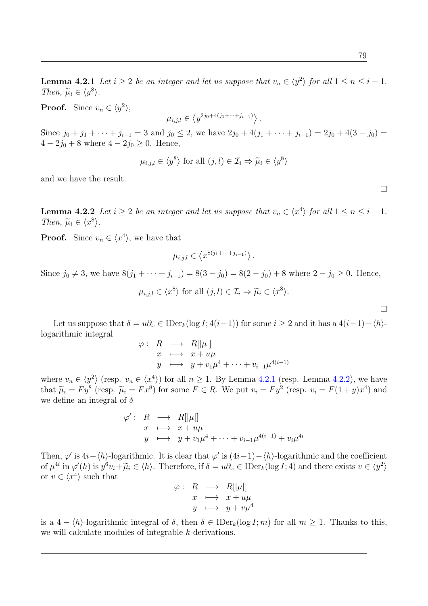**Lemma 4.2.1** Let  $i \geq 2$  be an integer and let us suppose that  $v_n \in \langle y^2 \rangle$  for all  $1 \leq n \leq i-1$ . Then,  $\widetilde{\mu}_i \in \langle y^8 \rangle$ .

**Proof.** Since  $v_n \in \langle y^2 \rangle$ ,

$$
\mu_{i,j,l} \in \left\langle y^{2j_0+4(j_1+\cdots+j_{i-1})} \right\rangle.
$$

Since  $j_0 + j_1 + \cdots + j_{i-1} = 3$  and  $j_0 \le 2$ , we have  $2j_0 + 4(j_1 + \cdots + j_{i-1}) = 2j_0 + 4(3 - j_0) =$  $4 - 2j_0 + 8$  where  $4 - 2j_0 \geq 0$ . Hence,

$$
\mu_{i,j,l} \in \langle y^8 \rangle \text{ for all } (j,l) \in \mathcal{I}_i \Rightarrow \widetilde{\mu}_i \in \langle y^8 \rangle
$$

and we have the result.

<span id="page-92-0"></span>**Lemma 4.2.2** Let  $i \geq 2$  be an integer and let us suppose that  $v_n \in \langle x^4 \rangle$  for all  $1 \leq n \leq i-1$ . Then,  $\widetilde{\mu}_i \in \langle x^8 \rangle$ .

**Proof.** Since  $v_n \in \langle x^4 \rangle$ , we have that

$$
\mu_{i,j,l} \in \left\langle x^{8(j_1 + \dots + j_{i-1})} \right\rangle.
$$

Since  $j_0 \neq 3$ , we have  $8(j_1 + \cdots + j_{i-1}) = 8(3 - j_0) = 8(2 - j_0) + 8$  where  $2 - j_0 \geq 0$ . Hence,

 $\mu_{i,j,l} \in \langle x^8 \rangle \text{ for all } (j,l) \in \mathcal{I}_i \Rightarrow \tilde{\mu}_i \in \langle x^8 \rangle.$ 

 $\Box$ 

 $\Box$ 

Let us suppose that  $\delta = u\partial_x \in \text{IDer}_k(\log I; 4(i-1))$  for some  $i \geq 2$  and it has a  $4(i-1)-\langle h \rangle$ logarithmic integral

$$
\varphi: R \longrightarrow R[|\mu|]
$$
  
\n
$$
x \longmapsto x + u\mu
$$
  
\n
$$
y \longmapsto y + v_1\mu^4 + \dots + v_{i-1}\mu^{4(i-1)}
$$

where  $v_n \in \langle y^2 \rangle$  (resp.  $v_n \in \langle x^4 \rangle$ ) for all  $n \ge 1$ . By Lemma [4.2.1](#page-91-0) (resp. Lemma [4.2.2\)](#page-92-0), we have that  $\tilde{\mu}_i = F y^8$  (resp.  $\tilde{\mu}_i = F x^8$ ) for some  $F \in R$ . We put  $v_i = F y^2$  (resp.  $v_i = F(1+y)x^4$ ) and we define an integral of  $\delta$ we define an integral of  $\delta$ 

$$
\varphi': R \longrightarrow R[|\mu|]
$$
  
\n
$$
x \longmapsto x + u\mu
$$
  
\n
$$
y \longmapsto y + v_1\mu^4 + \dots + v_{i-1}\mu^{4(i-1)} + v_i\mu^{4i}
$$

Then,  $\varphi'$  is  $4i - \langle h \rangle$ -logarithmic. It is clear that  $\varphi'$  is  $(4i-1) - \langle h \rangle$ -logarithmic and the coefficient of  $\mu^{4i}$  in  $\varphi'(h)$  is  $y^6v_i + \widetilde{\mu}_i \in \langle h \rangle$ . Therefore, if  $\delta = u\partial_x \in \text{IDer}_k(\log I; 4)$  and there exists  $v \in \langle y^2 \rangle$ or  $v \in \langle x^4 \rangle$  such that

$$
\varphi: R \longrightarrow R[|\mu|] \nx \longmapsto x + u\mu \ny \longmapsto y + v\mu^4
$$

is a  $4 - \langle h \rangle$ -logarithmic integral of  $\delta$ , then  $\delta \in \mathrm{IDer}_k(\log I; m)$  for all  $m \geq 1$ . Thanks to this, we will calculate modules of integrable k-derivations.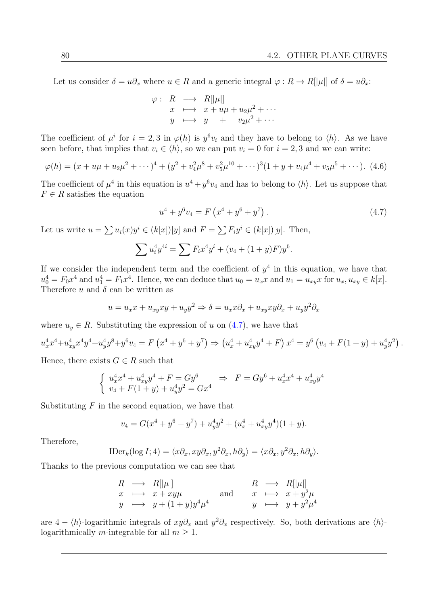Let us consider  $\delta = u\partial_x$  where  $u \in R$  and a generic integral  $\varphi : R \to R[[\mu]]$  of  $\delta = u\partial_x$ :

$$
\varphi: R \longrightarrow R[|\mu|]
$$
  
\n
$$
x \longmapsto x + u\mu + u_2\mu^2 + \cdots
$$
  
\n
$$
y \longmapsto y + v_2\mu^2 + \cdots
$$

The coefficient of  $\mu^i$  for  $i = 2, 3$  in  $\varphi(h)$  is  $y^6v_i$  and they have to belong to  $\langle h \rangle$ . As we have seen before, that implies that  $v_i \in \langle h \rangle$ , so we can put  $v_i = 0$  for  $i = 2, 3$  and we can write:

<span id="page-93-1"></span>
$$
\varphi(h) = (x + u\mu + u_2\mu^2 + \cdots)^4 + (y^2 + v_4^2\mu^8 + v_5^2\mu^{10} + \cdots)^3(1 + y + v_4\mu^4 + v_5\mu^5 + \cdots). \tag{4.6}
$$

The coefficient of  $\mu^4$  in this equation is  $u^4 + y^6 v_4$  and has to belong to  $\langle h \rangle$ . Let us suppose that  $F \in \mathbb{R}$  satisfies the equation

<span id="page-93-0"></span>
$$
u^{4} + y^{6}v_{4} = F(x^{4} + y^{6} + y^{7}). \qquad (4.7)
$$

Let us write  $u = \sum u_i(x)y^i \in (k[x])[y]$  and  $F = \sum F_iy^i \in (k[x])[y]$ . Then,

$$
\sum u_i^4 y^{4i} = \sum F_i x^4 y^i + (v_4 + (1+y)F)y^6.
$$

If we consider the independent term and the coefficient of  $y^4$  in this equation, we have that  $u_0^4 = F_0 x^4$  and  $u_1^4 = F_1 x^4$ . Hence, we can deduce that  $u_0 = u_x x$  and  $u_1 = u_{xy} x$  for  $u_x, u_{xy} \in k[x]$ . Therefore u and  $\delta$  can be written as

$$
u = u_x x + u_{xy} xy + u_y y^2 \Rightarrow \delta = u_x x \partial_x + u_{xy} xy \partial_x + u_y y^2 \partial_x
$$

where  $u_y \in R$ . Substituting the expression of u on  $(4.7)$ , we have that

$$
u_x^4 x^4 + u_{xy}^4 x^4 y^4 + u_y^4 y^8 + y^6 v_4 = F(x^4 + y^6 + y^7) \Rightarrow (u_x^4 + u_{xy}^4 y^4 + F) x^4 = y^6 (v_4 + F(1 + y) + u_y^4 y^2).
$$

Hence, there exists  $G \in R$  such that

$$
\begin{cases}\nu_x^4 x^4 + u_{xy}^4 y^4 + F = Gy^6 & \Rightarrow F = Gy^6 + u_x^4 x^4 + u_{xy}^4 y^4 \\
v_4 + F(1+y) + u_y^4 y^2 = Gx^4\n\end{cases}
$$

Substituting  $F$  in the second equation, we have that

$$
v_4 = G(x^4 + y^6 + y^7) + u_y^4 y^2 + (u_x^4 + u_{xy}^4 y^4)(1 + y).
$$

Therefore,

$$
\text{IDer}_k(\log I; 4) = \langle x\partial_x, xy\partial_x, y^2\partial_x, h\partial_y \rangle = \langle x\partial_x, y^2\partial_x, h\partial_y \rangle.
$$

Thanks to the previous computation we can see that

$$
R \longrightarrow R[\vert \mu \vert] \nx \longmapsto x + xy\mu \ny \longmapsto y + (1 + y)y^4\mu^4
$$
\nand\n
$$
R \longrightarrow R[\vert \mu \vert] \nx \longmapsto x + y^2\mu \ny \longmapsto y + y^2\mu^4
$$

are  $4 - \langle h \rangle$ -logarithmic integrals of  $xy\partial_x$  and  $y^2\partial_x$  respectively. So, both derivations are  $\langle h \rangle$ logarithmically m-integrable for all  $m \geq 1$ .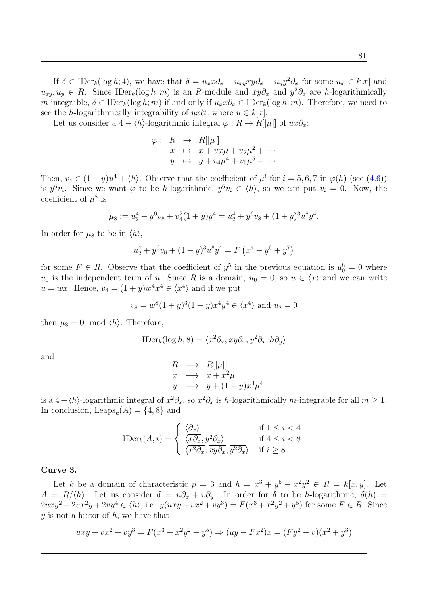If  $\delta \in \text{IDer}_k(\log h; 4)$ , we have that  $\delta = u_x x \partial_x + u_{xy} xy \partial_x + u_{y} y^2 \partial_x$  for some  $u_x \in k[x]$  and  $u_{xy}, u_y \in R$ . Since IDer<sub>k</sub>(log *h*; *m*) is an R-module and  $xy\partial_x$  and  $y^2\partial_x$  are *h*-logarithmically m-integrable,  $\delta \in \mathrm{IDer}_k(\log h; m)$  if and only if  $u_x x \partial_x \in \mathrm{IDer}_k(\log h; m)$ . Therefore, we need to see the *h*-logarithmically integrability of  $ux\partial_x$  where  $u \in k[x]$ .

Let us consider a  $4 - \langle h \rangle$ -logarithmic integral  $\varphi : R \to R[|\mu|]$  of  $ux\partial_x$ :

$$
\varphi: R \to R[|\mu|]
$$
  
\n
$$
x \mapsto x + ux\mu + u_2\mu^2 + \cdots
$$
  
\n
$$
y \mapsto y + v_4\mu^4 + v_5\mu^5 + \cdots
$$

Then,  $v_4 \in (1+y)u^4 + \langle h \rangle$ . Observe that the coefficient of  $\mu^i$  for  $i = 5, 6, 7$  in  $\varphi(h)$  (see [\(4.6\)](#page-93-1)) is  $y^6v_i$ . Since we want  $\varphi$  to be h-logarithmic,  $y^6v_i \in \langle h \rangle$ , so we can put  $v_i = 0$ . Now, the coefficient of  $\mu^8$  is

$$
\mu_8 := u_2^4 + y^6 v_8 + v_4^2 (1+y) y^4 = u_2^4 + y^6 v_8 + (1+y)^3 u^8 y^4.
$$

In order for  $\mu_8$  to be in  $\langle h \rangle$ ,

$$
u_2^4 + y^6 v_8 + (1+y)^3 u^8 y^4 = F(x^4 + y^6 + y^7)
$$

for some  $F \in R$ . Observe that the coefficient of  $y^5$  in the previous equation is  $u_0^8 = 0$  where  $u_0$  is the independent term of u. Since R is a domain,  $u_0 = 0$ , so  $u \in \langle x \rangle$  and we can write  $u = wx$ . Hence,  $v_4 = (1 + y)w^4x^4 \in \langle x^4 \rangle$  and if we put

$$
v_8 = w^8(1+y)^3(1+y)x^4y^4 \in \langle x^4 \rangle
$$
 and  $u_2 = 0$ 

then  $\mu_8 = 0 \mod \langle h \rangle$ . Therefore,

$$
\text{IDer}_k(\log h; 8) = \langle x^2 \partial_x, xy \partial_x, y^2 \partial_x, h \partial_y \rangle
$$

and

$$
R \longrightarrow R[|\mu|]
$$
  
\n
$$
x \longrightarrow x + x^2 \mu
$$
  
\n
$$
y \longrightarrow y + (1+y)x^4 \mu^4
$$

is a 4 –  $\langle h \rangle$ -logarithmic integral of  $x^2 \partial_x$ , so  $x^2 \partial_x$  is h-logarithmically m-integrable for all  $m \ge 1$ . In conclusion,  $\text{Leaps}_k(A) = \{4, 8\}$  and

$$
\text{IDer}_k(A; i) = \begin{cases} \n\langle \overline{\partial_x} \rangle & \text{if } 1 \leq i < 4\\ \n\langle \overline{x \partial_x}, \overline{y^2 \partial_x} \rangle & \text{if } 4 \leq i < 8\\ \n\langle \overline{x^2 \partial_x}, \overline{xy \partial_x}, \overline{y^2 \partial_x} \rangle & \text{if } i \geq 8. \n\end{cases}
$$

#### Curve 3.

Let k be a domain of characteristic  $p = 3$  and  $h = x^3 + y^5 + x^2y^2 \in R = k[x, y]$ . Let  $A = R/\langle h \rangle$ . Let us consider  $\delta = u\partial_x + v\partial_y$ . In order for  $\delta$  to be h-logarithmic,  $\delta(h)$  $2uxy^2 + 2vx^2y + 2vy^4 \in \langle h \rangle$ , i.e.  $y(uxy + vx^2 + vy^3) = F(x^3 + x^2y^2 + y^5)$  for some  $F \in R$ . Since  $y$  is not a factor of  $h$ , we have that

$$
uxy + vx^2 + vy^3 = F(x^3 + x^2y^2 + y^5) \Rightarrow (uy - Fx^2)x = (Fy^2 - v)(x^2 + y^3)
$$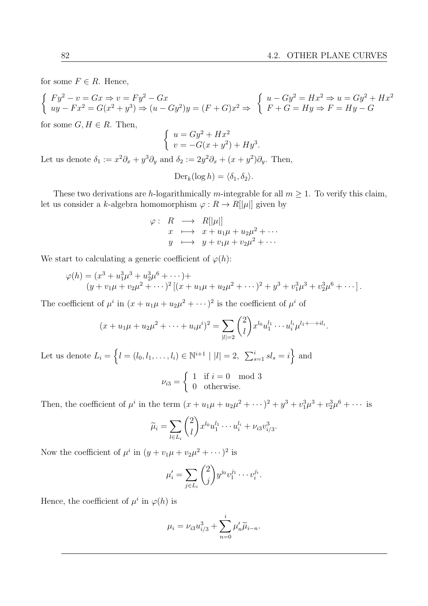for some  $F \in R$ . Hence,

$$
\begin{cases}\nFy^2 - v = Gx \Rightarrow v = Fy^2 - Gx \\
uy - Fx^2 = G(x^2 + y^3) \Rightarrow (u - Gy^2)y = (F + G)x^2 \Rightarrow \quad \begin{cases}\nu - Gy^2 = Hx^2 \Rightarrow u = Gy^2 + Hx^2 \\
F + G = Hy \Rightarrow F = Hy - G\n\end{cases}
$$

for some  $G, H \in R$ . Then,

$$
\begin{cases}\n u = Gy^2 + Hx^2 \\
 v = -G(x + y^2) + Hy^3.\n\end{cases}
$$

Let us denote  $\delta_1 := x^2 \partial_x + y^3 \partial_y$  and  $\delta_2 := 2y^2 \partial_x + (x + y^2) \partial_y$ . Then,

$$
\mathrm{Der}_k(\log h) = \langle \delta_1, \delta_2 \rangle.
$$

These two derivations are h-logarithmically m-integrable for all  $m \geq 1$ . To verify this claim, let us consider a k-algebra homomorphism  $\varphi : R \to R[[\mu]]$  given by

$$
\varphi: R \longrightarrow R[|\mu|]
$$
  
\n
$$
x \longrightarrow x + u_1 \mu + u_2 \mu^2 + \cdots
$$
  
\n
$$
y \longmapsto y + v_1 \mu + v_2 \mu^2 + \cdots
$$

We start to calculating a generic coefficient of  $\varphi(h)$ :

$$
\varphi(h) = (x^3 + u_1^3 \mu^3 + u_2^3 \mu^6 + \cdots) +
$$
  
\n
$$
(y + v_1 \mu + v_2 \mu^2 + \cdots)^2 [(x + u_1 \mu + u_2 \mu^2 + \cdots)^2 + y^3 + v_1^3 \mu^3 + v_2^3 \mu^6 + \cdots].
$$

The coefficient of  $\mu^i$  in  $(x + u_1\mu + u_2\mu^2 + \cdots)^2$  is the coefficient of  $\mu^i$  of

$$
(x+u_1\mu+u_2\mu^2+\cdots+u_i\mu^i)^2=\sum_{|l|=2}\binom{2}{l}x^{l_0}u_1^{l_1}\cdots u_i^{l_i}\mu^{l_1+\cdots+il_i}.
$$

Let us denote  $L_i = \left\{ l = (l_0, l_1, \ldots, l_i) \in \mathbb{N}^{i+1} \mid |l| = 2, \sum_{s=1}^{i} sl_s = i \right\}$  and

$$
\nu_{i3} = \begin{cases} 1 & \text{if } i = 0 \mod 3 \\ 0 & \text{otherwise.} \end{cases}
$$

Then, the coefficient of  $\mu^i$  in the term  $(x + u_1\mu + u_2\mu^2 + \cdots)^2 + y^3 + v_1^3\mu^3 + v_2^3\mu^6 + \cdots$  is

$$
\widetilde{\mu}_i = \sum_{l \in L_i} {2 \choose l} x^{l_0} u_1^{l_1} \cdots u_i^{l_i} + \nu_{i3} v_{i/3}^3.
$$

Now the coefficient of  $\mu^i$  in  $(y + v_1\mu + v_2\mu^2 + \cdots)^2$  is

$$
\mu_i' = \sum_{j \in L_i} \binom{2}{j} y^{j_0} v_1^{j_1} \cdots v_i^{j_i}.
$$

Hence, the coefficient of  $\mu^i$  in  $\varphi(h)$  is

$$
\mu_i = \nu_{i3} u_{i/3}^3 + \sum_{n=0}^i \mu'_n \widetilde{\mu}_{i-n}.
$$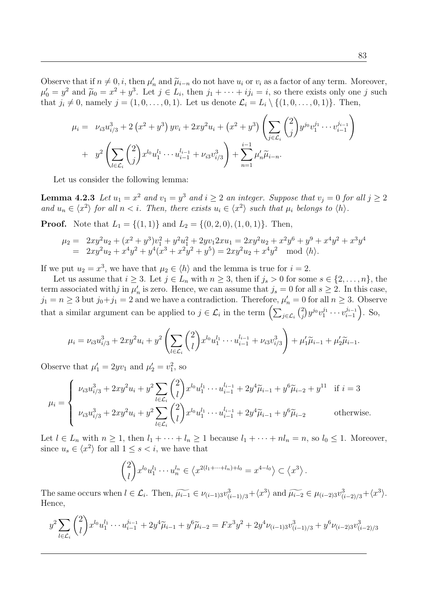Observe that if  $n \neq 0$ , *i*, then  $\mu'_n$  and  $\tilde{\mu}_{i-n}$  do not have  $u_i$  or  $v_i$  as a factor of any term. Moreover,  $\mu' = u^2$  and  $\tilde{\mu}_i = x^2 + u^3$ . Let  $i \in I$  then  $i \in I$  then  $i \neq j$  so there exists only one *i* such  $\mu'_0 = y^2$  and  $\tilde{\mu}_0 = x^2 + y^3$ . Let  $j \in L_i$ , then  $j_1 + \cdots + ij_i = i$ , so there exists only one j such that  $i \neq 0$  paraly  $i = (1, 0, \ldots, 0, 1)$ . Let us denote  $\mathcal{L} = I \setminus \{(1, 0, \ldots, 0, 1)\}$ . Then that  $j_i \neq 0$ , namely  $j = (1, 0, \ldots, 0, 1)$ . Let us denote  $\mathcal{L}_i = L_i \setminus \{(1, 0, \ldots, 0, 1)\}$ . Then,

<span id="page-96-0"></span>
$$
\mu_{i} = \nu_{i3} u_{i/3}^{3} + 2 \left( x^{2} + y^{3} \right) yv_{i} + 2xy^{2} u_{i} + \left( x^{2} + y^{3} \right) \left( \sum_{j \in \mathcal{L}_{i}} {2 \choose j} y^{j_{0}} v_{1}^{j_{1}} \cdots v_{i-1}^{j_{i-1}} \right) \n+ y^{2} \left( \sum_{l \in \mathcal{L}_{i}} {2 \choose j} x^{l_{0}} u_{1}^{l_{1}} \cdots u_{i-1}^{l_{i-1}} + \nu_{i3} v_{i/3}^{3} \right) + \sum_{n=1}^{i-1} \mu'_{n} \widetilde{\mu}_{i-n}.
$$

Let us consider the following lemma:

**Lemma 4.2.3** Let  $u_1 = x^2$  and  $v_1 = y^3$  and  $i \ge 2$  an integer. Suppose that  $v_j = 0$  for all  $j \ge 2$ and  $u_n \in \langle x^2 \rangle$  for all  $n < i$ . Then, there exists  $u_i \in \langle x^2 \rangle$  such that  $\mu_i$  belongs to  $\langle h \rangle$ .

**Proof.** Note that  $L_1 = \{(1, 1)\}\$ and  $L_2 = \{(0, 2, 0), (1, 0, 1)\}\$ . Then,

$$
\mu_2 = 2xy^2u_2 + (x^2 + y^3)v_1^2 + y^2u_1^2 + 2yv_12xu_1 = 2xy^2u_2 + x^2y^6 + y^9 + x^4y^2 + x^3y^4
$$
  
=  $2xy^2u_2 + x^4y^2 + y^4(x^3 + x^2y^2 + y^5) = 2xy^2u_2 + x^4y^2 \mod \langle h \rangle$ .

If we put  $u_2 = x^3$ , we have that  $\mu_2 \in \langle h \rangle$  and the lemma is true for  $i = 2$ .

Let us assume that  $i \geq 3$ . Let  $j \in L_n$  with  $n \geq 3$ , then if  $j_s > 0$  for some  $s \in \{2, \ldots, n\}$ , the term associated with j in  $\mu'_n$  is zero. Hence, we can assume that  $j_s = 0$  for all  $s \geq 2$ . In this case,  $j_1 = n \geq 3$  but  $j_0 + j_1 = 2$  and we have a contradiction. Therefore,  $\mu'_n = 0$  for all  $n \geq 3$ . Observe that a similar argument can be applied to  $j \in \mathcal{L}_i$  in the term  $\left(\sum_{j \in \mathcal{L}_i} {2 \choose j}\right)$  $\binom{2}{j}y^{j_0}v_1^{j_1}\cdot\cdot\cdot v_{i-1}^{j_{i-1}}$  $\binom{j_{i-1}}{i-1}$ . So,

$$
\mu_i = \nu_{i3} u_{i/3}^3 + 2xy^2 u_i + y^2 \left( \sum_{l \in \mathcal{L}_i} \binom{2}{l} x^{l_0} u_1^{l_1} \cdots u_{i-1}^{l_{i-1}} + \nu_{i3} v_{i/3}^3 \right) + \mu'_1 \widetilde{\mu}_{i-1} + \mu'_2 \widetilde{\mu}_{i-1}.
$$

Observe that  $\mu'_1 = 2yv_1$  and  $\mu'_2 = v_1^2$ , so

$$
\mu_{i} = \begin{cases} \nu_{i3}u_{i/3}^{3} + 2xy^{2}u_{i} + y^{2} \sum_{l \in \mathcal{L}_{i}} {2 \choose l} x^{l_{0}}u_{1}^{l_{1}} \cdots u_{i-1}^{l_{i-1}} + 2y^{4} \widetilde{\mu}_{i-1} + y^{6} \widetilde{\mu}_{i-2} + y^{11} & \text{if } i = 3 \\ \nu_{i3}u_{i/3}^{3} + 2xy^{2}u_{i} + y^{2} \sum_{l \in \mathcal{L}_{i}} {2 \choose l} x^{l_{0}}u_{1}^{l_{1}} \cdots u_{i-1}^{l_{i-1}} + 2y^{4} \widetilde{\mu}_{i-1} + y^{6} \widetilde{\mu}_{i-2} & \text{otherwise.} \end{cases}
$$

Let  $l \in L_n$  with  $n \geq 1$ , then  $l_1 + \cdots + l_n \geq 1$  because  $l_1 + \cdots + n l_n = n$ , so  $l_0 \leq 1$ . Moreover, since  $u_s \in \langle x^2 \rangle$  for all  $1 \le s < i$ , we have that

$$
\binom{2}{l} x^{l_0} u_1^{l_1} \cdots u_n^{l_n} \in \left\langle x^{2(l_1 + \cdots + l_n) + l_0} = x^{4-l_0} \right\rangle \subset \left\langle x^3 \right\rangle.
$$

The same occurs when  $l \in \mathcal{L}_i$ . Then,  $\widetilde{\mu_{i-1}} \in \nu_{(i-1)3} \nu_{(i-1)/3}^3 + \langle x^3 \rangle$  and  $\widetilde{\mu_{i-2}} \in \mu_{(i-2)3} \nu_{(i-2)/3}^3 + \langle x^3 \rangle$ . Hence,

$$
y^{2} \sum_{l \in \mathcal{L}_{i}} {2 \choose l} x^{l_{0}} u_{1}^{l_{1}} \cdots u_{i-1}^{j_{i-1}} + 2y^{4} \widetilde{\mu}_{i-1} + y^{6} \widetilde{\mu}_{i-2} = F x^{3} y^{2} + 2y^{4} \nu_{(i-1)3} v_{(i-1)/3}^{3} + y^{6} \nu_{(i-2)3} v_{(i-2)/3}^{3}
$$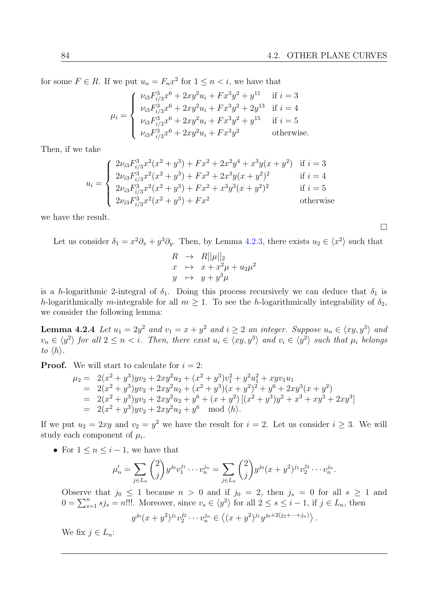for some  $F \in R$ . If we put  $u_n = F_n x^2$  for  $1 \leq n \leq i$ , we have that

$$
\mu_{i} = \begin{cases}\n\nu_{i3}F_{i/3}^{3}x^{6} + 2xy^{2}u_{i} + Fx^{3}y^{2} + y^{11} & \text{if } i = 3 \\
\nu_{i3}F_{i/3}^{3}x^{6} + 2xy^{2}u_{i} + Fx^{3}y^{2} + 2y^{13} & \text{if } i = 4 \\
\nu_{i3}F_{i/3}^{3}x^{6} + 2xy^{2}u_{i} + Fx^{3}y^{2} + y^{15} & \text{if } i = 5 \\
\nu_{i3}F_{i/3}^{3}x^{6} + 2xy^{2}u_{i} + Fx^{3}y^{2} & \text{otherwise.} \n\end{cases}
$$

Then, if we take

$$
u_{i} = \begin{cases} 2\nu_{i3}F_{i/3}^{3}x^{2}(x^{2} + y^{3}) + Fx^{2} + 2x^{2}y^{4} + x^{3}y(x + y^{2}) & \text{if } i = 3\\ 2\nu_{i3}F_{i/3}^{3}x^{2}(x^{2} + y^{3}) + Fx^{2} + 2x^{3}y(x + y^{2})^{2} & \text{if } i = 4\\ 2\nu_{i3}F_{i/3}^{3}x^{2}(x^{2} + y^{3}) + Fx^{2} + x^{3}y^{3}(x + y^{2})^{2} & \text{if } i = 5\\ 2\nu_{i3}F_{i/3}^{3}x^{2}(x^{2} + y^{3}) + Fx^{2} & \text{otherwise} \end{cases}
$$

we have the result.

Let us consider  $\delta_1 = x^2 \partial_x + y^3 \partial_y$ . Then, by Lemma [4.2.3,](#page-96-0) there exists  $u_2 \in \langle x^2 \rangle$  such that

$$
R \rightarrow R[|\mu|]_2
$$
  
\n
$$
x \rightarrow x + x^2 \mu + u_2 \mu^2
$$
  
\n
$$
y \rightarrow y + y^3 \mu
$$

is a h-logarithmic 2-integral of  $\delta_1$ . Doing this process recursively we can deduce that  $\delta_1$  is h-logarithmically m-integrable for all  $m \geq 1$ . To see the h-logarithmically integrability of  $\delta_2$ , we consider the following lemma:

<span id="page-97-0"></span>**Lemma 4.2.4** Let  $u_1 = 2y^2$  and  $v_1 = x + y^2$  and  $i \ge 2$  an integer. Suppose  $u_n \in \langle xy, y^3 \rangle$  and  $v_n \in \langle y^2 \rangle$  for all  $2 \leq n < i$ . Then, there exist  $u_i \in \langle xy, y^3 \rangle$  and  $v_i \in \langle y^2 \rangle$  such that  $\mu_i$  belongs to  $\langle h \rangle$ .

**Proof.** We will start to calculate for  $i = 2$ :

$$
\mu_2 = 2(x^2 + y^3) yv_2 + 2xy^2u_2 + (x^2 + y^3)v_1^2 + y^2u_1^2 + xyv_1u_1
$$
  
\n
$$
= 2(x^2 + y^3) yv_2 + 2xy^2u_2 + (x^2 + y^3)(x + y^2)^2 + y^6 + 2xy^3(x + y^2)
$$
  
\n
$$
= 2(x^2 + y^3) yv_2 + 2xy^2u_2 + y^6 + (x + y^2)[(x^2 + y^3)y^2 + x^3 + xy^3 + 2xy^3]
$$
  
\n
$$
= 2(x^2 + y^3) yv_2 + 2xy^2u_2 + y^6 \mod \langle h \rangle.
$$

If we put  $u_2 = 2xy$  and  $v_2 = y^2$  we have the result for  $i = 2$ . Let us consider  $i \geq 3$ . We will study each component of  $\mu_i$ .

• For  $1 \leq n \leq i-1$ , we have that

$$
\mu'_n = \sum_{j \in L_n} {2 \choose j} y^{j_0} v_1^{j_1} \cdots v_n^{j_n} = \sum_{j \in L_n} {2 \choose j} y^{j_0} (x + y^2)^{j_1} v_2^{j_2} \cdots v_n^{j_n}.
$$

Observe that  $j_0 \leq 1$  because  $n > 0$  and if  $j_0 = 2$ , then  $j_s = 0$  for all  $s \geq 1$  and  $0 = \sum_{s=1}^{n} s j_s = n!!!$ . Moreover, since  $v_s \in \langle y^2 \rangle$  for all  $2 \le s \le i - 1$ , if  $j \in L_n$ , then

$$
y^{j_0}(x+y^2)^{j_1}v_2^{j_2}\cdots v_n^{j_n} \in \langle (x+y^2)^{j_1}y^{j_0+2(j_2+\cdots+j_n)} \rangle
$$
.

We fix  $j \in L_n$ :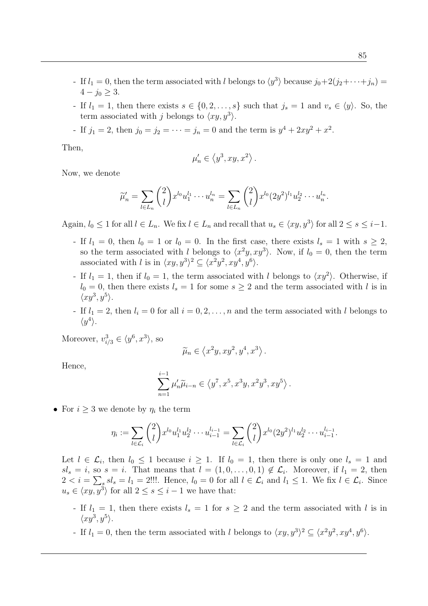- If  $l_1 = 0$ , then the term associated with l belongs to  $\langle y^3 \rangle$  because  $j_0+2(j_2+\cdots+j_n) =$  $4 - j_0 \geq 3$ .
- If  $l_1 = 1$ , then there exists  $s \in \{0, 2, \ldots, s\}$  such that  $j_s = 1$  and  $v_s \in \langle y \rangle$ . So, the term associated with j belongs to  $\langle xy, y^3 \rangle$ .
- If  $j_1 = 2$ , then  $j_0 = j_2 = \cdots = j_n = 0$  and the term is  $y^4 + 2xy^2 + x^2$ .

Then,

$$
\mu'_n \in \left\langle y^3, xy, x^2 \right\rangle.
$$

Now, we denote

$$
\widetilde{\mu}'_n = \sum_{l \in L_n} {2 \choose l} x^{l_0} u_1^{l_1} \cdots u_n^{l_n} = \sum_{l \in L_n} {2 \choose l} x^{l_0} (2y^2)^{l_1} u_2^{l_2} \cdots u_n^{l_n}.
$$

Again,  $l_0 \leq 1$  for all  $l \in L_n$ . We fix  $l \in L_n$  and recall that  $u_s \in \langle xy, y^3 \rangle$  for all  $2 \leq s \leq i-1$ .

- If  $l_1 = 0$ , then  $l_0 = 1$  or  $l_0 = 0$ . In the first case, there exists  $l_s = 1$  with  $s \geq 2$ , so the term associated with l belongs to  $\langle x^2y, xy^3 \rangle$ . Now, if  $l_0 = 0$ , then the term associated with l is in  $\langle xy, y^3 \rangle^2 \subseteq \langle x^2y^2, xy^4, y^6 \rangle$ .
- If  $l_1 = 1$ , then if  $l_0 = 1$ , the term associated with l belongs to  $\langle xy^2 \rangle$ . Otherwise, if  $l_0 = 0$ , then there exists  $l_s = 1$  for some  $s \geq 2$  and the term associated with l is in  $\langle xy^3, y^5 \rangle$ .
- If  $l_1 = 2$ , then  $l_i = 0$  for all  $i = 0, 2, ..., n$  and the term associated with l belongs to  $\langle y^4 \rangle$ .

Moreover,  $v_{i/3}^3 \in \langle y^6, x^3 \rangle$ , so

$$
\widetilde{\mu}_n \in \left\langle x^2y, xy^2, y^4, x^3 \right\rangle.
$$

Hence,

$$
\sum_{n=1}^{i-1} \mu'_n \widetilde{\mu}_{i-n} \in \left\langle y^7, x^5, x^3y, x^2y^3, xy^5 \right\rangle.
$$

• For  $i \geq 3$  we denote by  $\eta_i$  the term

$$
\eta_i := \sum_{l \in \mathcal{L}_i} \binom{2}{l} x^{l_0} u_1^{l_1} u_2^{l_2} \cdots u_{i-1}^{l_{i-1}} = \sum_{l \in \mathcal{L}_i} \binom{2}{l} x^{l_0} (2y^2)^{l_1} u_2^{l_2} \cdots u_{i-1}^{l_{i-1}}.
$$

Let  $l \in \mathcal{L}_i$ , then  $l_0 \leq 1$  because  $i \geq 1$ . If  $l_0 = 1$ , then there is only one  $l_s = 1$  and  $sl_s = i$ , so  $s = i$ . That means that  $l = (1, 0, \ldots, 0, 1) \notin \mathcal{L}_i$ . Moreover, if  $l_1 = 2$ , then  $2 < i = \sum_{s} sl_s = l_1 = 2!$ !!. Hence,  $l_0 = 0$  for all  $l \in \mathcal{L}_i$  and  $l_1 \leq 1$ . We fix  $l \in \mathcal{L}_i$ . Since  $u_s \in \langle xy, y^3 \rangle$  for all  $2 \leq s \leq i-1$  we have that:

- If  $l_1 = 1$ , then there exists  $l_s = 1$  for  $s \geq 2$  and the term associated with l is in  $\langle xy^3, y^5 \rangle$ .
- If  $l_1 = 0$ , then the term associated with l belongs to  $\langle xy, y^3 \rangle^2 \subseteq \langle x^2y^2, xy^4, y^6 \rangle$ .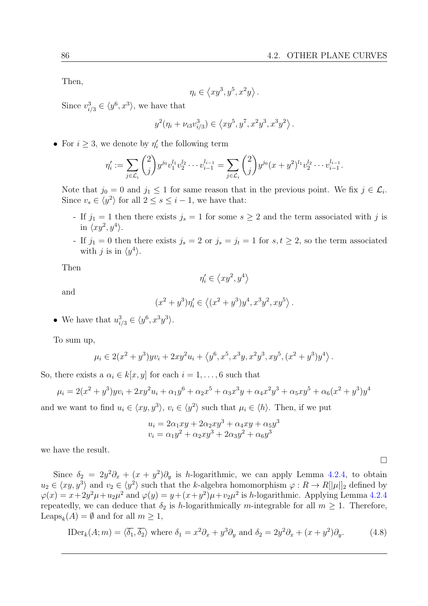Then,

$$
\eta_i \in \left\langle xy^3, y^5, x^2y \right\rangle.
$$

Since  $v_{i/3}^3 \in \langle y^6, x^3 \rangle$ , we have that

$$
y^2(\eta_i + \nu_{i3}v_{i/3}^3) \in \left\langle xy^5, y^7, x^2y^3, x^3y^2 \right\rangle.
$$

• For  $i \geq 3$ , we denote by  $\eta'_i$  the following term

$$
\eta'_i := \sum_{j \in \mathcal{L}_i} \binom{2}{j} y^{j_0} v_1^{l_1} v_2^{l_2} \cdots v_{i-1}^{l_{i-1}} = \sum_{j \in \mathcal{L}_i} \binom{2}{j} y^{j_0} (x + y^2)^{l_1} v_2^{l_2} \cdots v_{i-1}^{l_{i-1}}.
$$

Note that  $j_0 = 0$  and  $j_1 \leq 1$  for same reason that in the previous point. We fix  $j \in \mathcal{L}_i$ . Since  $v_s \in \langle y^2 \rangle$  for all  $2 \le s \le i - 1$ , we have that:

- If  $j_1 = 1$  then there exists  $j_s = 1$  for some  $s \geq 2$  and the term associated with j is in  $\langle xy^2, y^4 \rangle$ .
- If  $j_1 = 0$  then there exists  $j_s = 2$  or  $j_s = j_t = 1$  for  $s, t \geq 2$ , so the term associated with j is in  $\langle y^4 \rangle$ .

Then

$$
\eta'_i \in \left\langle xy^2, y^4 \right\rangle
$$

and

$$
(x^{2} + y^{3})\eta'_{i} \in \left\langle (x^{2} + y^{3})y^{4}, x^{3}y^{2}, xy^{5} \right\rangle.
$$

• We have that  $u_{i/3}^3 \in \langle y^6, x^3y^3 \rangle$ .

To sum up,

$$
\mu_i \in 2(x^2 + y^3) yv_i + 2xy^2 u_i + \langle y^6, x^5, x^3y, x^2y^3, xy^5, (x^2 + y^3)y^4 \rangle.
$$

So, there exists a  $\alpha_i \in k[x, y]$  for each  $i = 1, \ldots, 6$  such that

$$
\mu_i = 2(x^2 + y^3) y v_i + 2xy^2 u_i + \alpha_1 y^6 + \alpha_2 x^5 + \alpha_3 x^3 y + \alpha_4 x^2 y^3 + \alpha_5 x y^5 + \alpha_6 (x^2 + y^3) y^4
$$

and we want to find  $u_i \in \langle xy, y^3 \rangle$ ,  $v_i \in \langle y^2 \rangle$  such that  $\mu_i \in \langle h \rangle$ . Then, if we put

$$
ui = 2\alpha_1 xy + 2\alpha_2 xy^3 + \alpha_4 xy + \alpha_5 y^3
$$
  

$$
vi = \alpha_1 y^2 + \alpha_2 xy^3 + 2\alpha_3 y^2 + \alpha_6 y^3
$$

we have the result.

Since  $\delta_2 = 2y^2 \partial_x + (x + y^2) \partial_y$  is *h*-logarithmic, we can apply Lemma [4.2.4,](#page-97-0) to obtain  $u_2 \in \langle xy, y^3 \rangle$  and  $v_2 \in \langle y^2 \rangle$  such that the k-algebra homomorphism  $\varphi : R \to R[[\mu]]_2$  defined by  $\varphi(x) = x + 2y^2\mu + u_2\mu^2$  and  $\varphi(y) = y + (x + y^2)\mu + v_2\mu^2$  is *h*-logarithmic. Applying Lemma [4.2.4](#page-97-0) repeatedly, we can deduce that  $\delta_2$  is h-logarithmically m-integrable for all  $m \geq 1$ . Therefore, Leaps<sub>k</sub> $(A) = \emptyset$  and for all  $m \geq 1$ ,

<span id="page-99-0"></span>
$$
\text{IDer}_k(A; m) = \langle \overline{\delta_1}, \overline{\delta_2} \rangle \text{ where } \delta_1 = x^2 \partial_x + y^3 \partial_y \text{ and } \delta_2 = 2y^2 \partial_x + (x + y^2) \partial_y. \tag{4.8}
$$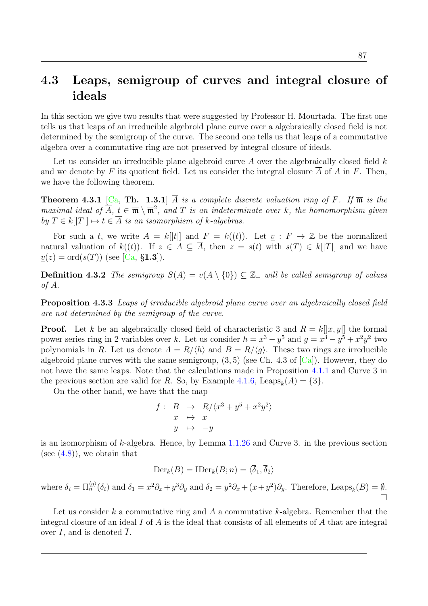### <span id="page-100-0"></span>4.3 Leaps, semigroup of curves and integral closure of ideals

In this section we give two results that were suggested by Professor H. Mourtada. The first one tells us that leaps of an irreducible algebroid plane curve over a algebraically closed field is not determined by the semigroup of the curve. The second one tells us that leaps of a commutative algebra over a commutative ring are not preserved by integral closure of ideals.

Let us consider an irreducible plane algebroid curve  $A$  over the algebraically closed field  $k$ and we denote by F its quotient field. Let us consider the integral closure A of A in F. Then, we have the following theorem.

**Theorem 4.3.1** [\[Ca,](#page-102-2) Th. 1.3.1]  $\overline{A}$  is a complete discrete valuation ring of F. If  $\overline{\mathfrak{m}}$  is the maximal ideal of  $\overline{A}$ ,  $t \in \overline{\mathfrak{m}} \setminus \overline{\mathfrak{m}}^2$ , and T is an indeterminate over k, the homomorphism given by  $T \in k[[T]] \mapsto t \in \overline{A}$  is an isomorphism of k-algebras.

For such a t, we write  $\overline{A} = k[|t|]$  and  $F = k((t))$ . Let  $\underline{v} : F \to \mathbb{Z}$  be the normalized natural valuation of  $k((t))$ . If  $z \in A \subseteq \overline{A}$ , then  $z = s(t)$  with  $s(T) \in k[[T]]$  and we have  $v(z) = \text{ord}(s(T))$  (see [\[Ca,](#page-102-2) §1.3]).

**Definition 4.3.2** The semigroup  $S(A) = v(A \setminus \{0\}) \subseteq \mathbb{Z}_+$  will be called semigroup of values of A.

Proposition 4.3.3 Leaps of irreducible algebroid plane curve over an algebraically closed field are not determined by the semigroup of the curve.

**Proof.** Let k be an algebraically closed field of characteristic 3 and  $R = k[|x, y|]$  the formal power series ring in 2 variables over k. Let us consider  $h = x^3 - y^5$  and  $g = x^3 - y^5 + x^2y^2$  two polynomials in R. Let us denote  $A = R/\langle h \rangle$  and  $B = R/\langle g \rangle$ . These two rings are irreducible algebroid plane curves with the same semigroup,  $(3, 5)$  (see Ch. 4.3 of  $|Ca|$ ). However, they do not have the same leaps. Note that the calculations made in Proposition [4.1.1](#page-82-0) and Curve 3 in the previous section are valid for R. So, by Example [4.1.6,](#page-89-0) Leaps<sub>k</sub> $(A) = \{3\}.$ 

On the other hand, we have that the map

$$
f: \quad B \quad \to \quad R/\langle x^3 + y^5 + x^2y^2 \rangle
$$

$$
x \quad \mapsto \quad x
$$

$$
y \quad \mapsto \quad -y
$$

is an isomorphism of  $k$ -algebra. Hence, by Lemma  $1.1.26$  and Curve 3. in the previous section (see  $(4.8)$ ), we obtain that

$$
\mathrm{Der}_k(B) = \mathrm{IDer}_k(B; n) = \langle \overline{\delta}_1, \overline{\delta}_2 \rangle
$$

where  $\overline{\delta}_i = \Pi_n^{\langle g \rangle}(\delta_i)$  and  $\delta_1 = x^2 \partial_x + y^3 \partial_y$  and  $\delta_2 = y^2 \partial_x + (x + y^2) \partial_y$ . Therefore, Leaps<sub>k</sub> $(B) = \emptyset$ .  $\Box$ 

Let us consider k a commutative ring and A a commutative k-algebra. Remember that the integral closure of an ideal  $I$  of  $A$  is the ideal that consists of all elements of  $A$  that are integral over  $I$ , and is denoted  $I$ .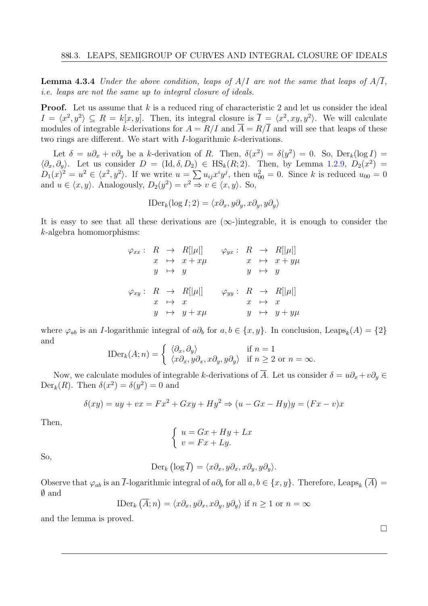**Lemma 4.3.4** Under the above condition, leaps of  $A/I$  are not the same that leaps of  $A/\overline{I}$ , i.e. leaps are not the same up to integral closure of ideals.

**Proof.** Let us assume that  $k$  is a reduced ring of characteristic 2 and let us consider the ideal  $I = \langle x^2, y^2 \rangle \subseteq R = k[x, y]$ . Then, its integral closure is  $\overline{I} = \langle x^2, xy, y^2 \rangle$ . We will calculate modules of integrable k-derivations for  $A = R/I$  and  $\overline{A} = R/\overline{I}$  and will see that leaps of these two rings are different. We start with I-logarithmic k-derivations.

Let  $\delta = u\partial_x + v\partial_y$  be a k-derivation of R. Then,  $\delta(x^2) = \delta(y^2) = 0$ . So, Der<sub>k</sub>(log I) =  $\langle \partial_x, \partial_y \rangle$ . Let us consider  $D = (\text{Id}, \delta, D_2) \in \text{HS}_k(R; 2)$ . Then, by Lemma [1.2.9,](#page-25-2)  $D_2(x^2) =$  $D_1(x)^2 = u^2 \in \langle x^2, y^2 \rangle$ . If we write  $u = \sum u_{ij} x^i y^j$ , then  $u_{00}^2 = 0$ . Since k is reduced  $u_{00} = 0$ and  $u \in \langle x, y \rangle$ . Analogously,  $D_2(y^2) = v^2 \Rightarrow v \in \langle x, y \rangle$ . So,

$$
\text{IDer}_k(\log I; 2) = \langle x\partial_x, y\partial_y, x\partial_y, y\partial_y \rangle
$$

It is easy to see that all these derivations are  $(\infty)$ -integrable, it is enough to consider the k-algebra homomorphisms:

$$
\varphi_{xx} : R \to R[|\mu|] \qquad \varphi_{yx} : R \to R[|\mu|]
$$
  

$$
x \mapsto x + x\mu \qquad x \mapsto x + y\mu
$$
  

$$
y \mapsto y \qquad y \mapsto y
$$
  

$$
\varphi_{xy} : R \to R[|\mu|] \qquad \varphi_{yy} : R \to R[|\mu|]
$$
  

$$
x \mapsto x \qquad x \mapsto x
$$
  

$$
y \mapsto y + x\mu \qquad y \mapsto y + y\mu
$$

where  $\varphi_{ab}$  is an *I*-logarithmic integral of  $a\partial_b$  for  $a, b \in \{x, y\}$ . In conclusion, Leaps<sub>k</sub> $(A) = \{2\}$ and

$$
\text{IDer}_k(A; n) = \begin{cases} \langle \partial_x, \partial_y \rangle & \text{if } n = 1\\ \langle x \partial_x, y \partial_x, x \partial_y, y \partial_y \rangle & \text{if } n \ge 2 \text{ or } n = \infty. \end{cases}
$$

Now, we calculate modules of integrable k-derivations of  $\overline{A}$ . Let us consider  $\delta = u\partial_x + v\partial_y \in$ Der<sub>k</sub> $(R)$ . Then  $\delta(x^2) = \delta(y^2) = 0$  and

$$
\delta(xy) = uy + vx = Fx^2 + Gxy + Hy^2 \Rightarrow (u - Gx - Hy)y = (Fx - v)x
$$

Then,

$$
\begin{cases}\n u = Gx + Hy + Lx \\
 v = Fx + Ly.\n\end{cases}
$$

So,

$$
\text{Der}_k\left(\log \overline{I}\right) = \langle x\partial_x, y\partial_x, x\partial_y, y\partial_y \rangle.
$$

Observe that  $\varphi_{ab}$  is an  $\overline{I}$ -logarithmic integral of  $a\partial_b$  for all  $a, b \in \{x, y\}$ . Therefore, Leaps<sub>k</sub>  $(\overline{A}) =$ ∅ and

$$
\text{IDer}_k(\overline{A}; n) = \langle x\partial_x, y\partial_x, x\partial_y, y\partial_y \rangle \text{ if } n \ge 1 \text{ or } n = \infty
$$

and the lemma is proved.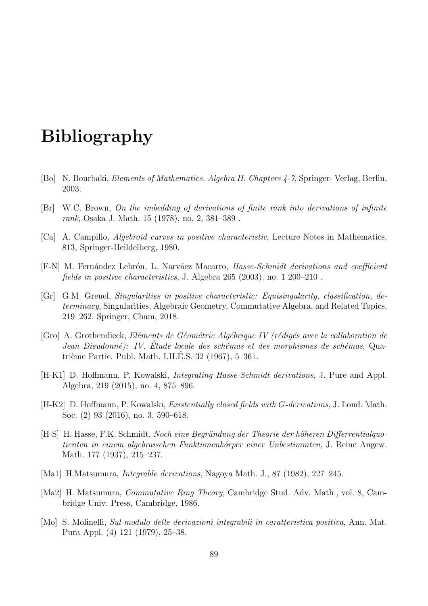## Bibliography

- <span id="page-102-0"></span>[Bo] N. Bourbaki, Elements of Mathematics. Algebra II. Chapters 4-7, Springer- Verlag, Berlin, 2003.
- [Br] W.C. Brown, On the imbedding of derivations of finite rank into derivations of infinite rank, Osaka J. Math. 15 (1978), no. 2, 381–389 .
- <span id="page-102-2"></span>[Ca] A. Campillo, Algebroid curves in positive characteristic, Lecture Notes in Mathematics, 813, Springer-Heildelberg, 1980.
- [F-N] M. Fernández Lebrón, L. Narváez Macarro, *Hasse-Schmidt derivations and coefficient* fields in positive characteristics, J. Algebra 265 (2003), no. 1 200–210 .
- <span id="page-102-1"></span>[Gr] G.M. Greuel, Singularities in positive characteristic: Equisingularity, classification, determinacy, Singularities, Algebraic Geometry, Commutative Algebra, and Related Topics, 219–262. Springer, Cham, 2018.
- [Gro] A. Grothendieck, Eléments de Géométrie Algébrique IV (rédigés avec la collaboration de Jean Dieudonné): IV. Étude locale des schémas et des morphismes de schémas, Quatrième Partie. Publ. Math. I.H.E.S. 32 (1967), 5–361.
- [H-K1] D. Hoffmann, P. Kowalski, Integrating Hasse-Schmidt derivations, J. Pure and Appl. Algebra, 219 (2015), no. 4, 875–896.
- [H-K2] D. Hoffmann, P. Kowalski, *Existentially closed fields with G-derivations*, J. Lond. Math. Soc. (2) 93 (2016), no. 3, 590–618.
- [H-S] H. Hasse, F.K. Schmidt, Noch eine Begründung der Theorie der höheren Differrentialquotienten in einem algebraischen Funktionenkörper einer Unbestimmten, J. Reine Angew. Math. 177 (1937), 215–237.
- [Ma1] H.Matsumura, Integrable derivations, Nagoya Math. J., 87 (1982), 227–245.
- [Ma2] H. Matsumura, Commutative Ring Theory, Cambridge Stud. Adv. Math., vol. 8, Cambridge Univ. Press, Cambridge, 1986.
- [Mo] S. Molinelli, Sul modulo delle derivazioni integrabili in caratteristica positiva, Ann. Mat. Pura Appl. (4) 121 (1979), 25–38.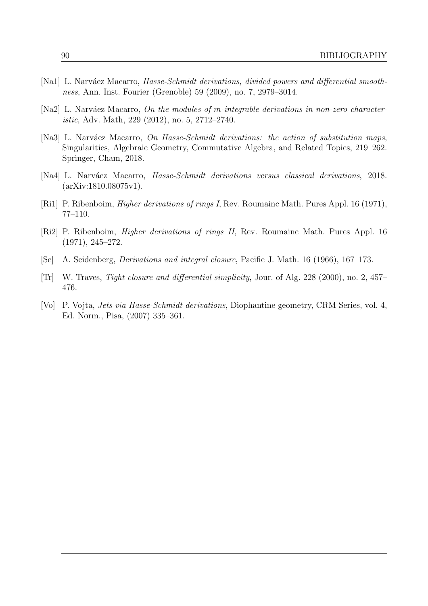- [Na1] L. Narváez Macarro, *Hasse-Schmidt derivations, divided powers and differential smooth*ness, Ann. Inst. Fourier (Grenoble) 59 (2009), no. 7, 2979–3014.
- <span id="page-103-0"></span>[Na2] L. Narváez Macarro, On the modules of m-integrable derivations in non-zero characteristic, Adv. Math, 229 (2012), no. 5, 2712–2740.
- [Na3] L. Narváez Macarro, On Hasse-Schmidt derivations: the action of substitution maps, Singularities, Algebraic Geometry, Commutative Algebra, and Related Topics, 219–262. Springer, Cham, 2018.
- [Na4] L. Narváez Macarro, *Hasse-Schmidt derivations versus classical derivations*, 2018. (arXiv:1810.08075v1).
- [Ri1] P. Ribenboim, *Higher derivations of rings I*, Rev. Roumainc Math. Pures Appl. 16 (1971), 77–110.
- [Ri2] P. Ribenboim, Higher derivations of rings II, Rev. Roumainc Math. Pures Appl. 16 (1971), 245–272.
- [Se] A. Seidenberg, Derivations and integral closure, Pacific J. Math. 16 (1966), 167–173.
- [Tr] W. Traves, Tight closure and differential simplicity, Jour. of Alg. 228 (2000), no. 2, 457– 476.
- [Vo] P. Vojta, Jets via Hasse-Schmidt derivations, Diophantine geometry, CRM Series, vol. 4, Ed. Norm., Pisa, (2007) 335–361.